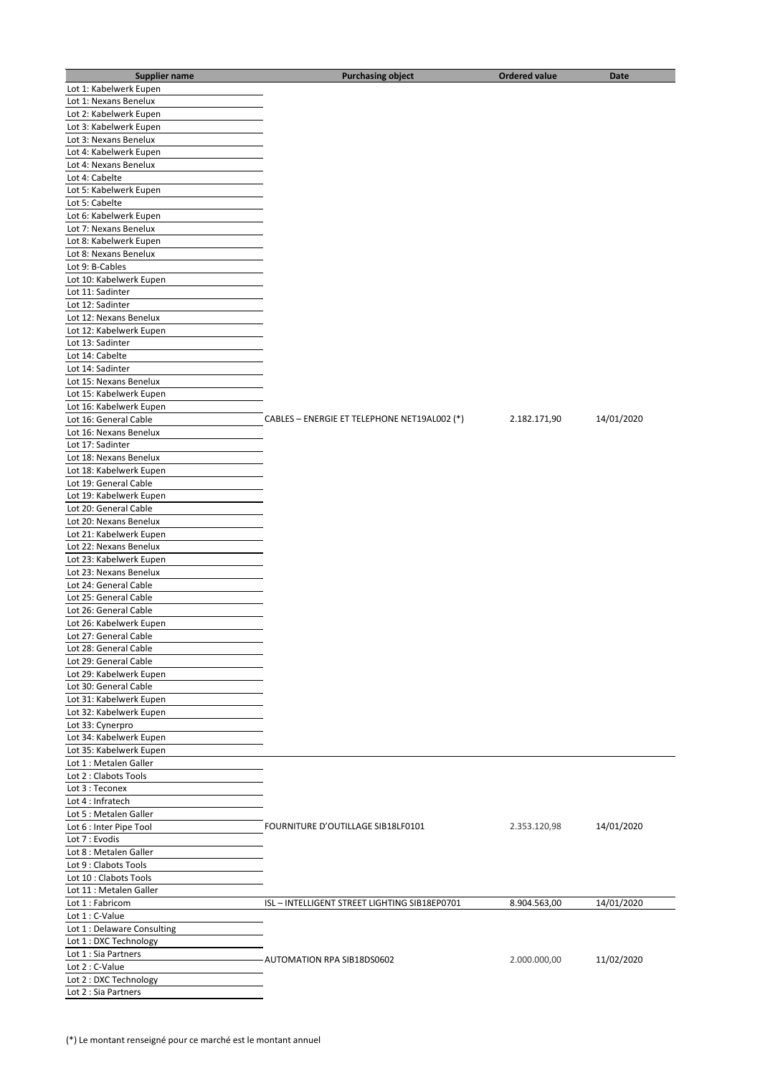| <b>Supplier name</b>                               | <b>Purchasing object</b>                     | <b>Ordered value</b> | Date       |
|----------------------------------------------------|----------------------------------------------|----------------------|------------|
| Lot 1: Kabelwerk Eupen                             |                                              |                      |            |
| Lot 1: Nexans Benelux                              |                                              |                      |            |
| Lot 2: Kabelwerk Eupen                             |                                              |                      |            |
| Lot 3: Kabelwerk Eupen                             |                                              |                      |            |
| Lot 3: Nexans Benelux                              |                                              |                      |            |
| Lot 4: Kabelwerk Eupen                             |                                              |                      |            |
| Lot 4: Nexans Benelux                              |                                              |                      |            |
| Lot 4: Cabelte                                     |                                              |                      |            |
| Lot 5: Kabelwerk Eupen                             |                                              |                      |            |
| Lot 5: Cabelte                                     |                                              |                      |            |
| Lot 6: Kabelwerk Eupen                             |                                              |                      |            |
| Lot 7: Nexans Benelux                              |                                              |                      |            |
| Lot 8: Kabelwerk Eupen                             |                                              |                      |            |
| Lot 8: Nexans Benelux                              |                                              |                      |            |
| Lot 9: B-Cables                                    |                                              |                      |            |
| Lot 10: Kabelwerk Eupen                            |                                              |                      |            |
| Lot 11: Sadinter                                   |                                              |                      |            |
| Lot 12: Sadinter                                   |                                              |                      |            |
| Lot 12: Nexans Benelux                             |                                              |                      |            |
|                                                    |                                              |                      |            |
| Lot 12: Kabelwerk Eupen<br>Lot 13: Sadinter        |                                              |                      |            |
|                                                    |                                              |                      |            |
| Lot 14: Cabelte                                    |                                              |                      |            |
| Lot 14: Sadinter                                   |                                              |                      |            |
| Lot 15: Nexans Benelux                             |                                              |                      |            |
| Lot 15: Kabelwerk Eupen                            |                                              |                      |            |
| Lot 16: Kabelwerk Eupen                            |                                              |                      |            |
| Lot 16: General Cable                              | CABLES - ENERGIE ET TELEPHONE NET19AL002 (*) | 2.182.171,90         | 14/01/2020 |
| Lot 16: Nexans Benelux                             |                                              |                      |            |
| Lot 17: Sadinter                                   |                                              |                      |            |
| Lot 18: Nexans Benelux                             |                                              |                      |            |
| Lot 18: Kabelwerk Eupen                            |                                              |                      |            |
| Lot 19: General Cable                              |                                              |                      |            |
| Lot 19: Kabelwerk Eupen<br>Lot 20: General Cable   |                                              |                      |            |
|                                                    |                                              |                      |            |
| Lot 20: Nexans Benelux                             |                                              |                      |            |
| Lot 21: Kabelwerk Eupen<br>Lot 22: Nexans Benelux  |                                              |                      |            |
|                                                    |                                              |                      |            |
| Lot 23: Kabelwerk Eupen<br>Lot 23: Nexans Benelux  |                                              |                      |            |
|                                                    |                                              |                      |            |
| Lot 24: General Cable<br>Lot 25: General Cable     |                                              |                      |            |
| Lot 26: General Cable                              |                                              |                      |            |
|                                                    |                                              |                      |            |
| Lot 26: Kabelwerk Eupen<br>Lot 27: General Cable   |                                              |                      |            |
|                                                    |                                              |                      |            |
| Lot 28: General Cable<br>Lot 29: General Cable     |                                              |                      |            |
|                                                    |                                              |                      |            |
| Lot 29: Kabelwerk Eupen                            |                                              |                      |            |
| Lot 30: General Cable<br>Lot 31: Kabelwerk Eupen   |                                              |                      |            |
|                                                    |                                              |                      |            |
| Lot 32: Kabelwerk Eupen<br>Lot 33: Cynerpro        |                                              |                      |            |
|                                                    |                                              |                      |            |
| Lot 34: Kabelwerk Eupen<br>Lot 35: Kabelwerk Eupen |                                              |                      |            |
| Lot 1 : Metalen Galler                             |                                              |                      |            |
| Lot 2 : Clabots Tools                              |                                              |                      |            |
| Lot 3 : Teconex                                    |                                              |                      |            |
|                                                    |                                              |                      |            |
| Lot 4 : Infratech<br>Lot 5 : Metalen Galler        |                                              |                      |            |
|                                                    | FOURNITURE D'OUTILLAGE SIB18LF0101           | 2.353.120,98         | 14/01/2020 |
| Lot 6 : Inter Pipe Tool<br>Lot 7 : Evodis          |                                              |                      |            |
|                                                    |                                              |                      |            |
| Lot 8 : Metalen Galler<br>Lot 9 : Clabots Tools    |                                              |                      |            |
| Lot 10 : Clabots Tools                             |                                              |                      |            |
|                                                    |                                              |                      |            |
| Lot 11 : Metalen Galler                            |                                              |                      |            |
| Lot 1 : Fabricom                                   | ISL-INTELLIGENT STREET LIGHTING SIB18EP0701  | 8.904.563,00         | 14/01/2020 |
| Lot 1 : C-Value                                    |                                              |                      |            |
| Lot 1 : Delaware Consulting                        |                                              |                      |            |
| Lot 1: DXC Technology                              |                                              |                      |            |
| Lot 1 : Sia Partners                               | AUTOMATION RPA SIB18DS0602                   | 2.000.000,00         | 11/02/2020 |
| Lot 2 : C-Value                                    |                                              |                      |            |
| Lot 2 : DXC Technology                             |                                              |                      |            |
| Lot 2 : Sia Partners                               |                                              |                      |            |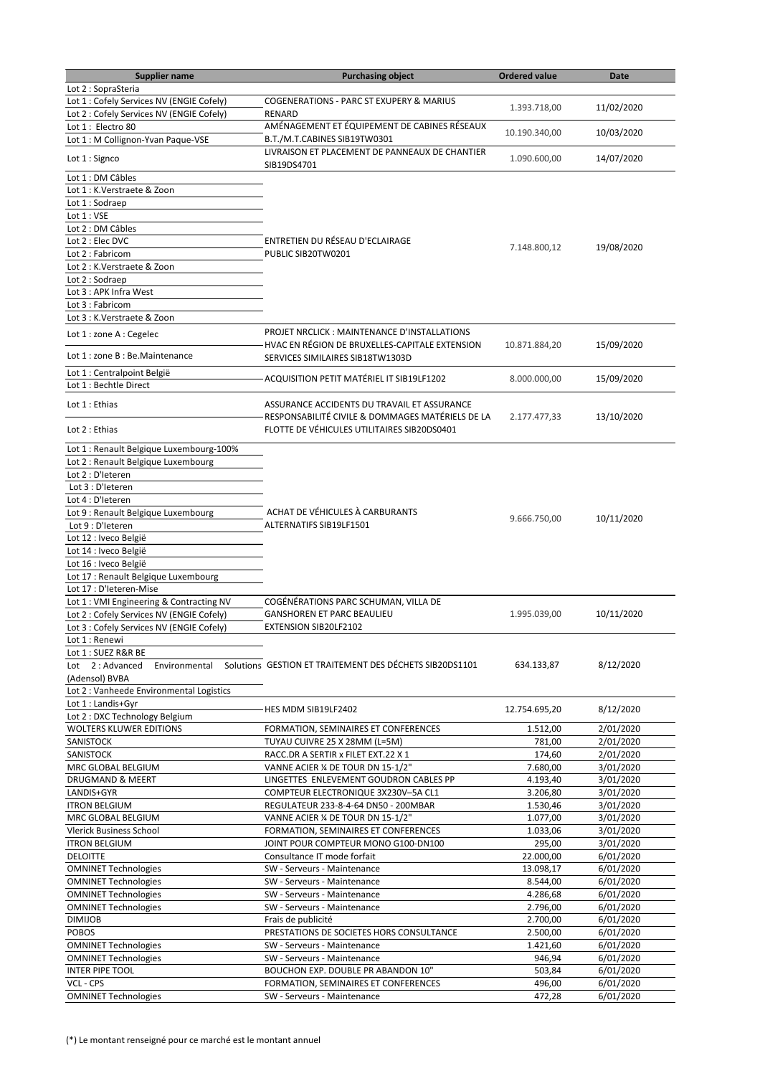| <b>Supplier name</b>                      | <b>Purchasing object</b>                                              | <b>Ordered value</b> | <b>Date</b> |
|-------------------------------------------|-----------------------------------------------------------------------|----------------------|-------------|
| Lot 2 : SopraSteria                       |                                                                       |                      |             |
| Lot 1 : Cofely Services NV (ENGIE Cofely) | <b>COGENERATIONS - PARC ST EXUPERY &amp; MARIUS</b>                   |                      | 11/02/2020  |
| Lot 2 : Cofely Services NV (ENGIE Cofely) | <b>RENARD</b>                                                         | 1.393.718,00         |             |
| Lot 1: Electro 80                         | AMÉNAGEMENT ET ÉQUIPEMENT DE CABINES RÉSEAUX                          |                      |             |
| Lot 1 : M Collignon-Yvan Paque-VSE        | B.T./M.T.CABINES SIB19TW0301                                          | 10.190.340,00        | 10/03/2020  |
|                                           | LIVRAISON ET PLACEMENT DE PANNEAUX DE CHANTIER                        |                      |             |
| Lot 1 : Signco                            | SIB19DS4701                                                           | 1.090.600,00         | 14/07/2020  |
| Lot 1 : DM Câbles                         |                                                                       |                      |             |
| Lot 1 : K.Verstraete & Zoon               |                                                                       |                      |             |
| Lot 1 : Sodraep                           |                                                                       |                      |             |
| Lot 1 : VSE                               |                                                                       |                      |             |
|                                           |                                                                       |                      |             |
| Lot 2 : DM Câbles                         |                                                                       |                      |             |
| Lot 2 : Elec DVC                          | ENTRETIEN DU RÉSEAU D'ECLAIRAGE                                       | 7.148.800,12         | 19/08/2020  |
| Lot 2 : Fabricom                          | PUBLIC SIB20TW0201                                                    |                      |             |
| Lot 2 : K.Verstraete & Zoon               |                                                                       |                      |             |
| Lot 2 : Sodraep                           |                                                                       |                      |             |
| Lot 3 : APK Infra West                    |                                                                       |                      |             |
| Lot 3 : Fabricom                          |                                                                       |                      |             |
| Lot 3 : K.Verstraete & Zoon               |                                                                       |                      |             |
| Lot 1 : zone A : Cegelec                  | PROJET NRCLICK: MAINTENANCE D'INSTALLATIONS                           |                      |             |
|                                           | HVAC EN RÉGION DE BRUXELLES-CAPITALE EXTENSION                        | 10.871.884,20        | 15/09/2020  |
| Lot 1 : zone B : Be. Maintenance          | SERVICES SIMILAIRES SIB18TW1303D                                      |                      |             |
|                                           |                                                                       |                      |             |
| Lot 1 : Centralpoint België               | ACQUISITION PETIT MATÉRIEL IT SIB19LF1202                             | 8.000.000,00         | 15/09/2020  |
| Lot 1 : Bechtle Direct                    |                                                                       |                      |             |
| Lot 1 : Ethias                            | ASSURANCE ACCIDENTS DU TRAVAIL ET ASSURANCE                           |                      |             |
|                                           | RESPONSABILITÉ CIVILE & DOMMAGES MATÉRIELS DE LA                      | 2.177.477,33         | 13/10/2020  |
| Lot 2 : Ethias                            | FLOTTE DE VÉHICULES UTILITAIRES SIB20DS0401                           |                      |             |
|                                           |                                                                       |                      |             |
| Lot 1 : Renault Belgique Luxembourg-100%  |                                                                       |                      |             |
| Lot 2 : Renault Belgique Luxembourg       |                                                                       |                      |             |
| Lot 2 : D'Ieteren                         |                                                                       |                      |             |
| Lot 3 : D'Ieteren                         |                                                                       |                      |             |
| Lot 4 : D'Ieteren                         |                                                                       |                      |             |
| Lot 9 : Renault Belgique Luxembourg       | ACHAT DE VÉHICULES À CARBURANTS                                       |                      |             |
|                                           | ALTERNATIFS SIB19LF1501                                               | 9.666.750,00         | 10/11/2020  |
| Lot 9 : D'Ieteren                         |                                                                       |                      |             |
| Lot 12 : Iveco België                     |                                                                       |                      |             |
| Lot 14 : Iveco België                     |                                                                       |                      |             |
| Lot 16 : Iveco België                     |                                                                       |                      |             |
| Lot 17 : Renault Belgique Luxembourg      |                                                                       |                      |             |
| Lot 17 : D'Ieteren-Mise                   |                                                                       |                      |             |
| Lot 1 : VMI Engineering & Contracting NV  | COGÉNÉRATIONS PARC SCHUMAN, VILLA DE                                  |                      |             |
| Lot 2 : Cofely Services NV (ENGIE Cofely) | <b>GANSHOREN ET PARC BEAULIEU</b>                                     | 1.995.039,00         | 10/11/2020  |
| Lot 3 : Cofely Services NV (ENGIE Cofely) | EXTENSION SIB20LF2102                                                 |                      |             |
| Lot 1 : Renewi                            |                                                                       |                      |             |
| Lot 1 : SUEZ R&R BE                       |                                                                       |                      |             |
| Lot 2: Advanced                           | Environmental Solutions GESTION ET TRAITEMENT DES DÉCHETS SIB20DS1101 | 634.133,87           | 8/12/2020   |
| (Adensol) BVBA                            |                                                                       |                      |             |
| Lot 2 : Vanheede Environmental Logistics  |                                                                       |                      |             |
| Lot 1 : Landis+Gyr                        |                                                                       |                      |             |
| Lot 2 : DXC Technology Belgium            | HES MDM SIB19LF2402                                                   | 12.754.695,20        | 8/12/2020   |
|                                           |                                                                       |                      |             |
| <b>WOLTERS KLUWER EDITIONS</b>            | FORMATION, SEMINAIRES ET CONFERENCES                                  | 1.512,00             | 2/01/2020   |
| SANISTOCK                                 | TUYAU CUIVRE 25 X 28MM (L=5M)                                         | 781,00               | 2/01/2020   |
| SANISTOCK                                 | RACC.DR A SERTIR x FILET EXT.22 X 1                                   | 174,60               | 2/01/2020   |
| MRC GLOBAL BELGIUM                        | VANNE ACIER % DE TOUR DN 15-1/2"                                      | 7.680,00             | 3/01/2020   |
| DRUGMAND & MEERT                          | LINGETTES ENLEVEMENT GOUDRON CABLES PP                                | 4.193,40             | 3/01/2020   |
| LANDIS+GYR                                | COMPTEUR ELECTRONIQUE 3X230V-5A CL1                                   | 3.206,80             | 3/01/2020   |
| <b>ITRON BELGIUM</b>                      | REGULATEUR 233-8-4-64 DN50 - 200MBAR                                  | 1.530,46             | 3/01/2020   |
| MRC GLOBAL BELGIUM                        | VANNE ACIER % DE TOUR DN 15-1/2"                                      | 1.077,00             | 3/01/2020   |
| Vlerick Business School                   | FORMATION, SEMINAIRES ET CONFERENCES                                  | 1.033,06             | 3/01/2020   |
| <b>ITRON BELGIUM</b>                      | JOINT POUR COMPTEUR MONO G100-DN100                                   | 295,00               | 3/01/2020   |
| <b>DELOITTE</b>                           | Consultance IT mode forfait                                           | 22.000,00            | 6/01/2020   |
| <b>OMNINET Technologies</b>               | SW - Serveurs - Maintenance                                           | 13.098,17            | 6/01/2020   |
| <b>OMNINET Technologies</b>               | SW - Serveurs - Maintenance                                           | 8.544,00             | 6/01/2020   |
| <b>OMNINET Technologies</b>               | SW - Serveurs - Maintenance                                           | 4.286,68             | 6/01/2020   |
|                                           | SW - Serveurs - Maintenance                                           | 2.796,00             |             |
| <b>OMNINET Technologies</b>               |                                                                       |                      | 6/01/2020   |
| <b>DIMIJOB</b>                            | Frais de publicité                                                    | 2.700,00             | 6/01/2020   |
| <b>POBOS</b>                              | PRESTATIONS DE SOCIETES HORS CONSULTANCE                              | 2.500,00             | 6/01/2020   |
| <b>OMNINET Technologies</b>               | SW - Serveurs - Maintenance                                           | 1.421,60             | 6/01/2020   |
| <b>OMNINET Technologies</b>               | SW - Serveurs - Maintenance                                           | 946,94               | 6/01/2020   |
| <b>INTER PIPE TOOL</b>                    | BOUCHON EXP. DOUBLE PR ABANDON 10"                                    | 503,84               | 6/01/2020   |
| VCL - CPS                                 | FORMATION, SEMINAIRES ET CONFERENCES                                  | 496,00               | 6/01/2020   |
| <b>OMNINET Technologies</b>               | SW - Serveurs - Maintenance                                           | 472,28               | 6/01/2020   |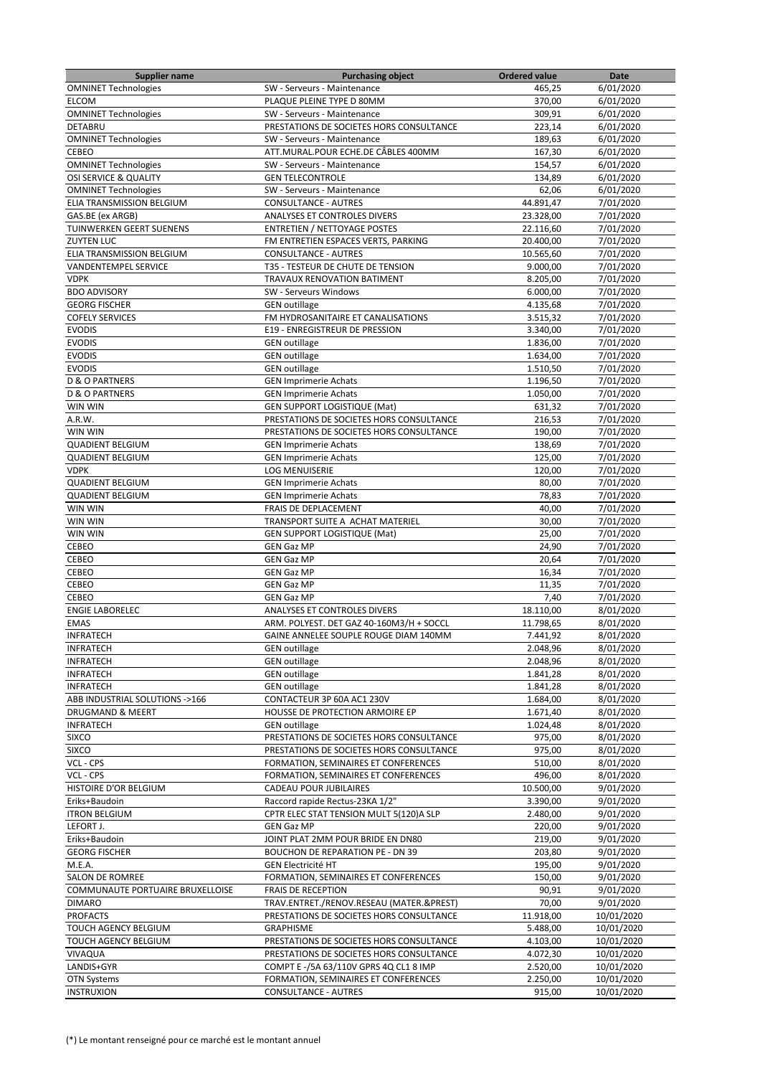| <b>Supplier name</b>             | <b>Purchasing object</b>                 | <b>Ordered value</b> | Date       |
|----------------------------------|------------------------------------------|----------------------|------------|
| <b>OMNINET Technologies</b>      | SW - Serveurs - Maintenance              | 465,25               | 6/01/2020  |
| <b>ELCOM</b>                     | PLAQUE PLEINE TYPE D 80MM                | 370,00               | 6/01/2020  |
| <b>OMNINET Technologies</b>      | SW - Serveurs - Maintenance              | 309,91               | 6/01/2020  |
| <b>DETABRU</b>                   | PRESTATIONS DE SOCIETES HORS CONSULTANCE | 223,14               | 6/01/2020  |
| <b>OMNINET Technologies</b>      | SW - Serveurs - Maintenance              | 189,63               | 6/01/2020  |
| CEBEO                            | ATT.MURAL.POUR ECHE.DE CÂBLES 400MM      | 167,30               | 6/01/2020  |
| <b>OMNINET Technologies</b>      | SW - Serveurs - Maintenance              | 154,57               | 6/01/2020  |
| OSI SERVICE & QUALITY            | <b>GEN TELECONTROLE</b>                  | 134,89               | 6/01/2020  |
| <b>OMNINET Technologies</b>      | SW - Serveurs - Maintenance              | 62,06                | 6/01/2020  |
|                                  | <b>CONSULTANCE - AUTRES</b>              |                      |            |
| ELIA TRANSMISSION BELGIUM        |                                          | 44.891,47            | 7/01/2020  |
| GAS.BE (ex ARGB)                 | ANALYSES ET CONTROLES DIVERS             | 23.328,00            | 7/01/2020  |
| TUINWERKEN GEERT SUENENS         | <b>ENTRETIEN / NETTOYAGE POSTES</b>      | 22.116,60            | 7/01/2020  |
| <b>ZUYTEN LUC</b>                | FM ENTRETIEN ESPACES VERTS, PARKING      | 20.400,00            | 7/01/2020  |
| ELIA TRANSMISSION BELGIUM        | <b>CONSULTANCE - AUTRES</b>              | 10.565,60            | 7/01/2020  |
| <b>VANDENTEMPEL SERVICE</b>      | T35 - TESTEUR DE CHUTE DE TENSION        | 9.000,00             | 7/01/2020  |
| <b>VDPK</b>                      | TRAVAUX RENOVATION BATIMENT              | 8.205,00             | 7/01/2020  |
| <b>BDO ADVISORY</b>              | SW - Serveurs Windows                    | 6.000,00             | 7/01/2020  |
| <b>GEORG FISCHER</b>             | <b>GEN</b> outillage                     | 4.135,68             | 7/01/2020  |
| <b>COFELY SERVICES</b>           | FM HYDROSANITAIRE ET CANALISATIONS       | 3.515,32             | 7/01/2020  |
| <b>EVODIS</b>                    | E19 - ENREGISTREUR DE PRESSION           | 3.340,00             | 7/01/2020  |
| <b>EVODIS</b>                    | <b>GEN outillage</b>                     | 1.836,00             | 7/01/2020  |
| <b>EVODIS</b>                    | <b>GEN</b> outillage                     | 1.634,00             | 7/01/2020  |
|                                  |                                          |                      |            |
| <b>EVODIS</b>                    | <b>GEN</b> outillage                     | 1.510,50             | 7/01/2020  |
| <b>D &amp; O PARTNERS</b>        | <b>GEN Imprimerie Achats</b>             | 1.196,50             | 7/01/2020  |
| <b>D &amp; O PARTNERS</b>        | <b>GEN Imprimerie Achats</b>             | 1.050,00             | 7/01/2020  |
| WIN WIN                          | <b>GEN SUPPORT LOGISTIQUE (Mat)</b>      | 631,32               | 7/01/2020  |
| A.R.W.                           | PRESTATIONS DE SOCIETES HORS CONSULTANCE | 216,53               | 7/01/2020  |
| WIN WIN                          | PRESTATIONS DE SOCIETES HORS CONSULTANCE | 190,00               | 7/01/2020  |
| <b>QUADIENT BELGIUM</b>          | <b>GEN Imprimerie Achats</b>             | 138,69               | 7/01/2020  |
| <b>QUADIENT BELGIUM</b>          | <b>GEN Imprimerie Achats</b>             | 125,00               | 7/01/2020  |
| <b>VDPK</b>                      | <b>LOG MENUISERIE</b>                    | 120,00               | 7/01/2020  |
| <b>QUADIENT BELGIUM</b>          | <b>GEN Imprimerie Achats</b>             | 80,00                | 7/01/2020  |
| <b>QUADIENT BELGIUM</b>          | <b>GEN Imprimerie Achats</b>             | 78,83                | 7/01/2020  |
| WIN WIN                          | FRAIS DE DEPLACEMENT                     | 40,00                | 7/01/2020  |
| WIN WIN                          | TRANSPORT SUITE A ACHAT MATERIEL         | 30,00                | 7/01/2020  |
|                                  |                                          |                      |            |
| WIN WIN                          | <b>GEN SUPPORT LOGISTIQUE (Mat)</b>      | 25,00                | 7/01/2020  |
| CEBEO                            | <b>GEN Gaz MP</b>                        | 24,90                | 7/01/2020  |
| CEBEO                            | <b>GEN Gaz MP</b>                        | 20,64                | 7/01/2020  |
| <b>CEBEO</b>                     | <b>GEN Gaz MP</b>                        | 16,34                | 7/01/2020  |
| CEBEO                            | <b>GEN Gaz MP</b>                        | 11,35                | 7/01/2020  |
| CEBEO                            | <b>GEN Gaz MP</b>                        | 7,40                 | 7/01/2020  |
| <b>ENGIE LABORELEC</b>           | <b>ANALYSES ET CONTROLES DIVERS</b>      | 18.110,00            | 8/01/2020  |
| <b>EMAS</b>                      | ARM. POLYEST. DET GAZ 40-160M3/H + SOCCL | 11.798,65            | 8/01/2020  |
| <b>INFRATECH</b>                 | GAINE ANNELEE SOUPLE ROUGE DIAM 140MM    | 7.441,92             | 8/01/2020  |
| <b>INFRATECH</b>                 | <b>GEN</b> outillage                     | 2.048,96             | 8/01/2020  |
| <b>INFRATECH</b>                 | <b>GEN outillage</b>                     | 2.048,96             | 8/01/2020  |
| <b>INFRATECH</b>                 | <b>GEN outillage</b>                     | 1.841,28             | 8/01/2020  |
| <b>INFRATECH</b>                 | <b>GEN outillage</b>                     | 1.841,28             | 8/01/2020  |
| ABB INDUSTRIAL SOLUTIONS ->166   | CONTACTEUR 3P 60A AC1 230V               | 1.684,00             | 8/01/2020  |
|                                  |                                          |                      |            |
| DRUGMAND & MEERT                 | HOUSSE DE PROTECTION ARMOIRE EP          | 1.671,40             | 8/01/2020  |
| <b>INFRATECH</b>                 | <b>GEN</b> outillage                     | 1.024,48             | 8/01/2020  |
| <b>SIXCO</b>                     | PRESTATIONS DE SOCIETES HORS CONSULTANCE | 975,00               | 8/01/2020  |
| <b>SIXCO</b>                     | PRESTATIONS DE SOCIETES HORS CONSULTANCE | 975,00               | 8/01/2020  |
| VCL - CPS                        | FORMATION, SEMINAIRES ET CONFERENCES     | 510,00               | 8/01/2020  |
| VCL - CPS                        | FORMATION, SEMINAIRES ET CONFERENCES     | 496,00               | 8/01/2020  |
| HISTOIRE D'OR BELGIUM            | CADEAU POUR JUBILAIRES                   | 10.500,00            | 9/01/2020  |
| Eriks+Baudoin                    | Raccord rapide Rectus-23KA 1/2"          | 3.390,00             | 9/01/2020  |
| <b>ITRON BELGIUM</b>             | CPTR ELEC STAT TENSION MULT 5(120)A SLP  | 2.480,00             | 9/01/2020  |
| LEFORT J.                        | <b>GEN Gaz MP</b>                        | 220,00               | 9/01/2020  |
| Eriks+Baudoin                    | JOINT PLAT 2MM POUR BRIDE EN DN80        | 219,00               | 9/01/2020  |
| <b>GEORG FISCHER</b>             | <b>BOUCHON DE REPARATION PE - DN 39</b>  | 203,80               | 9/01/2020  |
| M.E.A.                           | <b>GEN Electricité HT</b>                | 195,00               | 9/01/2020  |
|                                  |                                          |                      |            |
| SALON DE ROMREE                  | FORMATION, SEMINAIRES ET CONFERENCES     | 150,00               | 9/01/2020  |
| COMMUNAUTE PORTUAIRE BRUXELLOISE | <b>FRAIS DE RECEPTION</b>                | 90,91                | 9/01/2020  |
| <b>DIMARO</b>                    | TRAV.ENTRET./RENOV.RESEAU (MATER.&PREST) | 70,00                | 9/01/2020  |
| <b>PROFACTS</b>                  | PRESTATIONS DE SOCIETES HORS CONSULTANCE | 11.918,00            | 10/01/2020 |
| TOUCH AGENCY BELGIUM             | <b>GRAPHISME</b>                         | 5.488,00             | 10/01/2020 |
| TOUCH AGENCY BELGIUM             | PRESTATIONS DE SOCIETES HORS CONSULTANCE | 4.103,00             | 10/01/2020 |
| VIVAQUA                          | PRESTATIONS DE SOCIETES HORS CONSULTANCE | 4.072,30             | 10/01/2020 |
| LANDIS+GYR                       | COMPT E -/5A 63/110V GPRS 4Q CL1 8 IMP   | 2.520,00             | 10/01/2020 |
| <b>OTN Systems</b>               | FORMATION, SEMINAIRES ET CONFERENCES     | 2.250,00             | 10/01/2020 |
| <b>INSTRUXION</b>                | <b>CONSULTANCE - AUTRES</b>              | 915,00               | 10/01/2020 |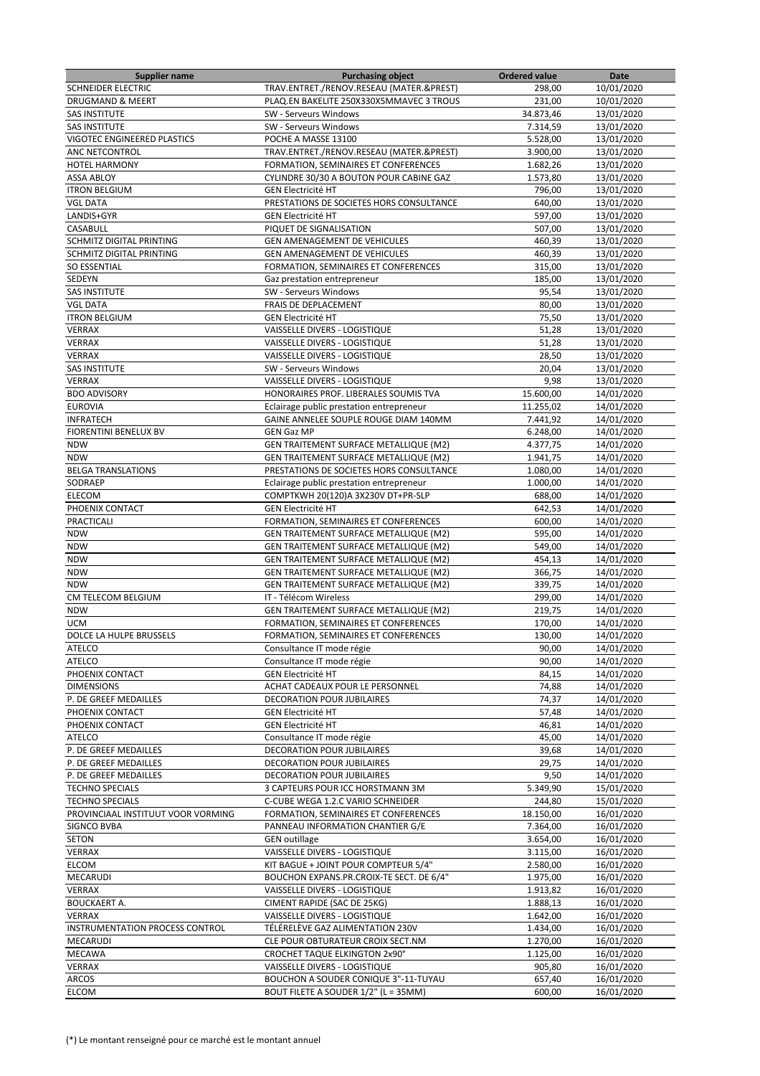| <b>Supplier name</b>               | <b>Purchasing object</b>                 | <b>Ordered value</b> | Date       |
|------------------------------------|------------------------------------------|----------------------|------------|
| <b>SCHNEIDER ELECTRIC</b>          | TRAV.ENTRET./RENOV.RESEAU (MATER.&PREST) | 298,00               | 10/01/2020 |
| DRUGMAND & MEERT                   | PLAQ.EN BAKELITE 250X330X5MMAVEC 3 TROUS | 231,00               | 10/01/2020 |
| SAS INSTITUTE                      | SW - Serveurs Windows                    | 34.873,46            | 13/01/2020 |
| <b>SAS INSTITUTE</b>               | SW - Serveurs Windows                    | 7.314,59             | 13/01/2020 |
| VIGOTEC ENGINEERED PLASTICS        | POCHE A MASSE 13100                      | 5.528,00             | 13/01/2020 |
| ANC NETCONTROL                     | TRAV.ENTRET./RENOV.RESEAU (MATER.&PREST) | 3.900.00             | 13/01/2020 |
| <b>HOTEL HARMONY</b>               | FORMATION, SEMINAIRES ET CONFERENCES     | 1.682,26             | 13/01/2020 |
| <b>ASSA ABLOY</b>                  | CYLINDRE 30/30 A BOUTON POUR CABINE GAZ  | 1.573,80             | 13/01/2020 |
| <b>ITRON BELGIUM</b>               | <b>GEN Electricité HT</b>                | 796,00               | 13/01/2020 |
| <b>VGL DATA</b>                    | PRESTATIONS DE SOCIETES HORS CONSULTANCE | 640,00               | 13/01/2020 |
| LANDIS+GYR                         | <b>GEN Electricité HT</b>                | 597,00               | 13/01/2020 |
| CASABULL                           | PIQUET DE SIGNALISATION                  | 507,00               | 13/01/2020 |
| SCHMITZ DIGITAL PRINTING           | GEN AMENAGEMENT DE VEHICULES             | 460,39               | 13/01/2020 |
| SCHMITZ DIGITAL PRINTING           | GEN AMENAGEMENT DE VEHICULES             | 460,39               | 13/01/2020 |
| <b>SO ESSENTIAL</b>                | FORMATION, SEMINAIRES ET CONFERENCES     | 315,00               | 13/01/2020 |
| SEDEYN                             | Gaz prestation entrepreneur              | 185,00               | 13/01/2020 |
| <b>SAS INSTITUTE</b>               | SW - Serveurs Windows                    | 95,54                | 13/01/2020 |
| <b>VGL DATA</b>                    | FRAIS DE DEPLACEMENT                     | 80,00                | 13/01/2020 |
| <b>ITRON BELGIUM</b>               | <b>GEN Electricité HT</b>                | 75,50                | 13/01/2020 |
| <b>VERRAX</b>                      | VAISSELLE DIVERS - LOGISTIQUE            | 51,28                | 13/01/2020 |
|                                    |                                          |                      |            |
| VERRAX                             | VAISSELLE DIVERS - LOGISTIQUE            | 51,28                | 13/01/2020 |
| <b>VERRAX</b>                      | VAISSELLE DIVERS - LOGISTIQUE            | 28,50                | 13/01/2020 |
| <b>SAS INSTITUTE</b>               | SW - Serveurs Windows                    | 20,04                | 13/01/2020 |
| <b>VERRAX</b>                      | VAISSELLE DIVERS - LOGISTIQUE            | 9,98                 | 13/01/2020 |
| <b>BDO ADVISORY</b>                | HONORAIRES PROF. LIBERALES SOUMIS TVA    | 15.600,00            | 14/01/2020 |
| <b>EUROVIA</b>                     | Eclairage public prestation entrepreneur | 11.255,02            | 14/01/2020 |
| <b>INFRATECH</b>                   | GAINE ANNELEE SOUPLE ROUGE DIAM 140MM    | 7.441,92             | 14/01/2020 |
| FIORENTINI BENELUX BV              | <b>GEN Gaz MP</b>                        | 6.248,00             | 14/01/2020 |
| <b>NDW</b>                         | GEN TRAITEMENT SURFACE METALLIQUE (M2)   | 4.377,75             | 14/01/2020 |
| <b>NDW</b>                         | GEN TRAITEMENT SURFACE METALLIQUE (M2)   | 1.941,75             | 14/01/2020 |
| <b>BELGA TRANSLATIONS</b>          | PRESTATIONS DE SOCIETES HORS CONSULTANCE | 1.080,00             | 14/01/2020 |
| SODRAEP                            | Eclairage public prestation entrepreneur | 1.000,00             | 14/01/2020 |
| ELECOM                             | COMPTKWH 20(120)A 3X230V DT+PR-SLP       | 688,00               | 14/01/2020 |
| PHOENIX CONTACT                    | <b>GEN Electricité HT</b>                | 642,53               | 14/01/2020 |
| PRACTICALI                         | FORMATION, SEMINAIRES ET CONFERENCES     | 600,00               | 14/01/2020 |
| <b>NDW</b>                         | GEN TRAITEMENT SURFACE METALLIQUE (M2)   | 595,00               | 14/01/2020 |
| <b>NDW</b>                         | GEN TRAITEMENT SURFACE METALLIQUE (M2)   | 549,00               | 14/01/2020 |
| <b>NDW</b>                         | GEN TRAITEMENT SURFACE METALLIQUE (M2)   | 454,13               | 14/01/2020 |
| <b>NDW</b>                         | GEN TRAITEMENT SURFACE METALLIQUE (M2)   | 366,75               | 14/01/2020 |
| <b>NDW</b>                         | GEN TRAITEMENT SURFACE METALLIQUE (M2)   | 339,75               | 14/01/2020 |
| CM TELECOM BELGIUM                 | IT - Télécom Wireless                    | 299,00               | 14/01/2020 |
| <b>NDW</b>                         | GEN TRAITEMENT SURFACE METALLIQUE (M2)   | 219,75               | 14/01/2020 |
| <b>UCM</b>                         | FORMATION, SEMINAIRES ET CONFERENCES     | 170,00               | 14/01/2020 |
| DOLCE LA HULPE BRUSSELS            | FORMATION, SEMINAIRES ET CONFERENCES     | 130,00               | 14/01/2020 |
| ATELCO                             | Consultance IT mode régie                | 90,00                | 14/01/2020 |
| <b>ATELCO</b>                      | Consultance IT mode régie                | 90,00                | 14/01/2020 |
| PHOENIX CONTACT                    | <b>GEN Electricité HT</b>                | 84,15                | 14/01/2020 |
| <b>DIMENSIONS</b>                  | ACHAT CADEAUX POUR LE PERSONNEL          | 74,88                | 14/01/2020 |
| P. DE GREEF MEDAILLES              | <b>DECORATION POUR JUBILAIRES</b>        | 74,37                | 14/01/2020 |
| PHOENIX CONTACT                    | <b>GEN Electricité HT</b>                | 57,48                | 14/01/2020 |
| PHOENIX CONTACT                    | <b>GEN Electricité HT</b>                | 46,81                | 14/01/2020 |
| <b>ATELCO</b>                      | Consultance IT mode régie                | 45,00                | 14/01/2020 |
| P. DE GREEF MEDAILLES              | DECORATION POUR JUBILAIRES               | 39,68                | 14/01/2020 |
| P. DE GREEF MEDAILLES              | <b>DECORATION POUR JUBILAIRES</b>        | 29,75                | 14/01/2020 |
| P. DE GREEF MEDAILLES              | DECORATION POUR JUBILAIRES               | 9,50                 | 14/01/2020 |
| <b>TECHNO SPECIALS</b>             | 3 CAPTEURS POUR ICC HORSTMANN 3M         | 5.349,90             | 15/01/2020 |
| <b>TECHNO SPECIALS</b>             | C-CUBE WEGA 1.2.C VARIO SCHNEIDER        | 244,80               | 15/01/2020 |
| PROVINCIAAL INSTITUUT VOOR VORMING | FORMATION, SEMINAIRES ET CONFERENCES     | 18.150,00            | 16/01/2020 |
| <b>SIGNCO BVBA</b>                 | PANNEAU INFORMATION CHANTIER G/E         | 7.364,00             | 16/01/2020 |
| <b>SETON</b>                       | <b>GEN</b> outillage                     | 3.654,00             | 16/01/2020 |
| <b>VERRAX</b>                      | VAISSELLE DIVERS - LOGISTIQUE            | 3.115,00             | 16/01/2020 |
| <b>ELCOM</b>                       | KIT BAGUE + JOINT POUR COMPTEUR 5/4"     | 2.580,00             | 16/01/2020 |
|                                    |                                          |                      |            |
| MECARUDI                           | BOUCHON EXPANS.PR.CROIX-TE SECT. DE 6/4" | 1.975,00             | 16/01/2020 |
| <b>VERRAX</b>                      | VAISSELLE DIVERS - LOGISTIQUE            | 1.913,82             | 16/01/2020 |
| <b>BOUCKAERT A.</b>                | CIMENT RAPIDE (SAC DE 25KG)              | 1.888,13             | 16/01/2020 |
| <b>VERRAX</b>                      | VAISSELLE DIVERS - LOGISTIQUE            | 1.642,00             | 16/01/2020 |
| INSTRUMENTATION PROCESS CONTROL    | TÉLÉRELÈVE GAZ ALIMENTATION 230V         | 1.434,00             | 16/01/2020 |
| MECARUDI                           | CLE POUR OBTURATEUR CROIX SECT.NM        | 1.270,00             | 16/01/2020 |
| MECAWA                             | <b>CROCHET TAQUE ELKINGTON 2x90°</b>     | 1.125,00             | 16/01/2020 |
| <b>VERRAX</b>                      | VAISSELLE DIVERS - LOGISTIQUE            | 905,80               | 16/01/2020 |
| <b>ARCOS</b>                       | BOUCHON A SOUDER CONIQUE 3"-11-TUYAU     | 657,40               | 16/01/2020 |
| <b>ELCOM</b>                       | BOUT FILETE A SOUDER 1/2" (L = 35MM)     | 600,00               | 16/01/2020 |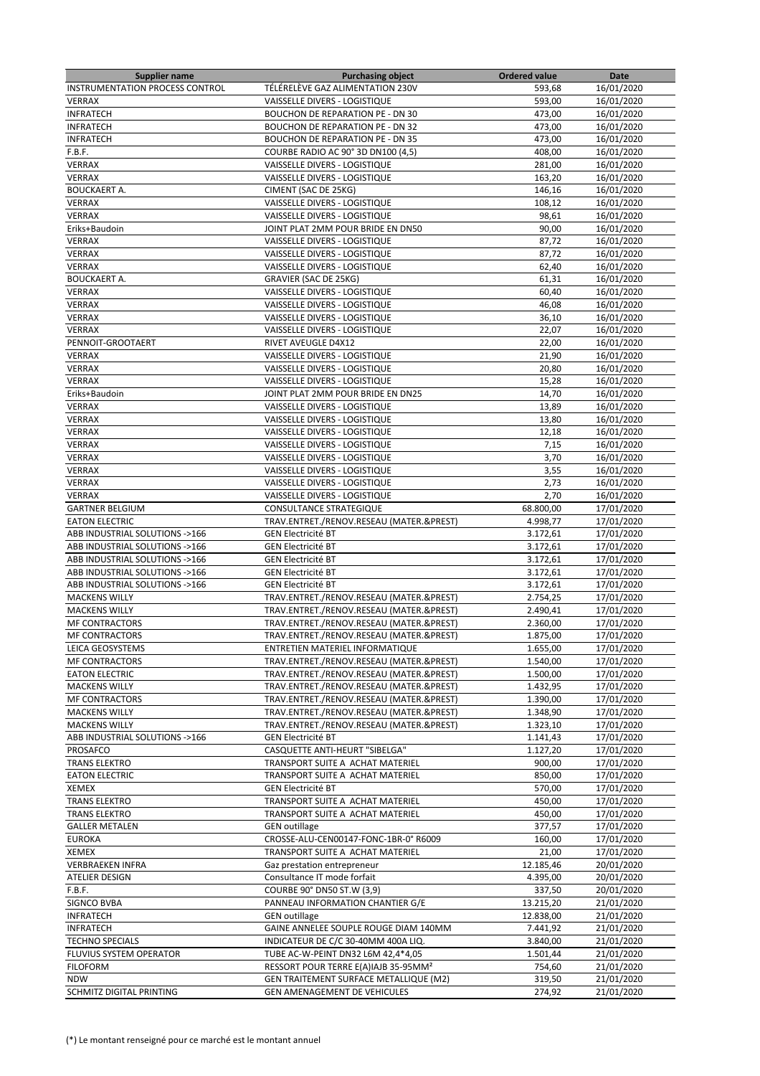| <b>Supplier name</b>                   | <b>Purchasing object</b>                         | <b>Ordered value</b> | Date       |
|----------------------------------------|--------------------------------------------------|----------------------|------------|
| <b>INSTRUMENTATION PROCESS CONTROL</b> | TÉLÉRELÈVE GAZ ALIMENTATION 230V                 | 593,68               | 16/01/2020 |
| <b>VERRAX</b>                          | VAISSELLE DIVERS - LOGISTIQUE                    | 593,00               | 16/01/2020 |
| <b>INFRATECH</b>                       | <b>BOUCHON DE REPARATION PE - DN 30</b>          | 473,00               | 16/01/2020 |
| <b>INFRATECH</b>                       | <b>BOUCHON DE REPARATION PE - DN 32</b>          | 473,00               | 16/01/2020 |
| <b>INFRATECH</b>                       | <b>BOUCHON DE REPARATION PE - DN 35</b>          | 473,00               | 16/01/2020 |
| F.B.F.                                 | COURBE RADIO AC 90° 3D DN100 (4,5)               | 408,00               | 16/01/2020 |
| <b>VERRAX</b>                          | VAISSELLE DIVERS - LOGISTIQUE                    | 281,00               | 16/01/2020 |
|                                        |                                                  |                      |            |
| VERRAX                                 | VAISSELLE DIVERS - LOGISTIQUE                    | 163,20               | 16/01/2020 |
| <b>BOUCKAERT A.</b>                    | CIMENT (SAC DE 25KG)                             | 146,16               | 16/01/2020 |
| VERRAX                                 | VAISSELLE DIVERS - LOGISTIQUE                    | 108,12               | 16/01/2020 |
| <b>VERRAX</b>                          | VAISSELLE DIVERS - LOGISTIQUE                    | 98,61                | 16/01/2020 |
| Eriks+Baudoin                          | JOINT PLAT 2MM POUR BRIDE EN DN50                | 90,00                | 16/01/2020 |
| VERRAX                                 | VAISSELLE DIVERS - LOGISTIQUE                    | 87,72                | 16/01/2020 |
| <b>VERRAX</b>                          | VAISSELLE DIVERS - LOGISTIQUE                    | 87,72                | 16/01/2020 |
| VERRAX                                 | VAISSELLE DIVERS - LOGISTIQUE                    | 62,40                | 16/01/2020 |
| <b>BOUCKAERT A.</b>                    | <b>GRAVIER (SAC DE 25KG)</b>                     | 61,31                | 16/01/2020 |
| <b>VERRAX</b>                          | VAISSELLE DIVERS - LOGISTIQUE                    | 60,40                | 16/01/2020 |
| VERRAX                                 | VAISSELLE DIVERS - LOGISTIQUE                    | 46,08                | 16/01/2020 |
| <b>VERRAX</b>                          | VAISSELLE DIVERS - LOGISTIQUE                    | 36,10                | 16/01/2020 |
| <b>VERRAX</b>                          | VAISSELLE DIVERS - LOGISTIQUE                    | 22,07                | 16/01/2020 |
|                                        |                                                  |                      |            |
| PENNOIT-GROOTAERT                      | RIVET AVEUGLE D4X12                              | 22,00                | 16/01/2020 |
| VERRAX                                 | VAISSELLE DIVERS - LOGISTIQUE                    | 21,90                | 16/01/2020 |
| <b>VERRAX</b>                          | VAISSELLE DIVERS - LOGISTIQUE                    | 20,80                | 16/01/2020 |
| VERRAX                                 | VAISSELLE DIVERS - LOGISTIQUE                    | 15,28                | 16/01/2020 |
| Eriks+Baudoin                          | JOINT PLAT 2MM POUR BRIDE EN DN25                | 14,70                | 16/01/2020 |
| <b>VERRAX</b>                          | VAISSELLE DIVERS - LOGISTIQUE                    | 13,89                | 16/01/2020 |
| VERRAX                                 | VAISSELLE DIVERS - LOGISTIQUE                    | 13,80                | 16/01/2020 |
| VERRAX                                 | VAISSELLE DIVERS - LOGISTIQUE                    | 12,18                | 16/01/2020 |
| <b>VERRAX</b>                          | VAISSELLE DIVERS - LOGISTIQUE                    | 7,15                 | 16/01/2020 |
| VERRAX                                 | VAISSELLE DIVERS - LOGISTIQUE                    | 3,70                 | 16/01/2020 |
| <b>VERRAX</b>                          | VAISSELLE DIVERS - LOGISTIQUE                    | 3,55                 | 16/01/2020 |
| <b>VERRAX</b>                          | VAISSELLE DIVERS - LOGISTIQUE                    | 2,73                 | 16/01/2020 |
| VERRAX                                 |                                                  |                      |            |
|                                        | VAISSELLE DIVERS - LOGISTIQUE                    | 2,70                 | 16/01/2020 |
| <b>GARTNER BELGIUM</b>                 | CONSULTANCE STRATEGIQUE                          | 68.800,00            | 17/01/2020 |
| <b>EATON ELECTRIC</b>                  | TRAV.ENTRET./RENOV.RESEAU (MATER.&PREST)         | 4.998,77             | 17/01/2020 |
| ABB INDUSTRIAL SOLUTIONS ->166         | <b>GEN Electricité BT</b>                        | 3.172,61             | 17/01/2020 |
| ABB INDUSTRIAL SOLUTIONS ->166         | <b>GEN Electricité BT</b>                        | 3.172,61             | 17/01/2020 |
| ABB INDUSTRIAL SOLUTIONS ->166         | <b>GEN Electricité BT</b>                        | 3.172,61             | 17/01/2020 |
| ABB INDUSTRIAL SOLUTIONS ->166         | <b>GEN Electricité BT</b>                        | 3.172,61             | 17/01/2020 |
| ABB INDUSTRIAL SOLUTIONS ->166         | <b>GEN Electricité BT</b>                        | 3.172,61             | 17/01/2020 |
| <b>MACKENS WILLY</b>                   | TRAV.ENTRET./RENOV.RESEAU (MATER.&PREST)         | 2.754,25             | 17/01/2020 |
| <b>MACKENS WILLY</b>                   | TRAV.ENTRET./RENOV.RESEAU (MATER.&PREST)         | 2.490,41             | 17/01/2020 |
| <b>MF CONTRACTORS</b>                  | TRAV.ENTRET./RENOV.RESEAU (MATER.&PREST)         | 2.360,00             | 17/01/2020 |
| <b>MF CONTRACTORS</b>                  | TRAV.ENTRET./RENOV.RESEAU (MATER.&PREST)         | 1.875,00             | 17/01/2020 |
|                                        |                                                  | 1.655,00             | 17/01/2020 |
| LEICA GEOSYSTEMS                       | ENTRETIEN MATERIEL INFORMATIQUE                  |                      | 17/01/2020 |
| <b>MF CONTRACTORS</b>                  | TRAV.ENTRET./RENOV.RESEAU (MATER.&PREST)         | 1.540,00             |            |
| <b>EATON ELECTRIC</b>                  | TRAV.ENTRET./RENOV.RESEAU (MATER.&PREST)         | 1.500,00             | 17/01/2020 |
| <b>MACKENS WILLY</b>                   | TRAV.ENTRET./RENOV.RESEAU (MATER.&PREST)         | 1.432,95             | 17/01/2020 |
| <b>MF CONTRACTORS</b>                  | TRAV.ENTRET./RENOV.RESEAU (MATER.&PREST)         | 1.390,00             | 17/01/2020 |
| <b>MACKENS WILLY</b>                   | TRAV.ENTRET./RENOV.RESEAU (MATER.&PREST)         | 1.348,90             | 17/01/2020 |
| <b>MACKENS WILLY</b>                   | TRAV.ENTRET./RENOV.RESEAU (MATER.&PREST)         | 1.323,10             | 17/01/2020 |
| ABB INDUSTRIAL SOLUTIONS ->166         | <b>GEN Electricité BT</b>                        | 1.141,43             | 17/01/2020 |
| PROSAFCO                               | CASQUETTE ANTI-HEURT "SIBELGA"                   | 1.127,20             | 17/01/2020 |
| <b>TRANS ELEKTRO</b>                   | TRANSPORT SUITE A ACHAT MATERIEL                 | 900,00               | 17/01/2020 |
| <b>EATON ELECTRIC</b>                  | TRANSPORT SUITE A ACHAT MATERIEL                 | 850,00               | 17/01/2020 |
| <b>XEMEX</b>                           | <b>GEN Electricité BT</b>                        | 570,00               | 17/01/2020 |
| <b>TRANS ELEKTRO</b>                   | TRANSPORT SUITE A ACHAT MATERIEL                 | 450,00               | 17/01/2020 |
| <b>TRANS ELEKTRO</b>                   | TRANSPORT SUITE A ACHAT MATERIEL                 | 450,00               | 17/01/2020 |
|                                        |                                                  |                      |            |
| <b>GALLER METALEN</b>                  | <b>GEN</b> outillage                             | 377,57               | 17/01/2020 |
| <b>EUROKA</b>                          | CROSSE-ALU-CEN00147-FONC-1BR-0° R6009            | 160,00               | 17/01/2020 |
| XEMEX                                  | TRANSPORT SUITE A ACHAT MATERIEL                 | 21,00                | 17/01/2020 |
| <b>VERBRAEKEN INFRA</b>                | Gaz prestation entrepreneur                      | 12.185,46            | 20/01/2020 |
| ATELIER DESIGN                         | Consultance IT mode forfait                      | 4.395,00             | 20/01/2020 |
| F.B.F.                                 | COURBE 90° DN50 ST.W (3,9)                       | 337,50               | 20/01/2020 |
| SIGNCO BVBA                            | PANNEAU INFORMATION CHANTIER G/E                 | 13.215,20            | 21/01/2020 |
| <b>INFRATECH</b>                       | <b>GEN</b> outillage                             | 12.838,00            | 21/01/2020 |
| <b>INFRATECH</b>                       | GAINE ANNELEE SOUPLE ROUGE DIAM 140MM            | 7.441,92             | 21/01/2020 |
| <b>TECHNO SPECIALS</b>                 | INDICATEUR DE C/C 30-40MM 400A LIQ.              | 3.840,00             | 21/01/2020 |
| FLUVIUS SYSTEM OPERATOR                | TUBE AC-W-PEINT DN32 L6M 42,4*4,05               | 1.501,44             | 21/01/2020 |
|                                        |                                                  |                      |            |
| <b>FILOFORM</b>                        | RESSORT POUR TERRE E(A)IAJB 35-95MM <sup>2</sup> | 754,60               | 21/01/2020 |
| <b>NDW</b>                             | GEN TRAITEMENT SURFACE METALLIQUE (M2)           | 319,50               | 21/01/2020 |
| SCHMITZ DIGITAL PRINTING               | GEN AMENAGEMENT DE VEHICULES                     | 274,92               | 21/01/2020 |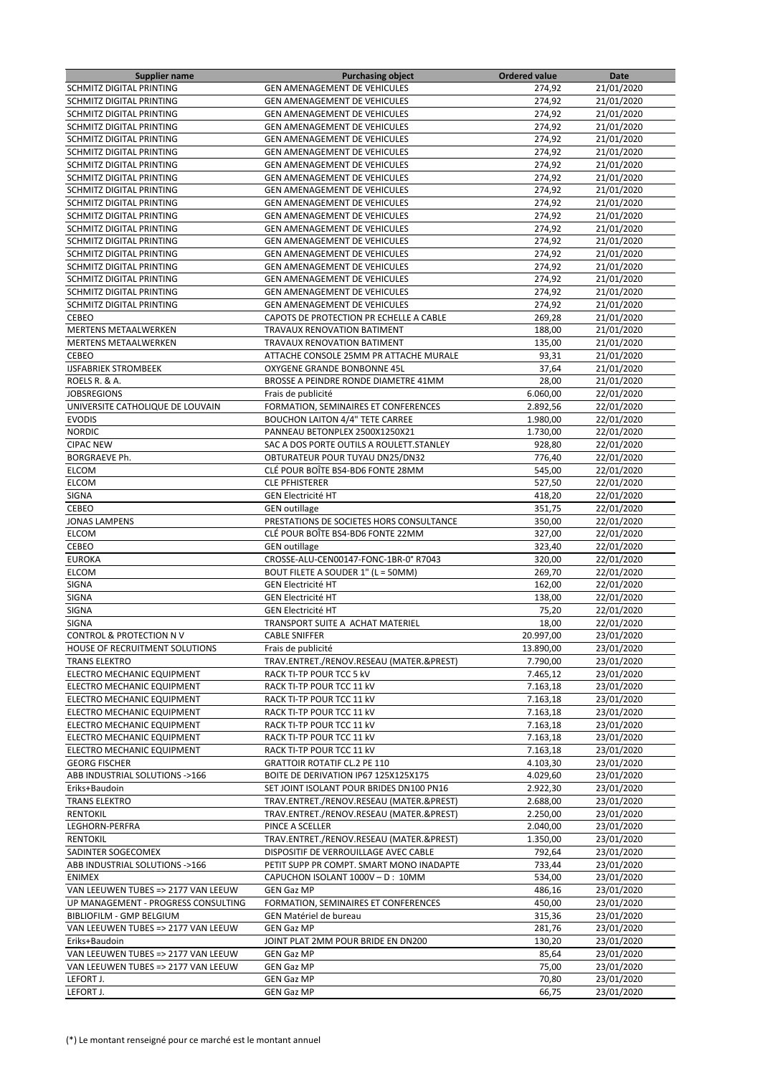| <b>Supplier name</b>                | <b>Purchasing object</b>                  | <b>Ordered value</b> | Date                     |
|-------------------------------------|-------------------------------------------|----------------------|--------------------------|
| <b>SCHMITZ DIGITAL PRINTING</b>     | <b>GEN AMENAGEMENT DE VEHICULES</b>       | 274,92               | 21/01/2020               |
| SCHMITZ DIGITAL PRINTING            | <b>GEN AMENAGEMENT DE VEHICULES</b>       | 274,92               | 21/01/2020               |
| SCHMITZ DIGITAL PRINTING            | GEN AMENAGEMENT DE VEHICULES              | 274,92               | 21/01/2020               |
| SCHMITZ DIGITAL PRINTING            | <b>GEN AMENAGEMENT DE VEHICULES</b>       | 274,92               | 21/01/2020               |
| SCHMITZ DIGITAL PRINTING            | <b>GEN AMENAGEMENT DE VEHICULES</b>       | 274,92               | 21/01/2020               |
| <b>SCHMITZ DIGITAL PRINTING</b>     | <b>GEN AMENAGEMENT DE VEHICULES</b>       | 274,92               | 21/01/2020               |
| <b>SCHMITZ DIGITAL PRINTING</b>     | <b>GEN AMENAGEMENT DE VEHICULES</b>       | 274,92               | 21/01/2020               |
| SCHMITZ DIGITAL PRINTING            | GEN AMENAGEMENT DE VEHICULES              | 274,92               | 21/01/2020               |
| SCHMITZ DIGITAL PRINTING            | <b>GEN AMENAGEMENT DE VEHICULES</b>       | 274,92               | 21/01/2020               |
| <b>SCHMITZ DIGITAL PRINTING</b>     | <b>GEN AMENAGEMENT DE VEHICULES</b>       | 274,92               | 21/01/2020               |
| SCHMITZ DIGITAL PRINTING            | <b>GEN AMENAGEMENT DE VEHICULES</b>       | 274,92               | 21/01/2020               |
| SCHMITZ DIGITAL PRINTING            | <b>GEN AMENAGEMENT DE VEHICULES</b>       | 274,92               | 21/01/2020               |
| SCHMITZ DIGITAL PRINTING            | <b>GEN AMENAGEMENT DE VEHICULES</b>       | 274,92               | 21/01/2020               |
| SCHMITZ DIGITAL PRINTING            | GEN AMENAGEMENT DE VEHICULES              | 274,92               | 21/01/2020               |
| SCHMITZ DIGITAL PRINTING            | <b>GEN AMENAGEMENT DE VEHICULES</b>       | 274,92               | 21/01/2020               |
| SCHMITZ DIGITAL PRINTING            | <b>GEN AMENAGEMENT DE VEHICULES</b>       | 274,92               | 21/01/2020               |
| SCHMITZ DIGITAL PRINTING            | GEN AMENAGEMENT DE VEHICULES              | 274,92               | 21/01/2020               |
| SCHMITZ DIGITAL PRINTING            | <b>GEN AMENAGEMENT DE VEHICULES</b>       | 274,92               | 21/01/2020               |
| CEBEO                               | CAPOTS DE PROTECTION PR ECHELLE A CABLE   | 269,28               | 21/01/2020               |
| <b>MERTENS METAALWERKEN</b>         | TRAVAUX RENOVATION BATIMENT               | 188,00               | 21/01/2020               |
| <b>MERTENS METAALWERKEN</b>         | TRAVAUX RENOVATION BATIMENT               | 135,00               | 21/01/2020               |
| <b>CEBEO</b>                        | ATTACHE CONSOLE 25MM PR ATTACHE MURALE    | 93,31                | 21/01/2020               |
| <b>IJSFABRIEK STROMBEEK</b>         | OXYGENE GRANDE BONBONNE 45L               | 37,64                | 21/01/2020               |
| ROELS R. & A.                       |                                           | 28,00                |                          |
|                                     | BROSSE A PEINDRE RONDE DIAMETRE 41MM      |                      | 21/01/2020               |
| <b>JOBSREGIONS</b>                  | Frais de publicité                        | 6.060,00             | 22/01/2020               |
| UNIVERSITE CATHOLIQUE DE LOUVAIN    | FORMATION, SEMINAIRES ET CONFERENCES      | 2.892,56             | 22/01/2020               |
| <b>EVODIS</b>                       | <b>BOUCHON LAITON 4/4" TETE CARREE</b>    | 1.980,00             | 22/01/2020               |
| <b>NORDIC</b>                       | PANNEAU BETONPLEX 2500X1250X21            | 1.730,00             | 22/01/2020               |
| <b>CIPAC NEW</b>                    | SAC A DOS PORTE OUTILS A ROULETT. STANLEY | 928,80               | 22/01/2020               |
| <b>BORGRAEVE Ph.</b>                | OBTURATEUR POUR TUYAU DN25/DN32           | 776,40               | 22/01/2020               |
| <b>ELCOM</b>                        | CLÉ POUR BOÎTE BS4-BD6 FONTE 28MM         | 545,00               | 22/01/2020               |
| <b>ELCOM</b>                        | <b>CLE PFHISTERER</b>                     | 527,50               | 22/01/2020               |
| SIGNA                               | <b>GEN Electricité HT</b>                 | 418,20               | 22/01/2020               |
| CEBEO                               | <b>GEN</b> outillage                      | 351,75               | 22/01/2020               |
| <b>JONAS LAMPENS</b>                | PRESTATIONS DE SOCIETES HORS CONSULTANCE  | 350,00               | 22/01/2020               |
| <b>ELCOM</b>                        | CLÉ POUR BOÎTE BS4-BD6 FONTE 22MM         | 327,00               | 22/01/2020               |
| CEBEO                               | <b>GEN</b> outillage                      | 323,40               | 22/01/2020               |
| <b>EUROKA</b>                       | CROSSE-ALU-CEN00147-FONC-1BR-0° R7043     | 320,00               | 22/01/2020               |
| <b>ELCOM</b>                        | BOUT FILETE A SOUDER 1" (L = 50MM)        | 269,70               | 22/01/2020               |
| <b>SIGNA</b>                        | <b>GEN Electricité HT</b>                 | 162,00               | 22/01/2020               |
| SIGNA                               | <b>GEN Electricité HT</b>                 | 138,00               | 22/01/2020               |
| <b>SIGNA</b>                        | <b>GEN Electricité HT</b>                 | 75,20                | 22/01/2020               |
| <b>SIGNA</b>                        | TRANSPORT SUITE A ACHAT MATERIEL          | 18,00                | 22/01/2020               |
| <b>CONTROL &amp; PROTECTION NV</b>  | <b>CABLE SNIFFER</b>                      | 20.997.00            | 23/01/2020               |
| HOUSE OF RECRUITMENT SOLUTIONS      | Frais de publicité                        | 13.890,00            | 23/01/2020               |
| <b>TRANS ELEKTRO</b>                | TRAV.ENTRET./RENOV.RESEAU (MATER.&PREST)  | 7.790,00             | 23/01/2020               |
| ELECTRO MECHANIC EQUIPMENT          | RACK TI-TP POUR TCC 5 kV                  | 7.465,12             | 23/01/2020               |
| ELECTRO MECHANIC EQUIPMENT          | RACK TI-TP POUR TCC 11 kV                 | 7.163,18             | 23/01/2020               |
| ELECTRO MECHANIC EQUIPMENT          | RACK TI-TP POUR TCC 11 kV                 | 7.163,18             | 23/01/2020               |
| ELECTRO MECHANIC EQUIPMENT          | RACK TI-TP POUR TCC 11 kV                 | 7.163,18             | 23/01/2020               |
| ELECTRO MECHANIC EQUIPMENT          | RACK TI-TP POUR TCC 11 kV                 | 7.163,18             | 23/01/2020               |
| ELECTRO MECHANIC EQUIPMENT          | RACK TI-TP POUR TCC 11 kV                 | 7.163,18             | 23/01/2020               |
| ELECTRO MECHANIC EQUIPMENT          | RACK TI-TP POUR TCC 11 kV                 | 7.163,18             | 23/01/2020               |
| <b>GEORG FISCHER</b>                | <b>GRATTOIR ROTATIF CL.2 PE 110</b>       | 4.103,30             | 23/01/2020               |
| ABB INDUSTRIAL SOLUTIONS ->166      | BOITE DE DERIVATION IP67 125X125X175      | 4.029,60             | 23/01/2020               |
| Eriks+Baudoin                       | SET JOINT ISOLANT POUR BRIDES DN100 PN16  | 2.922,30             | 23/01/2020               |
| <b>TRANS ELEKTRO</b>                | TRAV.ENTRET./RENOV.RESEAU (MATER.&PREST)  | 2.688,00             | 23/01/2020               |
| <b>RENTOKIL</b>                     | TRAV.ENTRET./RENOV.RESEAU (MATER.&PREST)  | 2.250,00             | 23/01/2020               |
| LEGHORN-PERFRA                      | PINCE A SCELLER                           | 2.040,00             | 23/01/2020               |
| <b>RENTOKIL</b>                     | TRAV.ENTRET./RENOV.RESEAU (MATER.&PREST)  | 1.350,00             | 23/01/2020               |
| SADINTER SOGECOMEX                  | DISPOSITIF DE VERROUILLAGE AVEC CABLE     | 792,64               | 23/01/2020               |
| ABB INDUSTRIAL SOLUTIONS ->166      | PETIT SUPP PR COMPT. SMART MONO INADAPTE  | 733,44               | 23/01/2020               |
| <b>ENIMEX</b>                       | CAPUCHON ISOLANT 1000V - D: 10MM          | 534,00               | 23/01/2020               |
| VAN LEEUWEN TUBES => 2177 VAN LEEUW | <b>GEN Gaz MP</b>                         | 486,16               | 23/01/2020               |
| UP MANAGEMENT - PROGRESS CONSULTING | FORMATION, SEMINAIRES ET CONFERENCES      | 450,00               | 23/01/2020               |
| BIBLIOFILM - GMP BELGIUM            | GEN Matériel de bureau                    | 315,36               | 23/01/2020               |
| VAN LEEUWEN TUBES => 2177 VAN LEEUW | <b>GEN Gaz MP</b>                         | 281,76               | 23/01/2020               |
| Eriks+Baudoin                       | JOINT PLAT 2MM POUR BRIDE EN DN200        | 130,20               | 23/01/2020               |
| VAN LEEUWEN TUBES => 2177 VAN LEEUW | <b>GEN Gaz MP</b>                         | 85,64                | 23/01/2020               |
| VAN LEEUWEN TUBES => 2177 VAN LEEUW | <b>GEN Gaz MP</b>                         | 75,00                |                          |
| LEFORT J.                           | <b>GEN Gaz MP</b>                         | 70,80                | 23/01/2020<br>23/01/2020 |
|                                     |                                           |                      |                          |
| LEFORT J.                           | <b>GEN Gaz MP</b>                         | 66,75                | 23/01/2020               |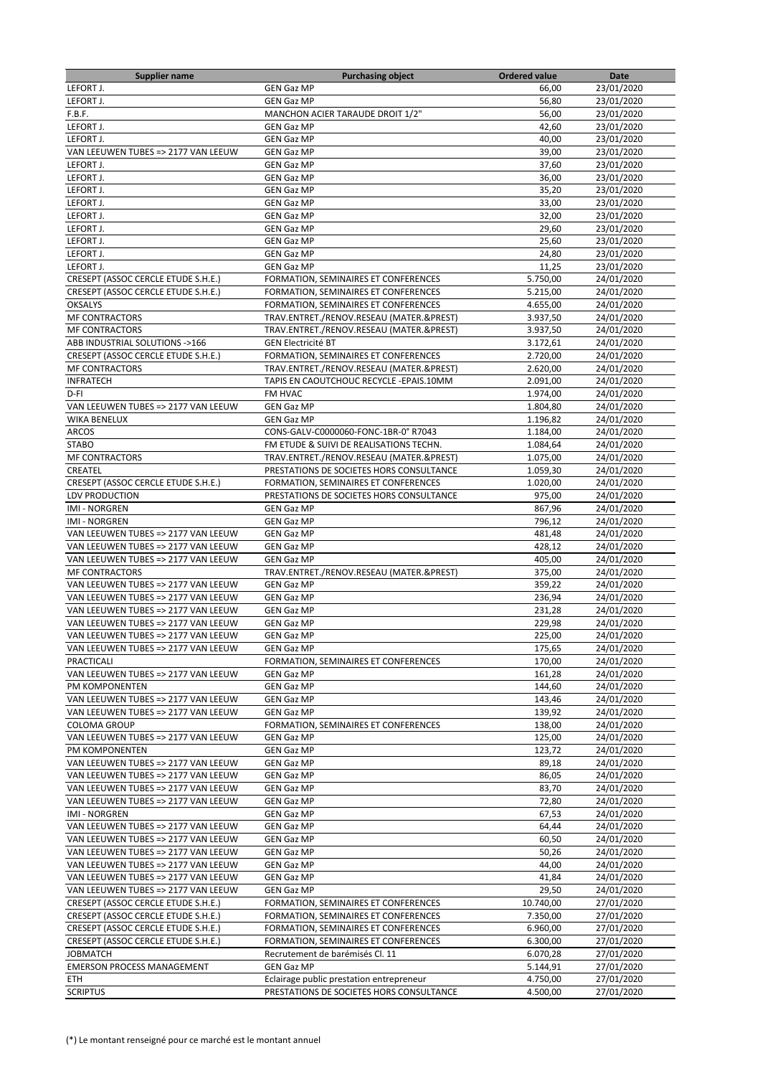| Supplier name                                         | <b>Purchasing object</b>                                  | <b>Ordered value</b> | Date                     |
|-------------------------------------------------------|-----------------------------------------------------------|----------------------|--------------------------|
| LEFORT J.                                             | <b>GEN Gaz MP</b>                                         | 66,00                | 23/01/2020               |
| LEFORT J.                                             | <b>GEN Gaz MP</b>                                         | 56,80                | 23/01/2020               |
| F.B.F.                                                | MANCHON ACIER TARAUDE DROIT 1/2"                          | 56,00                | 23/01/2020               |
| LEFORT J.                                             | <b>GEN Gaz MP</b>                                         | 42,60                | 23/01/2020               |
| LEFORT J.                                             | <b>GEN Gaz MP</b>                                         | 40,00                | 23/01/2020               |
| VAN LEEUWEN TUBES => 2177 VAN LEEUW                   | <b>GEN Gaz MP</b>                                         | 39,00                | 23/01/2020               |
| LEFORT J.                                             | <b>GEN Gaz MP</b>                                         | 37,60                | 23/01/2020               |
| LEFORT J.                                             | <b>GEN Gaz MP</b>                                         | 36,00                | 23/01/2020               |
| LEFORT J.                                             | <b>GEN Gaz MP</b>                                         | 35,20                | 23/01/2020               |
| LEFORT J.                                             | <b>GEN Gaz MP</b>                                         | 33,00                | 23/01/2020               |
| LEFORT J.                                             | <b>GEN Gaz MP</b>                                         | 32,00                | 23/01/2020               |
| LEFORT J.<br>LEFORT J.                                | <b>GEN Gaz MP</b>                                         | 29,60                | 23/01/2020               |
|                                                       | <b>GEN Gaz MP</b>                                         | 25,60                | 23/01/2020               |
| LEFORT J.<br>LEFORT J.                                | <b>GEN Gaz MP</b><br><b>GEN Gaz MP</b>                    | 24,80<br>11,25       | 23/01/2020<br>23/01/2020 |
| CRESEPT (ASSOC CERCLE ETUDE S.H.E.)                   | FORMATION, SEMINAIRES ET CONFERENCES                      | 5.750,00             | 24/01/2020               |
| CRESEPT (ASSOC CERCLE ETUDE S.H.E.)                   | FORMATION, SEMINAIRES ET CONFERENCES                      | 5.215,00             | 24/01/2020               |
| <b>OKSALYS</b>                                        | FORMATION, SEMINAIRES ET CONFERENCES                      | 4.655,00             | 24/01/2020               |
| <b>MF CONTRACTORS</b>                                 | TRAV.ENTRET./RENOV.RESEAU (MATER.&PREST)                  | 3.937,50             | 24/01/2020               |
| <b>MF CONTRACTORS</b>                                 | TRAV.ENTRET./RENOV.RESEAU (MATER.&PREST)                  | 3.937,50             | 24/01/2020               |
| ABB INDUSTRIAL SOLUTIONS ->166                        | <b>GEN Electricité BT</b>                                 | 3.172,61             | 24/01/2020               |
| CRESEPT (ASSOC CERCLE ETUDE S.H.E.)                   | FORMATION, SEMINAIRES ET CONFERENCES                      | 2.720,00             | 24/01/2020               |
| <b>MF CONTRACTORS</b>                                 | TRAV.ENTRET./RENOV.RESEAU (MATER.&PREST)                  | 2.620,00             | 24/01/2020               |
| <b>INFRATECH</b>                                      | TAPIS EN CAOUTCHOUC RECYCLE - EPAIS.10MM                  | 2.091,00             | 24/01/2020               |
| D-FI                                                  | FM HVAC                                                   | 1.974,00             | 24/01/2020               |
| VAN LEEUWEN TUBES => 2177 VAN LEEUW                   | <b>GEN Gaz MP</b>                                         | 1.804,80             | 24/01/2020               |
| <b>WIKA BENELUX</b>                                   | <b>GEN Gaz MP</b>                                         | 1.196.82             | 24/01/2020               |
| <b>ARCOS</b>                                          | CONS-GALV-C0000060-FONC-1BR-0° R7043                      | 1.184,00             | 24/01/2020               |
| <b>STABO</b>                                          | FM ETUDE & SUIVI DE REALISATIONS TECHN.                   | 1.084,64             | 24/01/2020               |
| <b>MF CONTRACTORS</b>                                 | TRAV.ENTRET./RENOV.RESEAU (MATER.&PREST)                  | 1.075,00             | 24/01/2020               |
| CREATEL                                               | PRESTATIONS DE SOCIETES HORS CONSULTANCE                  | 1.059,30             | 24/01/2020               |
| CRESEPT (ASSOC CERCLE ETUDE S.H.E.)                   | FORMATION, SEMINAIRES ET CONFERENCES                      | 1.020,00             | 24/01/2020               |
| LDV PRODUCTION                                        | PRESTATIONS DE SOCIETES HORS CONSULTANCE                  | 975,00               | 24/01/2020               |
| <b>IMI - NORGREN</b>                                  | <b>GEN Gaz MP</b>                                         | 867,96               | 24/01/2020               |
| <b>IMI - NORGREN</b>                                  | <b>GEN Gaz MP</b>                                         | 796,12               | 24/01/2020               |
| VAN LEEUWEN TUBES => 2177 VAN LEEUW                   | <b>GEN Gaz MP</b>                                         | 481,48               | 24/01/2020               |
| VAN LEEUWEN TUBES => 2177 VAN LEEUW                   | <b>GEN Gaz MP</b>                                         | 428,12               | 24/01/2020               |
| VAN LEEUWEN TUBES => 2177 VAN LEEUW                   | <b>GEN Gaz MP</b>                                         | 405,00               | 24/01/2020               |
| <b>MF CONTRACTORS</b>                                 | TRAV.ENTRET./RENOV.RESEAU (MATER.&PREST)                  | 375,00               | 24/01/2020               |
| VAN LEEUWEN TUBES => 2177 VAN LEEUW                   | <b>GEN Gaz MP</b>                                         | 359,22               | 24/01/2020               |
| VAN LEEUWEN TUBES => 2177 VAN LEEUW                   | <b>GEN Gaz MP</b>                                         | 236,94               | 24/01/2020               |
| VAN LEEUWEN TUBES => 2177 VAN LEEUW                   | <b>GEN Gaz MP</b>                                         | 231,28               | 24/01/2020               |
| VAN LEEUWEN TUBES => 2177 VAN LEEUW                   | GEN Gaz MP                                                | 229,98               | 24/01/2020               |
| VAN LEEUWEN TUBES => 2177 VAN LEEUW                   | <b>GEN Gaz MP</b>                                         | 225,00               | 24/01/2020               |
| VAN LEEUWEN TUBES => 2177 VAN LEEUW                   | <b>GEN Gaz MP</b><br>FORMATION, SEMINAIRES ET CONFERENCES | 175,65               | 24/01/2020               |
| PRACTICALI                                            | <b>GEN Gaz MP</b>                                         | 170,00               | 24/01/2020               |
| VAN LEEUWEN TUBES => 2177 VAN LEEUW<br>PM KOMPONENTEN | <b>GEN Gaz MP</b>                                         | 161,28<br>144,60     | 24/01/2020<br>24/01/2020 |
| VAN LEEUWEN TUBES => 2177 VAN LEEUW                   | GEN Gaz MP                                                | 143,46               | 24/01/2020               |
| VAN LEEUWEN TUBES => 2177 VAN LEEUW                   | <b>GEN Gaz MP</b>                                         | 139,92               | 24/01/2020               |
| <b>COLOMA GROUP</b>                                   | FORMATION, SEMINAIRES ET CONFERENCES                      | 138,00               | 24/01/2020               |
| VAN LEEUWEN TUBES => 2177 VAN LEEUW                   | <b>GEN Gaz MP</b>                                         | 125,00               | 24/01/2020               |
| PM KOMPONENTEN                                        | <b>GEN Gaz MP</b>                                         | 123,72               | 24/01/2020               |
| VAN LEEUWEN TUBES => 2177 VAN LEEUW                   | <b>GEN Gaz MP</b>                                         | 89,18                | 24/01/2020               |
| VAN LEEUWEN TUBES => 2177 VAN LEEUW                   | GEN Gaz MP                                                | 86,05                | 24/01/2020               |
| VAN LEEUWEN TUBES => 2177 VAN LEEUW                   | <b>GEN Gaz MP</b>                                         | 83,70                | 24/01/2020               |
| VAN LEEUWEN TUBES => 2177 VAN LEEUW                   | <b>GEN Gaz MP</b>                                         | 72,80                | 24/01/2020               |
| <b>IMI - NORGREN</b>                                  | GEN Gaz MP                                                | 67,53                | 24/01/2020               |
| VAN LEEUWEN TUBES => 2177 VAN LEEUW                   | GEN Gaz MP                                                | 64,44                | 24/01/2020               |
| VAN LEEUWEN TUBES => 2177 VAN LEEUW                   | GEN Gaz MP                                                | 60,50                | 24/01/2020               |
| VAN LEEUWEN TUBES => 2177 VAN LEEUW                   | <b>GEN Gaz MP</b>                                         | 50,26                | 24/01/2020               |
| VAN LEEUWEN TUBES => 2177 VAN LEEUW                   | GEN Gaz MP                                                | 44,00                | 24/01/2020               |
| VAN LEEUWEN TUBES => 2177 VAN LEEUW                   | <b>GEN Gaz MP</b>                                         | 41,84                | 24/01/2020               |
| VAN LEEUWEN TUBES => 2177 VAN LEEUW                   | <b>GEN Gaz MP</b>                                         | 29,50                | 24/01/2020               |
| CRESEPT (ASSOC CERCLE ETUDE S.H.E.)                   | FORMATION, SEMINAIRES ET CONFERENCES                      | 10.740,00            | 27/01/2020               |
| <b>CRESEPT (ASSOC CERCLE ETUDE S.H.E.)</b>            | FORMATION, SEMINAIRES ET CONFERENCES                      | 7.350,00             | 27/01/2020               |
| CRESEPT (ASSOC CERCLE ETUDE S.H.E.)                   | FORMATION, SEMINAIRES ET CONFERENCES                      | 6.960,00             | 27/01/2020               |
| CRESEPT (ASSOC CERCLE ETUDE S.H.E.)                   | FORMATION, SEMINAIRES ET CONFERENCES                      | 6.300,00             | 27/01/2020               |
| <b>JOBMATCH</b>                                       | Recrutement de barémisés Cl. 11                           | 6.070,28             | 27/01/2020               |
| <b>EMERSON PROCESS MANAGEMENT</b>                     | <b>GEN Gaz MP</b>                                         | 5.144,91             | 27/01/2020               |
| <b>ETH</b>                                            | Eclairage public prestation entrepreneur                  | 4.750,00             | 27/01/2020               |
| <b>SCRIPTUS</b>                                       | PRESTATIONS DE SOCIETES HORS CONSULTANCE                  | 4.500,00             | 27/01/2020               |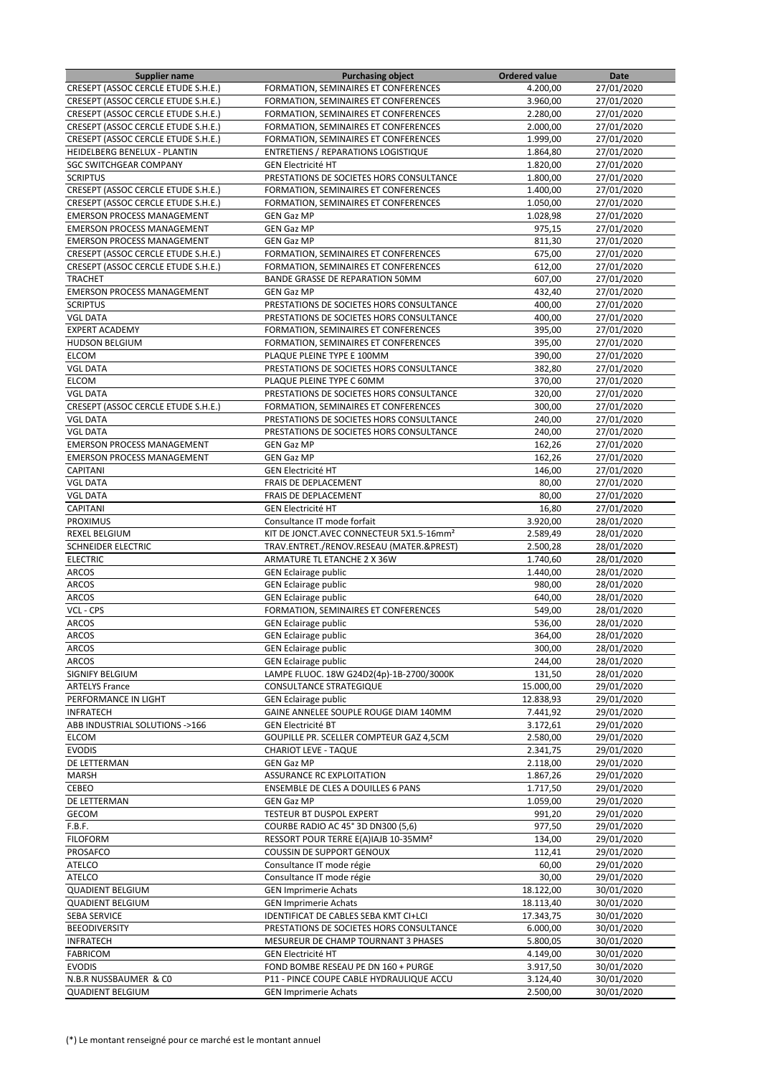| <b>Supplier name</b>                | <b>Purchasing object</b>                             | <b>Ordered value</b> | Date       |
|-------------------------------------|------------------------------------------------------|----------------------|------------|
| CRESEPT (ASSOC CERCLE ETUDE S.H.E.) | FORMATION, SEMINAIRES ET CONFERENCES                 | 4.200,00             | 27/01/2020 |
| CRESEPT (ASSOC CERCLE ETUDE S.H.E.) | FORMATION, SEMINAIRES ET CONFERENCES                 | 3.960,00             | 27/01/2020 |
| CRESEPT (ASSOC CERCLE ETUDE S.H.E.) | FORMATION, SEMINAIRES ET CONFERENCES                 | 2.280,00             | 27/01/2020 |
| CRESEPT (ASSOC CERCLE ETUDE S.H.E.) | FORMATION, SEMINAIRES ET CONFERENCES                 | 2.000,00             | 27/01/2020 |
| CRESEPT (ASSOC CERCLE ETUDE S.H.E.) | FORMATION, SEMINAIRES ET CONFERENCES                 | 1.999,00             | 27/01/2020 |
| <b>HEIDELBERG BENELUX - PLANTIN</b> | <b>ENTRETIENS / REPARATIONS LOGISTIQUE</b>           | 1.864,80             | 27/01/2020 |
| <b>SGC SWITCHGEAR COMPANY</b>       | <b>GEN Electricité HT</b>                            | 1.820,00             | 27/01/2020 |
| <b>SCRIPTUS</b>                     | PRESTATIONS DE SOCIETES HORS CONSULTANCE             | 1.800,00             | 27/01/2020 |
| CRESEPT (ASSOC CERCLE ETUDE S.H.E.) | FORMATION, SEMINAIRES ET CONFERENCES                 | 1.400,00             | 27/01/2020 |
| CRESEPT (ASSOC CERCLE ETUDE S.H.E.) | FORMATION, SEMINAIRES ET CONFERENCES                 | 1.050,00             | 27/01/2020 |
| <b>EMERSON PROCESS MANAGEMENT</b>   | <b>GEN Gaz MP</b>                                    | 1.028,98             | 27/01/2020 |
| <b>EMERSON PROCESS MANAGEMENT</b>   | <b>GEN Gaz MP</b>                                    | 975,15               | 27/01/2020 |
| <b>EMERSON PROCESS MANAGEMENT</b>   | <b>GEN Gaz MP</b>                                    | 811,30               | 27/01/2020 |
| CRESEPT (ASSOC CERCLE ETUDE S.H.E.) | FORMATION, SEMINAIRES ET CONFERENCES                 | 675,00               | 27/01/2020 |
| CRESEPT (ASSOC CERCLE ETUDE S.H.E.) | FORMATION, SEMINAIRES ET CONFERENCES                 | 612,00               | 27/01/2020 |
| <b>TRACHET</b>                      | BANDE GRASSE DE REPARATION 50MM                      | 607,00               | 27/01/2020 |
| <b>EMERSON PROCESS MANAGEMENT</b>   | <b>GEN Gaz MP</b>                                    | 432,40               | 27/01/2020 |
| <b>SCRIPTUS</b>                     | PRESTATIONS DE SOCIETES HORS CONSULTANCE             | 400,00               | 27/01/2020 |
| <b>VGL DATA</b>                     | PRESTATIONS DE SOCIETES HORS CONSULTANCE             | 400,00               | 27/01/2020 |
| <b>EXPERT ACADEMY</b>               | FORMATION, SEMINAIRES ET CONFERENCES                 | 395,00               | 27/01/2020 |
| <b>HUDSON BELGIUM</b>               | FORMATION, SEMINAIRES ET CONFERENCES                 | 395,00               | 27/01/2020 |
| <b>ELCOM</b>                        | PLAQUE PLEINE TYPE E 100MM                           | 390,00               | 27/01/2020 |
| <b>VGL DATA</b>                     | PRESTATIONS DE SOCIETES HORS CONSULTANCE             | 382,80               | 27/01/2020 |
| <b>ELCOM</b>                        | PLAQUE PLEINE TYPE C 60MM                            | 370,00               | 27/01/2020 |
|                                     |                                                      |                      |            |
| <b>VGL DATA</b>                     | PRESTATIONS DE SOCIETES HORS CONSULTANCE             | 320,00               | 27/01/2020 |
| CRESEPT (ASSOC CERCLE ETUDE S.H.E.) | FORMATION, SEMINAIRES ET CONFERENCES                 | 300,00               | 27/01/2020 |
| <b>VGL DATA</b>                     | PRESTATIONS DE SOCIETES HORS CONSULTANCE             | 240,00               | 27/01/2020 |
| <b>VGL DATA</b>                     | PRESTATIONS DE SOCIETES HORS CONSULTANCE             | 240,00               | 27/01/2020 |
| <b>EMERSON PROCESS MANAGEMENT</b>   | <b>GEN Gaz MP</b>                                    | 162,26               | 27/01/2020 |
| <b>EMERSON PROCESS MANAGEMENT</b>   | <b>GEN Gaz MP</b>                                    | 162,26               | 27/01/2020 |
| CAPITANI                            | <b>GEN Electricité HT</b>                            | 146,00               | 27/01/2020 |
| <b>VGL DATA</b>                     | FRAIS DE DEPLACEMENT                                 | 80,00                | 27/01/2020 |
| <b>VGL DATA</b>                     | FRAIS DE DEPLACEMENT                                 | 80,00                | 27/01/2020 |
| CAPITANI                            | <b>GEN Electricité HT</b>                            | 16,80                | 27/01/2020 |
| <b>PROXIMUS</b>                     | Consultance IT mode forfait                          | 3.920,00             | 28/01/2020 |
| <b>REXEL BELGIUM</b>                | KIT DE JONCT.AVEC CONNECTEUR 5X1.5-16mm <sup>2</sup> | 2.589,49             | 28/01/2020 |
| SCHNEIDER ELECTRIC                  | TRAV.ENTRET./RENOV.RESEAU (MATER.&PREST)             | 2.500,28             | 28/01/2020 |
| <b>ELECTRIC</b>                     | ARMATURE TL ETANCHE 2 X 36W                          | 1.740,60             | 28/01/2020 |
| <b>ARCOS</b>                        | <b>GEN Eclairage public</b>                          | 1.440,00             | 28/01/2020 |
| <b>ARCOS</b>                        | <b>GEN Eclairage public</b>                          | 980,00               | 28/01/2020 |
| <b>ARCOS</b>                        | <b>GEN Eclairage public</b>                          | 640,00               | 28/01/2020 |
| VCL - CPS                           | FORMATION, SEMINAIRES ET CONFERENCES                 | 549,00               | 28/01/2020 |
| <b>ARCOS</b>                        | <b>GEN Eclairage public</b>                          | 536,00               | 28/01/2020 |
| <b>ARCOS</b>                        | <b>GEN Eclairage public</b>                          | 364,00               | 28/01/2020 |
| ARCOS                               | <b>GEN Eclairage public</b>                          | 300,00               | 28/01/2020 |
| <b>ARCOS</b>                        | <b>GEN Eclairage public</b>                          | 244,00               | 28/01/2020 |
| SIGNIFY BELGIUM                     | LAMPE FLUOC. 18W G24D2(4p)-1B-2700/3000K             | 131,50               | 28/01/2020 |
| <b>ARTELYS France</b>               | CONSULTANCE STRATEGIQUE                              | 15.000,00            | 29/01/2020 |
| PERFORMANCE IN LIGHT                | <b>GEN Eclairage public</b>                          | 12.838,93            | 29/01/2020 |
| <b>INFRATECH</b>                    | GAINE ANNELEE SOUPLE ROUGE DIAM 140MM                | 7.441,92             | 29/01/2020 |
| ABB INDUSTRIAL SOLUTIONS ->166      | <b>GEN Electricité BT</b>                            | 3.172,61             | 29/01/2020 |
| <b>ELCOM</b>                        | GOUPILLE PR. SCELLER COMPTEUR GAZ 4,5CM              | 2.580,00             | 29/01/2020 |
| <b>EVODIS</b>                       | <b>CHARIOT LEVE - TAQUE</b>                          | 2.341,75             | 29/01/2020 |
| DE LETTERMAN                        | <b>GEN Gaz MP</b>                                    | 2.118,00             | 29/01/2020 |
| <b>MARSH</b>                        | ASSURANCE RC EXPLOITATION                            | 1.867,26             | 29/01/2020 |
| CEBEO                               | <b>ENSEMBLE DE CLES A DOUILLES 6 PANS</b>            | 1.717,50             | 29/01/2020 |
| DE LETTERMAN                        | <b>GEN Gaz MP</b>                                    | 1.059,00             | 29/01/2020 |
| GECOM                               | TESTEUR BT DUSPOL EXPERT                             | 991,20               | 29/01/2020 |
| F.B.F.                              | COURBE RADIO AC 45° 3D DN300 (5,6)                   | 977,50               | 29/01/2020 |
| <b>FILOFORM</b>                     | RESSORT POUR TERRE E(A)IAJB 10-35MM <sup>2</sup>     | 134,00               | 29/01/2020 |
| PROSAFCO                            | COUSSIN DE SUPPORT GENOUX                            | 112,41               | 29/01/2020 |
| <b>ATELCO</b>                       | Consultance IT mode régie                            | 60,00                | 29/01/2020 |
| <b>ATELCO</b>                       | Consultance IT mode régie                            | 30,00                | 29/01/2020 |
| <b>QUADIENT BELGIUM</b>             | <b>GEN Imprimerie Achats</b>                         | 18.122,00            | 30/01/2020 |
| <b>QUADIENT BELGIUM</b>             | <b>GEN Imprimerie Achats</b>                         | 18.113,40            | 30/01/2020 |
| <b>SEBA SERVICE</b>                 | IDENTIFICAT DE CABLES SEBA KMT CI+LCI                | 17.343,75            | 30/01/2020 |
| <b>BEEODIVERSITY</b>                | PRESTATIONS DE SOCIETES HORS CONSULTANCE             | 6.000,00             | 30/01/2020 |
| <b>INFRATECH</b>                    | MESUREUR DE CHAMP TOURNANT 3 PHASES                  | 5.800,05             | 30/01/2020 |
| <b>FABRICOM</b>                     | <b>GEN Electricité HT</b>                            | 4.149,00             | 30/01/2020 |
| <b>EVODIS</b>                       | FOND BOMBE RESEAU PE DN 160 + PURGE                  | 3.917,50             | 30/01/2020 |
| N.B.R NUSSBAUMER & CO               | P11 - PINCE COUPE CABLE HYDRAULIQUE ACCU             | 3.124,40             | 30/01/2020 |
| <b>QUADIENT BELGIUM</b>             | <b>GEN Imprimerie Achats</b>                         | 2.500,00             | 30/01/2020 |
|                                     |                                                      |                      |            |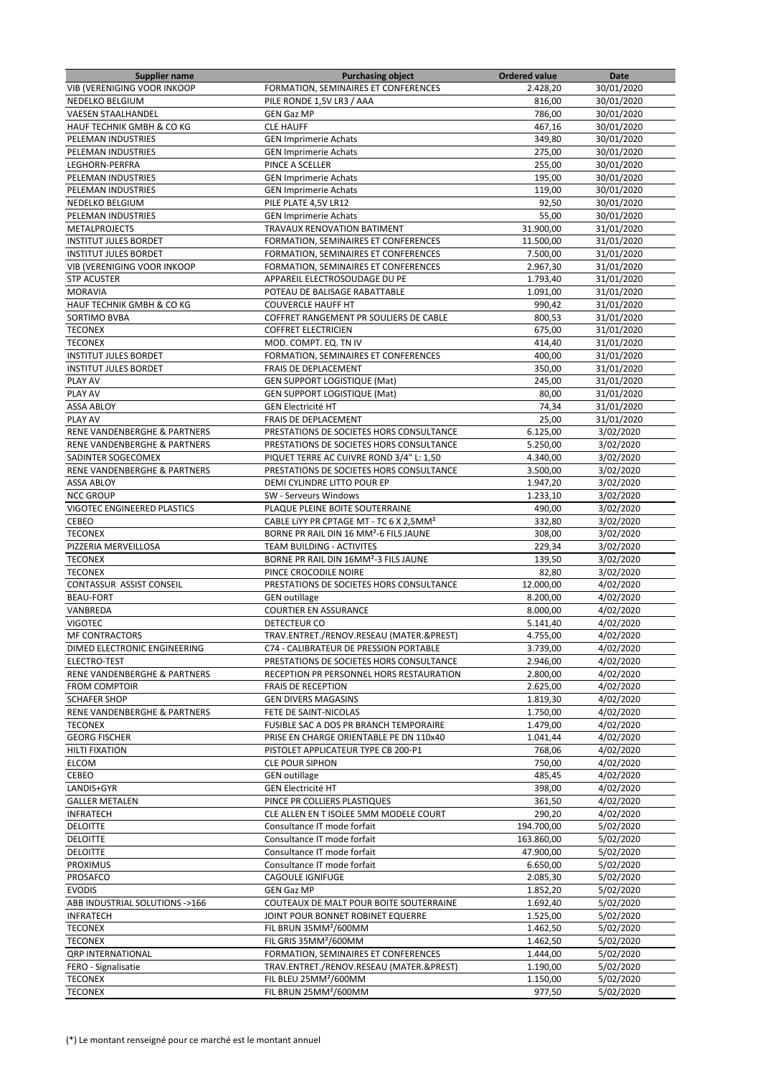| <b>Supplier name</b>                    | <b>Purchasing object</b>                            | <b>Ordered value</b> | Date                   |
|-----------------------------------------|-----------------------------------------------------|----------------------|------------------------|
| <b>VIB (VERENIGING VOOR INKOOP</b>      | FORMATION, SEMINAIRES ET CONFERENCES                | 2.428,20             | 30/01/2020             |
| NEDELKO BELGIUM                         | PILE RONDE 1,5V LR3 / AAA                           | 816,00               | 30/01/2020             |
| <b>VAESEN STAALHANDEL</b>               | <b>GEN Gaz MP</b>                                   | 786,00               | 30/01/2020             |
| HAUF TECHNIK GMBH & CO KG               | <b>CLE HAUFF</b>                                    |                      |                        |
|                                         |                                                     | 467,16               | 30/01/2020             |
| PELEMAN INDUSTRIES                      | <b>GEN Imprimerie Achats</b>                        | 349,80               | 30/01/2020             |
| PELEMAN INDUSTRIES                      | <b>GEN Imprimerie Achats</b>                        | 275,00               | 30/01/2020             |
| LEGHORN-PERFRA                          | PINCE A SCELLER                                     | 255,00               | 30/01/2020             |
| PELEMAN INDUSTRIES                      | <b>GEN Imprimerie Achats</b>                        | 195,00               | 30/01/2020             |
| PELEMAN INDUSTRIES                      | <b>GEN Imprimerie Achats</b>                        | 119,00               | 30/01/2020             |
| NEDELKO BELGIUM                         | PILE PLATE 4,5V LR12                                | 92,50                | 30/01/2020             |
| PELEMAN INDUSTRIES                      | <b>GEN Imprimerie Achats</b>                        | 55,00                | 30/01/2020             |
|                                         |                                                     |                      |                        |
| <b>METALPROJECTS</b>                    | TRAVAUX RENOVATION BATIMENT                         | 31.900,00            | 31/01/2020             |
| <b>INSTITUT JULES BORDET</b>            | FORMATION, SEMINAIRES ET CONFERENCES                | 11.500,00            | 31/01/2020             |
| <b>INSTITUT JULES BORDET</b>            | FORMATION, SEMINAIRES ET CONFERENCES                | 7.500.00             | 31/01/2020             |
| <b>VIB (VERENIGING VOOR INKOOP</b>      | FORMATION, SEMINAIRES ET CONFERENCES                | 2.967,30             | 31/01/2020             |
| <b>STP ACUSTER</b>                      | APPAREIL ELECTROSOUDAGE DU PE                       | 1.793,40             | 31/01/2020             |
| <b>MORAVIA</b>                          | POTEAU DE BALISAGE RABATTABLE                       | 1.091,00             | 31/01/2020             |
| HAUF TECHNIK GMBH & CO KG               | <b>COUVERCLE HAUFF HT</b>                           | 990,42               | 31/01/2020             |
| SORTIMO BVBA                            | COFFRET RANGEMENT PR SOULIERS DE CABLE              | 800,53               | 31/01/2020             |
|                                         |                                                     |                      |                        |
| <b>TECONEX</b>                          | <b>COFFRET ELECTRICIEN</b>                          | 675,00               | 31/01/2020             |
| <b>TECONEX</b>                          | MOD. COMPT. EQ. TN IV                               | 414,40               | 31/01/2020             |
| <b>INSTITUT JULES BORDET</b>            | FORMATION, SEMINAIRES ET CONFERENCES                | 400,00               | 31/01/2020             |
| <b>INSTITUT JULES BORDET</b>            | FRAIS DE DEPLACEMENT                                | 350,00               | 31/01/2020             |
| PLAY AV                                 | GEN SUPPORT LOGISTIQUE (Mat)                        | 245,00               | 31/01/2020             |
| PLAY AV                                 | <b>GEN SUPPORT LOGISTIQUE (Mat)</b>                 | 80,00                | 31/01/2020             |
| <b>ASSA ABLOY</b>                       | <b>GEN Electricité HT</b>                           | 74,34                | 31/01/2020             |
| PLAY AV                                 | FRAIS DE DEPLACEMENT                                | 25,00                | 31/01/2020             |
|                                         |                                                     |                      |                        |
| RENE VANDENBERGHE & PARTNERS            | PRESTATIONS DE SOCIETES HORS CONSULTANCE            | 6.125,00             | 3/02/2020              |
| RENE VANDENBERGHE & PARTNERS            | PRESTATIONS DE SOCIETES HORS CONSULTANCE            | 5.250,00             | 3/02/2020              |
| SADINTER SOGECOMEX                      | PIQUET TERRE AC CUIVRE ROND 3/4" L: 1,50            | 4.340,00             | 3/02/2020              |
| RENE VANDENBERGHE & PARTNERS            | PRESTATIONS DE SOCIETES HORS CONSULTANCE            | 3.500,00             | 3/02/2020              |
| <b>ASSA ABLOY</b>                       | DEMI CYLINDRE LITTO POUR EP                         | 1.947,20             | 3/02/2020              |
| <b>NCC GROUP</b>                        | SW - Serveurs Windows                               | 1.233,10             | 3/02/2020              |
| VIGOTEC ENGINEERED PLASTICS             | PLAQUE PLEINE BOITE SOUTERRAINE                     | 490,00               | 3/02/2020              |
|                                         |                                                     |                      |                        |
| CEBEO                                   | CABLE LIYY PR CPTAGE MT - TC 6 X 2,5MM <sup>2</sup> | 332,80               | 3/02/2020              |
| <b>TECONEX</b>                          | BORNE PR RAIL DIN 16 MM <sup>2</sup> -6 FILS JAUNE  | 308,00               | 3/02/2020              |
| PIZZERIA MERVEILLOSA                    | TEAM BUILDING - ACTIVITES                           | 229,34               | 3/02/2020              |
| <b>TECONEX</b>                          | BORNE PR RAIL DIN 16MM <sup>2</sup> -3 FILS JAUNE   | 139,50               | 3/02/2020              |
| <b>TECONEX</b>                          | PINCE CROCODILE NOIRE                               | 82,80                | 3/02/2020              |
| CONTASSUR ASSIST CONSEIL                | PRESTATIONS DE SOCIETES HORS CONSULTANCE            | 12.000,00            | 4/02/2020              |
| <b>BEAU-FORT</b>                        | <b>GEN outillage</b>                                | 8.200,00             | 4/02/2020              |
| VANBREDA                                | <b>COURTIER EN ASSURANCE</b>                        | 8.000,00             | 4/02/2020              |
| <b>VIGOTEC</b>                          | DETECTEUR CO                                        | 5.141,40             | 4/02/2020              |
|                                         |                                                     |                      |                        |
| MF CONTRACTORS                          | TRAV.ENTRET./RENOV.RESEAU (MATER.&PREST)            | 4.755,00             | 4/02/2020              |
| DIMED ELECTRONIC ENGINEERING            | C74 - CALIBRATEUR DE PRESSION PORTABLE              | 3.739,00             | 4/02/2020              |
| ELECTRO-TEST                            | PRESTATIONS DE SOCIETES HORS CONSULTANCE            | 2.946,00             | 4/02/2020              |
| RENE VANDENBERGHE & PARTNERS            | RECEPTION PR PERSONNEL HORS RESTAURATION            | 2.800,00             | 4/02/2020              |
| <b>FROM COMPTOIR</b>                    | <b>FRAIS DE RECEPTION</b>                           | 2.625,00             | 4/02/2020              |
| <b>SCHAFER SHOP</b>                     | <b>GEN DIVERS MAGASINS</b>                          | 1.819,30             | 4/02/2020              |
| <b>RENE VANDENBERGHE &amp; PARTNERS</b> | FETE DE SAINT-NICOLAS                               | 1.750,00             | 4/02/2020              |
| <b>TECONEX</b>                          | FUSIBLE SAC A DOS PR BRANCH TEMPORAIRE              | 1.479,00             | 4/02/2020              |
|                                         |                                                     |                      | 4/02/2020              |
| <b>GEORG FISCHER</b>                    | PRISE EN CHARGE ORIENTABLE PE DN 110x40             | 1.041,44             |                        |
| <b>HILTI FIXATION</b>                   | PISTOLET APPLICATEUR TYPE CB 200-P1                 | 768,06               | 4/02/2020              |
| ELCOM                                   | <b>CLE POUR SIPHON</b>                              | 750,00               | 4/02/2020              |
| CEBEO                                   | <b>GEN outillage</b>                                | 485,45               | 4/02/2020              |
| LANDIS+GYR                              | <b>GEN Electricité HT</b>                           | 398,00               | 4/02/2020              |
| <b>GALLER METALEN</b>                   | PINCE PR COLLIERS PLASTIQUES                        | 361,50               | 4/02/2020              |
| <b>INFRATECH</b>                        | CLE ALLEN EN T ISOLEE 5MM MODELE COURT              | 290,20               | 4/02/2020              |
| <b>DELOITTE</b>                         | Consultance IT mode forfait                         | 194.700,00           | 5/02/2020              |
|                                         | Consultance IT mode forfait                         |                      |                        |
| <b>DELOITTE</b>                         |                                                     | 163.860,00           | 5/02/2020              |
| <b>DELOITTE</b>                         | Consultance IT mode forfait                         | 47.900,00            | 5/02/2020              |
| <b>PROXIMUS</b>                         | Consultance IT mode forfait                         | 6.650,00             | 5/02/2020              |
| PROSAFCO                                | <b>CAGOULE IGNIFUGE</b>                             | 2.085,30             | 5/02/2020              |
| <b>EVODIS</b>                           | <b>GEN Gaz MP</b>                                   | 1.852,20             | 5/02/2020              |
| ABB INDUSTRIAL SOLUTIONS ->166          | COUTEAUX DE MALT POUR BOITE SOUTERRAINE             | 1.692,40             | 5/02/2020              |
| <b>INFRATECH</b>                        | JOINT POUR BONNET ROBINET EQUERRE                   | 1.525,00             | 5/02/2020              |
| <b>TECONEX</b>                          | FIL BRUN 35MM <sup>2</sup> /600MM                   | 1.462,50             | 5/02/2020              |
|                                         | FIL GRIS 35MM <sup>2</sup> /600MM                   | 1.462,50             |                        |
| <b>TECONEX</b>                          |                                                     |                      | 5/02/2020              |
| <b>QRP INTERNATIONAL</b>                | FORMATION, SEMINAIRES ET CONFERENCES                | 1.444,00             | 5/02/2020              |
| FERO - Signalisatie                     | TRAV.ENTRET./RENOV.RESEAU (MATER.&PREST)            | 1.190,00             | 5/02/2020              |
| <b>TECONEX</b>                          | FIL BLEU 25MM <sup>2</sup> /600MM                   | 1.150,00             | $\frac{1}{5}$ /02/2020 |
| <b>TECONEX</b>                          | FIL BRUN 25MM <sup>2</sup> /600MM                   | 977,50               | 5/02/2020              |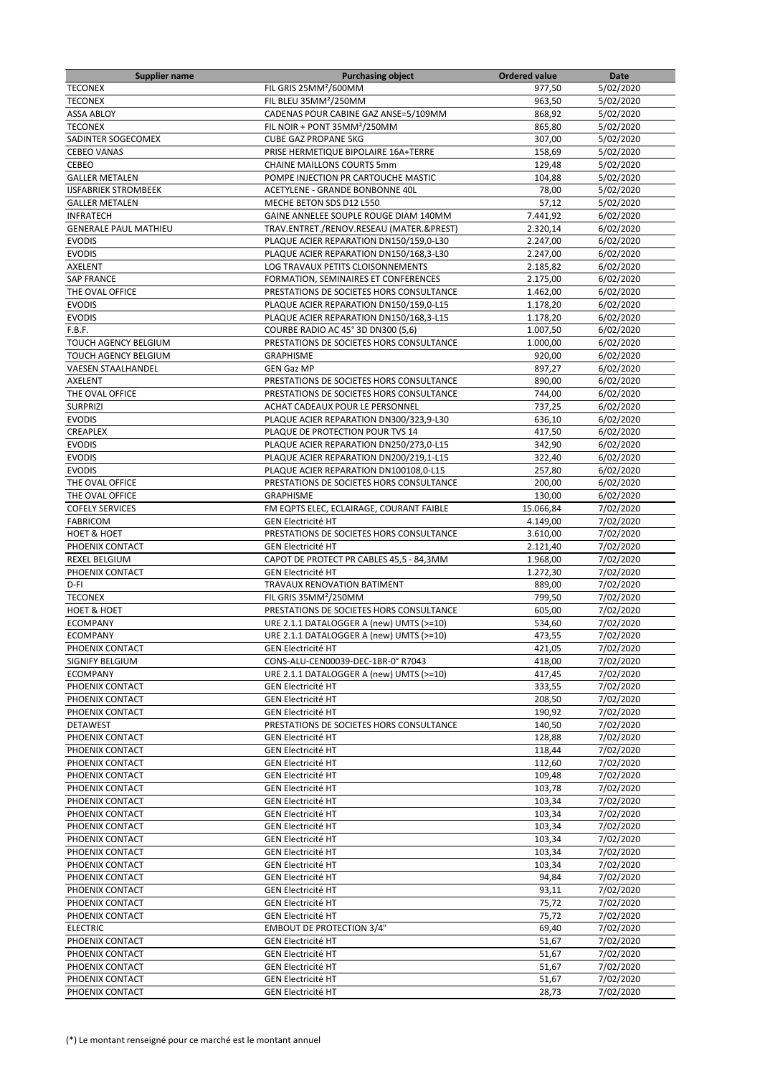| <b>Supplier name</b>           | <b>Purchasing object</b>                 | <b>Ordered value</b> | Date                   |
|--------------------------------|------------------------------------------|----------------------|------------------------|
| <b>TECONEX</b>                 | FIL GRIS 25MM <sup>2</sup> /600MM        | 977,50               | 5/02/2020              |
| <b>TECONEX</b>                 | FIL BLEU 35MM <sup>2</sup> /250MM        | 963,50               | 5/02/2020              |
| <b>ASSA ABLOY</b>              | CADENAS POUR CABINE GAZ ANSE=5/109MM     | 868,92               | 5/02/2020              |
| <b>TECONEX</b>                 | FIL NOIR + PONT 35MM <sup>2</sup> /250MM | 865,80               | 5/02/2020              |
| SADINTER SOGECOMEX             | <b>CUBE GAZ PROPANE 5KG</b>              | 307,00               | 5/02/2020              |
| <b>CEBEO VANAS</b>             | PRISE HERMETIQUE BIPOLAIRE 16A+TERRE     | 158,69               | 5/02/2020              |
| CEBEO                          | <b>CHAINE MAILLONS COURTS 5mm</b>        | 129,48               | 5/02/2020              |
| <b>GALLER METALEN</b>          | POMPE INJECTION PR CARTOUCHE MASTIC      | 104,88               | 5/02/2020              |
| <b>IJSFABRIEK STROMBEEK</b>    | ACETYLENE - GRANDE BONBONNE 40L          | 78,00                | 5/02/2020              |
| <b>GALLER METALEN</b>          | MECHE BETON SDS D12 L550                 | 57,12                | 5/02/2020              |
| <b>INFRATECH</b>               | GAINE ANNELEE SOUPLE ROUGE DIAM 140MM    | 7.441,92             | 6/02/2020              |
| <b>GENERALE PAUL MATHIEU</b>   | TRAV.ENTRET./RENOV.RESEAU (MATER.&PREST) | 2.320,14             | 6/02/2020              |
| <b>EVODIS</b>                  | PLAQUE ACIER REPARATION DN150/159,0-L30  | 2.247,00             | 6/02/2020              |
| <b>EVODIS</b>                  | PLAQUE ACIER REPARATION DN150/168,3-L30  | 2.247,00             | 6/02/2020              |
| AXELENT                        | LOG TRAVAUX PETITS CLOISONNEMENTS        | 2.185,82             | 6/02/2020              |
| <b>SAP FRANCE</b>              | FORMATION, SEMINAIRES ET CONFERENCES     | 2.175,00             | 6/02/2020              |
| THE OVAL OFFICE                | PRESTATIONS DE SOCIETES HORS CONSULTANCE | 1.462,00             | 6/02/2020              |
| <b>EVODIS</b>                  | PLAQUE ACIER REPARATION DN150/159,0-L15  | 1.178,20             | 6/02/2020              |
| <b>EVODIS</b>                  | PLAQUE ACIER REPARATION DN150/168,3-L15  | 1.178,20             | 6/02/2020              |
| F.B.F.                         | COURBE RADIO AC 45° 3D DN300 (5,6)       | 1.007,50             | 6/02/2020              |
| TOUCH AGENCY BELGIUM           | PRESTATIONS DE SOCIETES HORS CONSULTANCE | 1.000,00             | 6/02/2020              |
| <b>TOUCH AGENCY BELGIUM</b>    | <b>GRAPHISME</b>                         | 920,00               | 6/02/2020              |
| <b>VAESEN STAALHANDEL</b>      | <b>GEN Gaz MP</b>                        | 897,27               | 6/02/2020              |
| <b>AXELENT</b>                 | PRESTATIONS DE SOCIETES HORS CONSULTANCE | 890,00               | 6/02/2020              |
| THE OVAL OFFICE                | PRESTATIONS DE SOCIETES HORS CONSULTANCE | 744,00               | 6/02/2020              |
| <b>SURPRIZI</b>                | ACHAT CADEAUX POUR LE PERSONNEL          | 737,25               | 6/02/2020              |
| <b>EVODIS</b>                  | PLAQUE ACIER REPARATION DN300/323,9-L30  | 636,10               | 6/02/2020              |
| CREAPLEX                       | PLAQUE DE PROTECTION POUR TVS 14         | 417,50               |                        |
| <b>EVODIS</b>                  | PLAQUE ACIER REPARATION DN250/273,0-L15  | 342,90               | 6/02/2020<br>6/02/2020 |
|                                |                                          |                      |                        |
| <b>EVODIS</b><br><b>EVODIS</b> | PLAQUE ACIER REPARATION DN200/219,1-L15  | 322,40               | 6/02/2020              |
|                                | PLAQUE ACIER REPARATION DN100108,0-L15   | 257,80               | 6/02/2020              |
| THE OVAL OFFICE                | PRESTATIONS DE SOCIETES HORS CONSULTANCE | 200,00               | 6/02/2020              |
| THE OVAL OFFICE                | <b>GRAPHISME</b>                         | 130,00               | 6/02/2020              |
| <b>COFELY SERVICES</b>         | FM EQPTS ELEC, ECLAIRAGE, COURANT FAIBLE | 15.066,84            | 7/02/2020              |
| <b>FABRICOM</b>                | <b>GEN Electricité HT</b>                | 4.149,00             | 7/02/2020              |
| <b>HOET &amp; HOET</b>         | PRESTATIONS DE SOCIETES HORS CONSULTANCE | 3.610,00             | 7/02/2020              |
| PHOENIX CONTACT                | <b>GEN Electricité HT</b>                | 2.121,40             | 7/02/2020              |
| REXEL BELGIUM                  | CAPOT DE PROTECT PR CABLES 45,5 - 84,3MM | 1.968,00             | 7/02/2020              |
| PHOENIX CONTACT                | <b>GEN Electricité HT</b>                | 1.272,30             | 7/02/2020              |
| D-FI                           | TRAVAUX RENOVATION BATIMENT              | 889,00               | 7/02/2020              |
| <b>TECONEX</b>                 | FIL GRIS 35MM <sup>2</sup> /250MM        | 799,50               | 7/02/2020              |
| <b>HOET &amp; HOET</b>         | PRESTATIONS DE SOCIETES HORS CONSULTANCE | 605,00               | 7/02/2020              |
| <b>ECOMPANY</b>                | URE 2.1.1 DATALOGGER A (new) UMTS (>=10) | 534,60               | 7/02/2020              |
| <b>ECOMPANY</b>                | URE 2.1.1 DATALOGGER A (new) UMTS (>=10) | 473,55               | 7/02/2020              |
| PHOENIX CONTACT                | GEN Electricité HT                       | 421,05               | 7/02/2020              |
| SIGNIFY BELGIUM                | CONS-ALU-CEN00039-DEC-1BR-0° R7043       | 418,00               | 7/02/2020              |
| <b>ECOMPANY</b>                | URE 2.1.1 DATALOGGER A (new) UMTS (>=10) | 417,45               | 7/02/2020              |
| PHOENIX CONTACT                | <b>GEN Electricité HT</b>                | 333,55               | 7/02/2020              |
| PHOENIX CONTACT                | <b>GEN Electricité HT</b>                | 208,50               | 7/02/2020              |
| PHOENIX CONTACT                | <b>GEN Electricité HT</b>                | 190,92               | 7/02/2020              |
| <b>DETAWEST</b>                | PRESTATIONS DE SOCIETES HORS CONSULTANCE | 140,50               | 7/02/2020              |
| PHOENIX CONTACT                | <b>GEN Electricité HT</b>                | 128,88               | 7/02/2020              |
| PHOENIX CONTACT                | <b>GEN Electricité HT</b>                | 118,44               | 7/02/2020              |
| PHOENIX CONTACT                | <b>GEN Electricité HT</b>                | 112,60               | 7/02/2020              |
| PHOENIX CONTACT                | <b>GEN Electricité HT</b>                | 109,48               | $\frac{1}{7}$ /02/2020 |
| PHOENIX CONTACT                | <b>GEN Electricité HT</b>                | 103,78               | 7/02/2020              |
| PHOENIX CONTACT                | <b>GEN Electricité HT</b>                | 103,34               | 7/02/2020              |
| PHOENIX CONTACT                | <b>GEN Electricité HT</b>                | 103,34               | 7/02/2020              |
| PHOENIX CONTACT                | <b>GEN Electricité HT</b>                | 103,34               | 7/02/2020              |
| PHOENIX CONTACT                | <b>GEN Electricité HT</b>                | 103,34               | 7/02/2020              |
| PHOENIX CONTACT                | <b>GEN Electricité HT</b>                | 103,34               | 7/02/2020              |
| PHOENIX CONTACT                | <b>GEN Electricité HT</b>                | 103,34               | 7/02/2020              |
| PHOENIX CONTACT                | <b>GEN Electricité HT</b>                | 94,84                | 7/02/2020              |
| PHOENIX CONTACT                | <b>GEN Electricité HT</b>                | 93,11                | 7/02/2020              |
| PHOENIX CONTACT                | <b>GEN Electricité HT</b>                | 75,72                | 7/02/2020              |
| PHOENIX CONTACT                | <b>GEN Electricité HT</b>                | 75,72                | 7/02/2020              |
| <b>ELECTRIC</b>                | <b>EMBOUT DE PROTECTION 3/4"</b>         | 69,40                | 7/02/2020              |
| PHOENIX CONTACT                | <b>GEN Electricité HT</b>                | 51,67                | 7/02/2020              |
| PHOENIX CONTACT                | <b>GEN Electricité HT</b>                | 51,67                | 7/02/2020              |
| PHOENIX CONTACT                | <b>GEN Electricité HT</b>                | 51,67                | 7/02/2020              |
| PHOENIX CONTACT                | <b>GEN Electricité HT</b>                | 51,67                | 7/02/2020              |
| PHOENIX CONTACT                | <b>GEN Electricité HT</b>                | 28,73                | 7/02/2020              |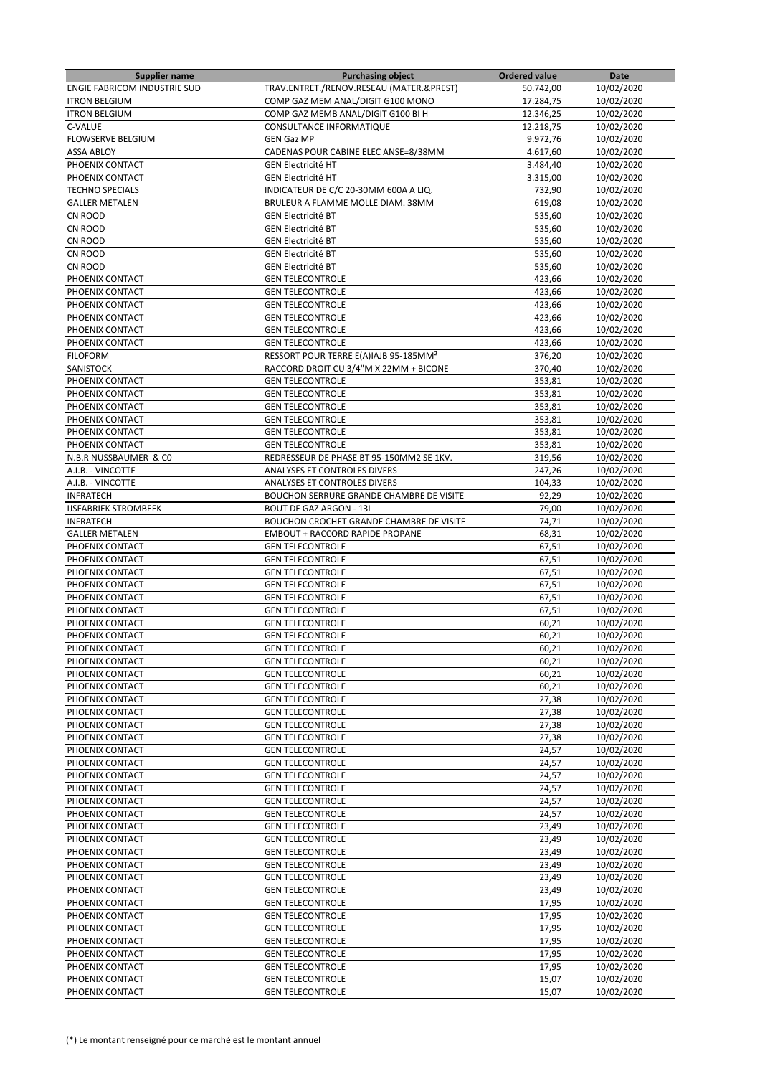| <b>Supplier name</b>                | <b>Purchasing object</b>                          | <b>Ordered value</b> | Date       |
|-------------------------------------|---------------------------------------------------|----------------------|------------|
| <b>ENGIE FABRICOM INDUSTRIE SUD</b> | TRAV.ENTRET./RENOV.RESEAU (MATER.&PREST)          | 50.742,00            | 10/02/2020 |
| <b>ITRON BELGIUM</b>                | COMP GAZ MEM ANAL/DIGIT G100 MONO                 | 17.284,75            | 10/02/2020 |
| <b>ITRON BELGIUM</b>                | COMP GAZ MEMB ANAL/DIGIT G100 BI H                | 12.346,25            | 10/02/2020 |
| C-VALUE                             | CONSULTANCE INFORMATIQUE                          | 12.218,75            | 10/02/2020 |
| FLOWSERVE BELGIUM                   | <b>GEN Gaz MP</b>                                 | 9.972,76             | 10/02/2020 |
| <b>ASSA ABLOY</b>                   | CADENAS POUR CABINE ELEC ANSE=8/38MM              | 4.617,60             | 10/02/2020 |
| PHOENIX CONTACT                     | <b>GEN Electricité HT</b>                         | 3.484,40             | 10/02/2020 |
|                                     |                                                   |                      |            |
| PHOENIX CONTACT                     | <b>GEN Electricité HT</b>                         | 3.315,00             | 10/02/2020 |
| <b>TECHNO SPECIALS</b>              | INDICATEUR DE C/C 20-30MM 600A A LIQ.             | 732,90               | 10/02/2020 |
| <b>GALLER METALEN</b>               | BRULEUR A FLAMME MOLLE DIAM. 38MM                 | 619,08               | 10/02/2020 |
| CN ROOD                             | <b>GEN Electricité BT</b>                         | 535,60               | 10/02/2020 |
| CN ROOD                             | <b>GEN Electricité BT</b>                         | 535,60               | 10/02/2020 |
| CN ROOD                             | <b>GEN Electricité BT</b>                         | 535,60               | 10/02/2020 |
| CN ROOD                             | <b>GEN Electricité BT</b>                         | 535,60               | 10/02/2020 |
| CN ROOD                             | <b>GEN Electricité BT</b>                         | 535,60               | 10/02/2020 |
| PHOENIX CONTACT                     | <b>GEN TELECONTROLE</b>                           | 423,66               | 10/02/2020 |
| PHOENIX CONTACT                     | <b>GEN TELECONTROLE</b>                           | 423,66               | 10/02/2020 |
| PHOENIX CONTACT                     | <b>GEN TELECONTROLE</b>                           | 423,66               | 10/02/2020 |
| PHOENIX CONTACT                     | <b>GEN TELECONTROLE</b>                           | 423,66               | 10/02/2020 |
| PHOENIX CONTACT                     | <b>GEN TELECONTROLE</b>                           |                      | 10/02/2020 |
|                                     |                                                   | 423,66               |            |
| PHOENIX CONTACT                     | <b>GEN TELECONTROLE</b>                           | 423,66               | 10/02/2020 |
| <b>FILOFORM</b>                     | RESSORT POUR TERRE E(A)IAJB 95-185MM <sup>2</sup> | 376,20               | 10/02/2020 |
| <b>SANISTOCK</b>                    | RACCORD DROIT CU 3/4"M X 22MM + BICONE            | 370,40               | 10/02/2020 |
| PHOENIX CONTACT                     | <b>GEN TELECONTROLE</b>                           | 353,81               | 10/02/2020 |
| PHOENIX CONTACT                     | <b>GEN TELECONTROLE</b>                           | 353,81               | 10/02/2020 |
| PHOENIX CONTACT                     | <b>GEN TELECONTROLE</b>                           | 353,81               | 10/02/2020 |
| PHOENIX CONTACT                     | <b>GEN TELECONTROLE</b>                           | 353,81               | 10/02/2020 |
| PHOENIX CONTACT                     | <b>GEN TELECONTROLE</b>                           | 353,81               | 10/02/2020 |
| PHOENIX CONTACT                     | <b>GEN TELECONTROLE</b>                           | 353,81               | 10/02/2020 |
| N.B.R NUSSBAUMER & CO               | REDRESSEUR DE PHASE BT 95-150MM2 SE 1KV.          | 319,56               | 10/02/2020 |
| A.I.B. - VINCOTTE                   | ANALYSES ET CONTROLES DIVERS                      | 247,26               | 10/02/2020 |
| A.I.B. - VINCOTTE                   | ANALYSES ET CONTROLES DIVERS                      | 104,33               | 10/02/2020 |
|                                     |                                                   |                      |            |
| <b>INFRATECH</b>                    | BOUCHON SERRURE GRANDE CHAMBRE DE VISITE          | 92,29                | 10/02/2020 |
| <b>IJSFABRIEK STROMBEEK</b>         | <b>BOUT DE GAZ ARGON - 13L</b>                    | 79,00                | 10/02/2020 |
| <b>INFRATECH</b>                    | BOUCHON CROCHET GRANDE CHAMBRE DE VISITE          | 74,71                | 10/02/2020 |
| <b>GALLER METALEN</b>               | <b>EMBOUT + RACCORD RAPIDE PROPANE</b>            | 68,31                | 10/02/2020 |
| PHOENIX CONTACT                     | <b>GEN TELECONTROLE</b>                           | 67,51                | 10/02/2020 |
| PHOENIX CONTACT                     | <b>GEN TELECONTROLE</b>                           | 67,51                | 10/02/2020 |
| PHOENIX CONTACT                     | <b>GEN TELECONTROLE</b>                           | 67,51                | 10/02/2020 |
| PHOENIX CONTACT                     | <b>GEN TELECONTROLE</b>                           | 67,51                | 10/02/2020 |
| PHOENIX CONTACT                     | <b>GEN TELECONTROLE</b>                           | 67,51                | 10/02/2020 |
| PHOENIX CONTACT                     | <b>GEN TELECONTROLE</b>                           | 67,51                | 10/02/2020 |
| PHOENIX CONTACT                     | <b>GEN TELECONTROLE</b>                           | 60,21                | 10/02/2020 |
| PHOENIX CONTACT                     | <b>GEN TELECONTROLE</b>                           | 60,21                | 10/02/2020 |
|                                     |                                                   | 60,21                | 10/02/2020 |
| PHOENIX CONTACT                     | <b>GEN TELECONTROLE</b>                           |                      |            |
| PHOENIX CONTACT                     | <b>GEN TELECONTROLE</b>                           | 60,21                | 10/02/2020 |
| PHOENIX CONTACT                     | <b>GEN TELECONTROLE</b>                           | 60,21                | 10/02/2020 |
| PHOENIX CONTACT                     | <b>GEN TELECONTROLE</b>                           | 60,21                | 10/02/2020 |
| PHOENIX CONTACT                     | <b>GEN TELECONTROLE</b>                           | 27,38                | 10/02/2020 |
| PHOENIX CONTACT                     | <b>GEN TELECONTROLE</b>                           | 27,38                | 10/02/2020 |
| PHOENIX CONTACT                     | <b>GEN TELECONTROLE</b>                           | 27,38                | 10/02/2020 |
| PHOENIX CONTACT                     | <b>GEN TELECONTROLE</b>                           | 27,38                | 10/02/2020 |
| PHOENIX CONTACT                     | <b>GEN TELECONTROLE</b>                           | 24,57                | 10/02/2020 |
| PHOENIX CONTACT                     | <b>GEN TELECONTROLE</b>                           | 24,57                | 10/02/2020 |
| PHOENIX CONTACT                     | <b>GEN TELECONTROLE</b>                           | 24,57                | 10/02/2020 |
| PHOENIX CONTACT                     | <b>GEN TELECONTROLE</b>                           | 24,57                | 10/02/2020 |
| PHOENIX CONTACT                     | <b>GEN TELECONTROLE</b>                           | 24,57                | 10/02/2020 |
|                                     |                                                   |                      |            |
| PHOENIX CONTACT                     | <b>GEN TELECONTROLE</b>                           | 24,57                | 10/02/2020 |
| PHOENIX CONTACT                     | <b>GEN TELECONTROLE</b>                           | 23,49                | 10/02/2020 |
| PHOENIX CONTACT                     | <b>GEN TELECONTROLE</b>                           | 23,49                | 10/02/2020 |
| PHOENIX CONTACT                     | <b>GEN TELECONTROLE</b>                           | 23,49                | 10/02/2020 |
| PHOENIX CONTACT                     | <b>GEN TELECONTROLE</b>                           | 23,49                | 10/02/2020 |
| PHOENIX CONTACT                     | <b>GEN TELECONTROLE</b>                           | 23,49                | 10/02/2020 |
| PHOENIX CONTACT                     | <b>GEN TELECONTROLE</b>                           | 23,49                | 10/02/2020 |
| PHOENIX CONTACT                     | <b>GEN TELECONTROLE</b>                           | 17,95                | 10/02/2020 |
| PHOENIX CONTACT                     | <b>GEN TELECONTROLE</b>                           | 17,95                | 10/02/2020 |
| PHOENIX CONTACT                     | <b>GEN TELECONTROLE</b>                           | 17,95                | 10/02/2020 |
| PHOENIX CONTACT                     | <b>GEN TELECONTROLE</b>                           | 17,95                | 10/02/2020 |
| PHOENIX CONTACT                     | <b>GEN TELECONTROLE</b>                           | 17,95                | 10/02/2020 |
|                                     |                                                   |                      |            |
| PHOENIX CONTACT                     | <b>GEN TELECONTROLE</b>                           | 17,95                | 10/02/2020 |
| PHOENIX CONTACT                     | <b>GEN TELECONTROLE</b>                           | 15,07                | 10/02/2020 |
| PHOENIX CONTACT                     | <b>GEN TELECONTROLE</b>                           | 15,07                | 10/02/2020 |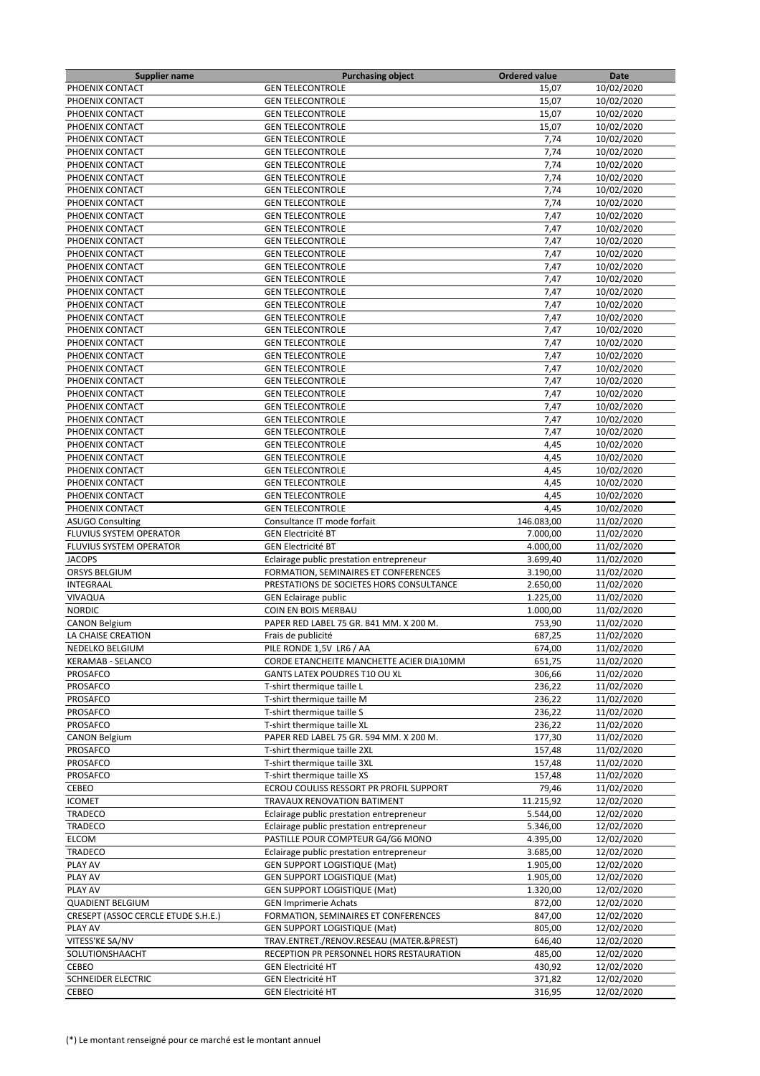| <b>Supplier name</b>                | <b>Purchasing object</b>                           | <b>Ordered value</b> | Date       |
|-------------------------------------|----------------------------------------------------|----------------------|------------|
| PHOENIX CONTACT                     | <b>GEN TELECONTROLE</b>                            | 15,07                | 10/02/2020 |
| PHOENIX CONTACT                     | <b>GEN TELECONTROLE</b>                            | 15,07                | 10/02/2020 |
| PHOENIX CONTACT                     | <b>GEN TELECONTROLE</b>                            | 15,07                | 10/02/2020 |
| PHOENIX CONTACT                     | <b>GEN TELECONTROLE</b>                            | 15,07                | 10/02/2020 |
| PHOENIX CONTACT                     | <b>GEN TELECONTROLE</b>                            | 7,74                 | 10/02/2020 |
| PHOENIX CONTACT                     | <b>GEN TELECONTROLE</b>                            | 7,74                 | 10/02/2020 |
| PHOENIX CONTACT                     | <b>GEN TELECONTROLE</b>                            | 7,74                 | 10/02/2020 |
| PHOENIX CONTACT                     | <b>GEN TELECONTROLE</b>                            | 7,74                 | 10/02/2020 |
| PHOENIX CONTACT                     | <b>GEN TELECONTROLE</b>                            | 7,74                 | 10/02/2020 |
| PHOENIX CONTACT                     | <b>GEN TELECONTROLE</b>                            | 7,74                 | 10/02/2020 |
| PHOENIX CONTACT                     | <b>GEN TELECONTROLE</b>                            | 7,47                 | 10/02/2020 |
| PHOENIX CONTACT                     | <b>GEN TELECONTROLE</b>                            | 7,47                 | 10/02/2020 |
| PHOENIX CONTACT                     | <b>GEN TELECONTROLE</b>                            | 7,47                 | 10/02/2020 |
|                                     |                                                    |                      |            |
| PHOENIX CONTACT<br>PHOENIX CONTACT  | <b>GEN TELECONTROLE</b><br><b>GEN TELECONTROLE</b> | 7,47                 | 10/02/2020 |
|                                     |                                                    | 7,47                 | 10/02/2020 |
| PHOENIX CONTACT                     | <b>GEN TELECONTROLE</b>                            | 7,47                 | 10/02/2020 |
| PHOENIX CONTACT                     | <b>GEN TELECONTROLE</b>                            | 7,47                 | 10/02/2020 |
| PHOENIX CONTACT                     | <b>GEN TELECONTROLE</b>                            | 7,47                 | 10/02/2020 |
| PHOENIX CONTACT                     | <b>GEN TELECONTROLE</b>                            | 7,47                 | 10/02/2020 |
| PHOENIX CONTACT                     | <b>GEN TELECONTROLE</b>                            | 7,47                 | 10/02/2020 |
| PHOENIX CONTACT                     | <b>GEN TELECONTROLE</b>                            | 7,47                 | 10/02/2020 |
| PHOENIX CONTACT                     | <b>GEN TELECONTROLE</b>                            | 7,47                 | 10/02/2020 |
| PHOENIX CONTACT                     | <b>GEN TELECONTROLE</b>                            | 7,47                 | 10/02/2020 |
| PHOENIX CONTACT                     | <b>GEN TELECONTROLE</b>                            | 7,47                 | 10/02/2020 |
| PHOENIX CONTACT                     | <b>GEN TELECONTROLE</b>                            | 7,47                 | 10/02/2020 |
| PHOENIX CONTACT                     | <b>GEN TELECONTROLE</b>                            | 7,47                 | 10/02/2020 |
| PHOENIX CONTACT                     | <b>GEN TELECONTROLE</b>                            | 7,47                 | 10/02/2020 |
| PHOENIX CONTACT                     | <b>GEN TELECONTROLE</b>                            | 7,47                 | 10/02/2020 |
| PHOENIX CONTACT                     | <b>GEN TELECONTROLE</b>                            | 4,45                 | 10/02/2020 |
| PHOENIX CONTACT                     | <b>GEN TELECONTROLE</b>                            | 4,45                 | 10/02/2020 |
| PHOENIX CONTACT                     | <b>GEN TELECONTROLE</b>                            | 4,45                 | 10/02/2020 |
| PHOENIX CONTACT                     | <b>GEN TELECONTROLE</b>                            | 4,45                 | 10/02/2020 |
| PHOENIX CONTACT                     | <b>GEN TELECONTROLE</b>                            | 4,45                 | 10/02/2020 |
| PHOENIX CONTACT                     | <b>GEN TELECONTROLE</b>                            | 4,45                 | 10/02/2020 |
| <b>ASUGO Consulting</b>             | Consultance IT mode forfait                        | 146.083,00           | 11/02/2020 |
| FLUVIUS SYSTEM OPERATOR             | <b>GEN Electricité BT</b>                          | 7.000,00             | 11/02/2020 |
| FLUVIUS SYSTEM OPERATOR             | <b>GEN Electricité BT</b>                          | 4.000,00             | 11/02/2020 |
| <b>JACOPS</b>                       |                                                    | 3.699,40             | 11/02/2020 |
|                                     | Eclairage public prestation entrepreneur           |                      |            |
| <b>ORSYS BELGIUM</b>                | FORMATION, SEMINAIRES ET CONFERENCES               | 3.190,00             | 11/02/2020 |
| INTEGRAAL                           | PRESTATIONS DE SOCIETES HORS CONSULTANCE           | 2.650,00             | 11/02/2020 |
| VIVAQUA                             | <b>GEN Eclairage public</b>                        | 1.225,00             | 11/02/2020 |
| <b>NORDIC</b>                       | COIN EN BOIS MERBAU                                | 1.000,00             | 11/02/2020 |
| <b>CANON Belgium</b>                | PAPER RED LABEL 75 GR. 841 MM. X 200 M.            | 753,90               | 11/02/2020 |
| LA CHAISE CREATION                  | Frais de publicité                                 | 687,25               | 11/02/2020 |
| NEDELKO BELGIUM                     | PILE RONDE 1,5V LR6 / AA                           | 674,00               | 11/02/2020 |
| <b>KERAMAB - SELANCO</b>            | CORDE ETANCHEITE MANCHETTE ACIER DIA10MM           | 651,75               | 11/02/2020 |
| <b>PROSAFCO</b>                     | GANTS LATEX POUDRES T10 OU XL                      | 306,66               | 11/02/2020 |
| PROSAFCO                            | T-shirt thermique taille L                         | 236,22               | 11/02/2020 |
| PROSAFCO                            | T-shirt thermique taille M                         | 236,22               | 11/02/2020 |
| PROSAFCO                            | T-shirt thermique taille S                         | 236,22               | 11/02/2020 |
| PROSAFCO                            | T-shirt thermique taille XL                        | 236,22               | 11/02/2020 |
| <b>CANON Belgium</b>                | PAPER RED LABEL 75 GR. 594 MM. X 200 M.            | 177,30               | 11/02/2020 |
| PROSAFCO                            | T-shirt thermique taille 2XL                       | 157,48               | 11/02/2020 |
| PROSAFCO                            | T-shirt thermique taille 3XL                       | 157,48               | 11/02/2020 |
| PROSAFCO                            | T-shirt thermique taille XS                        | 157,48               | 11/02/2020 |
| CEBEO                               | ECROU COULISS RESSORT PR PROFIL SUPPORT            | 79,46                | 11/02/2020 |
| <b>ICOMET</b>                       | TRAVAUX RENOVATION BATIMENT                        | 11.215,92            | 12/02/2020 |
| TRADECO                             | Eclairage public prestation entrepreneur           | 5.544,00             | 12/02/2020 |
| TRADECO                             | Eclairage public prestation entrepreneur           | 5.346,00             | 12/02/2020 |
| <b>ELCOM</b>                        | PASTILLE POUR COMPTEUR G4/G6 MONO                  | 4.395,00             | 12/02/2020 |
| TRADECO                             | Eclairage public prestation entrepreneur           | 3.685,00             | 12/02/2020 |
| PLAY AV                             | <b>GEN SUPPORT LOGISTIQUE (Mat)</b>                | 1.905,00             | 12/02/2020 |
| PLAY AV                             | GEN SUPPORT LOGISTIQUE (Mat)                       | 1.905,00             | 12/02/2020 |
|                                     |                                                    |                      |            |
| PLAY AV                             | <b>GEN SUPPORT LOGISTIQUE (Mat)</b>                | 1.320,00             | 12/02/2020 |
| <b>QUADIENT BELGIUM</b>             | <b>GEN Imprimerie Achats</b>                       | 872,00               | 12/02/2020 |
| CRESEPT (ASSOC CERCLE ETUDE S.H.E.) | FORMATION, SEMINAIRES ET CONFERENCES               | 847,00               | 12/02/2020 |
| PLAY AV                             | <b>GEN SUPPORT LOGISTIQUE (Mat)</b>                | 805,00               | 12/02/2020 |
| VITESS'KE SA/NV                     | TRAV.ENTRET./RENOV.RESEAU (MATER.&PREST)           | 646,40               | 12/02/2020 |
| SOLUTIONSHAACHT                     | RECEPTION PR PERSONNEL HORS RESTAURATION           | 485,00               | 12/02/2020 |
| CEBEO                               | <b>GEN Electricité HT</b>                          | 430,92               | 12/02/2020 |
| <b>SCHNEIDER ELECTRIC</b>           | <b>GEN Electricité HT</b>                          | 371,82               | 12/02/2020 |
| CEBEO                               | <b>GEN Electricité HT</b>                          | 316,95               | 12/02/2020 |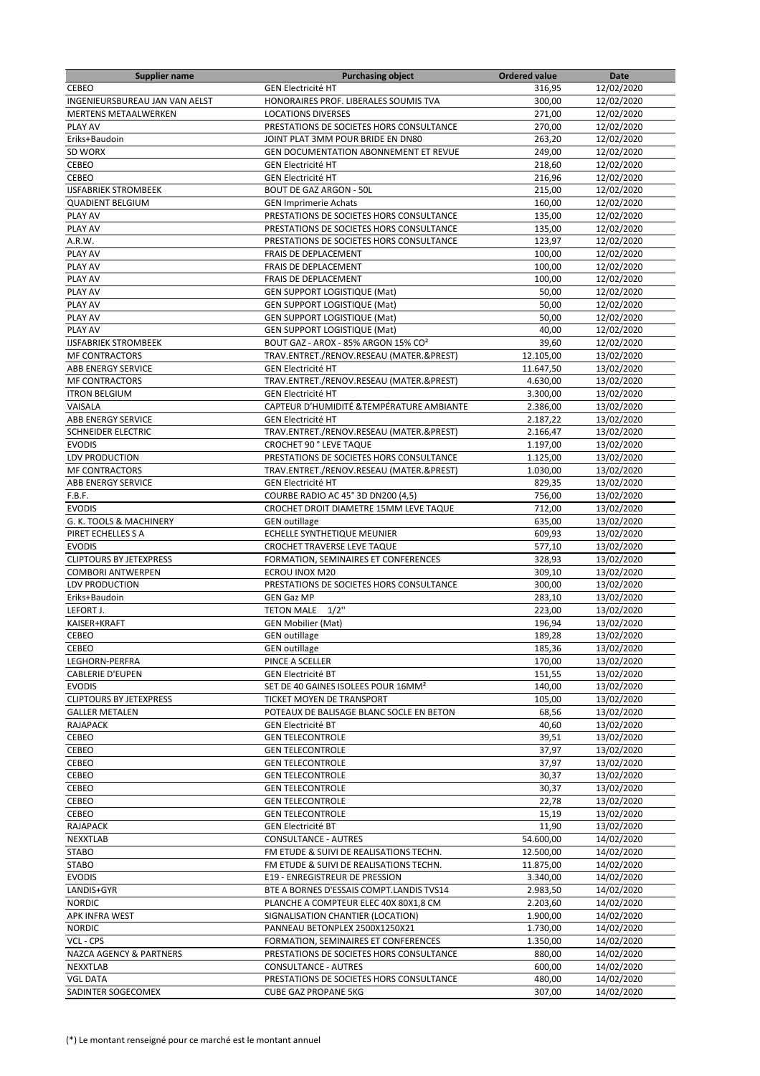| <b>Supplier name</b>           | <b>Purchasing object</b>                        | <b>Ordered value</b> | Date       |
|--------------------------------|-------------------------------------------------|----------------------|------------|
| CEBEO                          | <b>GEN Electricité HT</b>                       | 316,95               | 12/02/2020 |
| INGENIEURSBUREAU JAN VAN AELST | HONORAIRES PROF. LIBERALES SOUMIS TVA           | 300,00               | 12/02/2020 |
| <b>MERTENS METAALWERKEN</b>    | <b>LOCATIONS DIVERSES</b>                       | 271,00               | 12/02/2020 |
| PLAY AV                        | PRESTATIONS DE SOCIETES HORS CONSULTANCE        | 270,00               | 12/02/2020 |
| Eriks+Baudoin                  | JOINT PLAT 3MM POUR BRIDE EN DN80               | 263,20               | 12/02/2020 |
| SD WORX                        | GEN DOCUMENTATION ABONNEMENT ET REVUE           | 249.00               | 12/02/2020 |
| CEBEO                          | <b>GEN Electricité HT</b>                       | 218,60               | 12/02/2020 |
| CEBEO                          | <b>GEN Electricité HT</b>                       | 216,96               | 12/02/2020 |
| <b>IJSFABRIEK STROMBEEK</b>    | <b>BOUT DE GAZ ARGON - 50L</b>                  | 215,00               | 12/02/2020 |
| <b>QUADIENT BELGIUM</b>        | <b>GEN Imprimerie Achats</b>                    | 160,00               | 12/02/2020 |
| PLAY AV                        | PRESTATIONS DE SOCIETES HORS CONSULTANCE        | 135,00               | 12/02/2020 |
| PLAY AV                        | PRESTATIONS DE SOCIETES HORS CONSULTANCE        | 135,00               | 12/02/2020 |
| A.R.W.                         | PRESTATIONS DE SOCIETES HORS CONSULTANCE        | 123,97               | 12/02/2020 |
| PLAY AV                        | <b>FRAIS DE DEPLACEMENT</b>                     | 100,00               | 12/02/2020 |
| PLAY AV                        | FRAIS DE DEPLACEMENT                            | 100,00               | 12/02/2020 |
| PLAY AV                        | FRAIS DE DEPLACEMENT                            | 100,00               | 12/02/2020 |
| PLAY AV                        | <b>GEN SUPPORT LOGISTIQUE (Mat)</b>             | 50,00                | 12/02/2020 |
| PLAY AV                        | <b>GEN SUPPORT LOGISTIQUE (Mat)</b>             | 50,00                | 12/02/2020 |
| PLAY AV                        | <b>GEN SUPPORT LOGISTIQUE (Mat)</b>             | 50,00                | 12/02/2020 |
| PLAY AV                        | <b>GEN SUPPORT LOGISTIQUE (Mat)</b>             | 40,00                | 12/02/2020 |
| <b>IJSFABRIEK STROMBEEK</b>    | BOUT GAZ - AROX - 85% ARGON 15% CO <sup>2</sup> | 39,60                | 12/02/2020 |
| <b>MF CONTRACTORS</b>          | TRAV.ENTRET./RENOV.RESEAU (MATER.&PREST)        | 12.105,00            | 13/02/2020 |
| <b>ABB ENERGY SERVICE</b>      | <b>GEN Electricité HT</b>                       | 11.647,50            | 13/02/2020 |
| <b>MF CONTRACTORS</b>          | TRAV.ENTRET./RENOV.RESEAU (MATER.&PREST)        | 4.630,00             | 13/02/2020 |
| <b>ITRON BELGIUM</b>           | <b>GEN Electricité HT</b>                       | 3.300,00             | 13/02/2020 |
| VAISALA                        | CAPTEUR D'HUMIDITÉ & TEMPÉRATURE AMBIANTE       | 2.386,00             | 13/02/2020 |
| ABB ENERGY SERVICE             | <b>GEN Electricité HT</b>                       | 2.187,22             | 13/02/2020 |
| SCHNEIDER ELECTRIC             | TRAV.ENTRET./RENOV.RESEAU (MATER.&PREST)        | 2.166,47             | 13/02/2020 |
| <b>EVODIS</b>                  | <b>CROCHET 90 ° LEVE TAQUE</b>                  | 1.197,00             | 13/02/2020 |
| LDV PRODUCTION                 | PRESTATIONS DE SOCIETES HORS CONSULTANCE        | 1.125,00             | 13/02/2020 |
| <b>MF CONTRACTORS</b>          | TRAV.ENTRET./RENOV.RESEAU (MATER.&PREST)        | 1.030,00             | 13/02/2020 |
| <b>ABB ENERGY SERVICE</b>      | <b>GEN Electricité HT</b>                       | 829,35               | 13/02/2020 |
| F.B.F.                         | COURBE RADIO AC 45° 3D DN200 (4,5)              | 756,00               | 13/02/2020 |
| <b>EVODIS</b>                  | CROCHET DROIT DIAMETRE 15MM LEVE TAQUE          | 712,00               | 13/02/2020 |
| G. K. TOOLS & MACHINERY        | <b>GEN</b> outillage                            | 635,00               | 13/02/2020 |
| PIRET ECHELLES S A             | ECHELLE SYNTHETIQUE MEUNIER                     | 609,93               | 13/02/2020 |
| <b>EVODIS</b>                  | CROCHET TRAVERSE LEVE TAQUE                     | 577,10               | 13/02/2020 |
| <b>CLIPTOURS BY JETEXPRESS</b> | FORMATION, SEMINAIRES ET CONFERENCES            | 328,93               | 13/02/2020 |
| <b>COMBORI ANTWERPEN</b>       | ECROU INOX M20                                  | 309,10               | 13/02/2020 |
| LDV PRODUCTION                 | PRESTATIONS DE SOCIETES HORS CONSULTANCE        | 300,00               | 13/02/2020 |
| Eriks+Baudoin                  | <b>GEN Gaz MP</b>                               | 283,10               | 13/02/2020 |
| LEFORT J.                      | $1/2$ "<br><b>TETON MALE</b>                    | 223,00               | 13/02/2020 |
| KAISER+KRAFT                   | <b>GEN Mobilier (Mat)</b>                       | 196,94               | 13/02/2020 |
| CEBEO                          | <b>GEN</b> outillage                            | 189.28               | 13/02/2020 |
| CEBEO                          | <b>GEN outillage</b>                            | 185,36               | 13/02/2020 |
| LEGHORN-PERFRA                 | PINCE A SCELLER                                 | 170,00               | 13/02/2020 |
| <b>CABLERIE D'EUPEN</b>        | <b>GEN Electricité BT</b>                       | 151,55               | 13/02/2020 |
| <b>EVODIS</b>                  | SET DE 40 GAINES ISOLEES POUR 16MM <sup>2</sup> | 140,00               | 13/02/2020 |
| <b>CLIPTOURS BY JETEXPRESS</b> | TICKET MOYEN DE TRANSPORT                       | 105,00               | 13/02/2020 |
| <b>GALLER METALEN</b>          | POTEAUX DE BALISAGE BLANC SOCLE EN BETON        | 68,56                | 13/02/2020 |
| <b>RAJAPACK</b>                | <b>GEN Electricité BT</b>                       | 40,60                | 13/02/2020 |
| CEBEO                          | <b>GEN TELECONTROLE</b>                         | 39,51                | 13/02/2020 |
| CEBEO                          | <b>GEN TELECONTROLE</b>                         | 37,97                | 13/02/2020 |
| CEBEO                          | <b>GEN TELECONTROLE</b>                         | 37,97                | 13/02/2020 |
| CEBEO                          | <b>GEN TELECONTROLE</b>                         | 30,37                | 13/02/2020 |
| CEBEO                          | <b>GEN TELECONTROLE</b>                         | 30,37                | 13/02/2020 |
| CEBEO                          | <b>GEN TELECONTROLE</b>                         | 22,78                | 13/02/2020 |
| CEBEO                          | <b>GEN TELECONTROLE</b>                         | 15,19                | 13/02/2020 |
| RAJAPACK                       | <b>GEN Electricité BT</b>                       | 11,90                | 13/02/2020 |
| <b>NEXXTLAB</b>                | <b>CONSULTANCE - AUTRES</b>                     | 54.600,00            | 14/02/2020 |
| <b>STABO</b>                   | FM ETUDE & SUIVI DE REALISATIONS TECHN.         | 12.500,00            | 14/02/2020 |
| <b>STABO</b>                   | FM ETUDE & SUIVI DE REALISATIONS TECHN.         | 11.875,00            | 14/02/2020 |
| <b>EVODIS</b>                  | E19 - ENREGISTREUR DE PRESSION                  | 3.340,00             | 14/02/2020 |
| LANDIS+GYR                     | BTE A BORNES D'ESSAIS COMPT.LANDIS TVS14        | 2.983,50             | 14/02/2020 |
| <b>NORDIC</b>                  | PLANCHE A COMPTEUR ELEC 40X 80X1,8 CM           | 2.203,60             | 14/02/2020 |
| APK INFRA WEST                 | SIGNALISATION CHANTIER (LOCATION)               | 1.900,00             | 14/02/2020 |
| <b>NORDIC</b>                  | PANNEAU BETONPLEX 2500X1250X21                  | 1.730,00             | 14/02/2020 |
| VCL - CPS                      | FORMATION, SEMINAIRES ET CONFERENCES            | 1.350,00             | 14/02/2020 |
| NAZCA AGENCY & PARTNERS        | PRESTATIONS DE SOCIETES HORS CONSULTANCE        | 880,00               | 14/02/2020 |
| NEXXTLAB                       | <b>CONSULTANCE - AUTRES</b>                     | 600,00               | 14/02/2020 |
| <b>VGL DATA</b>                | PRESTATIONS DE SOCIETES HORS CONSULTANCE        | 480,00               | 14/02/2020 |
| SADINTER SOGECOMEX             | <b>CUBE GAZ PROPANE 5KG</b>                     | 307,00               | 14/02/2020 |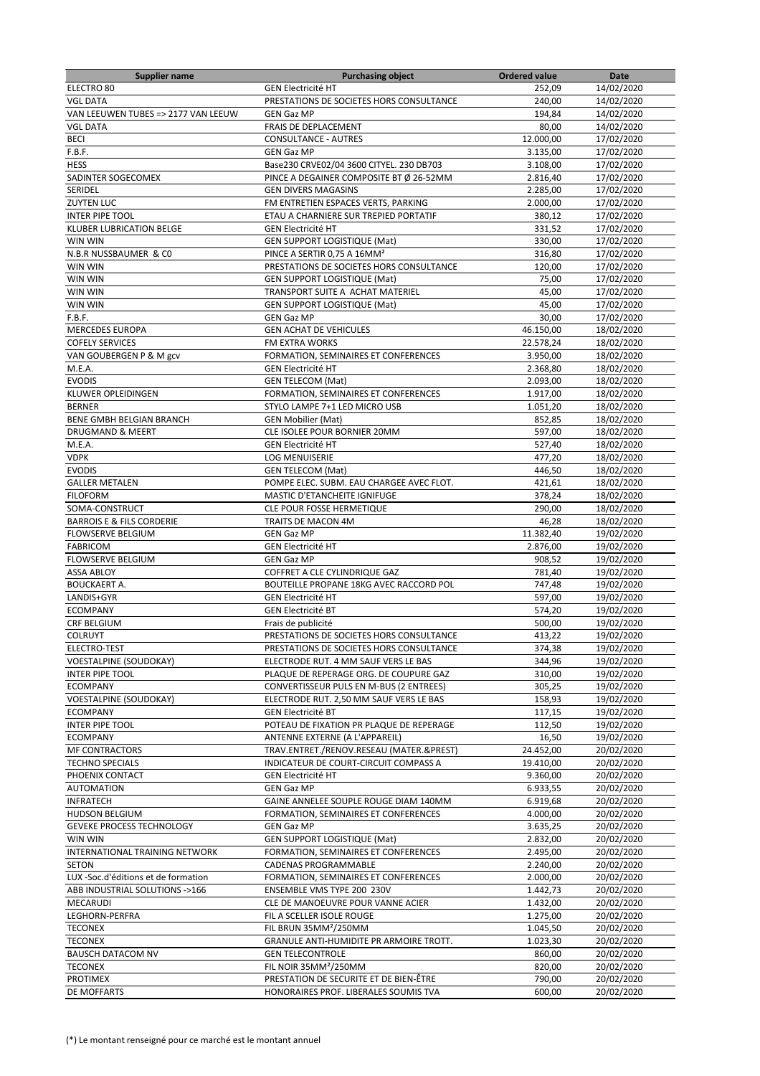| <b>Supplier name</b>                 | <b>Purchasing object</b>                 | <b>Ordered value</b> | Date       |
|--------------------------------------|------------------------------------------|----------------------|------------|
| ELECTRO 80                           | <b>GEN Electricité HT</b>                | 252,09               | 14/02/2020 |
| <b>VGL DATA</b>                      | PRESTATIONS DE SOCIETES HORS CONSULTANCE | 240,00               | 14/02/2020 |
| VAN LEEUWEN TUBES => 2177 VAN LEEUW  | <b>GEN Gaz MP</b>                        | 194,84               | 14/02/2020 |
| <b>VGL DATA</b>                      | FRAIS DE DEPLACEMENT                     | 80,00                | 14/02/2020 |
| <b>BECI</b>                          | <b>CONSULTANCE - AUTRES</b>              | 12.000,00            | 17/02/2020 |
| F.B.F.                               | <b>GEN Gaz MP</b>                        | 3.135,00             | 17/02/2020 |
| <b>HESS</b>                          | Base230 CRVE02/04 3600 CITYEL. 230 DB703 | 3.108,00             | 17/02/2020 |
| SADINTER SOGECOMEX                   | PINCE A DEGAINER COMPOSITE BT Ø 26-52MM  | 2.816,40             | 17/02/2020 |
| SERIDEL                              | <b>GEN DIVERS MAGASINS</b>               | 2.285,00             | 17/02/2020 |
| <b>ZUYTEN LUC</b>                    | FM ENTRETIEN ESPACES VERTS, PARKING      | 2.000,00             | 17/02/2020 |
| <b>INTER PIPE TOOL</b>               | ETAU A CHARNIERE SUR TREPIED PORTATIF    | 380,12               | 17/02/2020 |
| <b>KLUBER LUBRICATION BELGE</b>      | <b>GEN Electricité HT</b>                | 331,52               | 17/02/2020 |
| WIN WIN                              | <b>GEN SUPPORT LOGISTIQUE (Mat)</b>      | 330,00               | 17/02/2020 |
| N.B.R NUSSBAUMER & CO                | PINCE A SERTIR 0,75 A 16MM <sup>2</sup>  | 316.80               | 17/02/2020 |
| WIN WIN                              | PRESTATIONS DE SOCIETES HORS CONSULTANCE | 120,00               | 17/02/2020 |
| WIN WIN                              | <b>GEN SUPPORT LOGISTIQUE (Mat)</b>      | 75,00                | 17/02/2020 |
| WIN WIN                              | TRANSPORT SUITE A ACHAT MATERIEL         | 45,00                | 17/02/2020 |
| WIN WIN                              | <b>GEN SUPPORT LOGISTIQUE (Mat)</b>      | 45,00                | 17/02/2020 |
| F.B.F.                               | <b>GEN Gaz MP</b>                        | 30,00                | 17/02/2020 |
| <b>MERCEDES EUROPA</b>               | <b>GEN ACHAT DE VEHICULES</b>            | 46.150,00            | 18/02/2020 |
| <b>COFELY SERVICES</b>               | <b>FM EXTRA WORKS</b>                    | 22.578,24            | 18/02/2020 |
| VAN GOUBERGEN P & M gcv              | FORMATION, SEMINAIRES ET CONFERENCES     | 3.950,00             | 18/02/2020 |
| M.E.A.                               | <b>GEN Electricité HT</b>                | 2.368,80             | 18/02/2020 |
| <b>EVODIS</b>                        | <b>GEN TELECOM (Mat)</b>                 | 2.093,00             | 18/02/2020 |
| KLUWER OPLEIDINGEN                   | FORMATION, SEMINAIRES ET CONFERENCES     | 1.917,00             | 18/02/2020 |
| <b>BERNER</b>                        | STYLO LAMPE 7+1 LED MICRO USB            | 1.051,20             | 18/02/2020 |
| <b>BENE GMBH BELGIAN BRANCH</b>      | <b>GEN Mobilier (Mat)</b>                | 852,85               | 18/02/2020 |
|                                      |                                          |                      |            |
| <b>DRUGMAND &amp; MEERT</b>          | CLE ISOLEE POUR BORNIER 20MM             | 597,00               | 18/02/2020 |
| M.E.A.                               | <b>GEN Electricité HT</b>                | 527,40               | 18/02/2020 |
| <b>VDPK</b>                          | <b>LOG MENUISERIE</b>                    | 477,20               | 18/02/2020 |
| <b>EVODIS</b>                        | <b>GEN TELECOM (Mat)</b>                 | 446,50               | 18/02/2020 |
| <b>GALLER METALEN</b>                | POMPE ELEC. SUBM. EAU CHARGEE AVEC FLOT. | 421,61               | 18/02/2020 |
| <b>FILOFORM</b>                      | MASTIC D'ETANCHEITE IGNIFUGE             | 378,24               | 18/02/2020 |
| SOMA-CONSTRUCT                       | CLE POUR FOSSE HERMETIQUE                | 290,00               | 18/02/2020 |
| <b>BARROIS E &amp; FILS CORDERIE</b> | <b>TRAITS DE MACON 4M</b>                | 46,28                | 18/02/2020 |
| <b>FLOWSERVE BELGIUM</b>             | <b>GEN Gaz MP</b>                        | 11.382,40            | 19/02/2020 |
| <b>FABRICOM</b>                      | <b>GEN Electricité HT</b>                | 2.876,00             | 19/02/2020 |
| <b>FLOWSERVE BELGIUM</b>             | <b>GEN Gaz MP</b>                        | 908,52               | 19/02/2020 |
| <b>ASSA ABLOY</b>                    | <b>COFFRET A CLE CYLINDRIQUE GAZ</b>     | 781,40               | 19/02/2020 |
| <b>BOUCKAERT A.</b>                  | BOUTEILLE PROPANE 18KG AVEC RACCORD POL  | 747,48               | 19/02/2020 |
| LANDIS+GYR                           | <b>GEN Electricité HT</b>                | 597,00               | 19/02/2020 |
| <b>ECOMPANY</b>                      | <b>GEN Electricité BT</b>                | 574,20               | 19/02/2020 |
| CRF BELGIUM                          | Frais de publicité                       | 500,00               | 19/02/2020 |
| <b>COLRUYT</b>                       | PRESTATIONS DE SOCIETES HORS CONSULTANCE | 413,22               | 19/02/2020 |
| ELECTRO-TEST                         | PRESTATIONS DE SOCIETES HORS CONSULTANCE | 374,38               | 19/02/2020 |
| <b>VOESTALPINE (SOUDOKAY)</b>        | ELECTRODE RUT. 4 MM SAUF VERS LE BAS     | 344,96               | 19/02/2020 |
| <b>INTER PIPE TOOL</b>               | PLAQUE DE REPERAGE ORG. DE COUPURE GAZ   | 310,00               | 19/02/2020 |
| <b>ECOMPANY</b>                      | CONVERTISSEUR PULS EN M-BUS (2 ENTREES)  | 305,25               | 19/02/2020 |
| <b>VOESTALPINE (SOUDOKAY)</b>        | ELECTRODE RUT. 2,50 MM SAUF VERS LE BAS  | 158,93               | 19/02/2020 |
| <b>ECOMPANY</b>                      | <b>GEN Electricité BT</b>                | 117,15               | 19/02/2020 |
| <b>INTER PIPE TOOL</b>               | POTEAU DE FIXATION PR PLAQUE DE REPERAGE | 112,50               | 19/02/2020 |
| <b>ECOMPANY</b>                      | ANTENNE EXTERNE (A L'APPAREIL)           | 16,50                | 19/02/2020 |
| <b>MF CONTRACTORS</b>                | TRAV.ENTRET./RENOV.RESEAU (MATER.&PREST) | 24.452,00            | 20/02/2020 |
| <b>TECHNO SPECIALS</b>               | INDICATEUR DE COURT-CIRCUIT COMPASS A    | 19.410,00            | 20/02/2020 |
| PHOENIX CONTACT                      | <b>GEN Electricité HT</b>                | 9.360,00             | 20/02/2020 |
| <b>AUTOMATION</b>                    | <b>GEN Gaz MP</b>                        | 6.933,55             | 20/02/2020 |
| <b>INFRATECH</b>                     | GAINE ANNELEE SOUPLE ROUGE DIAM 140MM    | 6.919,68             | 20/02/2020 |
| <b>HUDSON BELGIUM</b>                | FORMATION, SEMINAIRES ET CONFERENCES     | 4.000,00             | 20/02/2020 |
| <b>GEVEKE PROCESS TECHNOLOGY</b>     | <b>GEN Gaz MP</b>                        | 3.635,25             | 20/02/2020 |
| WIN WIN                              | <b>GEN SUPPORT LOGISTIQUE (Mat)</b>      | 2.832,00             | 20/02/2020 |
| INTERNATIONAL TRAINING NETWORK       | FORMATION, SEMINAIRES ET CONFERENCES     | 2.495,00             | 20/02/2020 |
| <b>SETON</b>                         | CADENAS PROGRAMMABLE                     | 2.240,00             | 20/02/2020 |
| LUX -Soc.d'éditions et de formation  | FORMATION, SEMINAIRES ET CONFERENCES     | 2.000,00             | 20/02/2020 |
| ABB INDUSTRIAL SOLUTIONS ->166       | ENSEMBLE VMS TYPE 200 230V               | 1.442,73             | 20/02/2020 |
| MECARUDI                             | CLE DE MANOEUVRE POUR VANNE ACIER        | 1.432,00             | 20/02/2020 |
| LEGHORN-PERFRA                       | FIL A SCELLER ISOLE ROUGE                | 1.275,00             | 20/02/2020 |
| <b>TECONEX</b>                       | FIL BRUN 35MM <sup>2</sup> /250MM        | 1.045,50             | 20/02/2020 |
| <b>TECONEX</b>                       | GRANULE ANTI-HUMIDITE PR ARMOIRE TROTT.  | 1.023,30             | 20/02/2020 |
| <b>BAUSCH DATACOM NV</b>             | <b>GEN TELECONTROLE</b>                  | 860,00               | 20/02/2020 |
| <b>TECONEX</b>                       | FIL NOIR 35MM <sup>2</sup> /250MM        | 820,00               | 20/02/2020 |
| <b>PROTIMEX</b>                      | PRESTATION DE SECURITE ET DE BIEN-ÊTRE   | 790,00               | 20/02/2020 |
| DE MOFFARTS                          | HONORAIRES PROF. LIBERALES SOUMIS TVA    | 600,00               | 20/02/2020 |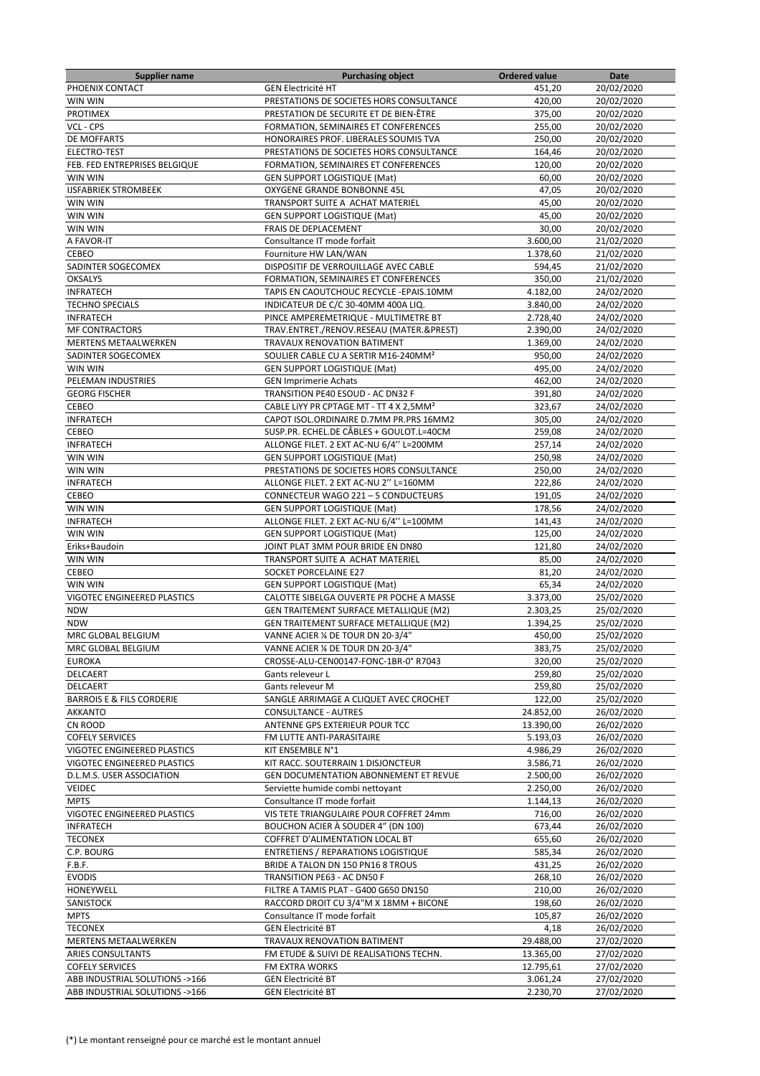| <b>Supplier name</b>                 | <b>Purchasing object</b>                            | <b>Ordered value</b> | Date       |
|--------------------------------------|-----------------------------------------------------|----------------------|------------|
| PHOENIX CONTACT                      | <b>GEN Electricité HT</b>                           | 451,20               | 20/02/2020 |
| WIN WIN                              | PRESTATIONS DE SOCIETES HORS CONSULTANCE            | 420,00               | 20/02/2020 |
| <b>PROTIMEX</b>                      | PRESTATION DE SECURITE ET DE BIEN-ÊTRE              | 375,00               | 20/02/2020 |
| VCL - CPS                            | FORMATION, SEMINAIRES ET CONFERENCES                | 255,00               | 20/02/2020 |
| DE MOFFARTS                          | HONORAIRES PROF. LIBERALES SOUMIS TVA               | 250,00               | 20/02/2020 |
| ELECTRO-TEST                         | PRESTATIONS DE SOCIETES HORS CONSULTANCE            | 164,46               | 20/02/2020 |
| FEB. FED ENTREPRISES BELGIQUE        | FORMATION, SEMINAIRES ET CONFERENCES                | 120,00               | 20/02/2020 |
| WIN WIN                              | GEN SUPPORT LOGISTIQUE (Mat)                        | 60,00                | 20/02/2020 |
| <b>IJSFABRIEK STROMBEEK</b>          | OXYGENE GRANDE BONBONNE 45L                         | 47,05                | 20/02/2020 |
| WIN WIN                              | TRANSPORT SUITE A ACHAT MATERIEL                    | 45,00                | 20/02/2020 |
| WIN WIN                              | <b>GEN SUPPORT LOGISTIQUE (Mat)</b>                 | 45,00                | 20/02/2020 |
| WIN WIN                              | FRAIS DE DEPLACEMENT                                | 30,00                | 20/02/2020 |
| A FAVOR-IT                           | Consultance IT mode forfait                         | 3.600,00             | 21/02/2020 |
| <b>CEBEO</b>                         | Fourniture HW LAN/WAN                               | 1.378,60             | 21/02/2020 |
| SADINTER SOGECOMEX                   | DISPOSITIF DE VERROUILLAGE AVEC CABLE               | 594,45               | 21/02/2020 |
| <b>OKSALYS</b>                       | FORMATION, SEMINAIRES ET CONFERENCES                | 350,00               | 21/02/2020 |
| <b>INFRATECH</b>                     | TAPIS EN CAOUTCHOUC RECYCLE - EPAIS.10MM            | 4.182,00             | 24/02/2020 |
| <b>TECHNO SPECIALS</b>               | INDICATEUR DE C/C 30-40MM 400A LIQ.                 | 3.840,00             | 24/02/2020 |
| <b>INFRATECH</b>                     | PINCE AMPEREMETRIQUE - MULTIMETRE BT                | 2.728,40             | 24/02/2020 |
| <b>MF CONTRACTORS</b>                | TRAV.ENTRET./RENOV.RESEAU (MATER.&PREST)            | 2.390,00             | 24/02/2020 |
| <b>MERTENS METAALWERKEN</b>          | TRAVAUX RENOVATION BATIMENT                         | 1.369.00             | 24/02/2020 |
| SADINTER SOGECOMEX                   | SOULIER CABLE CU A SERTIR M16-240MM <sup>2</sup>    | 950,00               | 24/02/2020 |
| WIN WIN                              | <b>GEN SUPPORT LOGISTIQUE (Mat)</b>                 | 495,00               | 24/02/2020 |
| PELEMAN INDUSTRIES                   | <b>GEN Imprimerie Achats</b>                        | 462,00               | 24/02/2020 |
| <b>GEORG FISCHER</b>                 | TRANSITION PE40 ESOUD - AC DN32 F                   | 391,80               | 24/02/2020 |
| CEBEO                                | CABLE LIYY PR CPTAGE MT - TT 4 X 2,5MM <sup>2</sup> | 323,67               | 24/02/2020 |
| <b>INFRATECH</b>                     | CAPOT ISOL.ORDINAIRE D.7MM PR.PRS 16MM2             | 305,00               | 24/02/2020 |
| CEBEO                                | SUSP.PR. ECHEL.DE CÂBLES + GOULOT.L=40CM            | 259,08               | 24/02/2020 |
| <b>INFRATECH</b>                     | ALLONGE FILET. 2 EXT AC-NU 6/4" L=200MM             | 257,14               | 24/02/2020 |
| WIN WIN                              | GEN SUPPORT LOGISTIQUE (Mat)                        | 250,98               | 24/02/2020 |
| WIN WIN                              | PRESTATIONS DE SOCIETES HORS CONSULTANCE            | 250,00               | 24/02/2020 |
| <b>INFRATECH</b>                     | ALLONGE FILET. 2 EXT AC-NU 2" L=160MM               | 222,86               | 24/02/2020 |
| CEBEO                                | CONNECTEUR WAGO 221 - 5 CONDUCTEURS                 | 191,05               | 24/02/2020 |
| WIN WIN                              | <b>GEN SUPPORT LOGISTIQUE (Mat)</b>                 | 178,56               | 24/02/2020 |
| <b>INFRATECH</b>                     | ALLONGE FILET. 2 EXT AC-NU 6/4" L=100MM             | 141,43               | 24/02/2020 |
| WIN WIN                              | <b>GEN SUPPORT LOGISTIQUE (Mat)</b>                 | 125,00               | 24/02/2020 |
| Eriks+Baudoin                        | JOINT PLAT 3MM POUR BRIDE EN DN80                   | 121,80               | 24/02/2020 |
| WIN WIN                              | TRANSPORT SUITE A ACHAT MATERIEL                    | 85,00                | 24/02/2020 |
| CEBEO                                | SOCKET PORCELAINE E27                               | 81,20                | 24/02/2020 |
| WIN WIN                              | <b>GEN SUPPORT LOGISTIQUE (Mat)</b>                 | 65,34                | 24/02/2020 |
| VIGOTEC ENGINEERED PLASTICS          | CALOTTE SIBELGA OUVERTE PR POCHE A MASSE            | 3.373,00             | 25/02/2020 |
| <b>NDW</b>                           | GEN TRAITEMENT SURFACE METALLIQUE (M2)              | 2.303,25             | 25/02/2020 |
| <b>NDW</b>                           | GEN TRAITEMENT SURFACE METALLIQUE (M2)              | 1.394,25             | 25/02/2020 |
| MRC GLOBAL BELGIUM                   | VANNE ACIER % DE TOUR DN 20-3/4"                    | 450,00               | 25/02/2020 |
| MRC GLOBAL BELGIUM                   | VANNE ACIER 1/4 DE TOUR DN 20-3/4"                  | 383,75               | 25/02/2020 |
| <b>EUROKA</b>                        | CROSSE-ALU-CEN00147-FONC-1BR-0° R7043               | 320,00               | 25/02/2020 |
| DELCAERT                             | Gants releveur L                                    | 259,80               | 25/02/2020 |
| DELCAERT                             | Gants releveur M                                    | 259,80               | 25/02/2020 |
| <b>BARROIS E &amp; FILS CORDERIE</b> | SANGLE ARRIMAGE A CLIQUET AVEC CROCHET              | 122,00               | 25/02/2020 |
| <b>AKKANTO</b>                       | <b>CONSULTANCE - AUTRES</b>                         | 24.852,00            | 26/02/2020 |
| CN ROOD                              | ANTENNE GPS EXTERIEUR POUR TCC                      | 13.390,00            | 26/02/2020 |
| <b>COFELY SERVICES</b>               | FM LUTTE ANTI-PARASITAIRE                           | 5.193,03             | 26/02/2020 |
| VIGOTEC ENGINEERED PLASTICS          | KIT ENSEMBLE N°1                                    | 4.986,29             | 26/02/2020 |
| VIGOTEC ENGINEERED PLASTICS          | KIT RACC. SOUTERRAIN 1 DISJONCTEUR                  | 3.586,71             | 26/02/2020 |
| D.L.M.S. USER ASSOCIATION            | GEN DOCUMENTATION ABONNEMENT ET REVUE               | 2.500,00             | 26/02/2020 |
| VEIDEC                               | Serviette humide combi nettoyant                    | 2.250,00             | 26/02/2020 |
| <b>MPTS</b>                          | Consultance IT mode forfait                         | 1.144,13             | 26/02/2020 |
| VIGOTEC ENGINEERED PLASTICS          | VIS TETE TRIANGULAIRE POUR COFFRET 24mm             | 716,00               | 26/02/2020 |
| <b>INFRATECH</b>                     | BOUCHON ACIER À SOUDER 4" (DN 100)                  | 673,44               | 26/02/2020 |
| <b>TECONEX</b>                       | COFFRET D'ALIMENTATION LOCAL BT                     | 655,60               | 26/02/2020 |
| C.P. BOURG                           | <b>ENTRETIENS / REPARATIONS LOGISTIQUE</b>          | 585,34               | 26/02/2020 |
| F.B.F.                               | BRIDE A TALON DN 150 PN16 8 TROUS                   | 431,25               | 26/02/2020 |
| <b>EVODIS</b>                        | TRANSITION PE63 - AC DN50 F                         | 268,10               | 26/02/2020 |
| HONEYWELL                            | FILTRE A TAMIS PLAT - G400 G650 DN150               | 210,00               | 26/02/2020 |
| SANISTOCK                            | RACCORD DROIT CU 3/4"M X 18MM + BICONE              | 198,60               | 26/02/2020 |
| <b>MPTS</b>                          | Consultance IT mode forfait                         | 105,87               | 26/02/2020 |
| <b>TECONEX</b>                       | <b>GEN Electricité BT</b>                           | 4,18                 | 26/02/2020 |
| MERTENS METAALWERKEN                 | TRAVAUX RENOVATION BATIMENT                         | 29.488,00            | 27/02/2020 |
| ARIES CONSULTANTS                    | FM ETUDE & SUIVI DE REALISATIONS TECHN.             | 13.365,00            | 27/02/2020 |
| <b>COFELY SERVICES</b>               | FM EXTRA WORKS                                      | 12.795,61            | 27/02/2020 |
| ABB INDUSTRIAL SOLUTIONS ->166       | <b>GEN Electricité BT</b>                           | 3.061,24             | 27/02/2020 |
| ABB INDUSTRIAL SOLUTIONS ->166       | <b>GEN Electricité BT</b>                           | 2.230,70             | 27/02/2020 |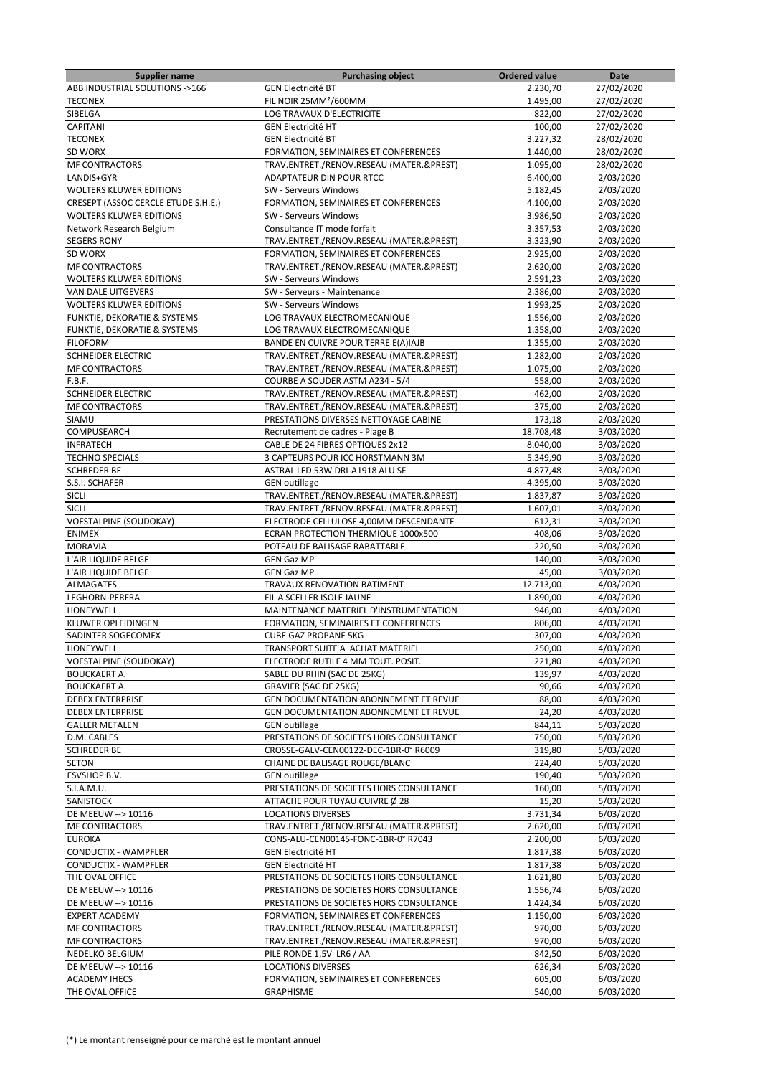| <b>Supplier name</b>                 | <b>Purchasing object</b>                                         | <b>Ordered value</b> | Date                   |
|--------------------------------------|------------------------------------------------------------------|----------------------|------------------------|
| ABB INDUSTRIAL SOLUTIONS ->166       | <b>GEN Electricité BT</b>                                        | 2.230,70             | 27/02/2020             |
| <b>TECONEX</b>                       | FIL NOIR 25MM <sup>2</sup> /600MM                                | 1.495,00             | 27/02/2020             |
| SIBELGA                              | <b>LOG TRAVAUX D'ELECTRICITE</b>                                 | 822,00               | 27/02/2020             |
| <b>CAPITANI</b>                      | <b>GEN Electricité HT</b>                                        | 100,00               | 27/02/2020             |
| <b>TECONEX</b>                       | <b>GEN Electricité BT</b>                                        | 3.227,32             | 28/02/2020             |
| SD WORX                              | FORMATION, SEMINAIRES ET CONFERENCES                             | 1.440,00             | 28/02/2020             |
| <b>MF CONTRACTORS</b>                | TRAV.ENTRET./RENOV.RESEAU (MATER.&PREST)                         | 1.095,00             | 28/02/2020             |
| LANDIS+GYR                           | ADAPTATEUR DIN POUR RTCC                                         | 6.400,00             | 2/03/2020              |
| <b>WOLTERS KLUWER EDITIONS</b>       | SW - Serveurs Windows                                            | 5.182,45             | 2/03/2020              |
| CRESEPT (ASSOC CERCLE ETUDE S.H.E.)  | FORMATION, SEMINAIRES ET CONFERENCES                             | 4.100,00             | 2/03/2020              |
| <b>WOLTERS KLUWER EDITIONS</b>       | SW - Serveurs Windows                                            | 3.986,50             | 2/03/2020              |
| Network Research Belgium             | Consultance IT mode forfait                                      | 3.357,53             | 2/03/2020              |
| <b>SEGERS RONY</b>                   | TRAV.ENTRET./RENOV.RESEAU (MATER.&PREST)                         | 3.323,90             | 2/03/2020              |
| SD WORX                              | FORMATION, SEMINAIRES ET CONFERENCES                             | 2.925,00             | 2/03/2020              |
| <b>MF CONTRACTORS</b>                | TRAV.ENTRET./RENOV.RESEAU (MATER.&PREST)                         | 2.620,00             | 2/03/2020              |
| <b>WOLTERS KLUWER EDITIONS</b>       | SW - Serveurs Windows                                            | 2.591,23             | 2/03/2020              |
| <b>VAN DALE UITGEVERS</b>            | SW - Serveurs - Maintenance                                      | 2.386,00             | 2/03/2020              |
| <b>WOLTERS KLUWER EDITIONS</b>       | SW - Serveurs Windows                                            | 1.993,25             | 2/03/2020              |
|                                      |                                                                  |                      |                        |
| FUNKTIE, DEKORATIE & SYSTEMS         | LOG TRAVAUX ELECTROMECANIQUE                                     | 1.556,00             | 2/03/2020              |
| FUNKTIE, DEKORATIE & SYSTEMS         | LOG TRAVAUX ELECTROMECANIQUE                                     | 1.358,00             | 2/03/2020              |
| <b>FILOFORM</b>                      | BANDE EN CUIVRE POUR TERRE E(A)IAJB                              | 1.355,00             | 2/03/2020              |
| SCHNEIDER ELECTRIC                   | TRAV.ENTRET./RENOV.RESEAU (MATER.&PREST)                         | 1.282,00             | 2/03/2020              |
| <b>MF CONTRACTORS</b>                | TRAV.ENTRET./RENOV.RESEAU (MATER.&PREST)                         | 1.075,00             | 2/03/2020              |
| F.B.F.                               | COURBE A SOUDER ASTM A234 - 5/4                                  | 558,00               | 2/03/2020              |
| <b>SCHNEIDER ELECTRIC</b>            | TRAV.ENTRET./RENOV.RESEAU (MATER.&PREST)                         | 462,00               | 2/03/2020              |
| MF CONTRACTORS                       | TRAV.ENTRET./RENOV.RESEAU (MATER.&PREST)                         | 375,00               | 2/03/2020              |
| SIAMU                                | PRESTATIONS DIVERSES NETTOYAGE CABINE                            | 173,18               | 2/03/2020              |
| COMPUSEARCH                          | Recrutement de cadres - Plage B                                  | 18.708,48            | 3/03/2020              |
| <b>INFRATECH</b>                     | CABLE DE 24 FIBRES OPTIQUES 2x12                                 | 8.040,00             | 3/03/2020              |
| <b>TECHNO SPECIALS</b>               | 3 CAPTEURS POUR ICC HORSTMANN 3M                                 | 5.349,90             | 3/03/2020              |
| <b>SCHREDER BE</b>                   | ASTRAL LED 53W DRI-A1918 ALU SF                                  | 4.877,48             | 3/03/2020              |
| S.S.I. SCHAFER                       | <b>GEN</b> outillage                                             | 4.395,00             | 3/03/2020              |
| SICLI                                | TRAV.ENTRET./RENOV.RESEAU (MATER.&PREST)                         | 1.837,87             | 3/03/2020              |
| SICLI                                | TRAV.ENTRET./RENOV.RESEAU (MATER.&PREST)                         | 1.607,01             | 3/03/2020              |
| <b>VOESTALPINE (SOUDOKAY)</b>        | ELECTRODE CELLULOSE 4,00MM DESCENDANTE                           | 612,31               | 3/03/2020              |
| <b>ENIMEX</b>                        | ECRAN PROTECTION THERMIQUE 1000x500                              | 408,06               | 3/03/2020              |
| <b>MORAVIA</b>                       | POTEAU DE BALISAGE RABATTABLE                                    | 220,50               | 3/03/2020              |
| L'AIR LIQUIDE BELGE                  | <b>GEN Gaz MP</b>                                                | 140,00               | 3/03/2020              |
| L'AIR LIQUIDE BELGE                  | <b>GEN Gaz MP</b>                                                | 45,00                | 3/03/2020              |
| ALMAGATES                            | TRAVAUX RENOVATION BATIMENT                                      | 12.713,00            | 4/03/2020              |
| LEGHORN-PERFRA                       | FIL A SCELLER ISOLE JAUNE                                        | 1.890,00             | 4/03/2020              |
| HONEYWELL                            | MAINTENANCE MATERIEL D'INSTRUMENTATION                           | 946,00               | 4/03/2020              |
| KLUWER OPLEIDINGEN                   | FORMATION, SEMINAIRES ET CONFERENCES                             | 806,00               | 4/03/2020              |
| SADINTER SOGECOMEX                   | <b>CUBE GAZ PROPANE 5KG</b>                                      | 307,00               | 4/03/2020              |
| HONEYWELL                            | TRANSPORT SUITE A ACHAT MATERIEL                                 | 250,00               | 4/03/2020              |
| <b>VOESTALPINE (SOUDOKAY)</b>        | ELECTRODE RUTILE 4 MM TOUT. POSIT.                               | 221,80               | 4/03/2020              |
| <b>BOUCKAERT A.</b>                  | SABLE DU RHIN (SAC DE 25KG)                                      | 139,97               | 4/03/2020              |
| <b>BOUCKAERT A.</b>                  | <b>GRAVIER (SAC DE 25KG)</b>                                     | 90,66                | 4/03/2020              |
| <b>DEBEX ENTERPRISE</b>              | GEN DOCUMENTATION ABONNEMENT ET REVUE                            | 88,00                | 4/03/2020              |
| <b>DEBEX ENTERPRISE</b>              | GEN DOCUMENTATION ABONNEMENT ET REVUE                            | 24,20                | 4/03/2020              |
|                                      |                                                                  |                      |                        |
| <b>GALLER METALEN</b><br>D.M. CABLES | <b>GEN</b> outillage<br>PRESTATIONS DE SOCIETES HORS CONSULTANCE | 844,11<br>750,00     | 5/03/2020<br>5/03/2020 |
| <b>SCHREDER BE</b>                   | CROSSE-GALV-CEN00122-DEC-1BR-0° R6009                            | 319,80               | 5/03/2020              |
|                                      |                                                                  |                      |                        |
| <b>SETON</b>                         | CHAINE DE BALISAGE ROUGE/BLANC                                   | 224,40               | 5/03/2020              |
| ESVSHOP B.V.                         | <b>GEN</b> outillage                                             | 190,40               | 5/03/2020              |
| S.I.A.M.U.                           | PRESTATIONS DE SOCIETES HORS CONSULTANCE                         | 160,00               | 5/03/2020              |
| SANISTOCK                            | ATTACHE POUR TUYAU CUIVRE Ø 28                                   | 15,20                | 5/03/2020              |
| DE MEEUW --> 10116                   | <b>LOCATIONS DIVERSES</b>                                        | 3.731,34             | 6/03/2020              |
| <b>MF CONTRACTORS</b>                | TRAV.ENTRET./RENOV.RESEAU (MATER.&PREST)                         | 2.620,00             | 6/03/2020              |
| <b>EUROKA</b>                        | CONS-ALU-CEN00145-FONC-1BR-0° R7043                              | 2.200,00             | 6/03/2020              |
| CONDUCTIX - WAMPFLER                 | <b>GEN Electricité HT</b>                                        | 1.817,38             | 6/03/2020              |
| CONDUCTIX - WAMPFLER                 | <b>GEN Electricité HT</b>                                        | 1.817,38             | 6/03/2020              |
| THE OVAL OFFICE                      | PRESTATIONS DE SOCIETES HORS CONSULTANCE                         | 1.621,80             | 6/03/2020              |
| DE MEEUW --> 10116                   | PRESTATIONS DE SOCIETES HORS CONSULTANCE                         | 1.556,74             | 6/03/2020              |
| DE MEEUW --> 10116                   | PRESTATIONS DE SOCIETES HORS CONSULTANCE                         | 1.424,34             | 6/03/2020              |
| EXPERT ACADEMY                       | FORMATION, SEMINAIRES ET CONFERENCES                             | 1.150,00             | 6/03/2020              |
| <b>MF CONTRACTORS</b>                | TRAV.ENTRET./RENOV.RESEAU (MATER.&PREST)                         | 970,00               | 6/03/2020              |
| <b>MF CONTRACTORS</b>                | TRAV.ENTRET./RENOV.RESEAU (MATER.&PREST)                         | 970,00               | 6/03/2020              |
| NEDELKO BELGIUM                      | PILE RONDE 1,5V LR6 / AA                                         | 842,50               | 6/03/2020              |
| DE MEEUW --> 10116                   | <b>LOCATIONS DIVERSES</b>                                        | 626,34               | 6/03/2020              |
| <b>ACADEMY IHECS</b>                 | FORMATION, SEMINAIRES ET CONFERENCES                             | 605,00               | $\frac{1}{6}$ /03/2020 |
| THE OVAL OFFICE                      | <b>GRAPHISME</b>                                                 | 540,00               | 6/03/2020              |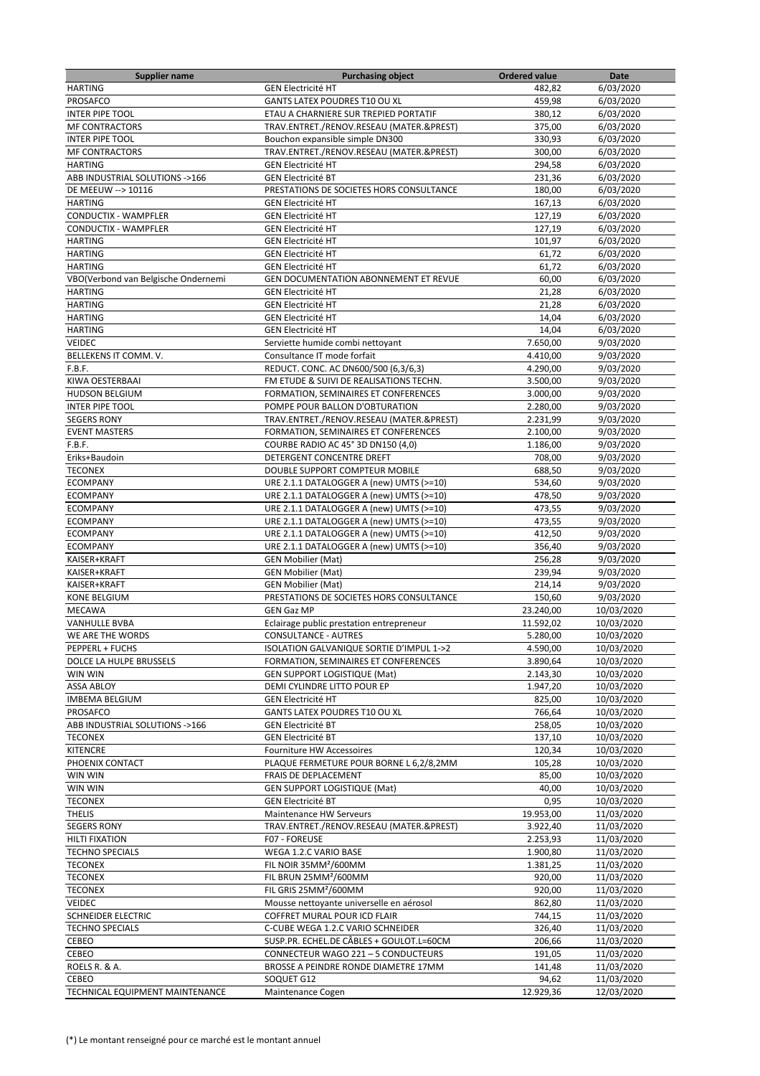| <b>Supplier name</b>                | <b>Purchasing object</b>                 | <b>Ordered value</b> | Date                   |
|-------------------------------------|------------------------------------------|----------------------|------------------------|
| <b>HARTING</b>                      | <b>GEN Electricité HT</b>                | 482,82               | 6/03/2020              |
| PROSAFCO                            | <b>GANTS LATEX POUDRES T10 OU XL</b>     | 459,98               | 6/03/2020              |
| <b>INTER PIPE TOOL</b>              | ETAU A CHARNIERE SUR TREPIED PORTATIF    | 380,12               | 6/03/2020              |
| <b>MF CONTRACTORS</b>               | TRAV.ENTRET./RENOV.RESEAU (MATER.&PREST) | 375,00               | 6/03/2020              |
| <b>INTER PIPE TOOL</b>              | Bouchon expansible simple DN300          | 330,93               | 6/03/2020              |
| <b>MF CONTRACTORS</b>               | TRAV.ENTRET./RENOV.RESEAU (MATER.&PREST) | 300.00               | 6/03/2020              |
| <b>HARTING</b>                      | <b>GEN Electricité HT</b>                | 294,58               | 6/03/2020              |
| ABB INDUSTRIAL SOLUTIONS ->166      | <b>GEN Electricité BT</b>                | 231,36               | 6/03/2020              |
| DE MEEUW --> 10116                  | PRESTATIONS DE SOCIETES HORS CONSULTANCE | 180,00               | 6/03/2020              |
| <b>HARTING</b>                      | <b>GEN Electricité HT</b>                | 167,13               | 6/03/2020              |
| CONDUCTIX - WAMPFLER                | <b>GEN Electricité HT</b>                | 127,19               | 6/03/2020              |
| CONDUCTIX - WAMPFLER                | <b>GEN Electricité HT</b>                | 127,19               | 6/03/2020              |
| <b>HARTING</b>                      | <b>GEN Electricité HT</b>                | 101,97               | 6/03/2020              |
| <b>HARTING</b>                      | <b>GEN Electricité HT</b>                | 61,72                | 6/03/2020              |
| <b>HARTING</b>                      | <b>GEN Electricité HT</b>                | 61,72                | 6/03/2020              |
| VBO(Verbond van Belgische Ondernemi | GEN DOCUMENTATION ABONNEMENT ET REVUE    | 60,00                | 6/03/2020              |
| <b>HARTING</b>                      | <b>GEN Electricité HT</b>                | 21,28                | 6/03/2020              |
| <b>HARTING</b>                      | <b>GEN Electricité HT</b>                | 21,28                | 6/03/2020              |
| <b>HARTING</b>                      | <b>GEN Electricité HT</b>                | 14,04                | 6/03/2020              |
| <b>HARTING</b>                      | <b>GEN Electricité HT</b>                | 14,04                | 6/03/2020              |
| VEIDEC                              | Serviette humide combi nettoyant         | 7.650,00             | 9/03/2020              |
| BELLEKENS IT COMM. V.               | Consultance IT mode forfait              | 4.410,00             | $\frac{1}{9}$ /03/2020 |
| F.B.F.                              | REDUCT. CONC. AC DN600/500 (6,3/6,3)     | 4.290.00             | 9/03/2020              |
| KIWA OESTERBAAI                     | FM ETUDE & SUIVI DE REALISATIONS TECHN.  | 3.500,00             | 9/03/2020              |
| <b>HUDSON BELGIUM</b>               | FORMATION, SEMINAIRES ET CONFERENCES     | 3.000,00             | 9/03/2020              |
| <b>INTER PIPE TOOL</b>              | POMPE POUR BALLON D'OBTURATION           | 2.280,00             | 9/03/2020              |
| <b>SEGERS RONY</b>                  | TRAV.ENTRET./RENOV.RESEAU (MATER.&PREST) | 2.231,99             | 9/03/2020              |
| <b>EVENT MASTERS</b>                | FORMATION, SEMINAIRES ET CONFERENCES     | 2.100,00             | 9/03/2020              |
| F.B.F.                              | COURBE RADIO AC 45° 3D DN150 (4,0)       | 1.186,00             | 9/03/2020              |
| Eriks+Baudoin                       | DETERGENT CONCENTRE DREFT                | 708,00               | 9/03/2020              |
| <b>TECONEX</b>                      | DOUBLE SUPPORT COMPTEUR MOBILE           | 688,50               | 9/03/2020              |
| <b>ECOMPANY</b>                     | URE 2.1.1 DATALOGGER A (new) UMTS (>=10) | 534,60               | 9/03/2020              |
| <b>ECOMPANY</b>                     | URE 2.1.1 DATALOGGER A (new) UMTS (>=10) | 478,50               | 9/03/2020              |
| <b>ECOMPANY</b>                     | URE 2.1.1 DATALOGGER A (new) UMTS (>=10) | 473,55               | 9/03/2020              |
| <b>ECOMPANY</b>                     | URE 2.1.1 DATALOGGER A (new) UMTS (>=10) | 473,55               | 9/03/2020              |
| <b>ECOMPANY</b>                     | URE 2.1.1 DATALOGGER A (new) UMTS (>=10) | 412,50               | 9/03/2020              |
| <b>ECOMPANY</b>                     | URE 2.1.1 DATALOGGER A (new) UMTS (>=10) | 356,40               | 9/03/2020              |
| KAISER+KRAFT                        | <b>GEN Mobilier (Mat)</b>                | 256,28               | 9/03/2020              |
| KAISER+KRAFT                        | <b>GEN Mobilier (Mat)</b>                | 239,94               | 9/03/2020              |
| KAISER+KRAFT                        | <b>GEN Mobilier (Mat)</b>                | 214,14               | 9/03/2020              |
| <b>KONE BELGIUM</b>                 | PRESTATIONS DE SOCIETES HORS CONSULTANCE | 150,60               | 9/03/2020              |
| <b>MECAWA</b>                       | <b>GEN Gaz MP</b>                        | 23.240,00            | 10/03/2020             |
| <b>VANHULLE BVBA</b>                | Eclairage public prestation entrepreneur | 11.592,02            | 10/03/2020             |
| WE ARE THE WORDS                    | <b>CONSULTANCE - AUTRES</b>              | 5.280,00             | 10/03/2020             |
| PEPPERL + FUCHS                     | ISOLATION GALVANIQUE SORTIE D'IMPUL 1->2 | 4.590,00             | 10/03/2020             |
| DOLCE LA HULPE BRUSSELS             | FORMATION, SEMINAIRES ET CONFERENCES     | 3.890,64             | 10/03/2020             |
| WIN WIN                             | <b>GEN SUPPORT LOGISTIQUE (Mat)</b>      | 2.143,30             | 10/03/2020             |
| <b>ASSA ABLOY</b>                   | DEMI CYLINDRE LITTO POUR EP              | 1.947,20             | 10/03/2020             |
| <b>IMBEMA BELGIUM</b>               | <b>GEN Electricité HT</b>                | 825,00               | 10/03/2020             |
| PROSAFCO                            | GANTS LATEX POUDRES T10 OU XL            | 766,64               | 10/03/2020             |
| ABB INDUSTRIAL SOLUTIONS ->166      | <b>GEN Electricité BT</b>                | 258,05               | 10/03/2020             |
| <b>TECONEX</b>                      | <b>GEN Electricité BT</b>                | 137,10               | 10/03/2020             |
| <b>KITENCRE</b>                     | Fourniture HW Accessoires                | 120,34               | 10/03/2020             |
| PHOENIX CONTACT                     | PLAQUE FERMETURE POUR BORNE L 6,2/8,2MM  | 105,28               | 10/03/2020             |
| WIN WIN                             | FRAIS DE DEPLACEMENT                     | 85,00                | 10/03/2020             |
| WIN WIN                             | <b>GEN SUPPORT LOGISTIQUE (Mat)</b>      | 40,00                | 10/03/2020             |
| <b>TECONEX</b>                      | <b>GEN Electricité BT</b>                | 0,95                 | 10/03/2020             |
| <b>THELIS</b>                       | Maintenance HW Serveurs                  | 19.953,00            | 11/03/2020             |
| <b>SEGERS RONY</b>                  | TRAV.ENTRET./RENOV.RESEAU (MATER.&PREST) | 3.922,40             | 11/03/2020             |
| <b>HILTI FIXATION</b>               | F07 - FOREUSE                            | 2.253,93             | 11/03/2020             |
| <b>TECHNO SPECIALS</b>              | WEGA 1.2.C VARIO BASE                    | 1.900,80             | 11/03/2020             |
| <b>TECONEX</b>                      | FIL NOIR 35MM <sup>2</sup> /600MM        | 1.381,25             | 11/03/2020             |
| <b>TECONEX</b>                      | FIL BRUN 25MM <sup>2</sup> /600MM        | 920,00               | 11/03/2020             |
| <b>TECONEX</b>                      | FIL GRIS 25MM <sup>2</sup> /600MM        | 920,00               | 11/03/2020             |
| VEIDEC                              | Mousse nettoyante universelle en aérosol | 862,80               | 11/03/2020             |
| SCHNEIDER ELECTRIC                  | COFFRET MURAL POUR ICD FLAIR             | 744,15               | 11/03/2020             |
| <b>TECHNO SPECIALS</b>              | C-CUBE WEGA 1.2.C VARIO SCHNEIDER        | 326,40               | 11/03/2020             |
| CEBEO                               | SUSP.PR. ECHEL.DE CÂBLES + GOULOT.L=60CM | 206,66               | 11/03/2020             |
| CEBEO                               | CONNECTEUR WAGO 221 - 5 CONDUCTEURS      | 191,05               | 11/03/2020             |
| ROELS R. & A.                       | BROSSE A PEINDRE RONDE DIAMETRE 17MM     | 141,48               | 11/03/2020             |
| CEBEO                               | SOQUET G12                               | 94,62                | 11/03/2020             |
| TECHNICAL EQUIPMENT MAINTENANCE     | Maintenance Cogen                        | 12.929,36            | 12/03/2020             |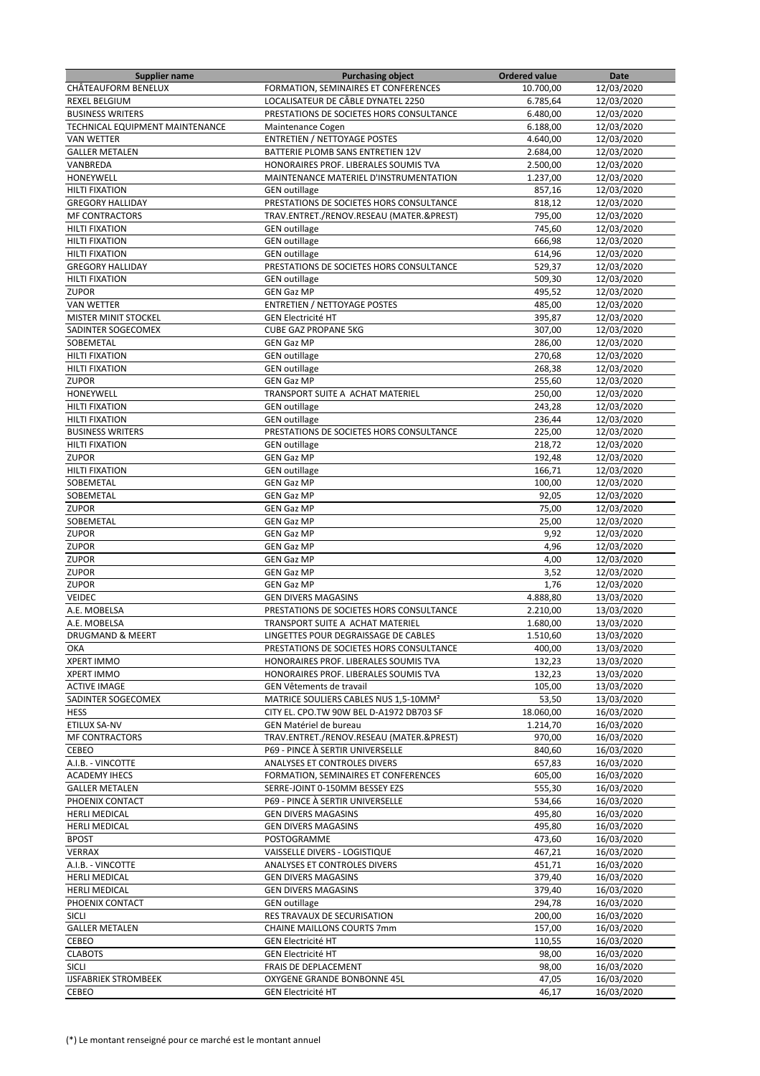| <b>Supplier name</b>                     | <b>Purchasing object</b>                          | <b>Ordered value</b> | Date       |
|------------------------------------------|---------------------------------------------------|----------------------|------------|
| CHÂTEAUFORM BENELUX                      | FORMATION, SEMINAIRES ET CONFERENCES              | 10.700,00            | 12/03/2020 |
| <b>REXEL BELGIUM</b>                     | LOCALISATEUR DE CÂBLE DYNATEL 2250                | 6.785,64             | 12/03/2020 |
| <b>BUSINESS WRITERS</b>                  | PRESTATIONS DE SOCIETES HORS CONSULTANCE          | 6.480,00             | 12/03/2020 |
| TECHNICAL EQUIPMENT MAINTENANCE          | Maintenance Cogen                                 | 6.188,00             | 12/03/2020 |
| <b>VAN WETTER</b>                        | <b>ENTRETIEN / NETTOYAGE POSTES</b>               | 4.640,00             | 12/03/2020 |
| <b>GALLER METALEN</b>                    | BATTERIE PLOMB SANS ENTRETIEN 12V                 | 2.684,00             | 12/03/2020 |
| VANBREDA                                 | HONORAIRES PROF. LIBERALES SOUMIS TVA             | 2.500,00             | 12/03/2020 |
| HONEYWELL                                |                                                   |                      |            |
|                                          | MAINTENANCE MATERIEL D'INSTRUMENTATION            | 1.237,00             | 12/03/2020 |
| <b>HILTI FIXATION</b>                    | <b>GEN</b> outillage                              | 857,16               | 12/03/2020 |
| <b>GREGORY HALLIDAY</b>                  | PRESTATIONS DE SOCIETES HORS CONSULTANCE          | 818,12               | 12/03/2020 |
| <b>MF CONTRACTORS</b>                    | TRAV.ENTRET./RENOV.RESEAU (MATER.&PREST)          | 795,00               | 12/03/2020 |
| <b>HILTI FIXATION</b>                    | <b>GEN</b> outillage                              | 745,60               | 12/03/2020 |
| <b>HILTI FIXATION</b>                    | <b>GEN</b> outillage                              | 666,98               | 12/03/2020 |
| <b>HILTI FIXATION</b>                    | <b>GEN</b> outillage                              | 614,96               | 12/03/2020 |
| <b>GREGORY HALLIDAY</b>                  | PRESTATIONS DE SOCIETES HORS CONSULTANCE          | 529,37               | 12/03/2020 |
| <b>HILTI FIXATION</b>                    | <b>GEN outillage</b>                              | 509,30               | 12/03/2020 |
| <b>ZUPOR</b>                             | <b>GEN Gaz MP</b>                                 | 495,52               | 12/03/2020 |
| <b>VAN WETTER</b>                        | <b>ENTRETIEN / NETTOYAGE POSTES</b>               | 485,00               | 12/03/2020 |
| MISTER MINIT STOCKEL                     | <b>GEN Electricité HT</b>                         | 395,87               | 12/03/2020 |
| SADINTER SOGECOMEX                       | <b>CUBE GAZ PROPANE 5KG</b>                       | 307,00               | 12/03/2020 |
|                                          |                                                   |                      | 12/03/2020 |
| SOBEMETAL                                | <b>GEN Gaz MP</b>                                 | 286,00               |            |
| <b>HILTI FIXATION</b>                    | <b>GEN</b> outillage                              | 270,68               | 12/03/2020 |
| <b>HILTI FIXATION</b>                    | <b>GEN</b> outillage                              | 268,38               | 12/03/2020 |
| <b>ZUPOR</b>                             | <b>GEN Gaz MP</b>                                 | 255,60               | 12/03/2020 |
| HONEYWELL                                | TRANSPORT SUITE A ACHAT MATERIEL                  | 250,00               | 12/03/2020 |
| <b>HILTI FIXATION</b>                    | <b>GEN</b> outillage                              | 243,28               | 12/03/2020 |
| <b>HILTI FIXATION</b>                    | <b>GEN outillage</b>                              | 236,44               | 12/03/2020 |
| <b>BUSINESS WRITERS</b>                  | PRESTATIONS DE SOCIETES HORS CONSULTANCE          | 225,00               | 12/03/2020 |
| <b>HILTI FIXATION</b>                    | <b>GEN outillage</b>                              | 218,72               | 12/03/2020 |
| <b>ZUPOR</b>                             | <b>GEN Gaz MP</b>                                 | 192,48               | 12/03/2020 |
| <b>HILTI FIXATION</b>                    | <b>GEN</b> outillage                              | 166,71               | 12/03/2020 |
| SOBEMETAL                                | <b>GEN Gaz MP</b>                                 | 100,00               | 12/03/2020 |
| SOBEMETAL                                | <b>GEN Gaz MP</b>                                 | 92,05                | 12/03/2020 |
|                                          |                                                   |                      |            |
| <b>ZUPOR</b>                             | <b>GEN Gaz MP</b>                                 | 75,00                | 12/03/2020 |
| SOBEMETAL                                | <b>GEN Gaz MP</b>                                 | 25,00                | 12/03/2020 |
| <b>ZUPOR</b>                             | <b>GEN Gaz MP</b>                                 | 9,92                 | 12/03/2020 |
| <b>ZUPOR</b>                             | <b>GEN Gaz MP</b>                                 | 4,96                 | 12/03/2020 |
| <b>ZUPOR</b>                             | <b>GEN Gaz MP</b>                                 | 4,00                 | 12/03/2020 |
| <b>ZUPOR</b>                             | <b>GEN Gaz MP</b>                                 | 3,52                 | 12/03/2020 |
| <b>ZUPOR</b>                             | <b>GEN Gaz MP</b>                                 | 1,76                 | 12/03/2020 |
| VEIDEC                                   | <b>GEN DIVERS MAGASINS</b>                        | 4.888,80             | 13/03/2020 |
| A.E. MOBELSA                             | PRESTATIONS DE SOCIETES HORS CONSULTANCE          | 2.210,00             | 13/03/2020 |
| A.E. MOBELSA                             | TRANSPORT SUITE A ACHAT MATERIEL                  | 1.680,00             | 13/03/2020 |
| DRUGMAND & MEERT                         | LINGETTES POUR DEGRAISSAGE DE CABLES              | 1.510,60             | 13/03/2020 |
| ОКА                                      | PRESTATIONS DE SOCIETES HORS CONSULTANCE          | 400,00               | 13/03/2020 |
| <b>XPERT IMMO</b>                        | HONORAIRES PROF. LIBERALES SOUMIS TVA             | 132,23               | 13/03/2020 |
|                                          |                                                   |                      |            |
| <b>XPERT IMMO</b><br><b>ACTIVE IMAGE</b> | HONORAIRES PROF. LIBERALES SOUMIS TVA             | 132,23               | 13/03/2020 |
|                                          | GEN Vêtements de travail                          | 105,00               | 13/03/2020 |
| SADINTER SOGECOMEX                       | MATRICE SOULIERS CABLES NUS 1,5-10MM <sup>2</sup> | 53,50                | 13/03/2020 |
| <b>HESS</b>                              | CITY EL. CPO.TW 90W BEL D-A1972 DB703 SF          | 18.060,00            | 16/03/2020 |
| ETILUX SA-NV                             | GEN Matériel de bureau                            | 1.214,70             | 16/03/2020 |
| <b>MF CONTRACTORS</b>                    | TRAV.ENTRET./RENOV.RESEAU (MATER.&PREST)          | 970,00               | 16/03/2020 |
| CEBEO                                    | P69 - PINCE À SERTIR UNIVERSELLE                  | 840,60               | 16/03/2020 |
| A.I.B. - VINCOTTE                        | ANALYSES ET CONTROLES DIVERS                      | 657,83               | 16/03/2020 |
| <b>ACADEMY IHECS</b>                     | FORMATION, SEMINAIRES ET CONFERENCES              | 605,00               | 16/03/2020 |
| <b>GALLER METALEN</b>                    | SERRE-JOINT 0-150MM BESSEY EZS                    | 555,30               | 16/03/2020 |
| PHOENIX CONTACT                          | P69 - PINCE À SERTIR UNIVERSELLE                  | 534,66               | 16/03/2020 |
| <b>HERLI MEDICAL</b>                     | <b>GEN DIVERS MAGASINS</b>                        | 495,80               | 16/03/2020 |
| <b>HERLI MEDICAL</b>                     | <b>GEN DIVERS MAGASINS</b>                        | 495,80               | 16/03/2020 |
| <b>BPOST</b>                             | POSTOGRAMME                                       | 473,60               | 16/03/2020 |
| VERRAX                                   | VAISSELLE DIVERS - LOGISTIQUE                     | 467,21               | 16/03/2020 |
|                                          |                                                   |                      |            |
| A.I.B. - VINCOTTE                        | ANALYSES ET CONTROLES DIVERS                      | 451,71               | 16/03/2020 |
| <b>HERLI MEDICAL</b>                     | <b>GEN DIVERS MAGASINS</b>                        | 379,40               | 16/03/2020 |
| HERLI MEDICAL                            | <b>GEN DIVERS MAGASINS</b>                        | 379,40               | 16/03/2020 |
| PHOENIX CONTACT                          | <b>GEN</b> outillage                              | 294,78               | 16/03/2020 |
| <b>SICLI</b>                             | RES TRAVAUX DE SECURISATION                       | 200,00               | 16/03/2020 |
| <b>GALLER METALEN</b>                    | CHAINE MAILLONS COURTS 7mm                        | 157,00               | 16/03/2020 |
| CEBEO                                    | <b>GEN Electricité HT</b>                         | 110,55               | 16/03/2020 |
| <b>CLABOTS</b>                           | <b>GEN Electricité HT</b>                         | 98,00                | 16/03/2020 |
| SICLI                                    | FRAIS DE DEPLACEMENT                              | 98,00                | 16/03/2020 |
| <b>IJSFABRIEK STROMBEEK</b>              | OXYGENE GRANDE BONBONNE 45L                       | 47,05                | 16/03/2020 |
| CEBEO                                    | <b>GEN Electricité HT</b>                         | 46,17                | 16/03/2020 |
|                                          |                                                   |                      |            |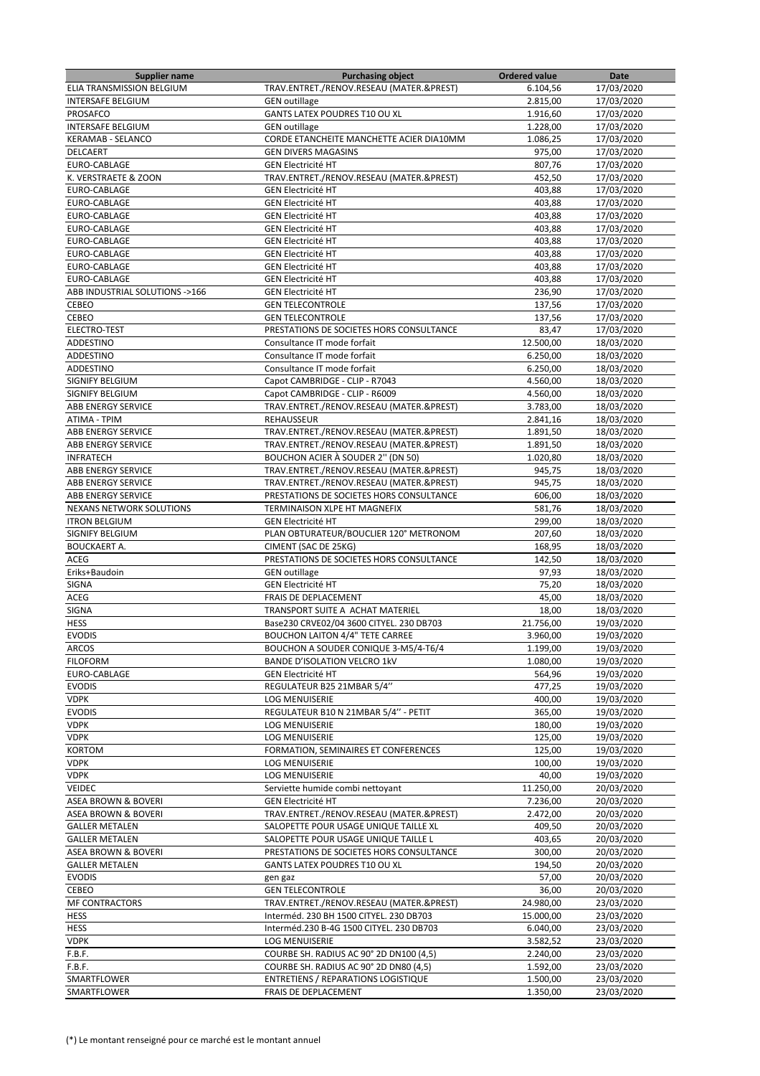| <b>Supplier name</b>           | <b>Purchasing object</b>                 | <b>Ordered value</b> | Date       |
|--------------------------------|------------------------------------------|----------------------|------------|
| ELIA TRANSMISSION BELGIUM      | TRAV.ENTRET./RENOV.RESEAU (MATER.&PREST) | 6.104,56             | 17/03/2020 |
| <b>INTERSAFE BELGIUM</b>       | <b>GEN outillage</b>                     | 2.815,00             | 17/03/2020 |
| PROSAFCO                       | GANTS LATEX POUDRES T10 OU XL            | 1.916,60             | 17/03/2020 |
| <b>INTERSAFE BELGIUM</b>       | <b>GEN</b> outillage                     | 1.228,00             | 17/03/2020 |
|                                |                                          |                      |            |
| <b>KERAMAB - SELANCO</b>       | CORDE ETANCHEITE MANCHETTE ACIER DIA10MM | 1.086,25             | 17/03/2020 |
| DELCAERT                       | <b>GEN DIVERS MAGASINS</b>               | 975,00               | 17/03/2020 |
| EURO-CABLAGE                   | <b>GEN Electricité HT</b>                | 807,76               | 17/03/2020 |
| K. VERSTRAETE & ZOON           | TRAV.ENTRET./RENOV.RESEAU (MATER.&PREST) | 452,50               | 17/03/2020 |
| EURO-CABLAGE                   | <b>GEN Electricité HT</b>                | 403,88               | 17/03/2020 |
| EURO-CABLAGE                   | <b>GEN Electricité HT</b>                | 403,88               | 17/03/2020 |
| <b>EURO-CABLAGE</b>            | <b>GEN Electricité HT</b>                | 403,88               | 17/03/2020 |
| EURO-CABLAGE                   | <b>GEN Electricité HT</b>                | 403,88               | 17/03/2020 |
| EURO-CABLAGE                   | <b>GEN Electricité HT</b>                |                      | 17/03/2020 |
|                                |                                          | 403,88               |            |
| EURO-CABLAGE                   | <b>GEN Electricité HT</b>                | 403,88               | 17/03/2020 |
| EURO-CABLAGE                   | <b>GEN Electricité HT</b>                | 403,88               | 17/03/2020 |
| EURO-CABLAGE                   | <b>GEN Electricité HT</b>                | 403,88               | 17/03/2020 |
| ABB INDUSTRIAL SOLUTIONS ->166 | <b>GEN Electricité HT</b>                | 236,90               | 17/03/2020 |
| CEBEO                          | <b>GEN TELECONTROLE</b>                  | 137,56               | 17/03/2020 |
| CEBEO                          | <b>GEN TELECONTROLE</b>                  | 137,56               | 17/03/2020 |
| ELECTRO-TEST                   | PRESTATIONS DE SOCIETES HORS CONSULTANCE | 83,47                | 17/03/2020 |
| ADDESTINO                      |                                          |                      | 18/03/2020 |
|                                | Consultance IT mode forfait              | 12.500,00            |            |
| ADDESTINO                      | Consultance IT mode forfait              | 6.250,00             | 18/03/2020 |
| ADDESTINO                      | Consultance IT mode forfait              | 6.250,00             | 18/03/2020 |
| SIGNIFY BELGIUM                | Capot CAMBRIDGE - CLIP - R7043           | 4.560,00             | 18/03/2020 |
| <b>SIGNIFY BELGIUM</b>         | Capot CAMBRIDGE - CLIP - R6009           | 4.560,00             | 18/03/2020 |
| ABB ENERGY SERVICE             | TRAV.ENTRET./RENOV.RESEAU (MATER.&PREST) | 3.783,00             | 18/03/2020 |
| ATIMA - TPIM                   | <b>REHAUSSEUR</b>                        | 2.841,16             | 18/03/2020 |
| <b>ABB ENERGY SERVICE</b>      | TRAV.ENTRET./RENOV.RESEAU (MATER.&PREST) | 1.891,50             | 18/03/2020 |
| ABB ENERGY SERVICE             | TRAV.ENTRET./RENOV.RESEAU (MATER.&PREST) | 1.891,50             | 18/03/2020 |
|                                |                                          |                      |            |
| <b>INFRATECH</b>               | <b>BOUCHON ACIER À SOUDER 2" (DN 50)</b> | 1.020,80             | 18/03/2020 |
| ABB ENERGY SERVICE             | TRAV.ENTRET./RENOV.RESEAU (MATER.&PREST) | 945,75               | 18/03/2020 |
| <b>ABB ENERGY SERVICE</b>      | TRAV.ENTRET./RENOV.RESEAU (MATER.&PREST) | 945,75               | 18/03/2020 |
| <b>ABB ENERGY SERVICE</b>      | PRESTATIONS DE SOCIETES HORS CONSULTANCE | 606,00               | 18/03/2020 |
| NEXANS NETWORK SOLUTIONS       | TERMINAISON XLPE HT MAGNEFIX             | 581,76               | 18/03/2020 |
| <b>ITRON BELGIUM</b>           | <b>GEN Electricité HT</b>                | 299,00               | 18/03/2020 |
| SIGNIFY BELGIUM                | PLAN OBTURATEUR/BOUCLIER 120° METRONOM   | 207,60               | 18/03/2020 |
| <b>BOUCKAERT A.</b>            | CIMENT (SAC DE 25KG)                     | 168,95               | 18/03/2020 |
|                                |                                          |                      |            |
| ACEG                           | PRESTATIONS DE SOCIETES HORS CONSULTANCE | 142,50               | 18/03/2020 |
| Eriks+Baudoin                  | <b>GEN outillage</b>                     | 97,93                | 18/03/2020 |
| <b>SIGNA</b>                   | <b>GEN Electricité HT</b>                | 75,20                | 18/03/2020 |
| ACEG                           | FRAIS DE DEPLACEMENT                     | 45,00                | 18/03/2020 |
| SIGNA                          | TRANSPORT SUITE A ACHAT MATERIEL         | 18,00                | 18/03/2020 |
| <b>HESS</b>                    | Base230 CRVE02/04 3600 CITYEL. 230 DB703 | 21.756,00            | 19/03/2020 |
| <b>EVODIS</b>                  | <b>BOUCHON LAITON 4/4" TETE CARREE</b>   | 3.960,00             | 19/03/2020 |
| ARCOS                          | BOUCHON A SOUDER CONIQUE 3-M5/4-T6/4     | 1.199,00             | 19/03/2020 |
|                                | <b>BANDE D'ISOLATION VELCRO 1kV</b>      |                      | 19/03/2020 |
| <b>FILOFORM</b>                |                                          | 1.080,00             |            |
| EURO-CABLAGE                   | <b>GEN Electricité HT</b>                | 564,96               | 19/03/2020 |
| <b>EVODIS</b>                  | REGULATEUR B25 21MBAR 5/4"               | 477,25               | 19/03/2020 |
| <b>VDPK</b>                    | LOG MENUISERIE                           | 400,00               | 19/03/2020 |
| <b>EVODIS</b>                  | REGULATEUR B10 N 21MBAR 5/4" - PETIT     | 365,00               | 19/03/2020 |
| <b>VDPK</b>                    | <b>LOG MENUISERIE</b>                    | 180,00               | 19/03/2020 |
| <b>VDPK</b>                    | LOG MENUISERIE                           | 125,00               | 19/03/2020 |
| <b>KORTOM</b>                  | FORMATION, SEMINAIRES ET CONFERENCES     | 125,00               | 19/03/2020 |
| <b>VDPK</b>                    | <b>LOG MENUISERIE</b>                    | 100,00               | 19/03/2020 |
| <b>VDPK</b>                    |                                          |                      |            |
|                                | <b>LOG MENUISERIE</b>                    | 40,00                | 19/03/2020 |
| <b>VEIDEC</b>                  | Serviette humide combi nettoyant         | 11.250,00            | 20/03/2020 |
| <b>ASEA BROWN &amp; BOVERI</b> | <b>GEN Electricité HT</b>                | 7.236,00             | 20/03/2020 |
| ASEA BROWN & BOVERI            | TRAV.ENTRET./RENOV.RESEAU (MATER.&PREST) | 2.472,00             | 20/03/2020 |
| <b>GALLER METALEN</b>          | SALOPETTE POUR USAGE UNIQUE TAILLE XL    | 409,50               | 20/03/2020 |
| <b>GALLER METALEN</b>          | SALOPETTE POUR USAGE UNIQUE TAILLE L     | 403,65               | 20/03/2020 |
| ASEA BROWN & BOVERI            | PRESTATIONS DE SOCIETES HORS CONSULTANCE | 300,00               | 20/03/2020 |
| <b>GALLER METALEN</b>          | GANTS LATEX POUDRES T10 OU XL            | 194,50               | 20/03/2020 |
| <b>EVODIS</b>                  |                                          | 57,00                | 20/03/2020 |
|                                | gen gaz                                  |                      |            |
| CEBEO                          | <b>GEN TELECONTROLE</b>                  | 36,00                | 20/03/2020 |
| <b>MF CONTRACTORS</b>          | TRAV.ENTRET./RENOV.RESEAU (MATER.&PREST) | 24.980,00            | 23/03/2020 |
| <b>HESS</b>                    | Interméd. 230 BH 1500 CITYEL. 230 DB703  | 15.000,00            | 23/03/2020 |
| <b>HESS</b>                    | Interméd.230 B-4G 1500 CITYEL. 230 DB703 | 6.040,00             | 23/03/2020 |
| <b>VDPK</b>                    | LOG MENUISERIE                           | 3.582,52             | 23/03/2020 |
| F.B.F.                         | COURBE SH. RADIUS AC 90° 2D DN100 (4,5)  | 2.240,00             | 23/03/2020 |
| F.B.F.                         | COURBE SH. RADIUS AC 90° 2D DN80 (4,5)   | 1.592,00             | 23/03/2020 |
| SMARTFLOWER                    | ENTRETIENS / REPARATIONS LOGISTIQUE      | 1.500,00             | 23/03/2020 |
|                                |                                          |                      |            |
| SMARTFLOWER                    | FRAIS DE DEPLACEMENT                     | 1.350,00             | 23/03/2020 |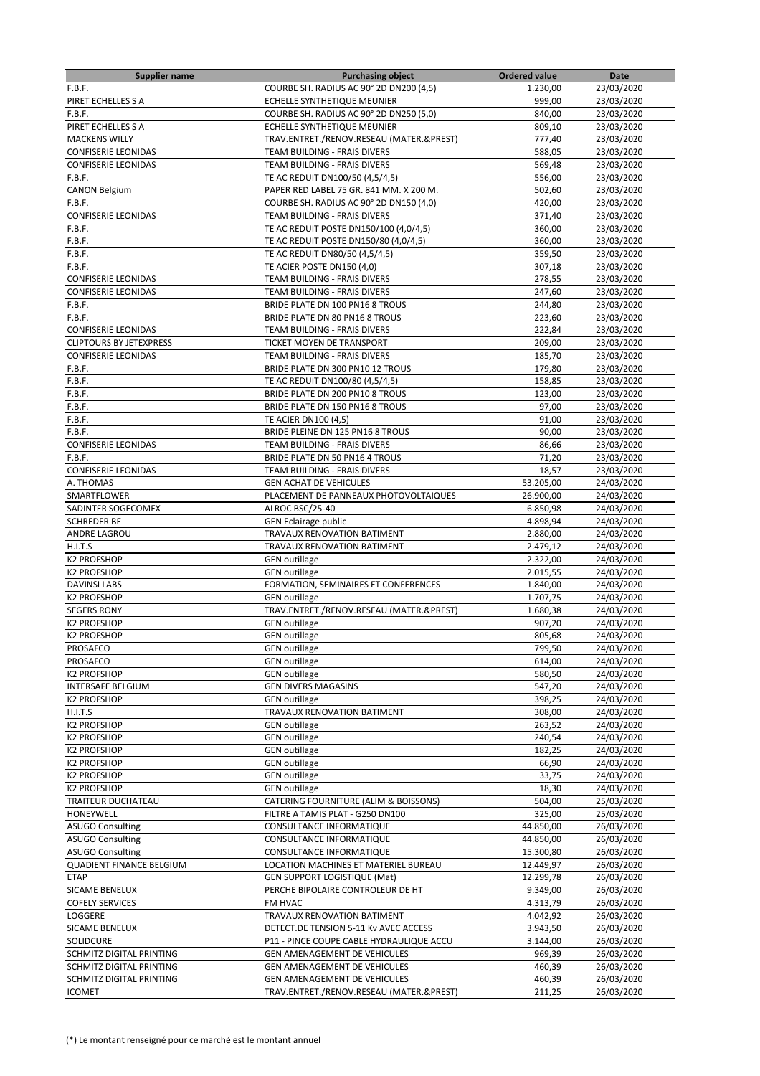| <b>Supplier name</b>            | <b>Purchasing object</b>                 | <b>Ordered value</b> | Date       |
|---------------------------------|------------------------------------------|----------------------|------------|
| F.B.F.                          | COURBE SH. RADIUS AC 90° 2D DN200 (4,5)  | 1.230,00             | 23/03/2020 |
| PIRET ECHELLES S A              | ECHELLE SYNTHETIQUE MEUNIER              | 999,00               | 23/03/2020 |
| F.B.F.                          | COURBE SH. RADIUS AC 90° 2D DN250 (5,0)  | 840,00               | 23/03/2020 |
| PIRET ECHELLES S A              | ECHELLE SYNTHETIQUE MEUNIER              | 809,10               | 23/03/2020 |
| <b>MACKENS WILLY</b>            | TRAV.ENTRET./RENOV.RESEAU (MATER.&PREST) | 777,40               | 23/03/2020 |
| <b>CONFISERIE LEONIDAS</b>      | TEAM BUILDING - FRAIS DIVERS             | 588,05               | 23/03/2020 |
| <b>CONFISERIE LEONIDAS</b>      | TEAM BUILDING - FRAIS DIVERS             | 569,48               | 23/03/2020 |
| F.B.F.                          |                                          |                      |            |
|                                 | TE AC REDUIT DN100/50 (4,5/4,5)          | 556,00               | 23/03/2020 |
| <b>CANON Belgium</b>            | PAPER RED LABEL 75 GR. 841 MM. X 200 M.  | 502,60               | 23/03/2020 |
| F.B.F.                          | COURBE SH. RADIUS AC 90° 2D DN150 (4,0)  | 420,00               | 23/03/2020 |
| <b>CONFISERIE LEONIDAS</b>      | TEAM BUILDING - FRAIS DIVERS             | 371,40               | 23/03/2020 |
| F.B.F.                          | TE AC REDUIT POSTE DN150/100 (4,0/4,5)   | 360,00               | 23/03/2020 |
| F.B.F.                          | TE AC REDUIT POSTE DN150/80 (4,0/4,5)    | 360,00               | 23/03/2020 |
| F.B.F.                          | TE AC REDUIT DN80/50 (4,5/4,5)           | 359,50               | 23/03/2020 |
| F.B.F.                          | TE ACIER POSTE DN150 (4,0)               | 307,18               | 23/03/2020 |
| <b>CONFISERIE LEONIDAS</b>      | TEAM BUILDING - FRAIS DIVERS             | 278,55               | 23/03/2020 |
| <b>CONFISERIE LEONIDAS</b>      | TEAM BUILDING - FRAIS DIVERS             | 247,60               | 23/03/2020 |
| F.B.F.                          | BRIDE PLATE DN 100 PN16 8 TROUS          | 244,80               | 23/03/2020 |
| F.B.F.                          | BRIDE PLATE DN 80 PN16 8 TROUS           | 223,60               | 23/03/2020 |
| <b>CONFISERIE LEONIDAS</b>      | <b>TEAM BUILDING - FRAIS DIVERS</b>      | 222,84               | 23/03/2020 |
| <b>CLIPTOURS BY JETEXPRESS</b>  | TICKET MOYEN DE TRANSPORT                | 209,00               | 23/03/2020 |
|                                 |                                          |                      |            |
| <b>CONFISERIE LEONIDAS</b>      | TEAM BUILDING - FRAIS DIVERS             | 185,70               | 23/03/2020 |
| F.B.F.                          | BRIDE PLATE DN 300 PN10 12 TROUS         | 179,80               | 23/03/2020 |
| F.B.F.                          | TE AC REDUIT DN100/80 (4,5/4,5)          | 158,85               | 23/03/2020 |
| F.B.F.                          | BRIDE PLATE DN 200 PN10 8 TROUS          | 123,00               | 23/03/2020 |
| F.B.F.                          | BRIDE PLATE DN 150 PN16 8 TROUS          | 97,00                | 23/03/2020 |
| F.B.F.                          | TE ACIER DN100 (4,5)                     | 91,00                | 23/03/2020 |
| F.B.F.                          | BRIDE PLEINE DN 125 PN16 8 TROUS         | 90,00                | 23/03/2020 |
| <b>CONFISERIE LEONIDAS</b>      | TEAM BUILDING - FRAIS DIVERS             | 86,66                | 23/03/2020 |
| F.B.F.                          | BRIDE PLATE DN 50 PN16 4 TROUS           | 71,20                | 23/03/2020 |
| <b>CONFISERIE LEONIDAS</b>      | TEAM BUILDING - FRAIS DIVERS             | 18,57                | 23/03/2020 |
| A. THOMAS                       | <b>GEN ACHAT DE VEHICULES</b>            | 53.205,00            | 24/03/2020 |
| SMARTFLOWER                     | PLACEMENT DE PANNEAUX PHOTOVOLTAIQUES    | 26.900,00            | 24/03/2020 |
|                                 |                                          |                      |            |
| SADINTER SOGECOMEX              | ALROC BSC/25-40                          | 6.850,98             | 24/03/2020 |
| <b>SCHREDER BE</b>              | <b>GEN Eclairage public</b>              | 4.898,94             | 24/03/2020 |
| ANDRE LAGROU                    | TRAVAUX RENOVATION BATIMENT              | 2.880,00             | 24/03/2020 |
| H.I.T.S                         | TRAVAUX RENOVATION BATIMENT              | 2.479,12             | 24/03/2020 |
| <b>K2 PROFSHOP</b>              | <b>GEN outillage</b>                     | 2.322,00             | 24/03/2020 |
| <b>K2 PROFSHOP</b>              | <b>GEN outillage</b>                     | 2.015,55             | 24/03/2020 |
| <b>DAVINSI LABS</b>             | FORMATION, SEMINAIRES ET CONFERENCES     | 1.840,00             | 24/03/2020 |
| <b>K2 PROFSHOP</b>              | <b>GEN outillage</b>                     | 1.707,75             | 24/03/2020 |
| <b>SEGERS RONY</b>              | TRAV.ENTRET./RENOV.RESEAU (MATER.&PREST) | 1.680,38             | 24/03/2020 |
| <b>K2 PROFSHOP</b>              | <b>GEN</b> outillage                     | 907,20               | 24/03/2020 |
| <b>K2 PROFSHOP</b>              | <b>GEN outillage</b>                     | 805,68               | 24/03/2020 |
| <b>PROSAFCO</b>                 | <b>GEN</b> outillage                     | 799,50               | 24/03/2020 |
| PROSAFCO                        | <b>GEN</b> outillage                     | 614,00               | 24/03/2020 |
| <b>K2 PROFSHOP</b>              | <b>GEN outillage</b>                     | 580,50               | 24/03/2020 |
| <b>INTERSAFE BELGIUM</b>        | <b>GEN DIVERS MAGASINS</b>               | 547,20               | 24/03/2020 |
|                                 |                                          |                      |            |
| <b>K2 PROFSHOP</b>              | <b>GEN</b> outillage                     | 398,25               | 24/03/2020 |
| H.I.T.S                         | TRAVAUX RENOVATION BATIMENT              | 308,00               | 24/03/2020 |
| <b>K2 PROFSHOP</b>              | <b>GEN outillage</b>                     | 263,52               | 24/03/2020 |
| <b>K2 PROFSHOP</b>              | <b>GEN outillage</b>                     | 240,54               | 24/03/2020 |
| <b>K2 PROFSHOP</b>              | <b>GEN</b> outillage                     | 182,25               | 24/03/2020 |
| <b>K2 PROFSHOP</b>              | <b>GEN outillage</b>                     | 66,90                | 24/03/2020 |
| <b>K2 PROFSHOP</b>              | <b>GEN outillage</b>                     | 33,75                | 24/03/2020 |
| <b>K2 PROFSHOP</b>              | <b>GEN outillage</b>                     | 18,30                | 24/03/2020 |
| TRAITEUR DUCHATEAU              | CATERING FOURNITURE (ALIM & BOISSONS)    | 504,00               | 25/03/2020 |
| HONEYWELL                       | FILTRE A TAMIS PLAT - G250 DN100         | 325,00               | 25/03/2020 |
| <b>ASUGO Consulting</b>         | CONSULTANCE INFORMATIQUE                 | 44.850,00            | 26/03/2020 |
| <b>ASUGO Consulting</b>         | CONSULTANCE INFORMATIQUE                 | 44.850,00            | 26/03/2020 |
| <b>ASUGO Consulting</b>         | CONSULTANCE INFORMATIQUE                 | 15.300,80            | 26/03/2020 |
| <b>QUADIENT FINANCE BELGIUM</b> |                                          |                      |            |
|                                 | LOCATION MACHINES ET MATERIEL BUREAU     | 12.449,97            | 26/03/2020 |
| <b>ETAP</b>                     | <b>GEN SUPPORT LOGISTIQUE (Mat)</b>      | 12.299,78            | 26/03/2020 |
| SICAME BENELUX                  | PERCHE BIPOLAIRE CONTROLEUR DE HT        | 9.349,00             | 26/03/2020 |
| <b>COFELY SERVICES</b>          | FM HVAC                                  | 4.313,79             | 26/03/2020 |
| LOGGERE                         | TRAVAUX RENOVATION BATIMENT              | 4.042,92             | 26/03/2020 |
| SICAME BENELUX                  | DETECT.DE TENSION 5-11 Kv AVEC ACCESS    | 3.943,50             | 26/03/2020 |
| SOLIDCURE                       | P11 - PINCE COUPE CABLE HYDRAULIQUE ACCU | 3.144,00             | 26/03/2020 |
| SCHMITZ DIGITAL PRINTING        | GEN AMENAGEMENT DE VEHICULES             | 969,39               | 26/03/2020 |
| SCHMITZ DIGITAL PRINTING        | GEN AMENAGEMENT DE VEHICULES             | 460,39               | 26/03/2020 |
| SCHMITZ DIGITAL PRINTING        | GEN AMENAGEMENT DE VEHICULES             | 460,39               | 26/03/2020 |
| <b>ICOMET</b>                   | TRAV.ENTRET./RENOV.RESEAU (MATER.&PREST) | 211,25               | 26/03/2020 |
|                                 |                                          |                      |            |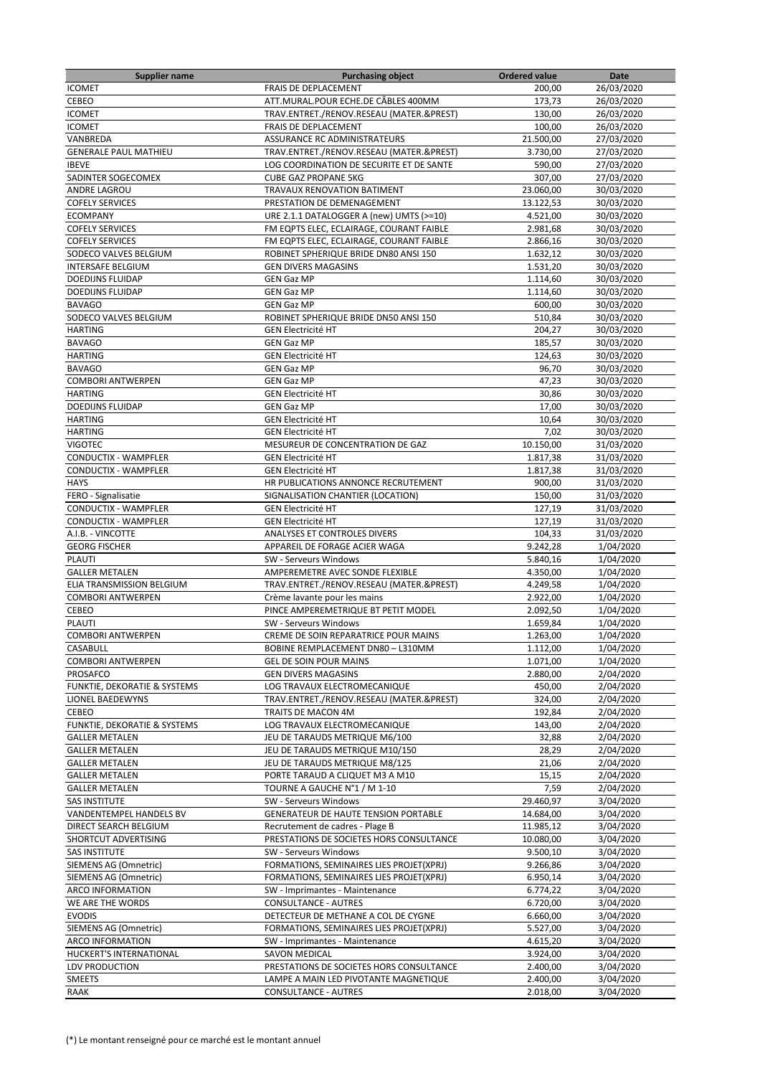| <b>Supplier name</b>                                | <b>Purchasing object</b>                                                   | <b>Ordered value</b> | Date                     |
|-----------------------------------------------------|----------------------------------------------------------------------------|----------------------|--------------------------|
| <b>ICOMET</b>                                       | FRAIS DE DEPLACEMENT                                                       | 200,00               | 26/03/2020               |
| CEBEO                                               | ATT.MURAL.POUR ECHE.DE CÂBLES 400MM                                        | 173,73               | 26/03/2020               |
| <b>ICOMET</b>                                       | TRAV.ENTRET./RENOV.RESEAU (MATER.&PREST)                                   | 130,00               | 26/03/2020               |
| <b>ICOMET</b>                                       | FRAIS DE DEPLACEMENT                                                       | 100,00               | 26/03/2020               |
| VANBREDA                                            | ASSURANCE RC ADMINISTRATEURS                                               | 21.500,00            | 27/03/2020               |
| <b>GENERALE PAUL MATHIEU</b>                        | TRAV.ENTRET./RENOV.RESEAU (MATER.&PREST)                                   | 3.730,00             | 27/03/2020               |
| <b>IBEVE</b>                                        | LOG COORDINATION DE SECURITE ET DE SANTE                                   | 590,00               | 27/03/2020               |
| SADINTER SOGECOMEX                                  | <b>CUBE GAZ PROPANE 5KG</b>                                                | 307,00               | 27/03/2020               |
| ANDRE LAGROU                                        | TRAVAUX RENOVATION BATIMENT                                                | 23.060,00            | 30/03/2020               |
| <b>COFELY SERVICES</b>                              | PRESTATION DE DEMENAGEMENT                                                 | 13.122,53            | 30/03/2020               |
| <b>ECOMPANY</b>                                     | URE 2.1.1 DATALOGGER A (new) UMTS (>=10)                                   | 4.521,00             | 30/03/2020               |
| <b>COFELY SERVICES</b>                              | FM EQPTS ELEC, ECLAIRAGE, COURANT FAIBLE                                   | 2.981,68             | 30/03/2020               |
| <b>COFELY SERVICES</b>                              | FM EQPTS ELEC, ECLAIRAGE, COURANT FAIBLE                                   | 2.866,16             | 30/03/2020               |
| SODECO VALVES BELGIUM                               | ROBINET SPHERIQUE BRIDE DN80 ANSI 150                                      | 1.632,12             | 30/03/2020               |
| <b>INTERSAFE BELGIUM</b>                            | <b>GEN DIVERS MAGASINS</b>                                                 | 1.531,20             | 30/03/2020               |
| <b>DOEDIJNS FLUIDAP</b>                             | <b>GEN Gaz MP</b>                                                          | 1.114,60             | 30/03/2020               |
| <b>DOEDIJNS FLUIDAP</b>                             | <b>GEN Gaz MP</b>                                                          | 1.114,60             | 30/03/2020               |
| <b>BAVAGO</b>                                       | <b>GEN Gaz MP</b>                                                          | 600,00               | 30/03/2020               |
| SODECO VALVES BELGIUM                               | ROBINET SPHERIQUE BRIDE DN50 ANSI 150                                      | 510,84               | 30/03/2020               |
| <b>HARTING</b>                                      | <b>GEN Electricité HT</b>                                                  | 204,27               | 30/03/2020               |
| <b>BAVAGO</b>                                       | <b>GEN Gaz MP</b>                                                          | 185.57               | 30/03/2020               |
| <b>HARTING</b>                                      | <b>GEN Electricité HT</b>                                                  | 124,63               | 30/03/2020               |
| <b>BAVAGO</b>                                       | <b>GEN Gaz MP</b>                                                          | 96,70                | 30/03/2020               |
| <b>COMBORI ANTWERPEN</b>                            | <b>GEN Gaz MP</b>                                                          | 47,23                | 30/03/2020               |
| <b>HARTING</b>                                      | <b>GEN Electricité HT</b>                                                  | 30,86                | 30/03/2020               |
| <b>DOEDIJNS FLUIDAP</b>                             | <b>GEN Gaz MP</b>                                                          | 17,00                | 30/03/2020               |
| <b>HARTING</b>                                      | <b>GEN Electricité HT</b>                                                  | 10,64<br>7,02        | 30/03/2020               |
| <b>HARTING</b><br><b>VIGOTEC</b>                    | <b>GEN Electricité HT</b><br>MESUREUR DE CONCENTRATION DE GAZ              | 10.150,00            | 30/03/2020<br>31/03/2020 |
|                                                     |                                                                            |                      |                          |
| CONDUCTIX - WAMPFLER<br><b>CONDUCTIX - WAMPFLER</b> | <b>GEN Electricité HT</b><br><b>GEN Electricité HT</b>                     | 1.817,38<br>1.817,38 | 31/03/2020               |
| <b>HAYS</b>                                         | HR PUBLICATIONS ANNONCE RECRUTEMENT                                        | 900,00               | 31/03/2020<br>31/03/2020 |
| FERO - Signalisatie                                 | SIGNALISATION CHANTIER (LOCATION)                                          | 150,00               | 31/03/2020               |
| <b>CONDUCTIX - WAMPFLER</b>                         | <b>GEN Electricité HT</b>                                                  | 127,19               | 31/03/2020               |
| CONDUCTIX - WAMPFLER                                | <b>GEN Electricité HT</b>                                                  | 127,19               | 31/03/2020               |
| A.I.B. - VINCOTTE                                   | ANALYSES ET CONTROLES DIVERS                                               | 104,33               | 31/03/2020               |
| <b>GEORG FISCHER</b>                                | APPAREIL DE FORAGE ACIER WAGA                                              | 9.242,28             | 1/04/2020                |
| <b>PLAUTI</b>                                       | SW - Serveurs Windows                                                      | 5.840,16             | 1/04/2020                |
| <b>GALLER METALEN</b>                               | AMPEREMETRE AVEC SONDE FLEXIBLE                                            | 4.350,00             | 1/04/2020                |
| ELIA TRANSMISSION BELGIUM                           | TRAV.ENTRET./RENOV.RESEAU (MATER.&PREST)                                   | 4.249,58             | 1/04/2020                |
| <b>COMBORI ANTWERPEN</b>                            | Crème lavante pour les mains                                               | 2.922,00             | 1/04/2020                |
| CEBEO                                               | PINCE AMPEREMETRIQUE BT PETIT MODEL                                        | 2.092,50             | 1/04/2020                |
| <b>PLAUTI</b>                                       | SW - Serveurs Windows                                                      | 1.659,84             | 1/04/2020                |
| <b>COMBORI ANTWERPEN</b>                            | CREME DE SOIN REPARATRICE POUR MAINS                                       | 1.263,00             | 1/04/2020                |
| CASABULL                                            | BOBINE REMPLACEMENT DN80 - L310MM                                          | 1.112,00             | 1/04/2020                |
| <b>COMBORI ANTWERPEN</b>                            | <b>GEL DE SOIN POUR MAINS</b>                                              | 1.071,00             | 1/04/2020                |
| PROSAFCO                                            | <b>GEN DIVERS MAGASINS</b>                                                 | 2.880,00             | 2/04/2020                |
| FUNKTIE, DEKORATIE & SYSTEMS                        | LOG TRAVAUX ELECTROMECANIQUE                                               | 450,00               | 2/04/2020                |
| LIONEL BAEDEWYNS                                    | TRAV.ENTRET./RENOV.RESEAU (MATER.&PREST)                                   | 324,00               | 2/04/2020                |
| CEBEO                                               | TRAITS DE MACON 4M                                                         | 192,84               | 2/04/2020                |
| FUNKTIE, DEKORATIE & SYSTEMS                        | LOG TRAVAUX ELECTROMECANIQUE                                               | 143,00               | 2/04/2020                |
| <b>GALLER METALEN</b>                               | JEU DE TARAUDS METRIQUE M6/100                                             | 32,88                | 2/04/2020                |
| <b>GALLER METALEN</b>                               | JEU DE TARAUDS METRIQUE M10/150                                            | 28,29                | 2/04/2020                |
| <b>GALLER METALEN</b>                               | JEU DE TARAUDS METRIQUE M8/125                                             | 21,06                | 2/04/2020                |
| <b>GALLER METALEN</b>                               | PORTE TARAUD A CLIQUET M3 A M10                                            | 15,15                | 2/04/2020                |
| <b>GALLER METALEN</b>                               | TOURNE A GAUCHE N°1 / M 1-10                                               | 7,59                 | 2/04/2020                |
| <b>SAS INSTITUTE</b>                                | SW - Serveurs Windows                                                      | 29.460,97            | 3/04/2020                |
| VANDENTEMPEL HANDELS BV                             | GENERATEUR DE HAUTE TENSION PORTABLE                                       | 14.684,00            | 3/04/2020                |
| DIRECT SEARCH BELGIUM                               | Recrutement de cadres - Plage B                                            | 11.985,12            | 3/04/2020                |
| SHORTCUT ADVERTISING                                | PRESTATIONS DE SOCIETES HORS CONSULTANCE                                   | 10.080,00            | 3/04/2020                |
| <b>SAS INSTITUTE</b>                                | SW - Serveurs Windows                                                      | 9.500,10             | 3/04/2020                |
| SIEMENS AG (Omnetric)                               | FORMATIONS, SEMINAIRES LIES PROJET(XPRJ)                                   | 9.266,86             | 3/04/2020                |
| SIEMENS AG (Omnetric)                               | FORMATIONS, SEMINAIRES LIES PROJET(XPRJ)                                   | 6.950,14             | 3/04/2020                |
| ARCO INFORMATION                                    | SW - Imprimantes - Maintenance                                             | 6.774,22             | 3/04/2020                |
| WE ARE THE WORDS                                    | <b>CONSULTANCE - AUTRES</b>                                                | 6.720,00             | 3/04/2020                |
| <b>EVODIS</b>                                       | DETECTEUR DE METHANE A COL DE CYGNE                                        | 6.660,00             | 3/04/2020                |
| SIEMENS AG (Omnetric)<br>ARCO INFORMATION           | FORMATIONS, SEMINAIRES LIES PROJET(XPRJ)<br>SW - Imprimantes - Maintenance | 5.527,00<br>4.615,20 | 3/04/2020<br>3/04/2020   |
| HUCKERT'S INTERNATIONAL                             | SAVON MEDICAL                                                              | 3.924,00             | 3/04/2020                |
| LDV PRODUCTION                                      | PRESTATIONS DE SOCIETES HORS CONSULTANCE                                   | 2.400,00             | 3/04/2020                |
| <b>SMEETS</b>                                       | LAMPE A MAIN LED PIVOTANTE MAGNETIQUE                                      | 2.400,00             | 3/04/2020                |
| <b>RAAK</b>                                         | <b>CONSULTANCE - AUTRES</b>                                                | 2.018,00             | 3/04/2020                |
|                                                     |                                                                            |                      |                          |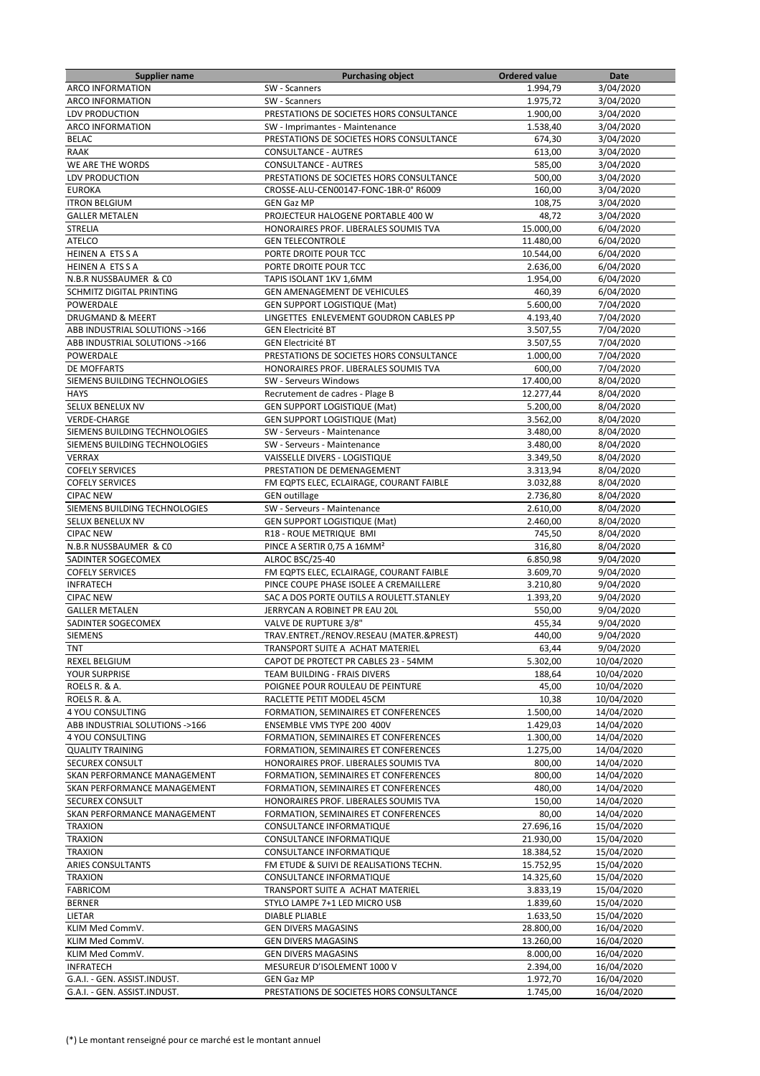| <b>Supplier name</b>           | <b>Purchasing object</b>                  | <b>Ordered value</b> | Date                     |
|--------------------------------|-------------------------------------------|----------------------|--------------------------|
| <b>ARCO INFORMATION</b>        | SW - Scanners                             | 1.994,79             | 3/04/2020                |
| <b>ARCO INFORMATION</b>        | SW - Scanners                             | 1.975,72             | 3/04/2020                |
| LDV PRODUCTION                 | PRESTATIONS DE SOCIETES HORS CONSULTANCE  | 1.900,00             | 3/04/2020                |
| <b>ARCO INFORMATION</b>        | SW - Imprimantes - Maintenance            | 1.538,40             | 3/04/2020                |
| <b>BELAC</b>                   | PRESTATIONS DE SOCIETES HORS CONSULTANCE  | 674,30               | 3/04/2020                |
| RAAK                           | <b>CONSULTANCE - AUTRES</b>               | 613,00               | 3/04/2020                |
| WE ARE THE WORDS               | <b>CONSULTANCE - AUTRES</b>               | 585,00               | 3/04/2020                |
| LDV PRODUCTION                 | PRESTATIONS DE SOCIETES HORS CONSULTANCE  | 500,00               | 3/04/2020                |
| <b>EUROKA</b>                  | CROSSE-ALU-CEN00147-FONC-1BR-0° R6009     | 160,00               | 3/04/2020                |
| <b>ITRON BELGIUM</b>           | <b>GEN Gaz MP</b>                         | 108,75               | 3/04/2020                |
| <b>GALLER METALEN</b>          | PROJECTEUR HALOGENE PORTABLE 400 W        | 48,72                | 3/04/2020                |
| <b>STRELIA</b>                 | HONORAIRES PROF. LIBERALES SOUMIS TVA     | 15.000,00            | 6/04/2020                |
| <b>ATELCO</b>                  | <b>GEN TELECONTROLE</b>                   | 11.480,00            | 6/04/2020                |
| HEINEN A ETS S A               | PORTE DROITE POUR TCC                     | 10.544,00            | 6/04/2020                |
| <b>HEINEN A ETS S A</b>        | PORTE DROITE POUR TCC                     | 2.636,00             | 6/04/2020                |
| N.B.R NUSSBAUMER & CO          |                                           |                      |                          |
|                                | TAPIS ISOLANT 1KV 1,6MM                   | 1.954,00             | 6/04/2020                |
| SCHMITZ DIGITAL PRINTING       | GEN AMENAGEMENT DE VEHICULES              | 460,39               | 6/04/2020                |
| POWERDALE                      | <b>GEN SUPPORT LOGISTIQUE (Mat)</b>       | 5.600,00             | 7/04/2020                |
| <b>DRUGMAND &amp; MEERT</b>    | LINGETTES ENLEVEMENT GOUDRON CABLES PP    | 4.193,40             | 7/04/2020                |
| ABB INDUSTRIAL SOLUTIONS ->166 | <b>GEN Electricité BT</b>                 | 3.507,55             | 7/04/2020                |
| ABB INDUSTRIAL SOLUTIONS ->166 | <b>GEN Electricité BT</b>                 | 3.507,55             | 7/04/2020                |
| POWERDALE                      | PRESTATIONS DE SOCIETES HORS CONSULTANCE  | 1.000,00             | 7/04/2020                |
| DE MOFFARTS                    | HONORAIRES PROF. LIBERALES SOUMIS TVA     | 600,00               | 7/04/2020                |
| SIEMENS BUILDING TECHNOLOGIES  | SW - Serveurs Windows                     | 17.400,00            | 8/04/2020                |
| <b>HAYS</b>                    | Recrutement de cadres - Plage B           | 12.277,44            | 8/04/2020                |
| <b>SELUX BENELUX NV</b>        | <b>GEN SUPPORT LOGISTIQUE (Mat)</b>       | 5.200,00             | 8/04/2020                |
| VERDE-CHARGE                   | <b>GEN SUPPORT LOGISTIQUE (Mat)</b>       | 3.562,00             | 8/04/2020                |
| SIEMENS BUILDING TECHNOLOGIES  | SW - Serveurs - Maintenance               | 3.480,00             | 8/04/2020                |
| SIEMENS BUILDING TECHNOLOGIES  | SW - Serveurs - Maintenance               | 3.480,00             | 8/04/2020                |
| <b>VERRAX</b>                  | VAISSELLE DIVERS - LOGISTIQUE             | 3.349,50             | 8/04/2020                |
| <b>COFELY SERVICES</b>         | PRESTATION DE DEMENAGEMENT                | 3.313,94             | 8/04/2020                |
| <b>COFELY SERVICES</b>         | FM EQPTS ELEC, ECLAIRAGE, COURANT FAIBLE  | 3.032,88             | 8/04/2020                |
| <b>CIPAC NEW</b>               | <b>GEN outillage</b>                      | 2.736,80             | 8/04/2020                |
| SIEMENS BUILDING TECHNOLOGIES  | SW - Serveurs - Maintenance               | 2.610,00             | 8/04/2020                |
| SELUX BENELUX NV               | <b>GEN SUPPORT LOGISTIQUE (Mat)</b>       | 2.460,00             | 8/04/2020                |
| <b>CIPAC NEW</b>               | R18 - ROUE METRIQUE BMI                   | 745,50               | 8/04/2020                |
| N.B.R NUSSBAUMER & CO          | PINCE A SERTIR 0,75 A 16MM <sup>2</sup>   | 316,80               | 8/04/2020                |
| SADINTER SOGECOMEX             | ALROC BSC/25-40                           | 6.850,98             | 9/04/2020                |
| <b>COFELY SERVICES</b>         | FM EQPTS ELEC, ECLAIRAGE, COURANT FAIBLE  | 3.609,70             | 9/04/2020                |
| <b>INFRATECH</b>               | PINCE COUPE PHASE ISOLEE A CREMAILLERE    | 3.210,80             | 9/04/2020                |
| <b>CIPAC NEW</b>               | SAC A DOS PORTE OUTILS A ROULETT. STANLEY | 1.393,20             | 9/04/2020                |
| <b>GALLER METALEN</b>          | JERRYCAN A ROBINET PR EAU 20L             | 550,00               | 9/04/2020                |
| SADINTER SOGECOMEX             | VALVE DE RUPTURE 3/8"                     | 455,34               | 9/04/2020                |
| <b>SIEMENS</b>                 | TRAV.ENTRET./RENOV.RESEAU (MATER.&PREST)  | 440,00               | 9/04/2020                |
| TNT                            | TRANSPORT SUITE A ACHAT MATERIEL          | 63,44                | 9/04/2020                |
| <b>REXEL BELGIUM</b>           | CAPOT DE PROTECT PR CABLES 23 - 54MM      |                      | 10/04/2020               |
|                                |                                           | 5.302,00             |                          |
| YOUR SURPRISE                  | TEAM BUILDING - FRAIS DIVERS              | 188,64               | 10/04/2020<br>10/04/2020 |
| ROELS R. & A.                  | POIGNEE POUR ROULEAU DE PEINTURE          | 45,00                |                          |
| ROELS R. & A.                  | RACLETTE PETIT MODEL 45CM                 | 10,38                | 10/04/2020               |
| 4 YOU CONSULTING               | FORMATION, SEMINAIRES ET CONFERENCES      | 1.500,00             | 14/04/2020               |
| ABB INDUSTRIAL SOLUTIONS ->166 | ENSEMBLE VMS TYPE 200 400V                | 1.429,03             | 14/04/2020               |
| 4 YOU CONSULTING               | FORMATION, SEMINAIRES ET CONFERENCES      | 1.300,00             | 14/04/2020               |
| <b>QUALITY TRAINING</b>        | FORMATION, SEMINAIRES ET CONFERENCES      | 1.275,00             | 14/04/2020               |
| SECUREX CONSULT                | HONORAIRES PROF. LIBERALES SOUMIS TVA     | 800,00               | 14/04/2020               |
| SKAN PERFORMANCE MANAGEMENT    | FORMATION, SEMINAIRES ET CONFERENCES      | 800,00               | 14/04/2020               |
| SKAN PERFORMANCE MANAGEMENT    | FORMATION, SEMINAIRES ET CONFERENCES      | 480,00               | 14/04/2020               |
| SECUREX CONSULT                | HONORAIRES PROF. LIBERALES SOUMIS TVA     | 150,00               | 14/04/2020               |
| SKAN PERFORMANCE MANAGEMENT    | FORMATION, SEMINAIRES ET CONFERENCES      | 80,00                | 14/04/2020               |
| <b>TRAXION</b>                 | CONSULTANCE INFORMATIQUE                  | 27.696,16            | 15/04/2020               |
| <b>TRAXION</b>                 | CONSULTANCE INFORMATIQUE                  | 21.930,00            | 15/04/2020               |
| <b>TRAXION</b>                 | CONSULTANCE INFORMATIQUE                  | 18.384,52            | 15/04/2020               |
| ARIES CONSULTANTS              | FM ETUDE & SUIVI DE REALISATIONS TECHN.   | 15.752,95            | 15/04/2020               |
| <b>TRAXION</b>                 | CONSULTANCE INFORMATIQUE                  | 14.325,60            | 15/04/2020               |
| <b>FABRICOM</b>                | TRANSPORT SUITE A ACHAT MATERIEL          | 3.833,19             | 15/04/2020               |
| <b>BERNER</b>                  | STYLO LAMPE 7+1 LED MICRO USB             | 1.839,60             | 15/04/2020               |
| LIETAR                         | DIABLE PLIABLE                            | 1.633,50             | 15/04/2020               |
| KLIM Med CommV.                | <b>GEN DIVERS MAGASINS</b>                | 28.800,00            | 16/04/2020               |
| KLIM Med CommV.                | <b>GEN DIVERS MAGASINS</b>                | 13.260,00            | 16/04/2020               |
| KLIM Med CommV.                | <b>GEN DIVERS MAGASINS</b>                | 8.000,00             | 16/04/2020               |
| <b>INFRATECH</b>               | MESUREUR D'ISOLEMENT 1000 V               | 2.394,00             | 16/04/2020               |
| G.A.I. - GEN. ASSIST.INDUST.   | <b>GEN Gaz MP</b>                         | 1.972,70             | 16/04/2020               |
| G.A.I. - GEN. ASSIST.INDUST.   | PRESTATIONS DE SOCIETES HORS CONSULTANCE  | 1.745,00             | 16/04/2020               |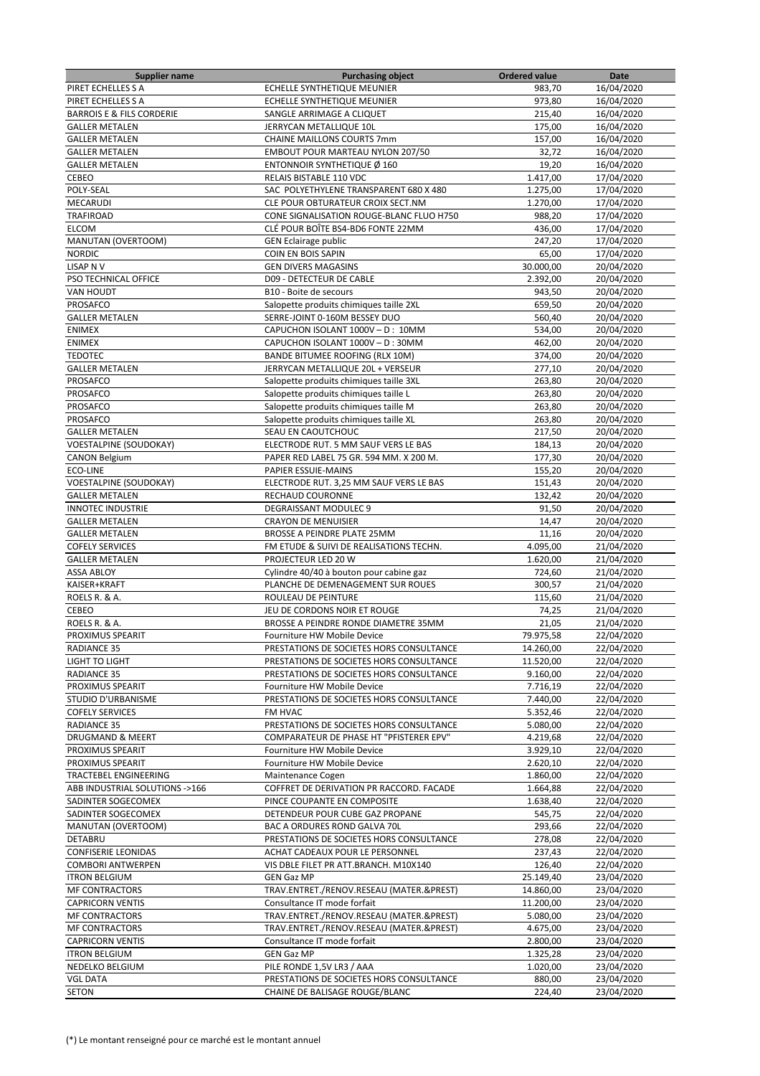| <b>Supplier name</b>                 | <b>Purchasing object</b>                                                | <b>Ordered value</b> | Date       |
|--------------------------------------|-------------------------------------------------------------------------|----------------------|------------|
| PIRET ECHELLES S A                   | ECHELLE SYNTHETIQUE MEUNIER                                             | 983,70               | 16/04/2020 |
| PIRET ECHELLES S A                   | ECHELLE SYNTHETIQUE MEUNIER                                             | 973,80               | 16/04/2020 |
| <b>BARROIS E &amp; FILS CORDERIE</b> | SANGLE ARRIMAGE A CLIQUET                                               | 215,40               | 16/04/2020 |
| <b>GALLER METALEN</b>                | JERRYCAN METALLIQUE 10L                                                 | 175,00               | 16/04/2020 |
| <b>GALLER METALEN</b>                | <b>CHAINE MAILLONS COURTS 7mm</b>                                       | 157,00               | 16/04/2020 |
| <b>GALLER METALEN</b>                | EMBOUT POUR MARTEAU NYLON 207/50                                        | 32,72                | 16/04/2020 |
| <b>GALLER METALEN</b>                | ENTONNOIR SYNTHETIQUE Ø 160                                             | 19,20                | 16/04/2020 |
| CEBEO                                | RELAIS BISTABLE 110 VDC                                                 | 1.417,00             | 17/04/2020 |
| POLY-SEAL                            | SAC POLYETHYLENE TRANSPARENT 680 X 480                                  | 1.275,00             | 17/04/2020 |
| MECARUDI                             | CLE POUR OBTURATEUR CROIX SECT.NM                                       | 1.270,00             | 17/04/2020 |
| TRAFIROAD                            | CONE SIGNALISATION ROUGE-BLANC FLUO H750                                | 988.20               | 17/04/2020 |
| <b>ELCOM</b>                         | CLÉ POUR BOÎTE BS4-BD6 FONTE 22MM                                       | 436,00               | 17/04/2020 |
| <b>MANUTAN (OVERTOOM)</b>            | <b>GEN Eclairage public</b>                                             | 247,20               | 17/04/2020 |
| <b>NORDIC</b>                        | COIN EN BOIS SAPIN                                                      | 65,00                | 17/04/2020 |
| <b>LISAP N V</b>                     | <b>GEN DIVERS MAGASINS</b>                                              | 30.000,00            | 20/04/2020 |
| PSO TECHNICAL OFFICE                 | D09 - DETECTEUR DE CABLE                                                | 2.392,00             | 20/04/2020 |
| <b>VAN HOUDT</b>                     | B10 - Boite de secours                                                  | 943,50               | 20/04/2020 |
| PROSAFCO                             | Salopette produits chimiques taille 2XL                                 | 659,50               | 20/04/2020 |
| <b>GALLER METALEN</b>                | SERRE-JOINT 0-160M BESSEY DUO                                           | 560,40               | 20/04/2020 |
| <b>ENIMEX</b>                        | CAPUCHON ISOLANT 1000V - D: 10MM                                        | 534,00               | 20/04/2020 |
| <b>ENIMEX</b>                        |                                                                         |                      | 20/04/2020 |
|                                      | CAPUCHON ISOLANT 1000V - D: 30MM                                        | 462,00               |            |
| <b>TEDOTEC</b>                       | BANDE BITUMEE ROOFING (RLX 10M)                                         | 374,00               | 20/04/2020 |
| <b>GALLER METALEN</b>                | JERRYCAN METALLIQUE 20L + VERSEUR                                       | 277,10               | 20/04/2020 |
| <b>PROSAFCO</b>                      | Salopette produits chimiques taille 3XL                                 | 263,80               | 20/04/2020 |
| PROSAFCO                             | Salopette produits chimiques taille L                                   | 263,80               | 20/04/2020 |
| <b>PROSAFCO</b>                      | Salopette produits chimiques taille M                                   | 263,80               | 20/04/2020 |
| PROSAFCO                             | Salopette produits chimiques taille XL                                  | 263,80               | 20/04/2020 |
| <b>GALLER METALEN</b>                | SEAU EN CAOUTCHOUC                                                      | 217,50               | 20/04/2020 |
| <b>VOESTALPINE (SOUDOKAY)</b>        | ELECTRODE RUT. 5 MM SAUF VERS LE BAS                                    | 184,13               | 20/04/2020 |
| <b>CANON Belgium</b>                 | PAPER RED LABEL 75 GR. 594 MM. X 200 M.                                 | 177,30               | 20/04/2020 |
| ECO-LINE                             | PAPIER ESSUIE-MAINS                                                     | 155,20               | 20/04/2020 |
| VOESTALPINE (SOUDOKAY)               | ELECTRODE RUT. 3,25 MM SAUF VERS LE BAS                                 | 151,43               | 20/04/2020 |
| <b>GALLER METALEN</b>                | RECHAUD COURONNE                                                        | 132,42               | 20/04/2020 |
| <b>INNOTEC INDUSTRIE</b>             | <b>DEGRAISSANT MODULEC 9</b>                                            | 91,50                | 20/04/2020 |
| <b>GALLER METALEN</b>                | <b>CRAYON DE MENUISIER</b>                                              | 14,47                | 20/04/2020 |
| <b>GALLER METALEN</b>                | BROSSE A PEINDRE PLATE 25MM                                             | 11,16                | 20/04/2020 |
| <b>COFELY SERVICES</b>               | FM ETUDE & SUIVI DE REALISATIONS TECHN.                                 | 4.095,00             | 21/04/2020 |
| <b>GALLER METALEN</b>                | PROJECTEUR LED 20 W                                                     | 1.620,00             | 21/04/2020 |
| <b>ASSA ABLOY</b>                    | Cylindre 40/40 à bouton pour cabine gaz                                 | 724,60               | 21/04/2020 |
| KAISER+KRAFT                         | PLANCHE DE DEMENAGEMENT SUR ROUES                                       | 300,57               | 21/04/2020 |
| ROELS R. & A.                        | ROULEAU DE PEINTURE                                                     | 115,60               | 21/04/2020 |
| CEBEO                                | JEU DE CORDONS NOIR ET ROUGE                                            | 74,25                | 21/04/2020 |
| ROELS R. & A.                        | BROSSE A PEINDRE RONDE DIAMETRE 35MM                                    | 21,05                | 21/04/2020 |
| PROXIMUS SPEARIT                     | Fourniture HW Mobile Device                                             | 79.975,58            | 22/04/2020 |
| RADIANCE 35                          | PRESTATIONS DE SOCIETES HORS CONSULTANCE                                | 14.260,00            | 22/04/2020 |
| LIGHT TO LIGHT                       | PRESTATIONS DE SOCIETES HORS CONSULTANCE                                | 11.520,00            | 22/04/2020 |
| <b>RADIANCE 35</b>                   | PRESTATIONS DE SOCIETES HORS CONSULTANCE                                | 9.160,00             | 22/04/2020 |
| PROXIMUS SPEARIT                     | Fourniture HW Mobile Device                                             | 7.716,19             | 22/04/2020 |
| STUDIO D'URBANISME                   | PRESTATIONS DE SOCIETES HORS CONSULTANCE                                | 7.440,00             | 22/04/2020 |
| <b>COFELY SERVICES</b>               | FM HVAC                                                                 | 5.352,46             | 22/04/2020 |
| <b>RADIANCE 35</b>                   | PRESTATIONS DE SOCIETES HORS CONSULTANCE                                | 5.080,00             | 22/04/2020 |
| <b>DRUGMAND &amp; MEERT</b>          | COMPARATEUR DE PHASE HT "PFISTERER EPV"                                 | 4.219,68             | 22/04/2020 |
| PROXIMUS SPEARIT                     | Fourniture HW Mobile Device                                             | 3.929,10             | 22/04/2020 |
| PROXIMUS SPEARIT                     | Fourniture HW Mobile Device                                             | 2.620,10             | 22/04/2020 |
| TRACTEBEL ENGINEERING                | Maintenance Cogen                                                       | 1.860,00             | 22/04/2020 |
| ABB INDUSTRIAL SOLUTIONS ->166       | COFFRET DE DERIVATION PR RACCORD. FACADE                                | 1.664,88             | 22/04/2020 |
| SADINTER SOGECOMEX                   | PINCE COUPANTE EN COMPOSITE                                             | 1.638,40             | 22/04/2020 |
| SADINTER SOGECOMEX                   | DETENDEUR POUR CUBE GAZ PROPANE                                         | 545,75               | 22/04/2020 |
| MANUTAN (OVERTOOM)                   | BAC A ORDURES ROND GALVA 70L                                            | 293,66               | 22/04/2020 |
| DETABRU                              | PRESTATIONS DE SOCIETES HORS CONSULTANCE                                | 278,08               | 22/04/2020 |
| <b>CONFISERIE LEONIDAS</b>           | ACHAT CADEAUX POUR LE PERSONNEL                                         | 237,43               | 22/04/2020 |
| <b>COMBORI ANTWERPEN</b>             | VIS DBLE FILET PR ATT.BRANCH. M10X140                                   | 126,40               | 22/04/2020 |
| <b>ITRON BELGIUM</b>                 | <b>GEN Gaz MP</b>                                                       | 25.149,40            | 23/04/2020 |
| <b>MF CONTRACTORS</b>                | TRAV.ENTRET./RENOV.RESEAU (MATER.&PREST)                                | 14.860,00            | 23/04/2020 |
| <b>CAPRICORN VENTIS</b>              | Consultance IT mode forfait                                             | 11.200,00            | 23/04/2020 |
| <b>MF CONTRACTORS</b>                | TRAV.ENTRET./RENOV.RESEAU (MATER.&PREST)                                | 5.080,00             | 23/04/2020 |
|                                      |                                                                         |                      | 23/04/2020 |
| <b>MF CONTRACTORS</b>                | TRAV.ENTRET./RENOV.RESEAU (MATER.&PREST)<br>Consultance IT mode forfait | 4.675,00<br>2.800,00 | 23/04/2020 |
| <b>CAPRICORN VENTIS</b>              |                                                                         |                      |            |
| <b>ITRON BELGIUM</b>                 | <b>GEN Gaz MP</b>                                                       | 1.325,28             | 23/04/2020 |
| NEDELKO BELGIUM                      | PILE RONDE 1,5V LR3 / AAA                                               | 1.020,00             | 23/04/2020 |
| <b>VGL DATA</b>                      | PRESTATIONS DE SOCIETES HORS CONSULTANCE                                | 880,00               | 23/04/2020 |
| <b>SETON</b>                         | CHAINE DE BALISAGE ROUGE/BLANC                                          | 224,40               | 23/04/2020 |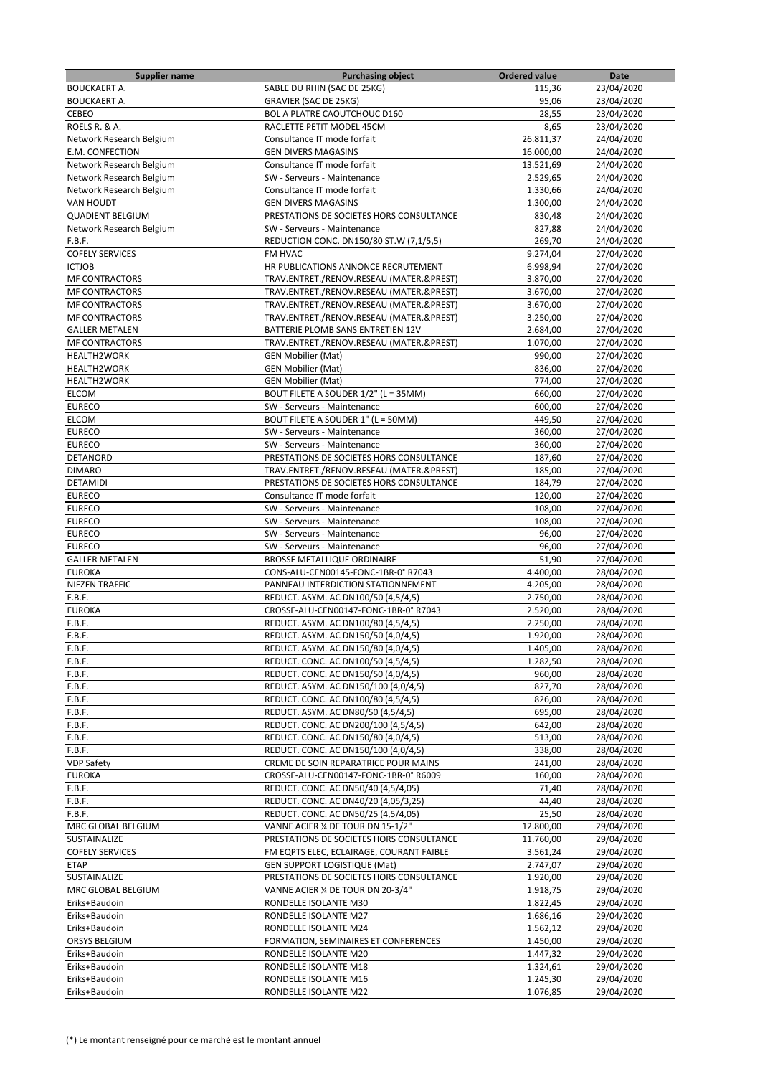| <b>Supplier name</b>     | <b>Purchasing object</b>                 | <b>Ordered value</b> | Date       |
|--------------------------|------------------------------------------|----------------------|------------|
| <b>BOUCKAERT A.</b>      | SABLE DU RHIN (SAC DE 25KG)              | 115,36               | 23/04/2020 |
| <b>BOUCKAERT A.</b>      | GRAVIER (SAC DE 25KG)                    | 95,06                | 23/04/2020 |
| <b>CEBEO</b>             | BOL A PLATRE CAOUTCHOUC D160             | 28,55                | 23/04/2020 |
| ROELS R. & A.            | RACLETTE PETIT MODEL 45CM                | 8,65                 | 23/04/2020 |
| Network Research Belgium | Consultance IT mode forfait              | 26.811,37            | 24/04/2020 |
| E.M. CONFECTION          | <b>GEN DIVERS MAGASINS</b>               | 16.000,00            | 24/04/2020 |
| Network Research Belgium | Consultance IT mode forfait              | 13.521,69            | 24/04/2020 |
| Network Research Belgium | SW - Serveurs - Maintenance              | 2.529,65             | 24/04/2020 |
| Network Research Belgium | Consultance IT mode forfait              | 1.330,66             | 24/04/2020 |
| <b>VAN HOUDT</b>         | <b>GEN DIVERS MAGASINS</b>               | 1.300,00             | 24/04/2020 |
| <b>QUADIENT BELGIUM</b>  | PRESTATIONS DE SOCIETES HORS CONSULTANCE | 830,48               | 24/04/2020 |
| Network Research Belgium | SW - Serveurs - Maintenance              | 827,88               | 24/04/2020 |
| F.B.F.                   | REDUCTION CONC. DN150/80 ST.W (7,1/5,5)  | 269,70               | 24/04/2020 |
| <b>COFELY SERVICES</b>   | FM HVAC                                  | 9.274,04             | 27/04/2020 |
| <b>ICTJOB</b>            | HR PUBLICATIONS ANNONCE RECRUTEMENT      | 6.998,94             | 27/04/2020 |
| <b>MF CONTRACTORS</b>    | TRAV.ENTRET./RENOV.RESEAU (MATER.&PREST) | 3.870,00             | 27/04/2020 |
| <b>MF CONTRACTORS</b>    | TRAV.ENTRET./RENOV.RESEAU (MATER.&PREST) | 3.670,00             | 27/04/2020 |
| <b>MF CONTRACTORS</b>    | TRAV.ENTRET./RENOV.RESEAU (MATER.&PREST) | 3.670,00             | 27/04/2020 |
| <b>MF CONTRACTORS</b>    | TRAV.ENTRET./RENOV.RESEAU (MATER.&PREST) | 3.250,00             | 27/04/2020 |
| <b>GALLER METALEN</b>    | BATTERIE PLOMB SANS ENTRETIEN 12V        | 2.684,00             | 27/04/2020 |
| <b>MF CONTRACTORS</b>    | TRAV.ENTRET./RENOV.RESEAU (MATER.&PREST) | 1.070,00             | 27/04/2020 |
| <b>HEALTH2WORK</b>       | <b>GEN Mobilier (Mat)</b>                | 990,00               | 27/04/2020 |
| <b>HEALTH2WORK</b>       | <b>GEN Mobilier (Mat)</b>                | 836,00               | 27/04/2020 |
| <b>HEALTH2WORK</b>       | <b>GEN Mobilier (Mat)</b>                | 774,00               | 27/04/2020 |
| <b>ELCOM</b>             | BOUT FILETE A SOUDER 1/2" (L = 35MM)     | 660,00               | 27/04/2020 |
| <b>EURECO</b>            | SW - Serveurs - Maintenance              | 600,00               | 27/04/2020 |
| <b>ELCOM</b>             | BOUT FILETE A SOUDER 1" (L = 50MM)       | 449.50               | 27/04/2020 |
| <b>EURECO</b>            | SW - Serveurs - Maintenance              | 360,00               | 27/04/2020 |
| <b>EURECO</b>            | SW - Serveurs - Maintenance              | 360,00               | 27/04/2020 |
| DETANORD                 | PRESTATIONS DE SOCIETES HORS CONSULTANCE | 187,60               | 27/04/2020 |
| <b>DIMARO</b>            | TRAV.ENTRET./RENOV.RESEAU (MATER.&PREST) | 185,00               | 27/04/2020 |
| <b>DETAMIDI</b>          | PRESTATIONS DE SOCIETES HORS CONSULTANCE | 184,79               | 27/04/2020 |
| <b>EURECO</b>            | Consultance IT mode forfait              | 120,00               | 27/04/2020 |
| <b>EURECO</b>            | SW - Serveurs - Maintenance              | 108,00               | 27/04/2020 |
| <b>EURECO</b>            | SW - Serveurs - Maintenance              | 108,00               | 27/04/2020 |
| <b>EURECO</b>            | SW - Serveurs - Maintenance              | 96,00                | 27/04/2020 |
| <b>EURECO</b>            | SW - Serveurs - Maintenance              | 96,00                | 27/04/2020 |
| <b>GALLER METALEN</b>    | BROSSE METALLIQUE ORDINAIRE              | 51,90                | 27/04/2020 |
| <b>EUROKA</b>            | CONS-ALU-CEN00145-FONC-1BR-0° R7043      | 4.400,00             | 28/04/2020 |
| NIEZEN TRAFFIC           | PANNEAU INTERDICTION STATIONNEMENT       | 4.205,00             | 28/04/2020 |
| F.B.F.                   | REDUCT. ASYM. AC DN100/50 (4,5/4,5)      | 2.750,00             | 28/04/2020 |
| <b>EUROKA</b>            | CROSSE-ALU-CEN00147-FONC-1BR-0° R7043    | 2.520,00             | 28/04/2020 |
| F.B.F.                   | REDUCT. ASYM. AC DN100/80 (4,5/4,5)      | 2.250,00             | 28/04/2020 |
| F.B.F.                   | REDUCT. ASYM. AC DN150/50 (4,0/4,5)      | 1.920,00             | 28/04/2020 |
| F.B.F.                   | REDUCT. ASYM. AC DN150/80 (4,0/4,5)      | 1.405,00             | 28/04/2020 |
| F.B.F.                   | REDUCT. CONC. AC DN100/50 (4,5/4,5)      | 1.282,50             | 28/04/2020 |
| F.B.F.                   | REDUCT. CONC. AC DN150/50 (4,0/4,5)      | 960,00               | 28/04/2020 |
| F.B.F.                   | REDUCT. ASYM. AC DN150/100 (4,0/4,5)     | 827,70               | 28/04/2020 |
| F.B.F.                   | REDUCT. CONC. AC DN100/80 (4,5/4,5)      | 826,00               | 28/04/2020 |
| F.B.F.                   | REDUCT. ASYM. AC DN80/50 (4,5/4,5)       | 695,00               | 28/04/2020 |
| F.B.F.                   | REDUCT. CONC. AC DN200/100 (4,5/4,5)     | 642,00               | 28/04/2020 |
| F.B.F.                   | REDUCT. CONC. AC DN150/80 (4,0/4,5)      | 513,00               | 28/04/2020 |
| F.B.F.                   | REDUCT. CONC. AC DN150/100 (4,0/4,5)     | 338,00               | 28/04/2020 |
| <b>VDP Safety</b>        | CREME DE SOIN REPARATRICE POUR MAINS     | 241,00               | 28/04/2020 |
| <b>EUROKA</b>            | CROSSE-ALU-CEN00147-FONC-1BR-0° R6009    | 160,00               | 28/04/2020 |
| F.B.F.                   | REDUCT. CONC. AC DN50/40 (4,5/4,05)      | 71,40                | 28/04/2020 |
| F.B.F.                   | REDUCT. CONC. AC DN40/20 (4,05/3,25)     | 44,40                | 28/04/2020 |
| F.B.F.                   | REDUCT. CONC. AC DN50/25 (4,5/4,05)      | 25,50                | 28/04/2020 |
| MRC GLOBAL BELGIUM       | VANNE ACIER % DE TOUR DN 15-1/2"         | 12.800,00            | 29/04/2020 |
| SUSTAINALIZE             | PRESTATIONS DE SOCIETES HORS CONSULTANCE | 11.760,00            | 29/04/2020 |
| <b>COFELY SERVICES</b>   | FM EQPTS ELEC, ECLAIRAGE, COURANT FAIBLE | 3.561,24             | 29/04/2020 |
| <b>ETAP</b>              | GEN SUPPORT LOGISTIQUE (Mat)             | 2.747,07             | 29/04/2020 |
| SUSTAINALIZE             | PRESTATIONS DE SOCIETES HORS CONSULTANCE | 1.920,00             | 29/04/2020 |
| MRC GLOBAL BELGIUM       | VANNE ACIER % DE TOUR DN 20-3/4"         | 1.918,75             | 29/04/2020 |
| Eriks+Baudoin            | RONDELLE ISOLANTE M30                    | 1.822,45             | 29/04/2020 |
| Eriks+Baudoin            | RONDELLE ISOLANTE M27                    | 1.686,16             | 29/04/2020 |
| Eriks+Baudoin            | RONDELLE ISOLANTE M24                    | 1.562,12             | 29/04/2020 |
| ORSYS BELGIUM            | FORMATION, SEMINAIRES ET CONFERENCES     | 1.450,00             | 29/04/2020 |
| Eriks+Baudoin            | RONDELLE ISOLANTE M20                    | 1.447,32             | 29/04/2020 |
| Eriks+Baudoin            | RONDELLE ISOLANTE M18                    | 1.324,61             | 29/04/2020 |
| Eriks+Baudoin            | RONDELLE ISOLANTE M16                    | 1.245,30             | 29/04/2020 |
| Eriks+Baudoin            | RONDELLE ISOLANTE M22                    | 1.076,85             | 29/04/2020 |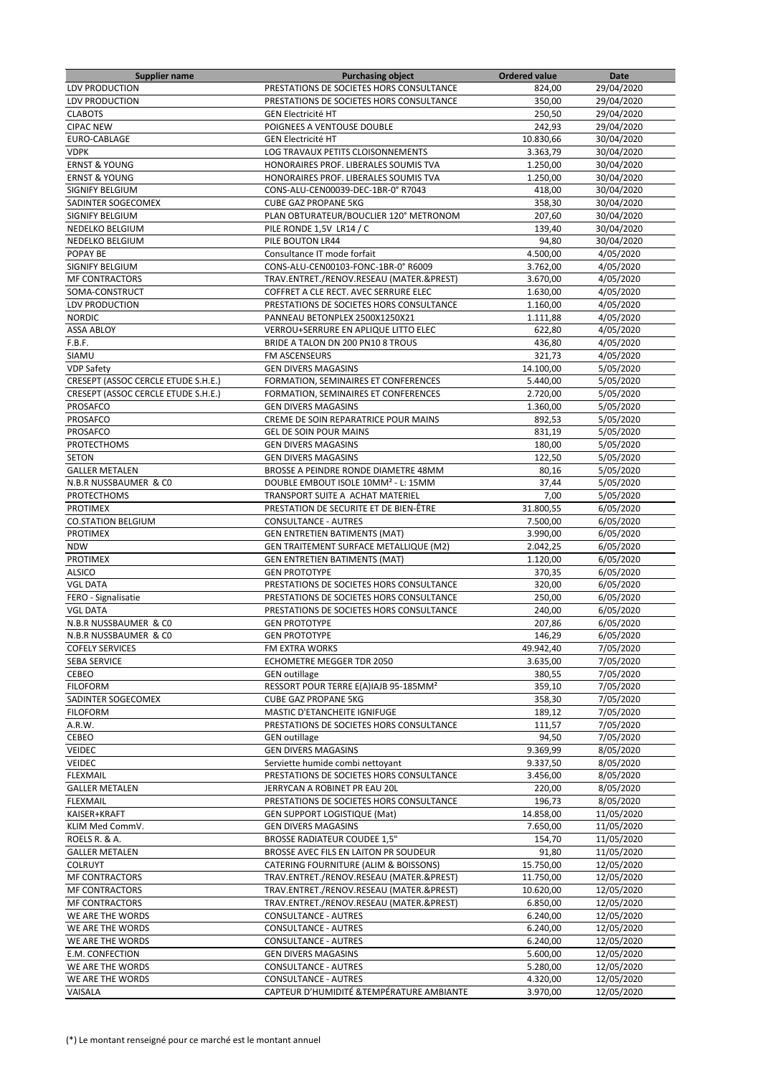| <b>Supplier name</b>                | <b>Purchasing object</b>                          | <b>Ordered value</b> | Date       |
|-------------------------------------|---------------------------------------------------|----------------------|------------|
| <b>LDV PRODUCTION</b>               | PRESTATIONS DE SOCIETES HORS CONSULTANCE          | 824,00               | 29/04/2020 |
| LDV PRODUCTION                      | PRESTATIONS DE SOCIETES HORS CONSULTANCE          | 350,00               | 29/04/2020 |
| <b>CLABOTS</b>                      | <b>GEN Electricité HT</b>                         | 250,50               | 29/04/2020 |
| <b>CIPAC NEW</b>                    | POIGNEES A VENTOUSE DOUBLE                        | 242,93               |            |
|                                     |                                                   |                      | 29/04/2020 |
| EURO-CABLAGE                        | <b>GEN Electricité HT</b>                         | 10.830,66            | 30/04/2020 |
| <b>VDPK</b>                         | LOG TRAVAUX PETITS CLOISONNEMENTS                 | 3.363,79             | 30/04/2020 |
| <b>ERNST &amp; YOUNG</b>            | HONORAIRES PROF. LIBERALES SOUMIS TVA             | 1.250,00             | 30/04/2020 |
| <b>ERNST &amp; YOUNG</b>            | HONORAIRES PROF. LIBERALES SOUMIS TVA             | 1.250,00             | 30/04/2020 |
| SIGNIFY BELGIUM                     | CONS-ALU-CEN00039-DEC-1BR-0° R7043                | 418,00               | 30/04/2020 |
| SADINTER SOGECOMEX                  | <b>CUBE GAZ PROPANE 5KG</b>                       | 358,30               | 30/04/2020 |
| SIGNIFY BELGIUM                     | PLAN OBTURATEUR/BOUCLIER 120° METRONOM            | 207,60               | 30/04/2020 |
| NEDELKO BELGIUM                     | PILE RONDE 1,5V LR14 / C                          | 139,40               | 30/04/2020 |
|                                     | PILE BOUTON LR44                                  |                      |            |
| NEDELKO BELGIUM                     |                                                   | 94,80                | 30/04/2020 |
| POPAY BE                            | Consultance IT mode forfait                       | 4.500,00             | 4/05/2020  |
| SIGNIFY BELGIUM                     | CONS-ALU-CEN00103-FONC-1BR-0° R6009               | 3.762,00             | 4/05/2020  |
| <b>MF CONTRACTORS</b>               | TRAV.ENTRET./RENOV.RESEAU (MATER.&PREST)          | 3.670,00             | 4/05/2020  |
| SOMA-CONSTRUCT                      | COFFRET A CLE RECT. AVEC SERRURE ELEC             | 1.630,00             | 4/05/2020  |
| LDV PRODUCTION                      | PRESTATIONS DE SOCIETES HORS CONSULTANCE          | 1.160,00             | 4/05/2020  |
| <b>NORDIC</b>                       | PANNEAU BETONPLEX 2500X1250X21                    | 1.111,88             | 4/05/2020  |
| <b>ASSA ABLOY</b>                   | VERROU+SERRURE EN APLIQUE LITTO ELEC              | 622,80               | 4/05/2020  |
|                                     |                                                   |                      |            |
| F.B.F.                              | BRIDE A TALON DN 200 PN10 8 TROUS                 | 436,80               | 4/05/2020  |
| SIAMU                               | FM ASCENSEURS                                     | 321,73               | 4/05/2020  |
| <b>VDP Safety</b>                   | <b>GEN DIVERS MAGASINS</b>                        | 14.100,00            | 5/05/2020  |
| CRESEPT (ASSOC CERCLE ETUDE S.H.E.) | FORMATION, SEMINAIRES ET CONFERENCES              | 5.440,00             | 5/05/2020  |
| CRESEPT (ASSOC CERCLE ETUDE S.H.E.) | FORMATION, SEMINAIRES ET CONFERENCES              | 2.720,00             | 5/05/2020  |
| <b>PROSAFCO</b>                     | <b>GEN DIVERS MAGASINS</b>                        | 1.360,00             | 5/05/2020  |
| PROSAFCO                            | CREME DE SOIN REPARATRICE POUR MAINS              | 892,53               | 5/05/2020  |
| PROSAFCO                            | <b>GEL DE SOIN POUR MAINS</b>                     | 831,19               | 5/05/2020  |
|                                     |                                                   |                      |            |
| PROTECTHOMS                         | <b>GEN DIVERS MAGASINS</b>                        | 180,00               | 5/05/2020  |
| <b>SETON</b>                        | <b>GEN DIVERS MAGASINS</b>                        | 122,50               | 5/05/2020  |
| <b>GALLER METALEN</b>               | BROSSE A PEINDRE RONDE DIAMETRE 48MM              | 80,16                | 5/05/2020  |
| N.B.R NUSSBAUMER & CO               | DOUBLE EMBOUT ISOLE 10MM <sup>2</sup> - L: 15MM   | 37,44                | 5/05/2020  |
| PROTECTHOMS                         | TRANSPORT SUITE A ACHAT MATERIEL                  | 7,00                 | 5/05/2020  |
| <b>PROTIMEX</b>                     | PRESTATION DE SECURITE ET DE BIEN-ÊTRE            | 31.800,55            | 6/05/2020  |
| <b>CO.STATION BELGIUM</b>           | <b>CONSULTANCE - AUTRES</b>                       | 7.500,00             | 6/05/2020  |
| <b>PROTIMEX</b>                     | <b>GEN ENTRETIEN BATIMENTS (MAT)</b>              | 3.990,00             | 6/05/2020  |
| <b>NDW</b>                          |                                                   | 2.042,25             | 6/05/2020  |
|                                     | GEN TRAITEMENT SURFACE METALLIQUE (M2)            |                      |            |
| <b>PROTIMEX</b>                     | <b>GEN ENTRETIEN BATIMENTS (MAT)</b>              | 1.120,00             | 6/05/2020  |
| <b>ALSICO</b>                       | <b>GEN PROTOTYPE</b>                              | 370,35               | 6/05/2020  |
| <b>VGL DATA</b>                     | PRESTATIONS DE SOCIETES HORS CONSULTANCE          | 320,00               | 6/05/2020  |
| FERO - Signalisatie                 | PRESTATIONS DE SOCIETES HORS CONSULTANCE          | 250,00               | 6/05/2020  |
| <b>VGL DATA</b>                     | PRESTATIONS DE SOCIETES HORS CONSULTANCE          | 240,00               | 6/05/2020  |
| N.B.R NUSSBAUMER & CO               | <b>GEN PROTOTYPE</b>                              | 207,86               | 6/05/2020  |
| N.B.R NUSSBAUMER & CO               | <b>GEN PROTOTYPE</b>                              | 146,29               | 6/05/2020  |
| <b>COFELY SERVICES</b>              | FM EXTRA WORKS                                    | 49.942,40            | 7/05/2020  |
|                                     | ECHOMETRE MEGGER TDR 2050                         | 3.635,00             |            |
| SEBA SERVICE                        |                                                   |                      | 7/05/2020  |
| <b>CEBEO</b>                        | <b>GEN</b> outillage                              | 380,55               | 7/05/2020  |
| <b>FILOFORM</b>                     | RESSORT POUR TERRE E(A)IAJB 95-185MM <sup>2</sup> | 359,10               | 7/05/2020  |
| SADINTER SOGECOMEX                  | <b>CUBE GAZ PROPANE 5KG</b>                       | 358,30               | 7/05/2020  |
| <b>FILOFORM</b>                     | MASTIC D'ETANCHEITE IGNIFUGE                      | 189,12               | 7/05/2020  |
| A.R.W.                              | PRESTATIONS DE SOCIETES HORS CONSULTANCE          | 111,57               | 7/05/2020  |
| CEBEO                               | <b>GEN</b> outillage                              | 94,50                | 7/05/2020  |
| VEIDEC                              | <b>GEN DIVERS MAGASINS</b>                        | 9.369,99             | 8/05/2020  |
| VEIDEC                              | Serviette humide combi nettoyant                  | 9.337,50             | 8/05/2020  |
| <b>FLEXMAIL</b>                     | PRESTATIONS DE SOCIETES HORS CONSULTANCE          | 3.456,00             | 8/05/2020  |
|                                     |                                                   |                      |            |
| <b>GALLER METALEN</b>               | JERRYCAN A ROBINET PR EAU 20L                     | 220,00               | 8/05/2020  |
| <b>FLEXMAIL</b>                     | PRESTATIONS DE SOCIETES HORS CONSULTANCE          | 196,73               | 8/05/2020  |
| KAISER+KRAFT                        | <b>GEN SUPPORT LOGISTIQUE (Mat)</b>               | 14.858,00            | 11/05/2020 |
| KLIM Med CommV.                     | <b>GEN DIVERS MAGASINS</b>                        | 7.650,00             | 11/05/2020 |
| ROELS R. & A.                       | <b>BROSSE RADIATEUR COUDEE 1,5"</b>               | 154,70               | 11/05/2020 |
| <b>GALLER METALEN</b>               | BROSSE AVEC FILS EN LAITON PR SOUDEUR             | 91,80                | 11/05/2020 |
| <b>COLRUYT</b>                      | CATERING FOURNITURE (ALIM & BOISSONS)             | 15.750,00            | 12/05/2020 |
| <b>MF CONTRACTORS</b>               | TRAV.ENTRET./RENOV.RESEAU (MATER.&PREST)          | 11.750,00            | 12/05/2020 |
|                                     |                                                   |                      |            |
| <b>MF CONTRACTORS</b>               | TRAV.ENTRET./RENOV.RESEAU (MATER.&PREST)          | 10.620,00            | 12/05/2020 |
| <b>MF CONTRACTORS</b>               | TRAV.ENTRET./RENOV.RESEAU (MATER.&PREST)          | 6.850,00             | 12/05/2020 |
| WE ARE THE WORDS                    | <b>CONSULTANCE - AUTRES</b>                       | 6.240,00             | 12/05/2020 |
| WE ARE THE WORDS                    | <b>CONSULTANCE - AUTRES</b>                       | 6.240,00             | 12/05/2020 |
| WE ARE THE WORDS                    | CONSULTANCE - AUTRES                              | 6.240,00             | 12/05/2020 |
| E.M. CONFECTION                     | <b>GEN DIVERS MAGASINS</b>                        | 5.600,00             | 12/05/2020 |
| WE ARE THE WORDS                    | <b>CONSULTANCE - AUTRES</b>                       | 5.280,00             | 12/05/2020 |
| WE ARE THE WORDS                    | <b>CONSULTANCE - AUTRES</b>                       | 4.320,00             | 12/05/2020 |
|                                     |                                                   |                      |            |
| VAISALA                             | CAPTEUR D'HUMIDITÉ & TEMPÉRATURE AMBIANTE         | 3.970,00             | 12/05/2020 |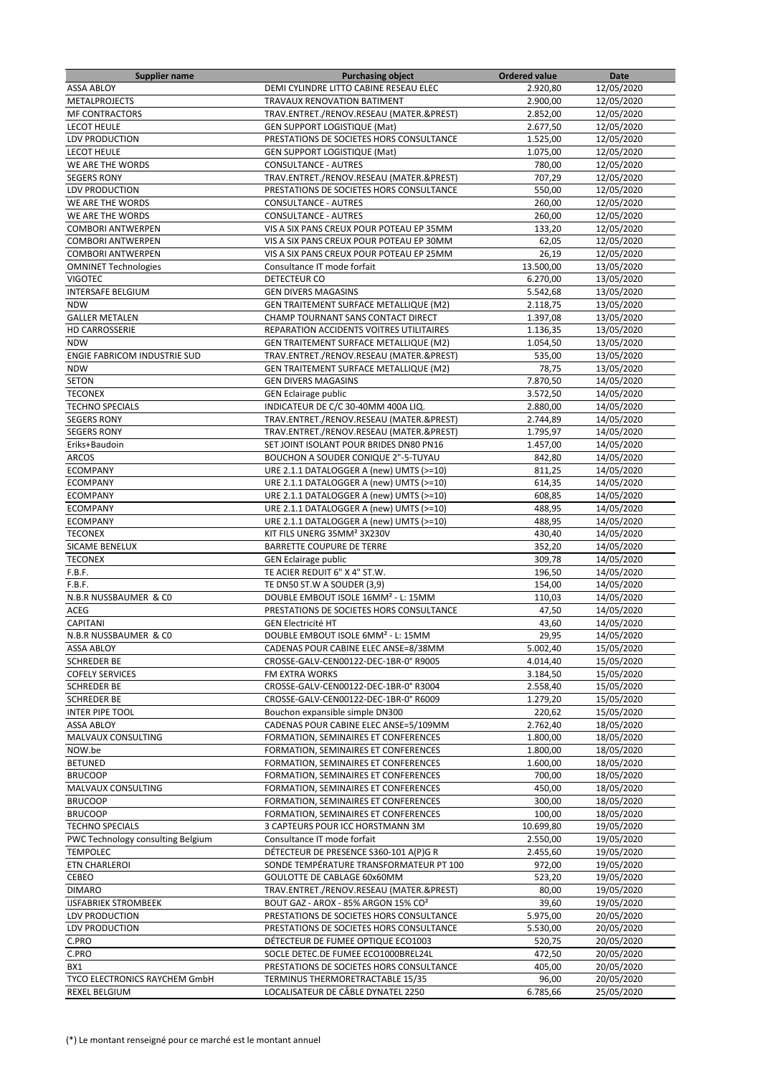| <b>Supplier name</b>                | <b>Purchasing object</b>                        | <b>Ordered value</b> | Date       |
|-------------------------------------|-------------------------------------------------|----------------------|------------|
| <b>ASSA ABLOY</b>                   | DEMI CYLINDRE LITTO CABINE RESEAU ELEC          | 2.920,80             | 12/05/2020 |
| <b>METALPROJECTS</b>                | TRAVAUX RENOVATION BATIMENT                     | 2.900,00             | 12/05/2020 |
| <b>MF CONTRACTORS</b>               | TRAV.ENTRET./RENOV.RESEAU (MATER.&PREST)        | 2.852,00             | 12/05/2020 |
| <b>LECOT HEULE</b>                  | <b>GEN SUPPORT LOGISTIQUE (Mat)</b>             | 2.677,50             | 12/05/2020 |
| <b>LDV PRODUCTION</b>               | PRESTATIONS DE SOCIETES HORS CONSULTANCE        | 1.525,00             | 12/05/2020 |
| <b>LECOT HEULE</b>                  | <b>GEN SUPPORT LOGISTIQUE (Mat)</b>             | 1.075,00             | 12/05/2020 |
| WE ARE THE WORDS                    | <b>CONSULTANCE - AUTRES</b>                     | 780,00               | 12/05/2020 |
| <b>SEGERS RONY</b>                  | TRAV.ENTRET./RENOV.RESEAU (MATER.&PREST)        | 707,29               | 12/05/2020 |
| <b>LDV PRODUCTION</b>               | PRESTATIONS DE SOCIETES HORS CONSULTANCE        | 550,00               | 12/05/2020 |
| WE ARE THE WORDS                    | <b>CONSULTANCE - AUTRES</b>                     | 260.00               | 12/05/2020 |
| WE ARE THE WORDS                    | <b>CONSULTANCE - AUTRES</b>                     | 260,00               | 12/05/2020 |
| <b>COMBORI ANTWERPEN</b>            | VIS A SIX PANS CREUX POUR POTEAU EP 35MM        | 133,20               | 12/05/2020 |
| <b>COMBORI ANTWERPEN</b>            | VIS A SIX PANS CREUX POUR POTEAU EP 30MM        | 62,05                | 12/05/2020 |
| <b>COMBORI ANTWERPEN</b>            | VIS A SIX PANS CREUX POUR POTEAU EP 25MM        | 26,19                | 12/05/2020 |
| <b>OMNINET Technologies</b>         | Consultance IT mode forfait                     | 13.500,00            | 13/05/2020 |
| <b>VIGOTEC</b>                      | DETECTEUR CO                                    |                      |            |
|                                     |                                                 | 6.270,00             | 13/05/2020 |
| <b>INTERSAFE BELGIUM</b>            | <b>GEN DIVERS MAGASINS</b>                      | 5.542,68             | 13/05/2020 |
| <b>NDW</b>                          | GEN TRAITEMENT SURFACE METALLIQUE (M2)          | 2.118,75             | 13/05/2020 |
| <b>GALLER METALEN</b>               | CHAMP TOURNANT SANS CONTACT DIRECT              | 1.397,08             | 13/05/2020 |
| <b>HD CARROSSERIE</b>               | REPARATION ACCIDENTS VOITRES UTILITAIRES        | 1.136,35             | 13/05/2020 |
| <b>NDW</b>                          | <b>GEN TRAITEMENT SURFACE METALLIQUE (M2)</b>   | 1.054,50             | 13/05/2020 |
| <b>ENGIE FABRICOM INDUSTRIE SUD</b> | TRAV.ENTRET./RENOV.RESEAU (MATER.&PREST)        | 535,00               | 13/05/2020 |
| <b>NDW</b>                          | GEN TRAITEMENT SURFACE METALLIQUE (M2)          | 78,75                | 13/05/2020 |
| <b>SETON</b>                        | <b>GEN DIVERS MAGASINS</b>                      | 7.870,50             | 14/05/2020 |
| <b>TECONEX</b>                      | <b>GEN Eclairage public</b>                     | 3.572,50             | 14/05/2020 |
| <b>TECHNO SPECIALS</b>              | INDICATEUR DE C/C 30-40MM 400A LIQ.             | 2.880,00             | 14/05/2020 |
| <b>SEGERS RONY</b>                  | TRAV.ENTRET./RENOV.RESEAU (MATER.&PREST)        | 2.744,89             | 14/05/2020 |
| <b>SEGERS RONY</b>                  | TRAV.ENTRET./RENOV.RESEAU (MATER.&PREST)        | 1.795,97             | 14/05/2020 |
| Eriks+Baudoin                       | SET JOINT ISOLANT POUR BRIDES DN80 PN16         | 1.457,00             | 14/05/2020 |
| <b>ARCOS</b>                        | BOUCHON A SOUDER CONIQUE 2"-5-TUYAU             | 842,80               | 14/05/2020 |
| <b>ECOMPANY</b>                     | URE 2.1.1 DATALOGGER A (new) UMTS (>=10)        | 811,25               | 14/05/2020 |
| <b>ECOMPANY</b>                     | URE 2.1.1 DATALOGGER A (new) UMTS (>=10)        | 614,35               | 14/05/2020 |
| <b>ECOMPANY</b>                     | URE 2.1.1 DATALOGGER A (new) UMTS (>=10)        | 608,85               | 14/05/2020 |
| <b>ECOMPANY</b>                     | URE 2.1.1 DATALOGGER A (new) UMTS (>=10)        | 488,95               | 14/05/2020 |
| <b>ECOMPANY</b>                     | URE 2.1.1 DATALOGGER A (new) UMTS (>=10)        | 488,95               | 14/05/2020 |
| <b>TECONEX</b>                      | KIT FILS UNERG 35MM <sup>2</sup> 3X230V         | 430,40               | 14/05/2020 |
| SICAME BENELUX                      | <b>BARRETTE COUPURE DE TERRE</b>                | 352,20               | 14/05/2020 |
| <b>TECONEX</b>                      | <b>GEN Eclairage public</b>                     | 309,78               | 14/05/2020 |
| F.B.F.                              | TE ACIER REDUIT 6" X 4" ST.W.                   | 196,50               | 14/05/2020 |
| F.B.F.                              | TE DN50 ST.W A SOUDER (3,9)                     | 154,00               | 14/05/2020 |
| N.B.R NUSSBAUMER & CO               | DOUBLE EMBOUT ISOLE 16MM <sup>2</sup> - L: 15MM | 110,03               | 14/05/2020 |
| ACEG                                | PRESTATIONS DE SOCIETES HORS CONSULTANCE        | 47,50                | 14/05/2020 |
| <b>CAPITANI</b>                     | <b>GEN Electricité HT</b>                       | 43,60                | 14/05/2020 |
|                                     | DOUBLE EMBOUT ISOLE 6MM <sup>2</sup> - L: 15MM  | 29,95                | 14/05/2020 |
| N.B.R NUSSBAUMER & CO               |                                                 |                      | 15/05/2020 |
| ASSA ABLOY                          | CADENAS POUR CABINE ELEC ANSE=8/38MM            | 5.002,40             |            |
| <b>SCHREDER BE</b>                  | CROSSE-GALV-CEN00122-DEC-1BR-0° R9005           | 4.014,40             | 15/05/2020 |
| <b>COFELY SERVICES</b>              | FM EXTRA WORKS                                  | 3.184,50             | 15/05/2020 |
| <b>SCHREDER BE</b>                  | CROSSE-GALV-CEN00122-DEC-1BR-0° R3004           | 2.558,40             | 15/05/2020 |
| <b>SCHREDER BE</b>                  | CROSSE-GALV-CEN00122-DEC-1BR-0° R6009           | 1.279,20             | 15/05/2020 |
| <b>INTER PIPE TOOL</b>              | Bouchon expansible simple DN300                 | 220,62               | 15/05/2020 |
| <b>ASSA ABLOY</b>                   | CADENAS POUR CABINE ELEC ANSE=5/109MM           | 2.762,40             | 18/05/2020 |
| MALVAUX CONSULTING                  | FORMATION, SEMINAIRES ET CONFERENCES            | 1.800,00             | 18/05/2020 |
| NOW.be                              | FORMATION, SEMINAIRES ET CONFERENCES            | 1.800,00             | 18/05/2020 |
| <b>BETUNED</b>                      | FORMATION, SEMINAIRES ET CONFERENCES            | 1.600,00             | 18/05/2020 |
| <b>BRUCOOP</b>                      | FORMATION, SEMINAIRES ET CONFERENCES            | 700,00               | 18/05/2020 |
| MALVAUX CONSULTING                  | FORMATION, SEMINAIRES ET CONFERENCES            | 450,00               | 18/05/2020 |
| <b>BRUCOOP</b>                      | FORMATION, SEMINAIRES ET CONFERENCES            | 300,00               | 18/05/2020 |
| <b>BRUCOOP</b>                      | FORMATION, SEMINAIRES ET CONFERENCES            | 100,00               | 18/05/2020 |
| <b>TECHNO SPECIALS</b>              | 3 CAPTEURS POUR ICC HORSTMANN 3M                | 10.699,80            | 19/05/2020 |
| PWC Technology consulting Belgium   | Consultance IT mode forfait                     | 2.550,00             | 19/05/2020 |
| <b>TEMPOLEC</b>                     | DÉTECTEUR DE PRESENCE S360-101 A(P)G R          | 2.455,60             | 19/05/2020 |
| <b>ETN CHARLEROI</b>                | SONDE TEMPÉRATURE TRANSFORMATEUR PT 100         | 972,00               | 19/05/2020 |
| CEBEO                               | GOULOTTE DE CABLAGE 60x60MM                     | 523,20               | 19/05/2020 |
| <b>DIMARO</b>                       | TRAV.ENTRET./RENOV.RESEAU (MATER.&PREST)        | 80,00                | 19/05/2020 |
| <b>IJSFABRIEK STROMBEEK</b>         | BOUT GAZ - AROX - 85% ARGON 15% CO <sup>2</sup> | 39,60                | 19/05/2020 |
| LDV PRODUCTION                      | PRESTATIONS DE SOCIETES HORS CONSULTANCE        | 5.975,00             | 20/05/2020 |
| LDV PRODUCTION                      | PRESTATIONS DE SOCIETES HORS CONSULTANCE        | 5.530,00             | 20/05/2020 |
| C.PRO                               | DÉTECTEUR DE FUMEE OPTIQUE ECO1003              | 520,75               | 20/05/2020 |
| C.PRO                               | SOCLE DETEC.DE FUMEE ECO1000BREL24L             | 472,50               | 20/05/2020 |
| BX1                                 | PRESTATIONS DE SOCIETES HORS CONSULTANCE        | 405,00               | 20/05/2020 |
| TYCO ELECTRONICS RAYCHEM GmbH       | TERMINUS THERMORETRACTABLE 15/35                | 96,00                | 20/05/2020 |
| <b>REXEL BELGIUM</b>                | LOCALISATEUR DE CÂBLE DYNATEL 2250              | 6.785,66             | 25/05/2020 |
|                                     |                                                 |                      |            |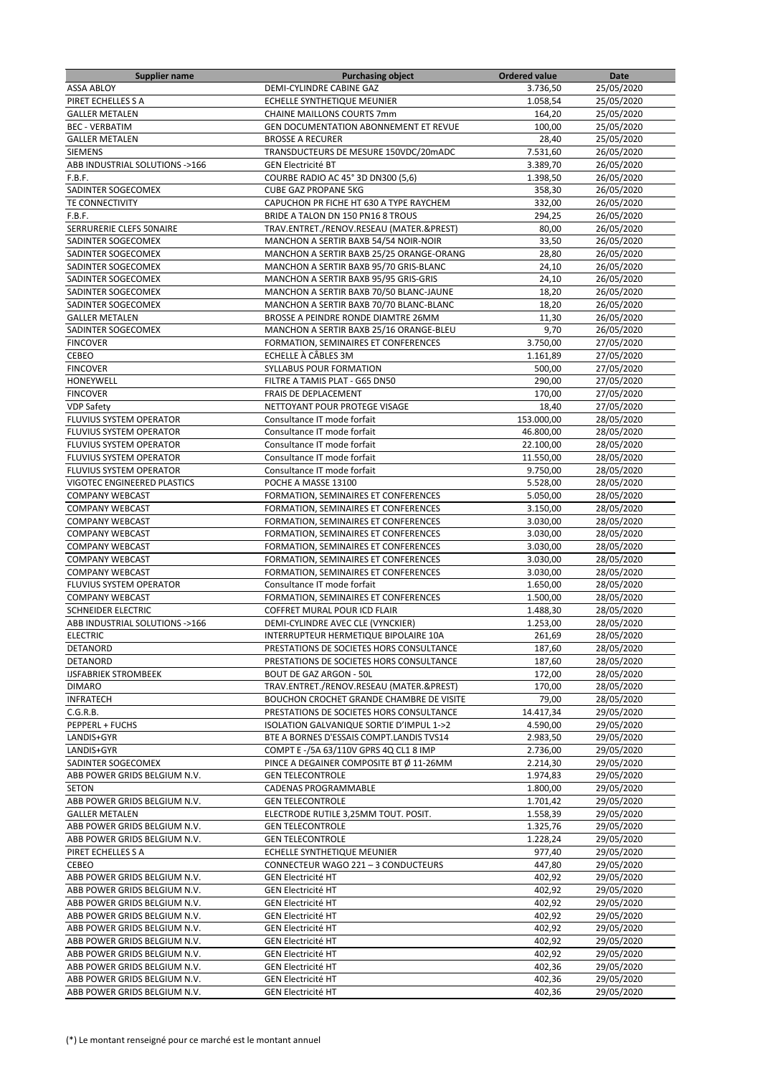| Supplier name                  | <b>Purchasing object</b>                                                             | <b>Ordered value</b> | Date       |
|--------------------------------|--------------------------------------------------------------------------------------|----------------------|------------|
| <b>ASSA ABLOY</b>              | DEMI-CYLINDRE CABINE GAZ                                                             | 3.736,50             | 25/05/2020 |
| PIRET ECHELLES S A             | ECHELLE SYNTHETIQUE MEUNIER                                                          | 1.058,54             | 25/05/2020 |
| <b>GALLER METALEN</b>          | <b>CHAINE MAILLONS COURTS 7mm</b>                                                    | 164,20               | 25/05/2020 |
| <b>BEC - VERBATIM</b>          | <b>GEN DOCUMENTATION ABONNEMENT ET REVUE</b>                                         | 100,00               | 25/05/2020 |
| <b>GALLER METALEN</b>          | <b>BROSSE A RECURER</b>                                                              | 28,40                | 25/05/2020 |
| <b>SIEMENS</b>                 | TRANSDUCTEURS DE MESURE 150VDC/20mADC                                                | 7.531,60             | 26/05/2020 |
| ABB INDUSTRIAL SOLUTIONS ->166 | <b>GEN Electricité BT</b>                                                            | 3.389,70             | 26/05/2020 |
| F.B.F.                         | COURBE RADIO AC 45° 3D DN300 (5,6)                                                   | 1.398,50             | 26/05/2020 |
| SADINTER SOGECOMEX             | <b>CUBE GAZ PROPANE 5KG</b>                                                          | 358,30               | 26/05/2020 |
| TE CONNECTIVITY                | CAPUCHON PR FICHE HT 630 A TYPE RAYCHEM                                              | 332,00               | 26/05/2020 |
| F.B.F.                         | BRIDE A TALON DN 150 PN16 8 TROUS                                                    | 294,25               | 26/05/2020 |
| SERRURERIE CLEFS 50NAIRE       | TRAV.ENTRET./RENOV.RESEAU (MATER.&PREST)                                             | 80,00                | 26/05/2020 |
| SADINTER SOGECOMEX             | MANCHON A SERTIR BAXB 54/54 NOIR-NOIR                                                | 33,50                | 26/05/2020 |
| SADINTER SOGECOMEX             | MANCHON A SERTIR BAXB 25/25 ORANGE-ORANG                                             | 28,80                | 26/05/2020 |
| SADINTER SOGECOMEX             | MANCHON A SERTIR BAXB 95/70 GRIS-BLANC                                               | 24,10                | 26/05/2020 |
| SADINTER SOGECOMEX             | MANCHON A SERTIR BAXB 95/95 GRIS-GRIS                                                | 24,10                | 26/05/2020 |
| SADINTER SOGECOMEX             | MANCHON A SERTIR BAXB 70/50 BLANC-JAUNE                                              | 18,20                | 26/05/2020 |
| SADINTER SOGECOMEX             | MANCHON A SERTIR BAXB 70/70 BLANC-BLANC                                              | 18,20                | 26/05/2020 |
|                                |                                                                                      |                      |            |
| <b>GALLER METALEN</b>          | BROSSE A PEINDRE RONDE DIAMTRE 26MM                                                  | 11,30                | 26/05/2020 |
| SADINTER SOGECOMEX             | MANCHON A SERTIR BAXB 25/16 ORANGE-BLEU                                              | 9,70                 | 26/05/2020 |
| <b>FINCOVER</b>                | FORMATION, SEMINAIRES ET CONFERENCES                                                 | 3.750,00             | 27/05/2020 |
| CEBEO                          | ECHELLE À CÂBLES 3M                                                                  | 1.161,89             | 27/05/2020 |
| <b>FINCOVER</b>                | SYLLABUS POUR FORMATION                                                              | 500,00               | 27/05/2020 |
| HONEYWELL                      | FILTRE A TAMIS PLAT - G65 DN50                                                       | 290,00               | 27/05/2020 |
| <b>FINCOVER</b>                | FRAIS DE DEPLACEMENT                                                                 | 170,00               | 27/05/2020 |
| <b>VDP Safety</b>              | NETTOYANT POUR PROTEGE VISAGE                                                        | 18,40                | 27/05/2020 |
| FLUVIUS SYSTEM OPERATOR        | Consultance IT mode forfait                                                          | 153.000,00           | 28/05/2020 |
| FLUVIUS SYSTEM OPERATOR        | Consultance IT mode forfait                                                          | 46.800,00            | 28/05/2020 |
| FLUVIUS SYSTEM OPERATOR        | Consultance IT mode forfait                                                          | 22.100,00            | 28/05/2020 |
| FLUVIUS SYSTEM OPERATOR        | Consultance IT mode forfait                                                          | 11.550,00            | 28/05/2020 |
| FLUVIUS SYSTEM OPERATOR        | Consultance IT mode forfait                                                          | 9.750,00             | 28/05/2020 |
| VIGOTEC ENGINEERED PLASTICS    | POCHE A MASSE 13100                                                                  | 5.528,00             | 28/05/2020 |
| <b>COMPANY WEBCAST</b>         | FORMATION, SEMINAIRES ET CONFERENCES                                                 | 5.050,00             | 28/05/2020 |
| <b>COMPANY WEBCAST</b>         | FORMATION, SEMINAIRES ET CONFERENCES                                                 | 3.150,00             | 28/05/2020 |
| <b>COMPANY WEBCAST</b>         | FORMATION, SEMINAIRES ET CONFERENCES                                                 | 3.030,00             | 28/05/2020 |
| <b>COMPANY WEBCAST</b>         | FORMATION, SEMINAIRES ET CONFERENCES                                                 | 3.030,00             | 28/05/2020 |
| <b>COMPANY WEBCAST</b>         | FORMATION, SEMINAIRES ET CONFERENCES                                                 | 3.030,00             | 28/05/2020 |
| <b>COMPANY WEBCAST</b>         | FORMATION, SEMINAIRES ET CONFERENCES                                                 | 3.030,00             | 28/05/2020 |
| <b>COMPANY WEBCAST</b>         | FORMATION, SEMINAIRES ET CONFERENCES                                                 | 3.030,00             | 28/05/2020 |
| <b>FLUVIUS SYSTEM OPERATOR</b> | Consultance IT mode forfait                                                          | 1.650,00             | 28/05/2020 |
| <b>COMPANY WEBCAST</b>         | FORMATION, SEMINAIRES ET CONFERENCES                                                 | 1.500,00             | 28/05/2020 |
| <b>SCHNEIDER ELECTRIC</b>      | COFFRET MURAL POUR ICD FLAIR                                                         | 1.488,30             | 28/05/2020 |
| ABB INDUSTRIAL SOLUTIONS ->166 | DEMI-CYLINDRE AVEC CLE (VYNCKIER)                                                    | 1.253,00             | 28/05/2020 |
| <b>ELECTRIC</b>                | INTERRUPTEUR HERMETIQUE BIPOLAIRE 10A                                                | 261.69               | 28/05/2020 |
| DETANORD                       | PRESTATIONS DE SOCIETES HORS CONSULTANCE                                             | 187,60               | 28/05/2020 |
| DETANORD                       | PRESTATIONS DE SOCIETES HORS CONSULTANCE                                             | 187,60               | 28/05/2020 |
| <b>IJSFABRIEK STROMBEEK</b>    | <b>BOUT DE GAZ ARGON - 50L</b>                                                       | 172,00               | 28/05/2020 |
| <b>DIMARO</b>                  | TRAV.ENTRET./RENOV.RESEAU (MATER.&PREST)                                             | 170,00               | 28/05/2020 |
| <b>INFRATECH</b>               | BOUCHON CROCHET GRANDE CHAMBRE DE VISITE                                             | 79,00                | 28/05/2020 |
| C.G.R.B.                       | PRESTATIONS DE SOCIETES HORS CONSULTANCE                                             | 14.417,34            | 29/05/2020 |
|                                |                                                                                      |                      | 29/05/2020 |
| PEPPERL + FUCHS<br>LANDIS+GYR  | ISOLATION GALVANIQUE SORTIE D'IMPUL 1->2<br>BTE A BORNES D'ESSAIS COMPT.LANDIS TVS14 | 4.590,00<br>2.983,50 | 29/05/2020 |
| LANDIS+GYR                     | COMPT E -/5A 63/110V GPRS 4Q CL1 8 IMP                                               | 2.736,00             | 29/05/2020 |
|                                |                                                                                      |                      |            |
| SADINTER SOGECOMEX             | PINCE A DEGAINER COMPOSITE BT Ø 11-26MM                                              | 2.214,30             | 29/05/2020 |
| ABB POWER GRIDS BELGIUM N.V.   | <b>GEN TELECONTROLE</b>                                                              | 1.974,83             | 29/05/2020 |
| <b>SETON</b>                   | CADENAS PROGRAMMABLE                                                                 | 1.800,00             | 29/05/2020 |
| ABB POWER GRIDS BELGIUM N.V.   | <b>GEN TELECONTROLE</b>                                                              | 1.701,42             | 29/05/2020 |
| <b>GALLER METALEN</b>          | ELECTRODE RUTILE 3,25MM TOUT. POSIT.                                                 | 1.558,39             | 29/05/2020 |
| ABB POWER GRIDS BELGIUM N.V.   | <b>GEN TELECONTROLE</b>                                                              | 1.325,76             | 29/05/2020 |
| ABB POWER GRIDS BELGIUM N.V.   | <b>GEN TELECONTROLE</b>                                                              | 1.228,24             | 29/05/2020 |
| PIRET ECHELLES S A             | ECHELLE SYNTHETIQUE MEUNIER                                                          | 977,40               | 29/05/2020 |
| CEBEO                          | CONNECTEUR WAGO 221 - 3 CONDUCTEURS                                                  | 447,80               | 29/05/2020 |
| ABB POWER GRIDS BELGIUM N.V.   | <b>GEN Electricité HT</b>                                                            | 402,92               | 29/05/2020 |
| ABB POWER GRIDS BELGIUM N.V.   | <b>GEN Electricité HT</b>                                                            | 402,92               | 29/05/2020 |
| ABB POWER GRIDS BELGIUM N.V.   | <b>GEN Electricité HT</b>                                                            | 402,92               | 29/05/2020 |
| ABB POWER GRIDS BELGIUM N.V.   | <b>GEN Electricité HT</b>                                                            | 402,92               | 29/05/2020 |
| ABB POWER GRIDS BELGIUM N.V.   | <b>GEN Electricité HT</b>                                                            | 402,92               | 29/05/2020 |
| ABB POWER GRIDS BELGIUM N.V.   | <b>GEN Electricité HT</b>                                                            | 402,92               | 29/05/2020 |
| ABB POWER GRIDS BELGIUM N.V.   | <b>GEN Electricité HT</b>                                                            | 402,92               | 29/05/2020 |
| ABB POWER GRIDS BELGIUM N.V.   | <b>GEN Electricité HT</b>                                                            | 402,36               | 29/05/2020 |
| ABB POWER GRIDS BELGIUM N.V.   | <b>GEN Electricité HT</b>                                                            | 402,36               | 29/05/2020 |
| ABB POWER GRIDS BELGIUM N.V.   | <b>GEN Electricité HT</b>                                                            | 402,36               | 29/05/2020 |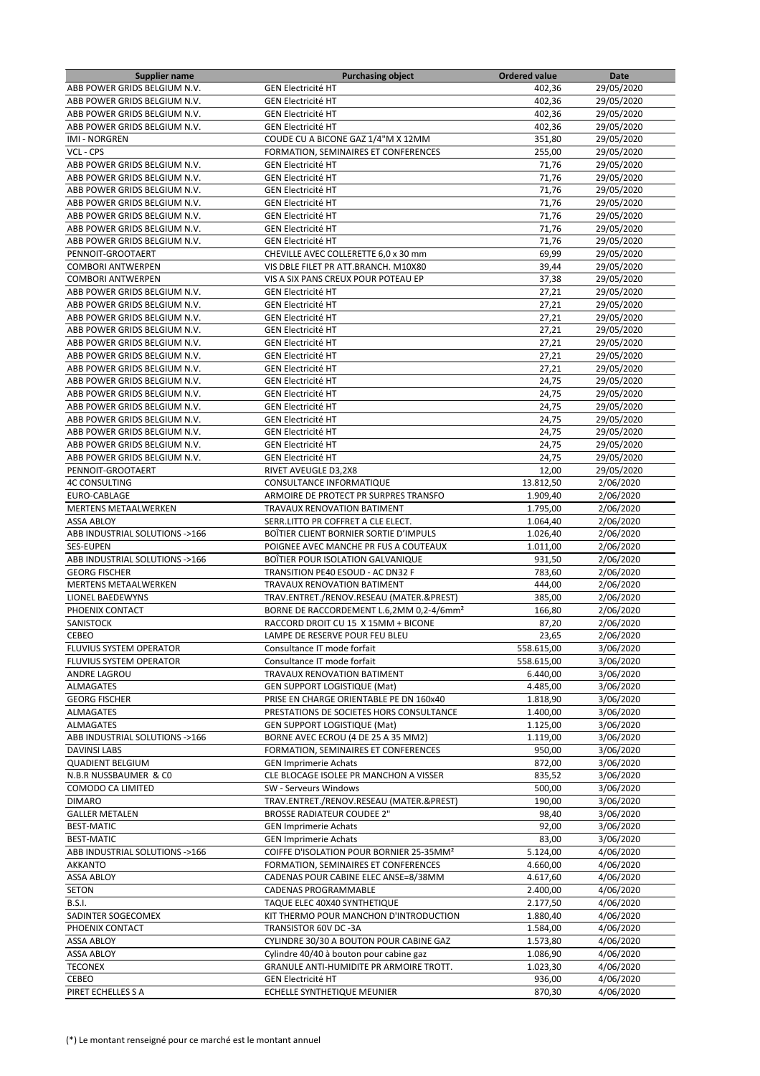| <b>Supplier name</b>           | <b>Purchasing object</b>                             | <b>Ordered value</b> | Date                  |
|--------------------------------|------------------------------------------------------|----------------------|-----------------------|
| ABB POWER GRIDS BELGIUM N.V.   | <b>GEN Electricité HT</b>                            | 402,36               | 29/05/2020            |
| ABB POWER GRIDS BELGIUM N.V.   | <b>GEN Electricité HT</b>                            | 402,36               | 29/05/2020            |
| ABB POWER GRIDS BELGIUM N.V.   | <b>GEN Electricité HT</b>                            | 402,36               | 29/05/2020            |
| ABB POWER GRIDS BELGIUM N.V.   | <b>GEN Electricité HT</b>                            | 402,36               | 29/05/2020            |
| <b>IMI - NORGREN</b>           | COUDE CU A BICONE GAZ 1/4"M X 12MM                   | 351,80               | 29/05/2020            |
| VCL - CPS                      | FORMATION, SEMINAIRES ET CONFERENCES                 | 255,00               | 29/05/2020            |
| ABB POWER GRIDS BELGIUM N.V.   | <b>GEN Electricité HT</b>                            | 71,76                | 29/05/2020            |
| ABB POWER GRIDS BELGIUM N.V.   | <b>GEN Electricité HT</b>                            | 71,76                | 29/05/2020            |
| ABB POWER GRIDS BELGIUM N.V.   | <b>GEN Electricité HT</b>                            | 71,76                | 29/05/2020            |
| ABB POWER GRIDS BELGIUM N.V.   | <b>GEN Electricité HT</b>                            | 71,76                | 29/05/2020            |
| ABB POWER GRIDS BELGIUM N.V.   | <b>GEN Electricité HT</b>                            | 71,76                | 29/05/2020            |
| ABB POWER GRIDS BELGIUM N.V.   | <b>GEN Electricité HT</b>                            | 71,76                | 29/05/2020            |
| ABB POWER GRIDS BELGIUM N.V.   | <b>GEN Electricité HT</b>                            | 71,76                | 29/05/2020            |
| PENNOIT-GROOTAERT              | CHEVILLE AVEC COLLERETTE 6,0 x 30 mm                 | 69,99                | 29/05/2020            |
| <b>COMBORI ANTWERPEN</b>       | VIS DBLE FILET PR ATT.BRANCH. M10X80                 | 39,44                | 29/05/2020            |
| <b>COMBORI ANTWERPEN</b>       | VIS A SIX PANS CREUX POUR POTEAU EP                  | 37,38                | 29/05/2020            |
| ABB POWER GRIDS BELGIUM N.V.   | <b>GEN Electricité HT</b>                            | 27,21                | 29/05/2020            |
|                                |                                                      |                      |                       |
| ABB POWER GRIDS BELGIUM N.V.   | <b>GEN Electricité HT</b>                            | 27,21                | 29/05/2020            |
| ABB POWER GRIDS BELGIUM N.V.   | <b>GEN Electricité HT</b>                            | 27,21                | 29/05/2020            |
| ABB POWER GRIDS BELGIUM N.V.   | <b>GEN Electricité HT</b>                            | 27,21                | 29/05/2020            |
| ABB POWER GRIDS BELGIUM N.V.   | <b>GEN Electricité HT</b>                            | 27,21                | 29/05/2020            |
| ABB POWER GRIDS BELGIUM N.V.   | <b>GEN Electricité HT</b>                            | 27,21                | 29/05/2020            |
| ABB POWER GRIDS BELGIUM N.V.   | <b>GEN Electricité HT</b>                            | 27,21                | 29/05/2020            |
| ABB POWER GRIDS BELGIUM N.V.   | <b>GEN Electricité HT</b>                            | 24,75                | 29/05/2020            |
| ABB POWER GRIDS BELGIUM N.V.   | <b>GEN Electricité HT</b>                            | 24,75                | 29/05/2020            |
| ABB POWER GRIDS BELGIUM N.V.   | <b>GEN Electricité HT</b>                            | 24,75                | 29/05/2020            |
| ABB POWER GRIDS BELGIUM N.V.   | <b>GEN Electricité HT</b>                            | 24,75                | 29/05/2020            |
| ABB POWER GRIDS BELGIUM N.V.   | <b>GEN Electricité HT</b>                            | 24,75                | 29/05/2020            |
| ABB POWER GRIDS BELGIUM N.V.   | <b>GEN Electricité HT</b>                            | 24,75                | 29/05/2020            |
| ABB POWER GRIDS BELGIUM N.V.   | <b>GEN Electricité HT</b>                            | 24,75                | 29/05/2020            |
| PENNOIT-GROOTAERT              | RIVET AVEUGLE D3,2X8                                 | 12,00                | 29/05/2020            |
| <b>4C CONSULTING</b>           | CONSULTANCE INFORMATIQUE                             | 13.812,50            | 2/06/2020             |
| EURO-CABLAGE                   | ARMOIRE DE PROTECT PR SURPRES TRANSFO                | 1.909,40             | 2/06/2020             |
| MERTENS METAALWERKEN           | TRAVAUX RENOVATION BATIMENT                          | 1.795,00             | 2/06/2020             |
| <b>ASSA ABLOY</b>              | SERR.LITTO PR COFFRET A CLE ELECT.                   | 1.064,40             | 2/06/2020             |
| ABB INDUSTRIAL SOLUTIONS ->166 | BOÎTIER CLIENT BORNIER SORTIE D'IMPULS               | 1.026,40             | 2/06/2020             |
| SES-EUPEN                      | POIGNEE AVEC MANCHE PR FUS A COUTEAUX                | 1.011,00             | 2/06/2020             |
| ABB INDUSTRIAL SOLUTIONS ->166 | BOÏTIER POUR ISOLATION GALVANIQUE                    | 931,50               | 2/06/2020             |
| <b>GEORG FISCHER</b>           | TRANSITION PE40 ESOUD - AC DN32 F                    | 783,60               | 2/06/2020             |
| MERTENS METAALWERKEN           | TRAVAUX RENOVATION BATIMENT                          | 444,00               | 2/06/2020             |
| LIONEL BAEDEWYNS               | TRAV.ENTRET./RENOV.RESEAU (MATER.&PREST)             | 385,00               | 2/06/2020             |
| PHOENIX CONTACT                | BORNE DE RACCORDEMENT L.6,2MM 0,2-4/6mm <sup>2</sup> | 166,80               | 2/06/2020             |
| SANISTOCK                      | RACCORD DROIT CU 15 X 15MM + BICONE                  | 87,20                | 2/06/2020             |
| CEBEO                          | LAMPE DE RESERVE POUR FEU BLEU                       | 23,65                | 2/06/2020             |
| FLUVIUS SYSTEM OPERATOR        |                                                      |                      | 3/06/2020             |
| FLUVIUS SYSTEM OPERATOR        | Consultance IT mode forfait                          | 558.615,00           | 3/06/2020             |
|                                | Consultance IT mode forfait                          | 558.615,00           |                       |
| ANDRE LAGROU                   | TRAVAUX RENOVATION BATIMENT                          | 6.440,00             | 3/06/2020             |
| ALMAGATES                      | <b>GEN SUPPORT LOGISTIQUE (Mat)</b>                  | 4.485,00             | 3/06/2020             |
| <b>GEORG FISCHER</b>           | PRISE EN CHARGE ORIENTABLE PE DN 160x40              | 1.818,90             | 3/06/2020             |
| ALMAGATES                      | PRESTATIONS DE SOCIETES HORS CONSULTANCE             | 1.400,00             | 3/06/2020             |
| ALMAGATES                      | <b>GEN SUPPORT LOGISTIQUE (Mat)</b>                  | 1.125,00             | 3/06/2020             |
| ABB INDUSTRIAL SOLUTIONS ->166 | BORNE AVEC ECROU (4 DE 25 A 35 MM2)                  | 1.119,00             | 3/06/2020             |
| <b>DAVINSI LABS</b>            | FORMATION, SEMINAIRES ET CONFERENCES                 | 950,00               | 3/06/2020             |
| <b>QUADIENT BELGIUM</b>        | <b>GEN Imprimerie Achats</b>                         | 872,00               | 3/06/2020             |
| N.B.R NUSSBAUMER & CO          | CLE BLOCAGE ISOLEE PR MANCHON A VISSER               | 835,52               | $\frac{1}{3}/06/2020$ |
| COMODO CA LIMITED              | SW - Serveurs Windows                                | 500,00               | 3/06/2020             |
| <b>DIMARO</b>                  | TRAV.ENTRET./RENOV.RESEAU (MATER.&PREST)             | 190,00               | 3/06/2020             |
| <b>GALLER METALEN</b>          | <b>BROSSE RADIATEUR COUDEE 2"</b>                    | 98,40                | 3/06/2020             |
| <b>BEST-MATIC</b>              | <b>GEN Imprimerie Achats</b>                         | 92,00                | 3/06/2020             |
| <b>BEST-MATIC</b>              | <b>GEN Imprimerie Achats</b>                         | 83,00                | 3/06/2020             |
| ABB INDUSTRIAL SOLUTIONS ->166 | COIFFE D'ISOLATION POUR BORNIER 25-35MM <sup>2</sup> | 5.124,00             | 4/06/2020             |
| <b>AKKANTO</b>                 | FORMATION, SEMINAIRES ET CONFERENCES                 | 4.660,00             | 4/06/2020             |
| <b>ASSA ABLOY</b>              | CADENAS POUR CABINE ELEC ANSE=8/38MM                 | 4.617,60             | 4/06/2020             |
| <b>SETON</b>                   | CADENAS PROGRAMMABLE                                 | 2.400,00             | 4/06/2020             |
| <b>B.S.I.</b>                  | TAQUE ELEC 40X40 SYNTHETIQUE                         | 2.177,50             | 4/06/2020             |
| SADINTER SOGECOMEX             | KIT THERMO POUR MANCHON D'INTRODUCTION               | 1.880,40             | 4/06/2020             |
| PHOENIX CONTACT                | TRANSISTOR 60V DC -3A                                | 1.584,00             | 4/06/2020             |
| ASSA ABLOY                     | CYLINDRE 30/30 A BOUTON POUR CABINE GAZ              | 1.573,80             | 4/06/2020             |
| <b>ASSA ABLOY</b>              | Cylindre 40/40 à bouton pour cabine gaz              | 1.086,90             | 4/06/2020             |
| <b>TECONEX</b>                 | GRANULE ANTI-HUMIDITE PR ARMOIRE TROTT.              | 1.023,30             | 4/06/2020             |
| CEBEO                          | <b>GEN Electricité HT</b>                            | 936,00               | 4/06/2020             |
| PIRET ECHELLES S A             | ECHELLE SYNTHETIQUE MEUNIER                          | 870,30               | 4/06/2020             |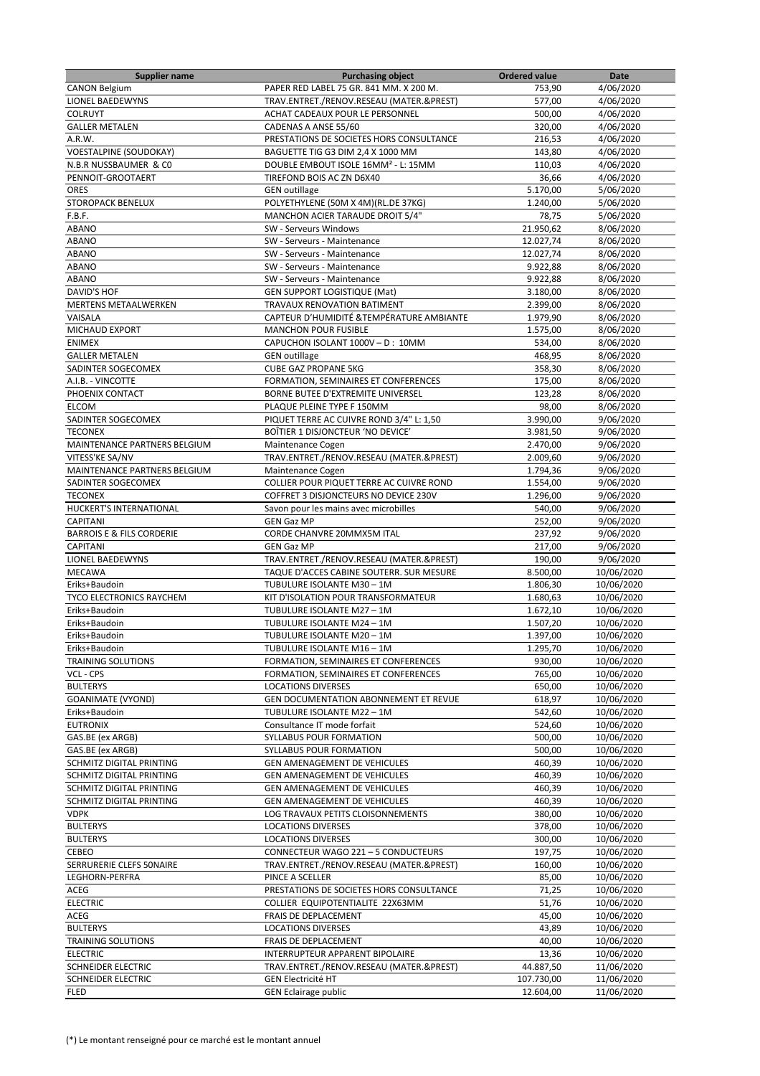| <b>Supplier name</b>                 | <b>Purchasing object</b>                        | <b>Ordered value</b> | Date       |
|--------------------------------------|-------------------------------------------------|----------------------|------------|
| <b>CANON Belgium</b>                 | PAPER RED LABEL 75 GR. 841 MM. X 200 M.         | 753,90               | 4/06/2020  |
| <b>LIONEL BAEDEWYNS</b>              | TRAV.ENTRET./RENOV.RESEAU (MATER.&PREST)        | 577,00               | 4/06/2020  |
| <b>COLRUYT</b>                       | ACHAT CADEAUX POUR LE PERSONNEL                 | 500,00               | 4/06/2020  |
| <b>GALLER METALEN</b>                | CADENAS A ANSE 55/60                            | 320,00               | 4/06/2020  |
| A.R.W.                               | PRESTATIONS DE SOCIETES HORS CONSULTANCE        | 216,53               | 4/06/2020  |
| <b>VOESTALPINE (SOUDOKAY)</b>        | BAGUETTE TIG G3 DIM 2,4 X 1000 MM               | 143,80               | 4/06/2020  |
| N.B.R NUSSBAUMER & CO                | DOUBLE EMBOUT ISOLE 16MM <sup>2</sup> - L: 15MM | 110,03               | 4/06/2020  |
| PENNOIT-GROOTAERT                    | <b>TIREFOND BOIS AC ZN D6X40</b>                | 36,66                | 4/06/2020  |
| <b>ORES</b>                          | <b>GEN</b> outillage                            | 5.170,00             | 5/06/2020  |
| <b>STOROPACK BENELUX</b>             | POLYETHYLENE (50M X 4M)(RL.DE 37KG)             | 1.240,00             | 5/06/2020  |
| F.B.F.                               | MANCHON ACIER TARAUDE DROIT 5/4"                | 78,75                | 5/06/2020  |
| <b>ABANO</b>                         | SW - Serveurs Windows                           | 21.950,62            | 8/06/2020  |
| <b>ABANO</b>                         | SW - Serveurs - Maintenance                     | 12.027,74            | 8/06/2020  |
| ABANO                                | SW - Serveurs - Maintenance                     | 12.027,74            | 8/06/2020  |
| <b>ABANO</b>                         | SW - Serveurs - Maintenance                     | 9.922,88             | 8/06/2020  |
| <b>ABANO</b>                         | SW - Serveurs - Maintenance                     |                      |            |
|                                      |                                                 | 9.922,88             | 8/06/2020  |
| <b>DAVID'S HOF</b>                   | <b>GEN SUPPORT LOGISTIQUE (Mat)</b>             | 3.180,00             | 8/06/2020  |
| <b>MERTENS METAALWERKEN</b>          | TRAVAUX RENOVATION BATIMENT                     | 2.399,00             | 8/06/2020  |
| VAISALA                              | CAPTEUR D'HUMIDITÉ & TEMPÉRATURE AMBIANTE       | 1.979,90             | 8/06/2020  |
| <b>MICHAUD EXPORT</b>                | <b>MANCHON POUR FUSIBLE</b>                     | 1.575,00             | 8/06/2020  |
| <b>ENIMEX</b>                        | CAPUCHON ISOLANT 1000V - D: 10MM                | 534,00               | 8/06/2020  |
| <b>GALLER METALEN</b>                | <b>GEN outillage</b>                            | 468,95               | 8/06/2020  |
| SADINTER SOGECOMEX                   | <b>CUBE GAZ PROPANE 5KG</b>                     | 358,30               | 8/06/2020  |
| A.I.B. - VINCOTTE                    | FORMATION, SEMINAIRES ET CONFERENCES            | 175,00               | 8/06/2020  |
| PHOENIX CONTACT                      | BORNE BUTEE D'EXTREMITE UNIVERSEL               | 123,28               | 8/06/2020  |
| <b>ELCOM</b>                         | PLAQUE PLEINE TYPE F 150MM                      | 98,00                | 8/06/2020  |
| SADINTER SOGECOMEX                   | PIQUET TERRE AC CUIVRE ROND 3/4" L: 1,50        | 3.990,00             | 9/06/2020  |
| <b>TECONEX</b>                       | BOÎTIER 1 DISJONCTEUR 'NO DEVICE'               | 3.981,50             | 9/06/2020  |
| MAINTENANCE PARTNERS BELGIUM         | Maintenance Cogen                               | 2.470,00             | 9/06/2020  |
| VITESS'KE SA/NV                      | TRAV.ENTRET./RENOV.RESEAU (MATER.&PREST)        | 2.009,60             | 9/06/2020  |
| MAINTENANCE PARTNERS BELGIUM         | Maintenance Cogen                               | 1.794,36             | 9/06/2020  |
| SADINTER SOGECOMEX                   | COLLIER POUR PIQUET TERRE AC CUIVRE ROND        | 1.554,00             | 9/06/2020  |
| <b>TECONEX</b>                       | COFFRET 3 DISJONCTEURS NO DEVICE 230V           | 1.296,00             | 9/06/2020  |
| HUCKERT'S INTERNATIONAL              | Savon pour les mains avec microbilles           | 540,00               | 9/06/2020  |
| <b>CAPITANI</b>                      | <b>GEN Gaz MP</b>                               | 252,00               | 9/06/2020  |
| <b>BARROIS E &amp; FILS CORDERIE</b> | CORDE CHANVRE 20MMX5M ITAL                      | 237,92               | 9/06/2020  |
| <b>CAPITANI</b>                      | <b>GEN Gaz MP</b>                               | 217,00               | 9/06/2020  |
| <b>LIONEL BAEDEWYNS</b>              | TRAV.ENTRET./RENOV.RESEAU (MATER.&PREST)        | 190,00               | 9/06/2020  |
| <b>MECAWA</b>                        | TAQUE D'ACCES CABINE SOUTERR. SUR MESURE        | 8.500,00             | 10/06/2020 |
| Eriks+Baudoin                        | TUBULURE ISOLANTE M30 - 1M                      | 1.806,30             | 10/06/2020 |
| <b>TYCO ELECTRONICS RAYCHEM</b>      | KIT D'ISOLATION POUR TRANSFORMATEUR             | 1.680,63             | 10/06/2020 |
| Eriks+Baudoin                        | TUBULURE ISOLANTE M27-1M                        | 1.672,10             | 10/06/2020 |
| Eriks+Baudoin                        | TUBULURE ISOLANTE M24 - 1M                      | 1.507,20             | 10/06/2020 |
|                                      | TUBULURE ISOLANTE M20 - 1M                      |                      |            |
| Eriks+Baudoin                        | TUBULURE ISOLANTE M16-1M                        | 1.397,00             | 10/06/2020 |
| Eriks+Baudoin                        |                                                 | 1.295,70             | 10/06/2020 |
| <b>TRAINING SOLUTIONS</b>            | FORMATION, SEMINAIRES ET CONFERENCES            | 930,00               | 10/06/2020 |
| VCL - CPS                            | FORMATION, SEMINAIRES ET CONFERENCES            | 765,00               | 10/06/2020 |
| <b>BULTERYS</b>                      | <b>LOCATIONS DIVERSES</b>                       | 650,00               | 10/06/2020 |
| <b>GOANIMATE (VYOND)</b>             | GEN DOCUMENTATION ABONNEMENT ET REVUE           | 618,97               | 10/06/2020 |
| Eriks+Baudoin                        | TUBULURE ISOLANTE M22 - 1M                      | 542,60               | 10/06/2020 |
| <b>EUTRONIX</b>                      | Consultance IT mode forfait                     | 524,60               | 10/06/2020 |
| GAS.BE (ex ARGB)                     | SYLLABUS POUR FORMATION                         | 500,00               | 10/06/2020 |
| GAS.BE (ex ARGB)                     | SYLLABUS POUR FORMATION                         | 500,00               | 10/06/2020 |
| SCHMITZ DIGITAL PRINTING             | GEN AMENAGEMENT DE VEHICULES                    | 460,39               | 10/06/2020 |
| SCHMITZ DIGITAL PRINTING             | GEN AMENAGEMENT DE VEHICULES                    | 460,39               | 10/06/2020 |
| SCHMITZ DIGITAL PRINTING             | GEN AMENAGEMENT DE VEHICULES                    | 460,39               | 10/06/2020 |
| SCHMITZ DIGITAL PRINTING             | GEN AMENAGEMENT DE VEHICULES                    | 460,39               | 10/06/2020 |
| <b>VDPK</b>                          | LOG TRAVAUX PETITS CLOISONNEMENTS               | 380,00               | 10/06/2020 |
| <b>BULTERYS</b>                      | <b>LOCATIONS DIVERSES</b>                       | 378,00               | 10/06/2020 |
| <b>BULTERYS</b>                      | <b>LOCATIONS DIVERSES</b>                       | 300,00               | 10/06/2020 |
| CEBEO                                | CONNECTEUR WAGO 221 - 5 CONDUCTEURS             | 197,75               | 10/06/2020 |
| SERRURERIE CLEFS 50NAIRE             | TRAV.ENTRET./RENOV.RESEAU (MATER.&PREST)        | 160,00               | 10/06/2020 |
| LEGHORN-PERFRA                       | PINCE A SCELLER                                 | 85,00                | 10/06/2020 |
| ACEG                                 | PRESTATIONS DE SOCIETES HORS CONSULTANCE        | 71,25                | 10/06/2020 |
| <b>ELECTRIC</b>                      | COLLIER EQUIPOTENTIALITE 22X63MM                | 51,76                | 10/06/2020 |
| ACEG                                 | FRAIS DE DEPLACEMENT                            | 45,00                | 10/06/2020 |
| <b>BULTERYS</b>                      | <b>LOCATIONS DIVERSES</b>                       | 43,89                | 10/06/2020 |
| TRAINING SOLUTIONS                   | FRAIS DE DEPLACEMENT                            | 40,00                | 10/06/2020 |
| <b>ELECTRIC</b>                      | INTERRUPTEUR APPARENT BIPOLAIRE                 | 13,36                | 10/06/2020 |
| SCHNEIDER ELECTRIC                   | TRAV.ENTRET./RENOV.RESEAU (MATER.&PREST)        | 44.887,50            | 11/06/2020 |
| SCHNEIDER ELECTRIC                   | <b>GEN Electricité HT</b>                       | 107.730,00           | 11/06/2020 |
| <b>FLED</b>                          | <b>GEN Eclairage public</b>                     | 12.604,00            | 11/06/2020 |
|                                      |                                                 |                      |            |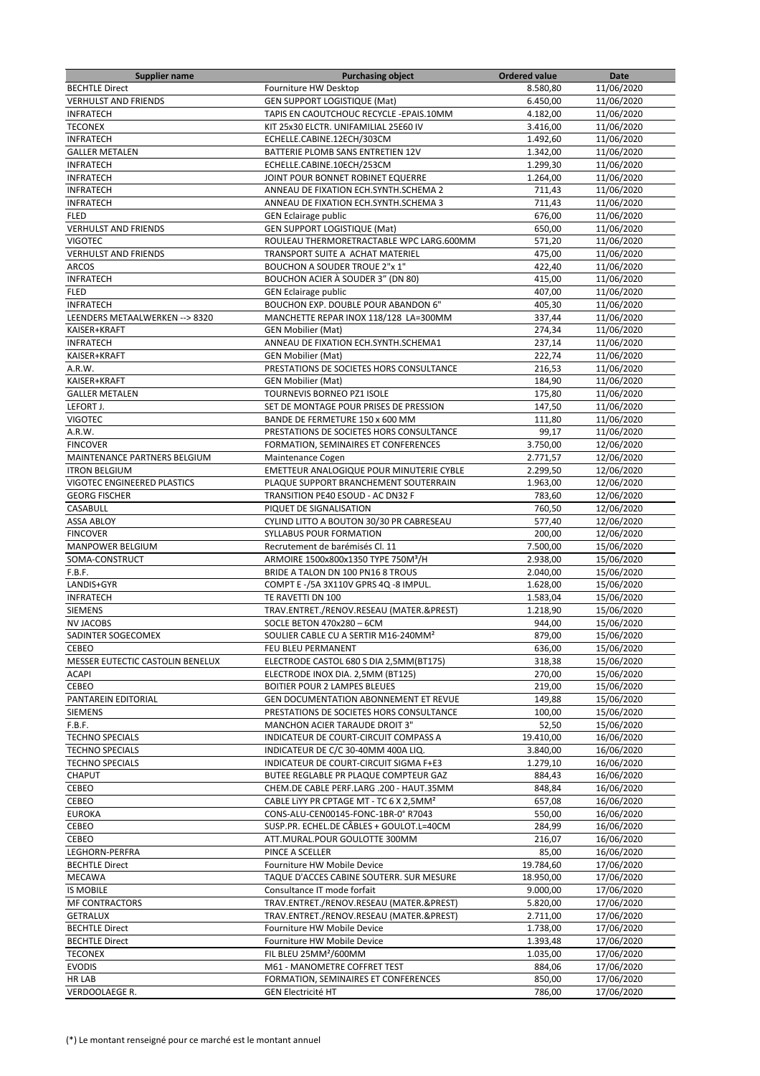| <b>Supplier name</b>             | <b>Purchasing object</b>                            | <b>Ordered value</b> | Date       |
|----------------------------------|-----------------------------------------------------|----------------------|------------|
| <b>BECHTLE Direct</b>            | Fourniture HW Desktop                               | 8.580,80             | 11/06/2020 |
| <b>VERHULST AND FRIENDS</b>      | <b>GEN SUPPORT LOGISTIQUE (Mat)</b>                 | 6.450,00             | 11/06/2020 |
| <b>INFRATECH</b>                 | TAPIS EN CAOUTCHOUC RECYCLE - EPAIS.10MM            | 4.182,00             | 11/06/2020 |
| <b>TECONEX</b>                   | KIT 25x30 ELCTR. UNIFAMILIAL 25E60 IV               | 3.416,00             | 11/06/2020 |
| <b>INFRATECH</b>                 | ECHELLE.CABINE.12ECH/303CM                          | 1.492,60             | 11/06/2020 |
| <b>GALLER METALEN</b>            | BATTERIE PLOMB SANS ENTRETIEN 12V                   | 1.342.00             | 11/06/2020 |
| <b>INFRATECH</b>                 | ECHELLE.CABINE.10ECH/253CM                          | 1.299,30             | 11/06/2020 |
| <b>INFRATECH</b>                 | JOINT POUR BONNET ROBINET EQUERRE                   | 1.264,00             | 11/06/2020 |
| <b>INFRATECH</b>                 | ANNEAU DE FIXATION ECH.SYNTH.SCHEMA 2               | 711,43               | 11/06/2020 |
| <b>INFRATECH</b>                 | ANNEAU DE FIXATION ECH.SYNTH.SCHEMA 3               | 711,43               | 11/06/2020 |
| <b>FLED</b>                      | <b>GEN Eclairage public</b>                         | 676,00               | 11/06/2020 |
| <b>VERHULST AND FRIENDS</b>      | <b>GEN SUPPORT LOGISTIQUE (Mat)</b>                 | 650,00               | 11/06/2020 |
| <b>VIGOTEC</b>                   | ROULEAU THERMORETRACTABLE WPC LARG.600MM            | 571,20               | 11/06/2020 |
| <b>VERHULST AND FRIENDS</b>      | TRANSPORT SUITE A ACHAT MATERIEL                    | 475,00               | 11/06/2020 |
| <b>ARCOS</b>                     | <b>BOUCHON A SOUDER TROUE 2"x 1"</b>                | 422,40               | 11/06/2020 |
| <b>INFRATECH</b>                 | BOUCHON ACIER À SOUDER 3" (DN 80)                   | 415,00               | 11/06/2020 |
| <b>FLED</b>                      | <b>GEN Eclairage public</b>                         | 407,00               | 11/06/2020 |
| <b>INFRATECH</b>                 | BOUCHON EXP. DOUBLE POUR ABANDON 6"                 | 405,30               | 11/06/2020 |
| LEENDERS METAALWERKEN --> 8320   | MANCHETTE REPAR INOX 118/128 LA=300MM               | 337,44               | 11/06/2020 |
| KAISER+KRAFT                     | <b>GEN Mobilier (Mat)</b>                           | 274,34               | 11/06/2020 |
| <b>INFRATECH</b>                 |                                                     |                      |            |
|                                  | ANNEAU DE FIXATION ECH.SYNTH.SCHEMA1                | 237,14               | 11/06/2020 |
| KAISER+KRAFT                     | <b>GEN Mobilier (Mat)</b>                           | 222,74               | 11/06/2020 |
| A.R.W.                           | PRESTATIONS DE SOCIETES HORS CONSULTANCE            | 216,53               | 11/06/2020 |
| KAISER+KRAFT                     | <b>GEN Mobilier (Mat)</b>                           | 184,90               | 11/06/2020 |
| <b>GALLER METALEN</b>            | TOURNEVIS BORNEO PZ1 ISOLE                          | 175,80               | 11/06/2020 |
| LEFORT J.                        | SET DE MONTAGE POUR PRISES DE PRESSION              | 147,50               | 11/06/2020 |
| <b>VIGOTEC</b>                   | BANDE DE FERMETURE 150 x 600 MM                     | 111.80               | 11/06/2020 |
| A.R.W.                           | PRESTATIONS DE SOCIETES HORS CONSULTANCE            | 99,17                | 11/06/2020 |
| <b>FINCOVER</b>                  | FORMATION, SEMINAIRES ET CONFERENCES                | 3.750,00             | 12/06/2020 |
| MAINTENANCE PARTNERS BELGIUM     | Maintenance Cogen                                   | 2.771,57             | 12/06/2020 |
| <b>ITRON BELGIUM</b>             | EMETTEUR ANALOGIQUE POUR MINUTERIE CYBLE            | 2.299,50             | 12/06/2020 |
| VIGOTEC ENGINEERED PLASTICS      | PLAQUE SUPPORT BRANCHEMENT SOUTERRAIN               | 1.963,00             | 12/06/2020 |
| <b>GEORG FISCHER</b>             | TRANSITION PE40 ESOUD - AC DN32 F                   | 783,60               | 12/06/2020 |
| CASABULL                         | PIQUET DE SIGNALISATION                             | 760,50               | 12/06/2020 |
| <b>ASSA ABLOY</b>                | CYLIND LITTO A BOUTON 30/30 PR CABRESEAU            | 577,40               | 12/06/2020 |
| <b>FINCOVER</b>                  | SYLLABUS POUR FORMATION                             | 200,00               | 12/06/2020 |
| <b>MANPOWER BELGIUM</b>          | Recrutement de barémisés Cl. 11                     | 7.500,00             | 15/06/2020 |
| SOMA-CONSTRUCT                   | ARMOIRE 1500x800x1350 TYPE 750M <sup>3</sup> /H     | 2.938,00             | 15/06/2020 |
| F.B.F.                           | BRIDE A TALON DN 100 PN16 8 TROUS                   | 2.040,00             | 15/06/2020 |
| LANDIS+GYR                       | COMPT E -/5A 3X110V GPRS 4Q -8 IMPUL.               | 1.628,00             | 15/06/2020 |
| <b>INFRATECH</b>                 | TE RAVETTI DN 100                                   | 1.583,04             | 15/06/2020 |
| <b>SIEMENS</b>                   | TRAV.ENTRET./RENOV.RESEAU (MATER.&PREST)            | 1.218,90             | 15/06/2020 |
| <b>NV JACOBS</b>                 | SOCLE BETON 470x280 - 6CM                           | 944,00               | 15/06/2020 |
| SADINTER SOGECOMEX               | SOULIER CABLE CU A SERTIR M16-240MM <sup>2</sup>    | 879,00               | 15/06/2020 |
| CEBEO                            | FEU BLEU PERMANENT                                  | 636,00               | 15/06/2020 |
| MESSER EUTECTIC CASTOLIN BENELUX | ELECTRODE CASTOL 680 S DIA 2,5MM(BT175)             | 318,38               | 15/06/2020 |
| <b>ACAPI</b>                     | ELECTRODE INOX DIA. 2,5MM (BT125)                   | 270,00               | 15/06/2020 |
| CEBEO                            | BOITIER POUR 2 LAMPES BLEUES                        | 219,00               | 15/06/2020 |
| PANTAREIN EDITORIAL              | GEN DOCUMENTATION ABONNEMENT ET REVUE               | 149,88               | 15/06/2020 |
| <b>SIEMENS</b>                   | PRESTATIONS DE SOCIETES HORS CONSULTANCE            | 100,00               | 15/06/2020 |
| F.B.F.                           | MANCHON ACIER TARAUDE DROIT 3"                      | 52,50                | 15/06/2020 |
| <b>TECHNO SPECIALS</b>           | INDICATEUR DE COURT-CIRCUIT COMPASS A               | 19.410,00            | 16/06/2020 |
| <b>TECHNO SPECIALS</b>           | INDICATEUR DE C/C 30-40MM 400A LIQ.                 | 3.840,00             | 16/06/2020 |
| <b>TECHNO SPECIALS</b>           |                                                     |                      |            |
|                                  | INDICATEUR DE COURT-CIRCUIT SIGMA F+E3              | 1.279,10             | 16/06/2020 |
| CHAPUT                           | BUTEE REGLABLE PR PLAQUE COMPTEUR GAZ               | 884,43               | 16/06/2020 |
| CEBEO                            | CHEM.DE CABLE PERF.LARG .200 - HAUT.35MM            | 848,84               | 16/06/2020 |
| CEBEO                            | CABLE LIYY PR CPTAGE MT - TC 6 X 2,5MM <sup>2</sup> | 657,08               | 16/06/2020 |
| <b>EUROKA</b>                    | CONS-ALU-CEN00145-FONC-1BR-0° R7043                 | 550,00               | 16/06/2020 |
| CEBEO                            | SUSP.PR. ECHEL.DE CÂBLES + GOULOT.L=40CM            | 284,99               | 16/06/2020 |
| CEBEO                            | ATT.MURAL.POUR GOULOTTE 300MM                       | 216,07               | 16/06/2020 |
| LEGHORN-PERFRA                   | PINCE A SCELLER                                     | 85,00                | 16/06/2020 |
| <b>BECHTLE Direct</b>            | Fourniture HW Mobile Device                         | 19.784,60            | 17/06/2020 |
| MECAWA                           | TAQUE D'ACCES CABINE SOUTERR. SUR MESURE            | 18.950,00            | 17/06/2020 |
| <b>IS MOBILE</b>                 | Consultance IT mode forfait                         | 9.000,00             | 17/06/2020 |
| MF CONTRACTORS                   | TRAV.ENTRET./RENOV.RESEAU (MATER.&PREST)            | 5.820,00             | 17/06/2020 |
| <b>GETRALUX</b>                  | TRAV.ENTRET./RENOV.RESEAU (MATER.&PREST)            | 2.711,00             | 17/06/2020 |
| <b>BECHTLE Direct</b>            | Fourniture HW Mobile Device                         | 1.738,00             | 17/06/2020 |
| <b>BECHTLE Direct</b>            | Fourniture HW Mobile Device                         | 1.393,48             | 17/06/2020 |
| <b>TECONEX</b>                   | FIL BLEU 25MM <sup>2</sup> /600MM                   | 1.035,00             | 17/06/2020 |
| <b>EVODIS</b>                    | M61 - MANOMETRE COFFRET TEST                        | 884,06               | 17/06/2020 |
| HR LAB                           | FORMATION, SEMINAIRES ET CONFERENCES                | 850,00               | 17/06/2020 |
| VERDOOLAEGE R.                   | <b>GEN Electricité HT</b>                           | 786,00               | 17/06/2020 |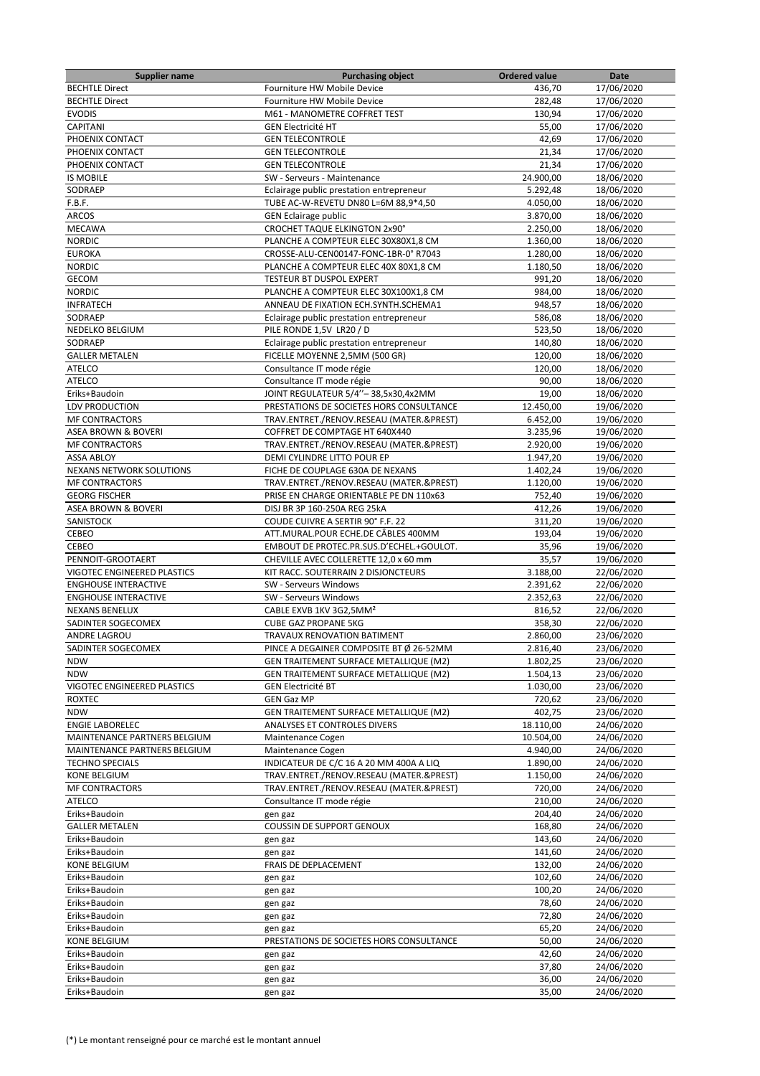| <b>Supplier name</b>               | <b>Purchasing object</b>                      | <b>Ordered value</b> | Date       |
|------------------------------------|-----------------------------------------------|----------------------|------------|
| <b>BECHTLE Direct</b>              | Fourniture HW Mobile Device                   | 436,70               | 17/06/2020 |
| <b>BECHTLE Direct</b>              | Fourniture HW Mobile Device                   | 282,48               | 17/06/2020 |
| <b>EVODIS</b>                      | M61 - MANOMETRE COFFRET TEST                  | 130,94               | 17/06/2020 |
| <b>CAPITANI</b>                    | <b>GEN Electricité HT</b>                     | 55,00                | 17/06/2020 |
| PHOENIX CONTACT                    | <b>GEN TELECONTROLE</b>                       | 42,69                | 17/06/2020 |
| PHOENIX CONTACT                    | <b>GEN TELECONTROLE</b>                       | 21,34                | 17/06/2020 |
| PHOENIX CONTACT                    | <b>GEN TELECONTROLE</b>                       | 21,34                | 17/06/2020 |
| <b>IS MOBILE</b>                   | SW - Serveurs - Maintenance                   | 24.900,00            | 18/06/2020 |
| SODRAEP                            | Eclairage public prestation entrepreneur      | 5.292,48             | 18/06/2020 |
| F.B.F.                             | TUBE AC-W-REVETU DN80 L=6M 88,9*4,50          | 4.050,00             | 18/06/2020 |
| <b>ARCOS</b>                       | <b>GEN Eclairage public</b>                   | 3.870,00             | 18/06/2020 |
| <b>MECAWA</b>                      | <b>CROCHET TAQUE ELKINGTON 2x90°</b>          | 2.250,00             | 18/06/2020 |
| <b>NORDIC</b>                      | PLANCHE A COMPTEUR ELEC 30X80X1,8 CM          | 1.360.00             | 18/06/2020 |
|                                    |                                               | 1.280,00             | 18/06/2020 |
| <b>EUROKA</b>                      | CROSSE-ALU-CEN00147-FONC-1BR-0° R7043         |                      |            |
| <b>NORDIC</b>                      | PLANCHE A COMPTEUR ELEC 40X 80X1,8 CM         | 1.180,50             | 18/06/2020 |
| <b>GECOM</b>                       | TESTEUR BT DUSPOL EXPERT                      | 991,20               | 18/06/2020 |
| <b>NORDIC</b>                      | PLANCHE A COMPTEUR ELEC 30X100X1,8 CM         | 984,00               | 18/06/2020 |
| <b>INFRATECH</b>                   | ANNEAU DE FIXATION ECH.SYNTH.SCHEMA1          | 948,57               | 18/06/2020 |
| SODRAEP                            | Eclairage public prestation entrepreneur      | 586,08               | 18/06/2020 |
| NEDELKO BELGIUM                    | PILE RONDE 1,5V LR20 / D                      | 523,50               | 18/06/2020 |
| SODRAEP                            | Eclairage public prestation entrepreneur      | 140,80               | 18/06/2020 |
| <b>GALLER METALEN</b>              | FICELLE MOYENNE 2,5MM (500 GR)                | 120,00               | 18/06/2020 |
| <b>ATELCO</b>                      | Consultance IT mode régie                     | 120,00               | 18/06/2020 |
| <b>ATELCO</b>                      | Consultance IT mode régie                     | 90,00                | 18/06/2020 |
| Eriks+Baudoin                      | JOINT REGULATEUR 5/4"-38,5x30,4x2MM           | 19,00                | 18/06/2020 |
| LDV PRODUCTION                     | PRESTATIONS DE SOCIETES HORS CONSULTANCE      | 12.450,00            | 19/06/2020 |
| <b>MF CONTRACTORS</b>              | TRAV.ENTRET./RENOV.RESEAU (MATER.&PREST)      | 6.452,00             | 19/06/2020 |
| <b>ASEA BROWN &amp; BOVERI</b>     | COFFRET DE COMPTAGE HT 640X440                | 3.235,96             | 19/06/2020 |
| <b>MF CONTRACTORS</b>              | TRAV.ENTRET./RENOV.RESEAU (MATER.&PREST)      | 2.920,00             | 19/06/2020 |
| <b>ASSA ABLOY</b>                  | DEMI CYLINDRE LITTO POUR EP                   | 1.947,20             | 19/06/2020 |
| <b>NEXANS NETWORK SOLUTIONS</b>    | FICHE DE COUPLAGE 630A DE NEXANS              | 1.402,24             | 19/06/2020 |
| <b>MF CONTRACTORS</b>              | TRAV.ENTRET./RENOV.RESEAU (MATER.&PREST)      | 1.120,00             | 19/06/2020 |
| <b>GEORG FISCHER</b>               | PRISE EN CHARGE ORIENTABLE PE DN 110x63       | 752,40               | 19/06/2020 |
| <b>ASEA BROWN &amp; BOVERI</b>     | DISJ BR 3P 160-250A REG 25kA                  | 412,26               | 19/06/2020 |
| SANISTOCK                          | COUDE CUIVRE A SERTIR 90° F.F. 22             | 311,20               | 19/06/2020 |
| CEBEO                              | ATT.MURAL.POUR ECHE.DE CÂBLES 400MM           | 193,04               | 19/06/2020 |
|                                    | EMBOUT DE PROTEC.PR.SUS.D'ECHEL.+GOULOT.      |                      |            |
| CEBEO<br>PENNOIT-GROOTAERT         |                                               | 35,96                | 19/06/2020 |
|                                    | CHEVILLE AVEC COLLERETTE 12,0 x 60 mm         | 35,57                | 19/06/2020 |
| <b>VIGOTEC ENGINEERED PLASTICS</b> | KIT RACC. SOUTERRAIN 2 DISJONCTEURS           | 3.188,00             | 22/06/2020 |
| <b>ENGHOUSE INTERACTIVE</b>        | SW - Serveurs Windows                         | 2.391,62             | 22/06/2020 |
| <b>ENGHOUSE INTERACTIVE</b>        | SW - Serveurs Windows                         | 2.352,63             | 22/06/2020 |
| <b>NEXANS BENELUX</b>              | CABLE EXVB 1KV 3G2,5MM <sup>2</sup>           | 816,52               | 22/06/2020 |
| SADINTER SOGECOMEX                 | <b>CUBE GAZ PROPANE 5KG</b>                   | 358,30               | 22/06/2020 |
| <b>ANDRE LAGROU</b>                | TRAVAUX RENOVATION BATIMENT                   | 2.860,00             | 23/06/2020 |
| SADINTER SOGECOMEX                 | PINCE A DEGAINER COMPOSITE BT Ø 26-52MM       | 2.816,40             | 23/06/2020 |
| <b>NDW</b>                         | <b>GEN TRAITEMENT SURFACE METALLIQUE (M2)</b> | 1.802,25             | 23/06/2020 |
| <b>NDW</b>                         | GEN TRAITEMENT SURFACE METALLIQUE (M2)        | 1.504,13             | 23/06/2020 |
| VIGOTEC ENGINEERED PLASTICS        | <b>GEN Electricité BT</b>                     | 1.030,00             | 23/06/2020 |
| <b>ROXTEC</b>                      | <b>GEN Gaz MP</b>                             | 720,62               | 23/06/2020 |
| <b>NDW</b>                         | GEN TRAITEMENT SURFACE METALLIQUE (M2)        | 402,75               | 23/06/2020 |
| <b>ENGIE LABORELEC</b>             | ANALYSES ET CONTROLES DIVERS                  | 18.110,00            | 24/06/2020 |
| MAINTENANCE PARTNERS BELGIUM       | Maintenance Cogen                             | 10.504,00            | 24/06/2020 |
| MAINTENANCE PARTNERS BELGIUM       | Maintenance Cogen                             | 4.940,00             | 24/06/2020 |
| <b>TECHNO SPECIALS</b>             | INDICATEUR DE C/C 16 A 20 MM 400A A LIQ       | 1.890,00             | 24/06/2020 |
| KONE BELGIUM                       | TRAV.ENTRET./RENOV.RESEAU (MATER.&PREST)      | 1.150,00             | 24/06/2020 |
| <b>MF CONTRACTORS</b>              | TRAV.ENTRET./RENOV.RESEAU (MATER.&PREST)      | 720,00               | 24/06/2020 |
| <b>ATELCO</b>                      | Consultance IT mode régie                     | 210,00               | 24/06/2020 |
| Eriks+Baudoin                      | gen gaz                                       | 204,40               | 24/06/2020 |
| <b>GALLER METALEN</b>              | COUSSIN DE SUPPORT GENOUX                     | 168,80               | 24/06/2020 |
| Eriks+Baudoin                      | gen gaz                                       | 143,60               | 24/06/2020 |
| Eriks+Baudoin                      | gen gaz                                       | 141,60               | 24/06/2020 |
| <b>KONE BELGIUM</b>                | FRAIS DE DEPLACEMENT                          | 132,00               | 24/06/2020 |
| Eriks+Baudoin                      |                                               | 102,60               | 24/06/2020 |
| Eriks+Baudoin                      | gen gaz                                       | 100,20               | 24/06/2020 |
|                                    | gen gaz                                       |                      |            |
| Eriks+Baudoin                      | gen gaz                                       | 78,60                | 24/06/2020 |
| Eriks+Baudoin                      | gen gaz                                       | 72,80                | 24/06/2020 |
| Eriks+Baudoin                      | gen gaz                                       | 65,20                | 24/06/2020 |
| KONE BELGIUM                       | PRESTATIONS DE SOCIETES HORS CONSULTANCE      | 50,00                | 24/06/2020 |
| Eriks+Baudoin                      | gen gaz                                       | 42,60                | 24/06/2020 |
| Eriks+Baudoin                      | gen gaz                                       | 37,80                | 24/06/2020 |
| Eriks+Baudoin                      | gen gaz                                       | 36,00                | 24/06/2020 |
| Eriks+Baudoin                      | gen gaz                                       | 35,00                | 24/06/2020 |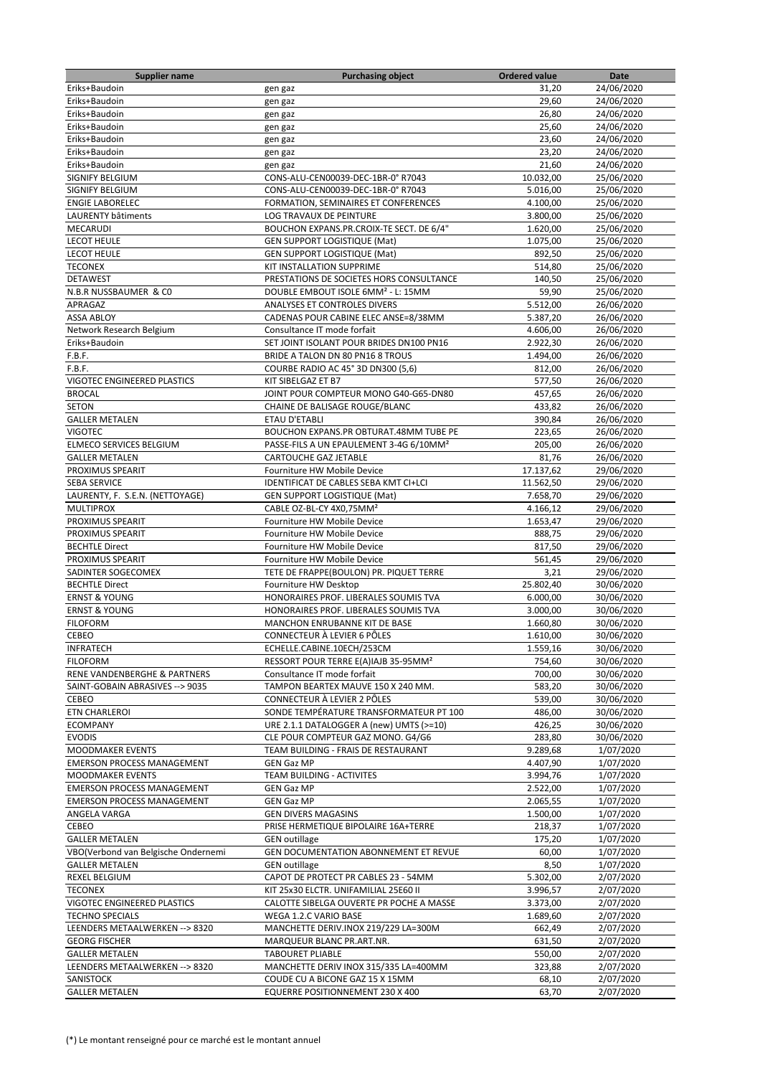| <b>Supplier name</b>                                   | <b>Purchasing object</b>                                            | <b>Ordered value</b>  | Date                     |
|--------------------------------------------------------|---------------------------------------------------------------------|-----------------------|--------------------------|
| Eriks+Baudoin                                          | gen gaz                                                             | 31,20                 | 24/06/2020               |
| Eriks+Baudoin                                          | gen gaz                                                             | 29,60                 | 24/06/2020               |
| Eriks+Baudoin                                          | gen gaz                                                             | 26,80                 | 24/06/2020               |
| Eriks+Baudoin                                          | gen gaz                                                             | 25,60                 | 24/06/2020               |
| Eriks+Baudoin                                          | gen gaz                                                             | 23,60                 | 24/06/2020               |
| Eriks+Baudoin                                          | gen gaz                                                             | 23,20                 | 24/06/2020               |
| Eriks+Baudoin                                          | gen gaz                                                             | 21,60                 | 24/06/2020               |
| SIGNIFY BELGIUM                                        | CONS-ALU-CEN00039-DEC-1BR-0° R7043                                  | 10.032,00             | 25/06/2020               |
| SIGNIFY BELGIUM                                        | CONS-ALU-CEN00039-DEC-1BR-0° R7043                                  | 5.016,00              | 25/06/2020               |
| <b>ENGIE LABORELEC</b>                                 | FORMATION, SEMINAIRES ET CONFERENCES                                | 4.100,00              | 25/06/2020               |
| LAURENTY bâtiments<br><b>MECARUDI</b>                  | LOG TRAVAUX DE PEINTURE<br>BOUCHON EXPANS.PR.CROIX-TE SECT. DE 6/4" | 3.800,00              | 25/06/2020               |
| <b>LECOT HEULE</b>                                     | <b>GEN SUPPORT LOGISTIQUE (Mat)</b>                                 | 1.620,00<br>1.075,00  | 25/06/2020<br>25/06/2020 |
| <b>LECOT HEULE</b>                                     | <b>GEN SUPPORT LOGISTIQUE (Mat)</b>                                 | 892,50                | 25/06/2020               |
| <b>TECONEX</b>                                         | KIT INSTALLATION SUPPRIME                                           | 514,80                | 25/06/2020               |
| <b>DETAWEST</b>                                        | PRESTATIONS DE SOCIETES HORS CONSULTANCE                            | 140,50                | 25/06/2020               |
| N.B.R NUSSBAUMER & CO                                  | DOUBLE EMBOUT ISOLE 6MM <sup>2</sup> - L: 15MM                      | 59,90                 | 25/06/2020               |
| APRAGAZ                                                | ANALYSES ET CONTROLES DIVERS                                        | 5.512,00              | 26/06/2020               |
| <b>ASSA ABLOY</b>                                      | CADENAS POUR CABINE ELEC ANSE=8/38MM                                | 5.387,20              | 26/06/2020               |
| Network Research Belgium                               | Consultance IT mode forfait                                         | 4.606,00              | 26/06/2020               |
| Eriks+Baudoin                                          | SET JOINT ISOLANT POUR BRIDES DN100 PN16                            | 2.922,30              | 26/06/2020               |
| F.B.F.                                                 | BRIDE A TALON DN 80 PN16 8 TROUS                                    | 1.494,00              | 26/06/2020               |
| F.B.F.                                                 | COURBE RADIO AC 45° 3D DN300 (5,6)                                  | 812,00                | 26/06/2020               |
| VIGOTEC ENGINEERED PLASTICS                            | KIT SIBELGAZ ET B7                                                  | 577,50                | 26/06/2020               |
| <b>BROCAL</b>                                          | JOINT POUR COMPTEUR MONO G40-G65-DN80                               | 457,65                | 26/06/2020               |
| <b>SETON</b>                                           | CHAINE DE BALISAGE ROUGE/BLANC                                      | 433,82                | 26/06/2020               |
| <b>GALLER METALEN</b>                                  | ETAU D'ETABLI                                                       | 390,84                | 26/06/2020               |
| <b>VIGOTEC</b>                                         | BOUCHON EXPANS.PR OBTURAT.48MM TUBE PE                              | 223,65                | 26/06/2020               |
| ELMECO SERVICES BELGIUM                                | PASSE-FILS A UN EPAULEMENT 3-4G 6/10MM <sup>2</sup>                 | 205,00                | 26/06/2020               |
| <b>GALLER METALEN</b>                                  | <b>CARTOUCHE GAZ JETABLE</b>                                        | 81,76                 | 26/06/2020               |
| PROXIMUS SPEARIT                                       | Fourniture HW Mobile Device                                         | 17.137,62             | 29/06/2020               |
| <b>SEBA SERVICE</b>                                    | IDENTIFICAT DE CABLES SEBA KMT CI+LCI                               | 11.562,50             | 29/06/2020               |
| LAURENTY, F. S.E.N. (NETTOYAGE)                        | <b>GEN SUPPORT LOGISTIQUE (Mat)</b>                                 | 7.658,70              | 29/06/2020               |
| <b>MULTIPROX</b>                                       | CABLE OZ-BL-CY 4X0,75MM <sup>2</sup>                                | 4.166,12              | 29/06/2020               |
| PROXIMUS SPEARIT                                       | Fourniture HW Mobile Device                                         | 1.653,47              | 29/06/2020               |
| PROXIMUS SPEARIT                                       | Fourniture HW Mobile Device                                         | 888,75                | 29/06/2020               |
| <b>BECHTLE Direct</b>                                  | Fourniture HW Mobile Device                                         | 817,50                | 29/06/2020               |
| PROXIMUS SPEARIT                                       | Fourniture HW Mobile Device                                         | 561,45                | 29/06/2020               |
| SADINTER SOGECOMEX                                     | TETE DE FRAPPE(BOULON) PR. PIQUET TERRE                             | 3,21                  | 29/06/2020               |
| <b>BECHTLE Direct</b><br><b>ERNST &amp; YOUNG</b>      | Fourniture HW Desktop<br>HONORAIRES PROF. LIBERALES SOUMIS TVA      | 25.802,40<br>6.000,00 | 30/06/2020<br>30/06/2020 |
| <b>ERNST &amp; YOUNG</b>                               | HONORAIRES PROF. LIBERALES SOUMIS TVA                               | 3.000,00              | 30/06/2020               |
| <b>FILOFORM</b>                                        | <b>MANCHON ENRUBANNE KIT DE BASE</b>                                | 1.660,80              | 30/06/2020               |
| CEBEO                                                  | CONNECTEUR À LEVIER 6 PÔLES                                         | 1.610,00              | 30/06/2020               |
| <b>INFRATECH</b>                                       | ECHELLE.CABINE.10ECH/253CM                                          | 1.559,16              | 30/06/2020               |
| <b>FILOFORM</b>                                        | RESSORT POUR TERRE E(A)IAJB 35-95MM <sup>2</sup>                    | 754,60                | 30/06/2020               |
| RENE VANDENBERGHE & PARTNERS                           | Consultance IT mode forfait                                         | 700,00                | 30/06/2020               |
| SAINT-GOBAIN ABRASIVES --> 9035                        | TAMPON BEARTEX MAUVE 150 X 240 MM.                                  | 583,20                | 30/06/2020               |
| CEBEO                                                  | CONNECTEUR À LEVIER 2 PÔLES                                         | 539,00                | 30/06/2020               |
| <b>ETN CHARLEROI</b>                                   | SONDE TEMPÉRATURE TRANSFORMATEUR PT 100                             | 486,00                | 30/06/2020               |
| <b>ECOMPANY</b>                                        | URE 2.1.1 DATALOGGER A (new) UMTS (>=10)                            | 426,25                | 30/06/2020               |
| <b>EVODIS</b>                                          | CLE POUR COMPTEUR GAZ MONO. G4/G6                                   | 283,80                | 30/06/2020               |
| MOODMAKER EVENTS                                       | TEAM BUILDING - FRAIS DE RESTAURANT                                 | 9.289,68              | 1/07/2020                |
| <b>EMERSON PROCESS MANAGEMENT</b>                      | <b>GEN Gaz MP</b>                                                   | 4.407,90              | 1/07/2020                |
| MOODMAKER EVENTS                                       | TEAM BUILDING - ACTIVITES                                           | 3.994,76              | 1/07/2020                |
| <b>EMERSON PROCESS MANAGEMENT</b>                      | <b>GEN Gaz MP</b>                                                   | 2.522,00              | 1/07/2020                |
| <b>EMERSON PROCESS MANAGEMENT</b>                      | <b>GEN Gaz MP</b>                                                   | 2.065,55              | 1/07/2020                |
| ANGELA VARGA                                           | <b>GEN DIVERS MAGASINS</b>                                          | 1.500,00              | 1/07/2020                |
| CEBEO                                                  | PRISE HERMETIQUE BIPOLAIRE 16A+TERRE                                | 218,37                | 1/07/2020                |
| <b>GALLER METALEN</b>                                  | <b>GEN</b> outillage                                                | 175,20                | 1/07/2020                |
| VBO(Verbond van Belgische Ondernemi                    | GEN DOCUMENTATION ABONNEMENT ET REVUE                               | 60,00                 | 1/07/2020                |
| <b>GALLER METALEN</b>                                  | <b>GEN</b> outillage                                                | 8,50                  | 1/07/2020                |
| REXEL BELGIUM                                          | CAPOT DE PROTECT PR CABLES 23 - 54MM                                | 5.302,00              | 2/07/2020                |
| <b>TECONEX</b>                                         | KIT 25x30 ELCTR. UNIFAMILIAL 25E60 II                               | 3.996,57              | 2/07/2020                |
| VIGOTEC ENGINEERED PLASTICS                            | CALOTTE SIBELGA OUVERTE PR POCHE A MASSE                            | 3.373,00              | 2/07/2020                |
| <b>TECHNO SPECIALS</b>                                 | WEGA 1.2.C VARIO BASE                                               | 1.689,60              | 2/07/2020                |
| LEENDERS METAALWERKEN --> 8320<br><b>GEORG FISCHER</b> | MANCHETTE DERIV.INOX 219/229 LA=300M<br>MARQUEUR BLANC PR.ART.NR.   | 662,49<br>631,50      | 2/07/2020<br>2/07/2020   |
| <b>GALLER METALEN</b>                                  | <b>TABOURET PLIABLE</b>                                             | 550,00                | 2/07/2020                |
| LEENDERS METAALWERKEN --> 8320                         | MANCHETTE DERIV INOX 315/335 LA=400MM                               | 323,88                | 2/07/2020                |
| SANISTOCK                                              | COUDE CU A BICONE GAZ 15 X 15MM                                     | 68,10                 | 2/07/2020                |
|                                                        |                                                                     |                       |                          |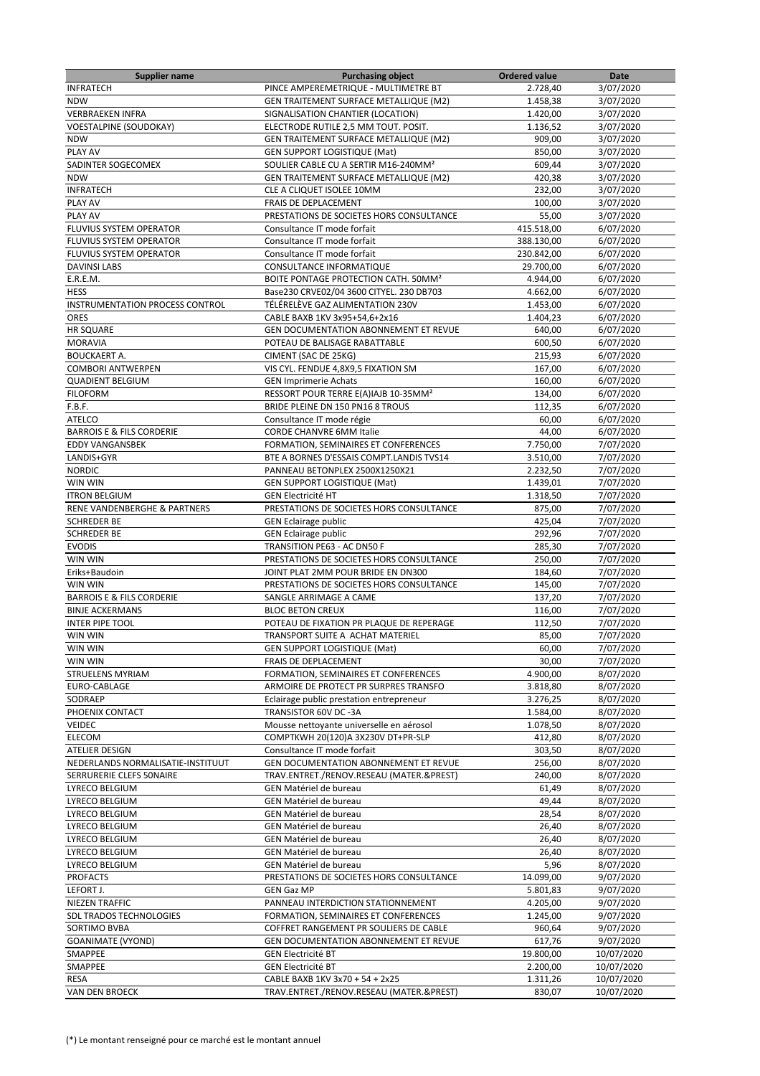| <b>Supplier name</b>                   | <b>Purchasing object</b>                         | <b>Ordered value</b> | Date       |
|----------------------------------------|--------------------------------------------------|----------------------|------------|
| <b>INFRATECH</b>                       | PINCE AMPEREMETRIQUE - MULTIMETRE BT             | 2.728,40             | 3/07/2020  |
| <b>NDW</b>                             | GEN TRAITEMENT SURFACE METALLIQUE (M2)           | 1.458,38             | 3/07/2020  |
| <b>VERBRAEKEN INFRA</b>                | SIGNALISATION CHANTIER (LOCATION)                | 1.420.00             | 3/07/2020  |
| <b>VOESTALPINE (SOUDOKAY)</b>          | ELECTRODE RUTILE 2,5 MM TOUT. POSIT.             | 1.136,52             | 3/07/2020  |
| <b>NDW</b>                             | GEN TRAITEMENT SURFACE METALLIQUE (M2)           | 909,00               | 3/07/2020  |
| PLAY AV                                | <b>GEN SUPPORT LOGISTIQUE (Mat)</b>              | 850,00               | 3/07/2020  |
| SADINTER SOGECOMEX                     | SOULIER CABLE CU A SERTIR M16-240MM <sup>2</sup> | 609,44               | 3/07/2020  |
| <b>NDW</b>                             | GEN TRAITEMENT SURFACE METALLIQUE (M2)           | 420,38               | 3/07/2020  |
| <b>INFRATECH</b>                       | CLE A CLIQUET ISOLEE 10MM                        | 232,00               | 3/07/2020  |
| PLAY AV                                | FRAIS DE DEPLACEMENT                             | 100,00               | 3/07/2020  |
| PLAY AV                                | PRESTATIONS DE SOCIETES HORS CONSULTANCE         | 55,00                | 3/07/2020  |
| FLUVIUS SYSTEM OPERATOR                | Consultance IT mode forfait                      | 415.518,00           | 6/07/2020  |
| <b>FLUVIUS SYSTEM OPERATOR</b>         | Consultance IT mode forfait                      | 388.130,00           | 6/07/2020  |
| FLUVIUS SYSTEM OPERATOR                | Consultance IT mode forfait                      | 230.842,00           | 6/07/2020  |
| <b>DAVINSI LABS</b>                    | CONSULTANCE INFORMATIQUE                         | 29.700,00            | 6/07/2020  |
| E.R.E.M.                               | BOITE PONTAGE PROTECTION CATH. 50MM <sup>2</sup> | 4.944,00             | 6/07/2020  |
| <b>HESS</b>                            | Base230 CRVE02/04 3600 CITYEL. 230 DB703         | 4.662,00             | 6/07/2020  |
| <b>INSTRUMENTATION PROCESS CONTROL</b> | TÉLÉRELÈVE GAZ ALIMENTATION 230V                 | 1.453,00             | 6/07/2020  |
| <b>ORES</b>                            | CABLE BAXB 1KV 3x95+54,6+2x16                    | 1.404,23             | 6/07/2020  |
| <b>HR SQUARE</b>                       | GEN DOCUMENTATION ABONNEMENT ET REVUE            | 640,00               | 6/07/2020  |
| <b>MORAVIA</b>                         | POTEAU DE BALISAGE RABATTABLE                    | 600,50               | 6/07/2020  |
| <b>BOUCKAERT A.</b>                    | CIMENT (SAC DE 25KG)                             | 215,93               | 6/07/2020  |
| <b>COMBORI ANTWERPEN</b>               | VIS CYL. FENDUE 4,8X9,5 FIXATION SM              | 167,00               | 6/07/2020  |
| <b>QUADIENT BELGIUM</b>                | <b>GEN Imprimerie Achats</b>                     | 160,00               | 6/07/2020  |
| <b>FILOFORM</b>                        | RESSORT POUR TERRE E(A)IAJB 10-35MM <sup>2</sup> | 134,00               | 6/07/2020  |
| F.B.F.                                 | BRIDE PLEINE DN 150 PN16 8 TROUS                 | 112,35               | 6/07/2020  |
| <b>ATELCO</b>                          | Consultance IT mode régie                        | 60,00                | 6/07/2020  |
| <b>BARROIS E &amp; FILS CORDERIE</b>   | <b>CORDE CHANVRE 6MM Italie</b>                  | 44,00                | 6/07/2020  |
| <b>EDDY VANGANSBEK</b>                 | FORMATION, SEMINAIRES ET CONFERENCES             | 7.750,00             | 7/07/2020  |
| LANDIS+GYR                             | BTE A BORNES D'ESSAIS COMPT.LANDIS TVS14         | 3.510,00             | 7/07/2020  |
| <b>NORDIC</b>                          | PANNEAU BETONPLEX 2500X1250X21                   | 2.232,50             | 7/07/2020  |
| WIN WIN                                | <b>GEN SUPPORT LOGISTIQUE (Mat)</b>              | 1.439,01             | 7/07/2020  |
| <b>ITRON BELGIUM</b>                   | <b>GEN Electricité HT</b>                        | 1.318,50             | 7/07/2020  |
| RENE VANDENBERGHE & PARTNERS           | PRESTATIONS DE SOCIETES HORS CONSULTANCE         | 875,00               | 7/07/2020  |
| <b>SCHREDER BE</b>                     | <b>GEN Eclairage public</b>                      | 425,04               | 7/07/2020  |
| <b>SCHREDER BE</b>                     | <b>GEN Eclairage public</b>                      | 292,96               | 7/07/2020  |
| <b>EVODIS</b>                          | TRANSITION PE63 - AC DN50 F                      | 285,30               | 7/07/2020  |
| WIN WIN                                | PRESTATIONS DE SOCIETES HORS CONSULTANCE         | 250,00               | 7/07/2020  |
| Eriks+Baudoin                          | JOINT PLAT 2MM POUR BRIDE EN DN300               | 184,60               | 7/07/2020  |
| WIN WIN                                | PRESTATIONS DE SOCIETES HORS CONSULTANCE         | 145,00               | 7/07/2020  |
| <b>BARROIS E &amp; FILS CORDERIE</b>   | SANGLE ARRIMAGE A CAME                           | 137,20               | 7/07/2020  |
| <b>BINJE ACKERMANS</b>                 | <b>BLOC BETON CREUX</b>                          | 116,00               | 7/07/2020  |
| <b>INTER PIPE TOOL</b>                 | POTEAU DE FIXATION PR PLAQUE DE REPERAGE         | 112,50               | 7/07/2020  |
| WIN WIN                                | TRANSPORT SUITE A ACHAT MATERIEL                 | 85,00                | 7/07/2020  |
| WIN WIN                                | GEN SUPPORT LOGISTIQUE (Mat)                     | 60,00                | 7/07/2020  |
| WIN WIN                                | FRAIS DE DEPLACEMENT                             | 30,00                | 7/07/2020  |
| STRUELENS MYRIAM                       | FORMATION, SEMINAIRES ET CONFERENCES             | 4.900,00             | 8/07/2020  |
| EURO-CABLAGE                           | ARMOIRE DE PROTECT PR SURPRES TRANSFO            | 3.818,80             | 8/07/2020  |
| SODRAEP                                | Eclairage public prestation entrepreneur         | 3.276,25             | 8/07/2020  |
| PHOENIX CONTACT                        | TRANSISTOR 60V DC -3A                            | 1.584,00             | 8/07/2020  |
| VEIDEC                                 | Mousse nettoyante universelle en aérosol         | 1.078,50             | 8/07/2020  |
| ELECOM                                 | COMPTKWH 20(120)A 3X230V DT+PR-SLP               | 412,80               | 8/07/2020  |
| ATELIER DESIGN                         | Consultance IT mode forfait                      | 303,50               | 8/07/2020  |
| NEDERLANDS NORMALISATIE-INSTITUUT      | GEN DOCUMENTATION ABONNEMENT ET REVUE            | 256,00               | 8/07/2020  |
| SERRURERIE CLEFS 50NAIRE               | TRAV.ENTRET./RENOV.RESEAU (MATER.&PREST)         | 240,00               | 8/07/2020  |
| LYRECO BELGIUM                         | <b>GEN Matériel de bureau</b>                    | 61,49                | 8/07/2020  |
| LYRECO BELGIUM                         | <b>GEN Matériel de bureau</b>                    | 49,44                | 8/07/2020  |
| LYRECO BELGIUM                         | GEN Matériel de bureau                           | 28,54                | 8/07/2020  |
| LYRECO BELGIUM                         | GEN Matériel de bureau                           | 26,40                | 8/07/2020  |
| LYRECO BELGIUM                         | GEN Matériel de bureau                           | 26,40                | 8/07/2020  |
| LYRECO BELGIUM                         | GEN Matériel de bureau                           | 26,40                | 8/07/2020  |
| LYRECO BELGIUM                         | GEN Matériel de bureau                           | 5,96                 | 8/07/2020  |
| <b>PROFACTS</b>                        | PRESTATIONS DE SOCIETES HORS CONSULTANCE         | 14.099,00            | 9/07/2020  |
| LEFORT J.                              | GEN Gaz MP                                       | 5.801,83             | 9/07/2020  |
| NIEZEN TRAFFIC                         | PANNEAU INTERDICTION STATIONNEMENT               | 4.205,00             | 9/07/2020  |
| SDL TRADOS TECHNOLOGIES                | FORMATION, SEMINAIRES ET CONFERENCES             | 1.245,00             | 9/07/2020  |
| SORTIMO BVBA                           | COFFRET RANGEMENT PR SOULIERS DE CABLE           | 960,64               | 9/07/2020  |
| <b>GOANIMATE (VYOND)</b>               | GEN DOCUMENTATION ABONNEMENT ET REVUE            | 617,76               | 9/07/2020  |
| SMAPPEE                                | <b>GEN Electricité BT</b>                        | 19.800,00            | 10/07/2020 |
| SMAPPEE                                | <b>GEN Electricité BT</b>                        | 2.200,00             | 10/07/2020 |
| RESA                                   | CABLE BAXB 1KV 3x70 + 54 + 2x25                  | 1.311,26             | 10/07/2020 |
| VAN DEN BROECK                         | TRAV.ENTRET./RENOV.RESEAU (MATER.&PREST)         | 830,07               | 10/07/2020 |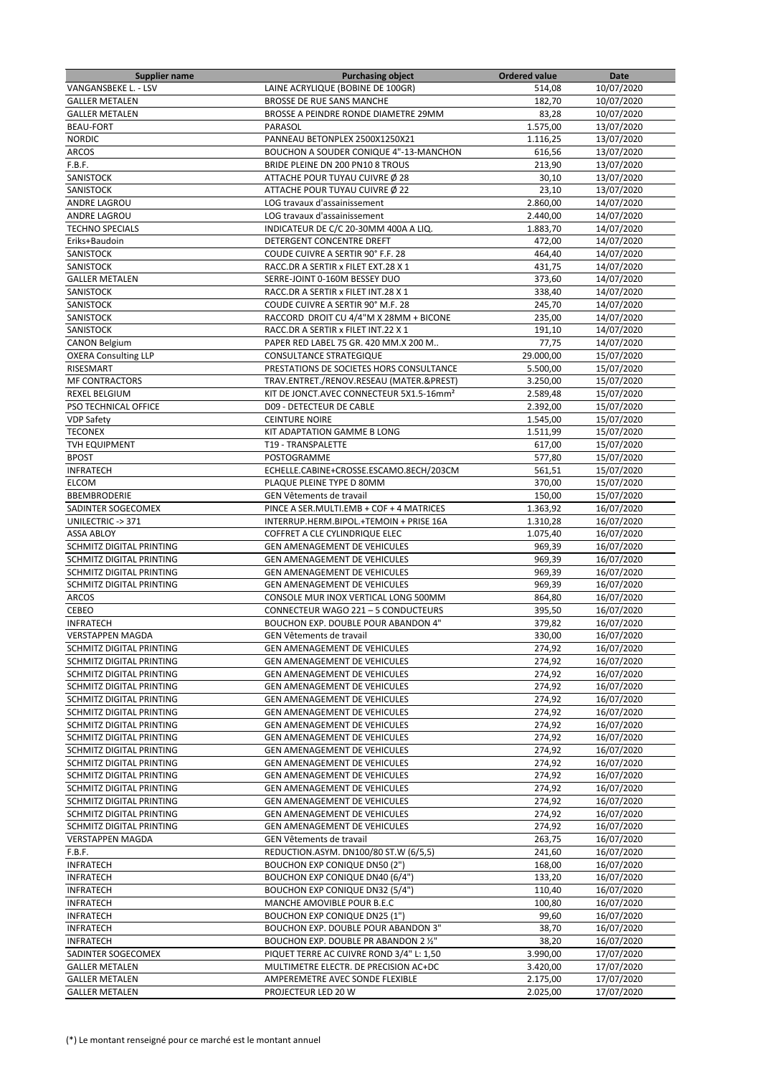| <b>Supplier name</b>                   | <b>Purchasing object</b>                                                  | <b>Ordered value</b> | Date       |
|----------------------------------------|---------------------------------------------------------------------------|----------------------|------------|
| VANGANSBEKE L. - LSV                   | LAINE ACRYLIQUE (BOBINE DE 100GR)                                         | 514,08               | 10/07/2020 |
| <b>GALLER METALEN</b>                  | BROSSE DE RUE SANS MANCHE                                                 | 182,70               | 10/07/2020 |
| <b>GALLER METALEN</b>                  | BROSSE A PEINDRE RONDE DIAMETRE 29MM                                      | 83,28                | 10/07/2020 |
| <b>BEAU-FORT</b>                       | PARASOL                                                                   | 1.575,00             | 13/07/2020 |
| <b>NORDIC</b>                          | PANNEAU BETONPLEX 2500X1250X21                                            | 1.116,25             | 13/07/2020 |
| <b>ARCOS</b>                           | BOUCHON A SOUDER CONIQUE 4"-13-MANCHON                                    | 616,56               | 13/07/2020 |
| F.B.F.                                 | BRIDE PLEINE DN 200 PN10 8 TROUS                                          | 213,90               | 13/07/2020 |
| SANISTOCK                              | ATTACHE POUR TUYAU CUIVRE Ø 28                                            | 30,10                | 13/07/2020 |
| SANISTOCK                              | ATTACHE POUR TUYAU CUIVRE Ø 22                                            | 23,10                | 13/07/2020 |
| ANDRE LAGROU                           | LOG travaux d'assainissement                                              | 2.860,00             | 14/07/2020 |
| <b>ANDRE LAGROU</b>                    | LOG travaux d'assainissement                                              | 2.440,00             | 14/07/2020 |
| <b>TECHNO SPECIALS</b>                 | INDICATEUR DE C/C 20-30MM 400A A LIQ.                                     | 1.883,70             | 14/07/2020 |
| Eriks+Baudoin                          | DETERGENT CONCENTRE DREFT                                                 | 472,00               | 14/07/2020 |
| <b>SANISTOCK</b>                       |                                                                           |                      |            |
|                                        | COUDE CUIVRE A SERTIR 90° F.F. 28                                         | 464,40               | 14/07/2020 |
| SANISTOCK                              | RACC.DR A SERTIR x FILET EXT.28 X 1                                       | 431,75               | 14/07/2020 |
| <b>GALLER METALEN</b>                  | SERRE-JOINT 0-160M BESSEY DUO                                             | 373,60               | 14/07/2020 |
| SANISTOCK                              | RACC.DR A SERTIR x FILET INT.28 X 1                                       | 338,40               | 14/07/2020 |
| SANISTOCK                              | COUDE CUIVRE A SERTIR 90° M.F. 28                                         | 245,70               | 14/07/2020 |
| SANISTOCK                              | RACCORD DROIT CU 4/4"M X 28MM + BICONE                                    | 235,00               | 14/07/2020 |
| SANISTOCK                              | RACC.DR A SERTIR x FILET INT.22 X 1                                       | 191,10               | 14/07/2020 |
| <b>CANON Belgium</b>                   | PAPER RED LABEL 75 GR. 420 MM.X 200 M                                     | 77,75                | 14/07/2020 |
| <b>OXERA Consulting LLP</b>            | CONSULTANCE STRATEGIQUE                                                   | 29.000,00            | 15/07/2020 |
| RISESMART                              | PRESTATIONS DE SOCIETES HORS CONSULTANCE                                  | 5.500,00             | 15/07/2020 |
| <b>MF CONTRACTORS</b>                  | TRAV.ENTRET./RENOV.RESEAU (MATER.&PREST)                                  | 3.250.00             | 15/07/2020 |
| REXEL BELGIUM                          | KIT DE JONCT.AVEC CONNECTEUR 5X1.5-16mm <sup>2</sup>                      | 2.589,48             | 15/07/2020 |
| PSO TECHNICAL OFFICE                   | D09 - DETECTEUR DE CABLE                                                  | 2.392,00             | 15/07/2020 |
| VDP Safety                             | <b>CEINTURE NOIRE</b>                                                     | 1.545,00             | 15/07/2020 |
| <b>TECONEX</b>                         | KIT ADAPTATION GAMME B LONG                                               | 1.511,99             | 15/07/2020 |
| <b>TVH EQUIPMENT</b>                   | T19 - TRANSPALETTE                                                        | 617,00               | 15/07/2020 |
| <b>BPOST</b>                           | POSTOGRAMME                                                               | 577,80               | 15/07/2020 |
| <b>INFRATECH</b>                       | ECHELLE.CABINE+CROSSE.ESCAMO.8ECH/203CM                                   | 561,51               | 15/07/2020 |
| <b>ELCOM</b>                           | PLAQUE PLEINE TYPE D 80MM                                                 | 370,00               | 15/07/2020 |
| BBEMBRODERIE                           | GEN Vêtements de travail                                                  | 150,00               | 15/07/2020 |
| SADINTER SOGECOMEX                     | PINCE A SER.MULTI.EMB + COF + 4 MATRICES                                  | 1.363,92             | 16/07/2020 |
|                                        |                                                                           |                      | 16/07/2020 |
| UNILECTRIC -> 371<br><b>ASSA ABLOY</b> | INTERRUP.HERM.BIPOL.+TEMOIN + PRISE 16A<br>COFFRET A CLE CYLINDRIQUE ELEC | 1.310,28<br>1.075,40 | 16/07/2020 |
|                                        |                                                                           |                      |            |
| SCHMITZ DIGITAL PRINTING               | GEN AMENAGEMENT DE VEHICULES                                              | 969,39               | 16/07/2020 |
| SCHMITZ DIGITAL PRINTING               | GEN AMENAGEMENT DE VEHICULES                                              | 969,39               | 16/07/2020 |
| SCHMITZ DIGITAL PRINTING               | GEN AMENAGEMENT DE VEHICULES                                              | 969,39               | 16/07/2020 |
| SCHMITZ DIGITAL PRINTING               | GEN AMENAGEMENT DE VEHICULES                                              | 969,39               | 16/07/2020 |
| <b>ARCOS</b>                           | CONSOLE MUR INOX VERTICAL LONG 500MM                                      | 864,80               | 16/07/2020 |
| CEBEO                                  | CONNECTEUR WAGO 221 - 5 CONDUCTEURS                                       | 395,50               | 16/07/2020 |
| <b>INFRATECH</b>                       | BOUCHON EXP. DOUBLE POUR ABANDON 4"                                       | 379,82               | 16/07/2020 |
| <b>VERSTAPPEN MAGDA</b>                | GEN Vêtements de travail                                                  | 330,00               | 16/07/2020 |
| SCHMITZ DIGITAL PRINTING               | GEN AMENAGEMENT DE VEHICULES                                              | 274,92               | 16/07/2020 |
| SCHMITZ DIGITAL PRINTING               | <b>GEN AMENAGEMENT DE VEHICULES</b>                                       | 274,92               | 16/07/2020 |
| SCHMITZ DIGITAL PRINTING               | GEN AMENAGEMENT DE VEHICULES                                              | 274,92               | 16/07/2020 |
| SCHMITZ DIGITAL PRINTING               | GEN AMENAGEMENT DE VEHICULES                                              | 274,92               | 16/07/2020 |
| SCHMITZ DIGITAL PRINTING               | GEN AMENAGEMENT DE VEHICULES                                              | 274,92               | 16/07/2020 |
| SCHMITZ DIGITAL PRINTING               | GEN AMENAGEMENT DE VEHICULES                                              | 274,92               | 16/07/2020 |
| SCHMITZ DIGITAL PRINTING               | GEN AMENAGEMENT DE VEHICULES                                              | 274,92               | 16/07/2020 |
| SCHMITZ DIGITAL PRINTING               | GEN AMENAGEMENT DE VEHICULES                                              | 274,92               | 16/07/2020 |
| SCHMITZ DIGITAL PRINTING               | GEN AMENAGEMENT DE VEHICULES                                              | 274,92               | 16/07/2020 |
| SCHMITZ DIGITAL PRINTING               | GEN AMENAGEMENT DE VEHICULES                                              | 274,92               | 16/07/2020 |
| SCHMITZ DIGITAL PRINTING               | GEN AMENAGEMENT DE VEHICULES                                              | 274,92               | 16/07/2020 |
| SCHMITZ DIGITAL PRINTING               | GEN AMENAGEMENT DE VEHICULES                                              | 274,92               | 16/07/2020 |
| SCHMITZ DIGITAL PRINTING               | GEN AMENAGEMENT DE VEHICULES                                              | 274,92               | 16/07/2020 |
| SCHMITZ DIGITAL PRINTING               | GEN AMENAGEMENT DE VEHICULES                                              | 274,92               | 16/07/2020 |
| SCHMITZ DIGITAL PRINTING               | GEN AMENAGEMENT DE VEHICULES                                              | 274,92               | 16/07/2020 |
| <b>VERSTAPPEN MAGDA</b>                | GEN Vêtements de travail                                                  | 263,75               | 16/07/2020 |
| F.B.F.                                 | REDUCTION.ASYM. DN100/80 ST.W (6/5,5)                                     | 241,60               | 16/07/2020 |
| <b>INFRATECH</b>                       | <b>BOUCHON EXP CONIQUE DN50 (2")</b>                                      | 168,00               | 16/07/2020 |
|                                        |                                                                           |                      |            |
| <b>INFRATECH</b>                       | BOUCHON EXP CONIQUE DN40 (6/4")                                           | 133,20               | 16/07/2020 |
| <b>INFRATECH</b>                       | BOUCHON EXP CONIQUE DN32 (5/4")                                           | 110,40               | 16/07/2020 |
| <b>INFRATECH</b>                       | MANCHE AMOVIBLE POUR B.E.C                                                | 100,80               | 16/07/2020 |
| <b>INFRATECH</b>                       | <b>BOUCHON EXP CONIQUE DN25 (1")</b>                                      | 99,60                | 16/07/2020 |
| <b>INFRATECH</b>                       | BOUCHON EXP. DOUBLE POUR ABANDON 3"                                       | 38,70                | 16/07/2020 |
| <b>INFRATECH</b>                       | BOUCHON EXP. DOUBLE PR ABANDON 2 1/2"                                     | 38,20                | 16/07/2020 |
| SADINTER SOGECOMEX                     | PIQUET TERRE AC CUIVRE ROND 3/4" L: 1,50                                  | 3.990,00             | 17/07/2020 |
| <b>GALLER METALEN</b>                  | MULTIMETRE ELECTR. DE PRECISION AC+DC                                     | 3.420,00             | 17/07/2020 |
| <b>GALLER METALEN</b>                  | AMPEREMETRE AVEC SONDE FLEXIBLE                                           | 2.175,00             | 17/07/2020 |
| <b>GALLER METALEN</b>                  | PROJECTEUR LED 20 W                                                       | 2.025,00             | 17/07/2020 |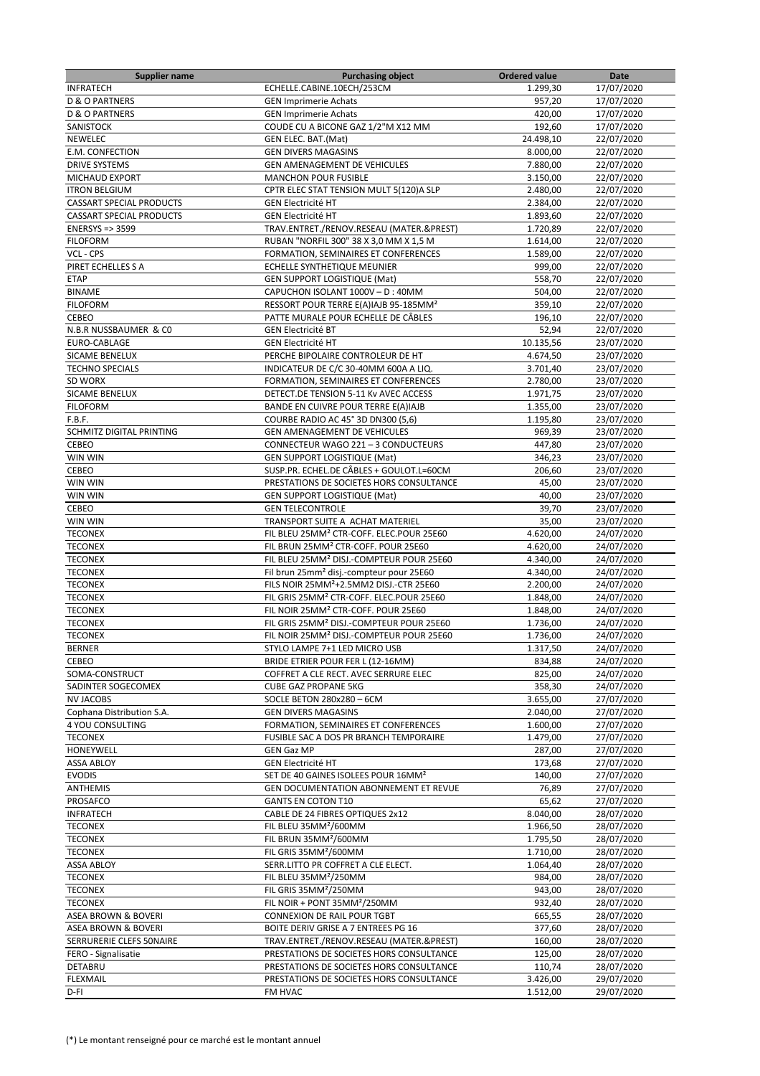| <b>Supplier name</b>            | <b>Purchasing object</b>                             | <b>Ordered value</b> | Date       |
|---------------------------------|------------------------------------------------------|----------------------|------------|
| <b>INFRATECH</b>                | ECHELLE.CABINE.10ECH/253CM                           | 1.299,30             | 17/07/2020 |
| <b>D &amp; O PARTNERS</b>       | <b>GEN Imprimerie Achats</b>                         | 957,20               | 17/07/2020 |
| <b>D &amp; O PARTNERS</b>       | <b>GEN Imprimerie Achats</b>                         | 420,00               | 17/07/2020 |
| SANISTOCK                       | COUDE CU A BICONE GAZ 1/2"M X12 MM                   | 192,60               | 17/07/2020 |
| NEWELEC                         | <b>GEN ELEC. BAT.(Mat)</b>                           | 24.498,10            | 22/07/2020 |
| E.M. CONFECTION                 | <b>GEN DIVERS MAGASINS</b>                           | 8.000,00             | 22/07/2020 |
| <b>DRIVE SYSTEMS</b>            | GEN AMENAGEMENT DE VEHICULES                         | 7.880,00             | 22/07/2020 |
| MICHAUD EXPORT                  | <b>MANCHON POUR FUSIBLE</b>                          | 3.150,00             | 22/07/2020 |
| <b>ITRON BELGIUM</b>            | CPTR ELEC STAT TENSION MULT 5(120)A SLP              | 2.480,00             | 22/07/2020 |
| <b>CASSART SPECIAL PRODUCTS</b> | <b>GEN Electricité HT</b>                            | 2.384,00             | 22/07/2020 |
| <b>CASSART SPECIAL PRODUCTS</b> | <b>GEN Electricité HT</b>                            | 1.893,60             | 22/07/2020 |
| <b>ENERSYS =&gt; 3599</b>       | TRAV.ENTRET./RENOV.RESEAU (MATER.&PREST)             | 1.720,89             | 22/07/2020 |
| <b>FILOFORM</b>                 | RUBAN "NORFIL 300" 38 X 3,0 MM X 1,5 M               | 1.614,00             | 22/07/2020 |
| VCL - CPS                       | FORMATION, SEMINAIRES ET CONFERENCES                 | 1.589,00             | 22/07/2020 |
| PIRET ECHELLES S A              | ECHELLE SYNTHETIQUE MEUNIER                          | 999,00               | 22/07/2020 |
| <b>ETAP</b>                     | <b>GEN SUPPORT LOGISTIQUE (Mat)</b>                  | 558,70               | 22/07/2020 |
| <b>BINAME</b>                   | CAPUCHON ISOLANT 1000V - D: 40MM                     | 504,00               | 22/07/2020 |
| <b>FILOFORM</b>                 | RESSORT POUR TERRE E(A)IAJB 95-185MM <sup>2</sup>    | 359,10               | 22/07/2020 |
| CEBEO                           | PATTE MURALE POUR ECHELLE DE CÂBLES                  | 196,10               | 22/07/2020 |
| N.B.R NUSSBAUMER & CO           | <b>GEN Electricité BT</b>                            | 52,94                | 22/07/2020 |
| EURO-CABLAGE                    | <b>GEN Electricité HT</b>                            | 10.135,56            | 23/07/2020 |
| SICAME BENELUX                  | PERCHE BIPOLAIRE CONTROLEUR DE HT                    | 4.674,50             | 23/07/2020 |
| <b>TECHNO SPECIALS</b>          | INDICATEUR DE C/C 30-40MM 600A A LIQ.                | 3.701,40             | 23/07/2020 |
| SD WORX                         | FORMATION, SEMINAIRES ET CONFERENCES                 | 2.780,00             | 23/07/2020 |
| SICAME BENELUX                  | DETECT.DE TENSION 5-11 Kv AVEC ACCESS                | 1.971,75             | 23/07/2020 |
| <b>FILOFORM</b>                 | BANDE EN CUIVRE POUR TERRE E(A)IAJB                  | 1.355,00             | 23/07/2020 |
| F.B.F.                          | COURBE RADIO AC 45° 3D DN300 (5,6)                   | 1.195,80             | 23/07/2020 |
| SCHMITZ DIGITAL PRINTING        | GEN AMENAGEMENT DE VEHICULES                         | 969,39               | 23/07/2020 |
| CEBEO                           | CONNECTEUR WAGO 221 - 3 CONDUCTEURS                  | 447,80               | 23/07/2020 |
| WIN WIN                         | GEN SUPPORT LOGISTIQUE (Mat)                         | 346,23               | 23/07/2020 |
| CEBEO                           | SUSP.PR. ECHEL.DE CÂBLES + GOULOT.L=60CM             | 206,60               | 23/07/2020 |
| WIN WIN                         | PRESTATIONS DE SOCIETES HORS CONSULTANCE             | 45,00                | 23/07/2020 |
| WIN WIN                         | GEN SUPPORT LOGISTIQUE (Mat)                         | 40,00                | 23/07/2020 |
| CEBEO                           | <b>GEN TELECONTROLE</b>                              | 39,70                | 23/07/2020 |
| WIN WIN                         | TRANSPORT SUITE A ACHAT MATERIEL                     | 35,00                | 23/07/2020 |
| <b>TECONEX</b>                  | FIL BLEU 25MM <sup>2</sup> CTR-COFF. ELEC.POUR 25E60 | 4.620,00             | 24/07/2020 |
| <b>TECONEX</b>                  | FIL BRUN 25MM <sup>2</sup> CTR-COFF. POUR 25E60      | 4.620,00             | 24/07/2020 |
| <b>TECONEX</b>                  | FIL BLEU 25MM <sup>2</sup> DISJ.-COMPTEUR POUR 25E60 | 4.340,00             | 24/07/2020 |
| <b>TECONEX</b>                  | Fil brun 25mm <sup>2</sup> disj.-compteur pour 25E60 | 4.340,00             | 24/07/2020 |
| <b>TECONEX</b>                  | FILS NOIR 25MM <sup>2</sup> +2.5MM2 DISJ.-CTR 25E60  | 2.200,00             | 24/07/2020 |
| <b>TECONEX</b>                  | FIL GRIS 25MM <sup>2</sup> CTR-COFF. ELEC.POUR 25E60 | 1.848,00             | 24/07/2020 |
| <b>TECONEX</b>                  | FIL NOIR 25MM <sup>2</sup> CTR-COFF. POUR 25E60      | 1.848,00             | 24/07/2020 |
| <b>TECONEX</b>                  | FIL GRIS 25MM <sup>2</sup> DISJ.-COMPTEUR POUR 25E60 | 1.736,00             | 24/07/2020 |
| <b>TECONEX</b>                  | FIL NOIR 25MM <sup>2</sup> DISJ.-COMPTEUR POUR 25E60 | 1.736,00             | 24/07/2020 |
| <b>BERNER</b>                   | STYLO LAMPE 7+1 LED MICRO USB                        | 1.317,50             | 24/07/2020 |
| CEBEO                           | BRIDE ETRIER POUR FER L (12-16MM)                    | 834,88               | 24/07/2020 |
| SOMA-CONSTRUCT                  | COFFRET A CLE RECT. AVEC SERRURE ELEC                | 825,00               | 24/07/2020 |
| SADINTER SOGECOMEX              | <b>CUBE GAZ PROPANE 5KG</b>                          | 358,30               | 24/07/2020 |
| <b>NV JACOBS</b>                | SOCLE BETON 280x280 - 6CM                            | 3.655,00             | 27/07/2020 |
| Cophana Distribution S.A.       | <b>GEN DIVERS MAGASINS</b>                           | 2.040,00             | 27/07/2020 |
| 4 YOU CONSULTING                | FORMATION, SEMINAIRES ET CONFERENCES                 | 1.600,00             | 27/07/2020 |
| <b>TECONEX</b>                  | FUSIBLE SAC A DOS PR BRANCH TEMPORAIRE               | 1.479,00             | 27/07/2020 |
| HONEYWELL                       | <b>GEN Gaz MP</b>                                    | 287,00               | 27/07/2020 |
| <b>ASSA ABLOY</b>               | <b>GEN Electricité HT</b>                            | 173,68               | 27/07/2020 |
| <b>EVODIS</b>                   | SET DE 40 GAINES ISOLEES POUR 16MM <sup>2</sup>      | 140,00               | 27/07/2020 |
| ANTHEMIS                        | <b>GEN DOCUMENTATION ABONNEMENT ET REVUE</b>         | 76,89                | 27/07/2020 |
| PROSAFCO                        | <b>GANTS EN COTON T10</b>                            | 65,62                | 27/07/2020 |
| <b>INFRATECH</b>                | CABLE DE 24 FIBRES OPTIQUES 2x12                     | 8.040,00             | 28/07/2020 |
| <b>TECONEX</b>                  | FIL BLEU 35MM <sup>2</sup> /600MM                    | 1.966,50             | 28/07/2020 |
| <b>TECONEX</b>                  | FIL BRUN 35MM <sup>2</sup> /600MM                    | 1.795,50             | 28/07/2020 |
| <b>TECONEX</b>                  | FIL GRIS 35MM <sup>2</sup> /600MM                    | 1.710,00             | 28/07/2020 |
| <b>ASSA ABLOY</b>               | SERR.LITTO PR COFFRET A CLE ELECT.                   | 1.064,40             | 28/07/2020 |
| <b>TECONEX</b>                  | FIL BLEU 35MM <sup>2</sup> /250MM                    | 984,00               | 28/07/2020 |
| <b>TECONEX</b>                  | FIL GRIS 35MM <sup>2</sup> /250MM                    | 943,00               | 28/07/2020 |
| <b>TECONEX</b>                  | FIL NOIR + PONT 35MM <sup>2</sup> /250MM             | 932,40               | 28/07/2020 |
| ASEA BROWN & BOVERI             | CONNEXION DE RAIL POUR TGBT                          | 665,55               | 28/07/2020 |
| ASEA BROWN & BOVERI             | BOITE DERIV GRISE A 7 ENTREES PG 16                  | 377,60               | 28/07/2020 |
| SERRURERIE CLEFS 50NAIRE        | TRAV.ENTRET./RENOV.RESEAU (MATER.&PREST)             | 160,00               | 28/07/2020 |
| FERO - Signalisatie             | PRESTATIONS DE SOCIETES HORS CONSULTANCE             | 125,00               | 28/07/2020 |
| DETABRU                         | PRESTATIONS DE SOCIETES HORS CONSULTANCE             | 110,74               | 28/07/2020 |
| <b>FLEXMAIL</b>                 | PRESTATIONS DE SOCIETES HORS CONSULTANCE             | 3.426,00             | 29/07/2020 |
| D-FI                            | FM HVAC                                              | 1.512,00             | 29/07/2020 |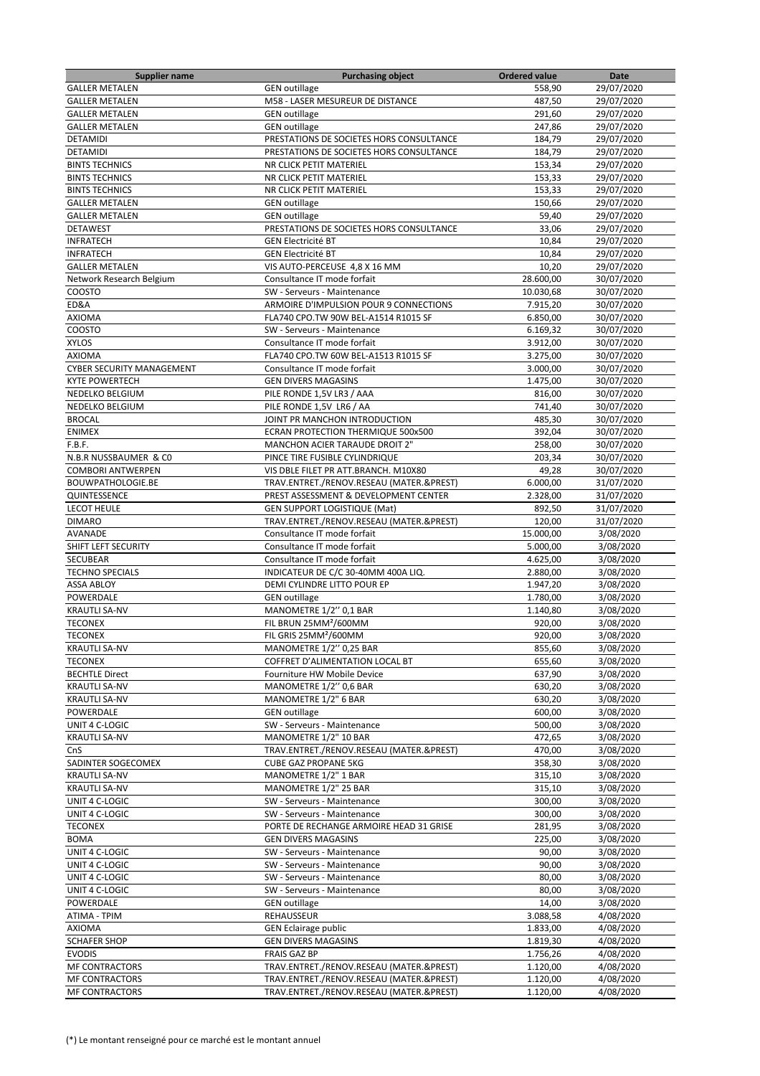| <b>Supplier name</b>             | <b>Purchasing object</b>                 | <b>Ordered value</b> | Date       |
|----------------------------------|------------------------------------------|----------------------|------------|
| <b>GALLER METALEN</b>            | <b>GEN</b> outillage                     | 558,90               | 29/07/2020 |
| <b>GALLER METALEN</b>            | M58 - LASER MESUREUR DE DISTANCE         | 487,50               | 29/07/2020 |
| <b>GALLER METALEN</b>            | <b>GEN outillage</b>                     | 291,60               | 29/07/2020 |
| <b>GALLER METALEN</b>            | <b>GEN outillage</b>                     | 247,86               | 29/07/2020 |
| <b>DETAMIDI</b>                  | PRESTATIONS DE SOCIETES HORS CONSULTANCE | 184,79               | 29/07/2020 |
| DETAMIDI                         | PRESTATIONS DE SOCIETES HORS CONSULTANCE | 184,79               | 29/07/2020 |
| <b>BINTS TECHNICS</b>            | <b>NR CLICK PETIT MATERIEL</b>           | 153,34               | 29/07/2020 |
| <b>BINTS TECHNICS</b>            | NR CLICK PETIT MATERIEL                  | 153,33               | 29/07/2020 |
| <b>BINTS TECHNICS</b>            | NR CLICK PETIT MATERIEL                  | 153,33               | 29/07/2020 |
| <b>GALLER METALEN</b>            | <b>GEN</b> outillage                     | 150,66               | 29/07/2020 |
| <b>GALLER METALEN</b>            | <b>GEN</b> outillage                     | 59,40                | 29/07/2020 |
| <b>DETAWEST</b>                  | PRESTATIONS DE SOCIETES HORS CONSULTANCE | 33,06                | 29/07/2020 |
| <b>INFRATECH</b>                 | <b>GEN Electricité BT</b>                | 10,84                | 29/07/2020 |
| <b>INFRATECH</b>                 | <b>GEN Electricité BT</b>                | 10,84                | 29/07/2020 |
| <b>GALLER METALEN</b>            | VIS AUTO-PERCEUSE 4,8 X 16 MM            | 10,20                | 29/07/2020 |
| Network Research Belgium         | Consultance IT mode forfait              | 28.600,00            | 30/07/2020 |
| COOSTO                           | SW - Serveurs - Maintenance              | 10.030,68            | 30/07/2020 |
| ED&A                             | ARMOIRE D'IMPULSION POUR 9 CONNECTIONS   | 7.915,20             | 30/07/2020 |
| <b>AXIOMA</b>                    | FLA740 CPO.TW 90W BEL-A1514 R1015 SF     | 6.850,00             | 30/07/2020 |
| COOSTO                           | SW - Serveurs - Maintenance              | 6.169,32             | 30/07/2020 |
| <b>XYLOS</b>                     | Consultance IT mode forfait              | 3.912,00             | 30/07/2020 |
| <b>AXIOMA</b>                    | FLA740 CPO.TW 60W BEL-A1513 R1015 SF     | 3.275,00             | 30/07/2020 |
| <b>CYBER SECURITY MANAGEMENT</b> | Consultance IT mode forfait              | 3.000,00             | 30/07/2020 |
| <b>KYTE POWERTECH</b>            | <b>GEN DIVERS MAGASINS</b>               | 1.475,00             | 30/07/2020 |
| NEDELKO BELGIUM                  | PILE RONDE 1,5V LR3 / AAA                | 816,00               | 30/07/2020 |
| NEDELKO BELGIUM                  | PILE RONDE 1,5V LR6 / AA                 | 741,40               | 30/07/2020 |
| <b>BROCAL</b>                    | JOINT PR MANCHON INTRODUCTION            | 485,30               | 30/07/2020 |
| <b>ENIMEX</b>                    | ECRAN PROTECTION THERMIQUE 500x500       | 392,04               | 30/07/2020 |
| F.B.F.                           | MANCHON ACIER TARAUDE DROIT 2"           | 258,00               | 30/07/2020 |
| N.B.R NUSSBAUMER & CO            | PINCE TIRE FUSIBLE CYLINDRIQUE           | 203,34               | 30/07/2020 |
| <b>COMBORI ANTWERPEN</b>         | VIS DBLE FILET PR ATT.BRANCH. M10X80     | 49,28                | 30/07/2020 |
| BOUWPATHOLOGIE.BE                | TRAV.ENTRET./RENOV.RESEAU (MATER.&PREST) | 6.000,00             | 31/07/2020 |
| QUINTESSENCE                     | PREST ASSESSMENT & DEVELOPMENT CENTER    | 2.328,00             | 31/07/2020 |
| <b>LECOT HEULE</b>               | <b>GEN SUPPORT LOGISTIQUE (Mat)</b>      | 892,50               | 31/07/2020 |
| <b>DIMARO</b>                    | TRAV.ENTRET./RENOV.RESEAU (MATER.&PREST) | 120,00               | 31/07/2020 |
| AVANADE                          | Consultance IT mode forfait              | 15.000,00            | 3/08/2020  |
| SHIFT LEFT SECURITY              | Consultance IT mode forfait              | 5.000,00             | 3/08/2020  |
| <b>SECUBEAR</b>                  | Consultance IT mode forfait              | 4.625,00             | 3/08/2020  |
| <b>TECHNO SPECIALS</b>           | INDICATEUR DE C/C 30-40MM 400A LIQ.      | 2.880,00             | 3/08/2020  |
| <b>ASSA ABLOY</b>                | DEMI CYLINDRE LITTO POUR EP              | 1.947,20             | 3/08/2020  |
| POWERDALE                        | <b>GEN</b> outillage                     | 1.780,00             | 3/08/2020  |
| <b>KRAUTLI SA-NV</b>             | MANOMETRE 1/2" 0,1 BAR                   | 1.140,80             | 3/08/2020  |
| <b>TECONEX</b>                   | FIL BRUN 25MM <sup>2</sup> /600MM        | 920,00               | 3/08/2020  |
| <b>TECONEX</b>                   | FIL GRIS 25MM <sup>2</sup> /600MM        | 920,00               | 3/08/2020  |
| <b>KRAUTLI SA-NV</b>             | MANOMETRE 1/2" 0,25 BAR                  | 855,60               | 3/08/2020  |
| <b>TECONEX</b>                   | COFFRET D'ALIMENTATION LOCAL BT          | 655,60               | 3/08/2020  |
| <b>BECHTLE Direct</b>            | Fourniture HW Mobile Device              | 637,90               | 3/08/2020  |
| <b>KRAUTLI SA-NV</b>             | MANOMETRE 1/2" 0,6 BAR                   | 630,20               | 3/08/2020  |
| <b>KRAUTLI SA-NV</b>             | MANOMETRE 1/2" 6 BAR                     | 630,20               | 3/08/2020  |
| POWERDALE                        | <b>GEN</b> outillage                     | 600,00               | 3/08/2020  |
| UNIT 4 C-LOGIC                   | SW - Serveurs - Maintenance              | 500,00               | 3/08/2020  |
| <b>KRAUTLI SA-NV</b>             | MANOMETRE 1/2" 10 BAR                    | 472,65               | 3/08/2020  |
| CnS                              | TRAV.ENTRET./RENOV.RESEAU (MATER.&PREST) | 470,00               | 3/08/2020  |
| SADINTER SOGECOMEX               | <b>CUBE GAZ PROPANE 5KG</b>              | 358,30               | 3/08/2020  |
| <b>KRAUTLI SA-NV</b>             | MANOMETRE 1/2" 1 BAR                     | 315,10               | 3/08/2020  |
| <b>KRAUTLI SA-NV</b>             | MANOMETRE 1/2" 25 BAR                    | 315,10               | 3/08/2020  |
| UNIT 4 C-LOGIC                   | SW - Serveurs - Maintenance              | 300,00               | 3/08/2020  |
| UNIT 4 C-LOGIC                   | SW - Serveurs - Maintenance              | 300,00               | 3/08/2020  |
| <b>TECONEX</b>                   | PORTE DE RECHANGE ARMOIRE HEAD 31 GRISE  | 281,95               | 3/08/2020  |
| <b>BOMA</b>                      | <b>GEN DIVERS MAGASINS</b>               | 225,00               | 3/08/2020  |
| UNIT 4 C-LOGIC                   | SW - Serveurs - Maintenance              | 90,00                | 3/08/2020  |
| UNIT 4 C-LOGIC                   | SW - Serveurs - Maintenance              | 90,00                | 3/08/2020  |
| UNIT 4 C-LOGIC                   | SW - Serveurs - Maintenance              | 80,00                | 3/08/2020  |
| UNIT 4 C-LOGIC                   | SW - Serveurs - Maintenance              | 80,00                | 3/08/2020  |
| POWERDALE                        | <b>GEN outillage</b>                     | 14,00                | 3/08/2020  |
| ATIMA - TPIM                     | REHAUSSEUR                               | 3.088,58             | 4/08/2020  |
| AXIOMA                           | <b>GEN Eclairage public</b>              | 1.833,00             | 4/08/2020  |
| <b>SCHAFER SHOP</b>              | <b>GEN DIVERS MAGASINS</b>               | 1.819,30             | 4/08/2020  |
| <b>EVODIS</b>                    | FRAIS GAZ BP                             | 1.756,26             | 4/08/2020  |
| MF CONTRACTORS                   | TRAV.ENTRET./RENOV.RESEAU (MATER.&PREST) | 1.120,00             | 4/08/2020  |
| <b>MF CONTRACTORS</b>            | TRAV.ENTRET./RENOV.RESEAU (MATER.&PREST) | 1.120,00             | 4/08/2020  |
| <b>MF CONTRACTORS</b>            | TRAV.ENTRET./RENOV.RESEAU (MATER.&PREST) | 1.120,00             | 4/08/2020  |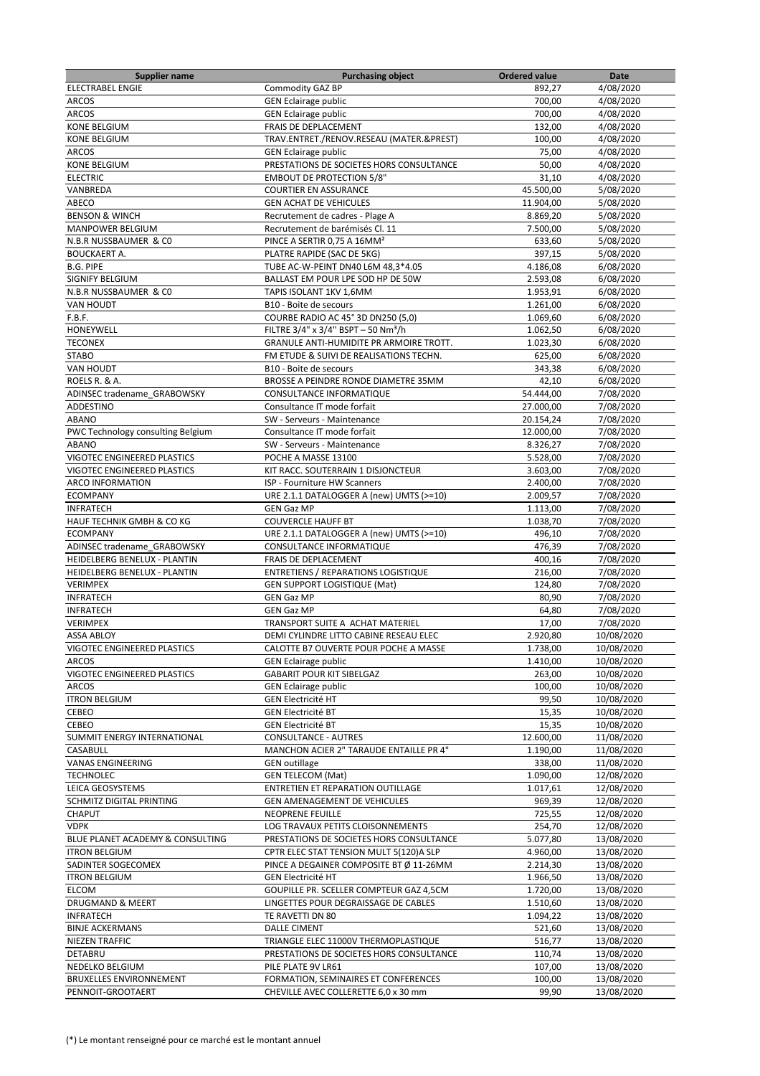| <b>Supplier name</b>              | <b>Purchasing object</b>                        | <b>Ordered value</b> | Date       |
|-----------------------------------|-------------------------------------------------|----------------------|------------|
| <b>ELECTRABEL ENGIE</b>           | Commodity GAZ BP                                | 892,27               | 4/08/2020  |
| <b>ARCOS</b>                      | <b>GEN Eclairage public</b>                     | 700,00               | 4/08/2020  |
| <b>ARCOS</b>                      | <b>GEN Eclairage public</b>                     | 700.00               | 4/08/2020  |
| <b>KONE BELGIUM</b>               | FRAIS DE DEPLACEMENT                            | 132,00               | 4/08/2020  |
| <b>KONE BELGIUM</b>               | TRAV.ENTRET./RENOV.RESEAU (MATER.&PREST)        | 100,00               | 4/08/2020  |
| <b>ARCOS</b>                      | <b>GEN Eclairage public</b>                     | 75,00                | 4/08/2020  |
| <b>KONE BELGIUM</b>               | PRESTATIONS DE SOCIETES HORS CONSULTANCE        | 50,00                | 4/08/2020  |
| <b>ELECTRIC</b>                   | <b>EMBOUT DE PROTECTION 5/8"</b>                | 31,10                | 4/08/2020  |
| VANBREDA                          | <b>COURTIER EN ASSURANCE</b>                    | 45.500,00            | 5/08/2020  |
| ABECO                             | <b>GEN ACHAT DE VEHICULES</b>                   | 11.904,00            | 5/08/2020  |
| <b>BENSON &amp; WINCH</b>         | Recrutement de cadres - Plage A                 | 8.869,20             | 5/08/2020  |
| <b>MANPOWER BELGIUM</b>           | Recrutement de barémisés Cl. 11                 | 7.500,00             | 5/08/2020  |
| N.B.R NUSSBAUMER & CO             | PINCE A SERTIR 0,75 A 16MM <sup>2</sup>         | 633,60               | 5/08/2020  |
| <b>BOUCKAERT A.</b>               | PLATRE RAPIDE (SAC DE 5KG)                      | 397,15               | 5/08/2020  |
| <b>B.G. PIPE</b>                  | TUBE AC-W-PEINT DN40 L6M 48,3*4.05              | 4.186,08             | 6/08/2020  |
| SIGNIFY BELGIUM                   | BALLAST EM POUR LPE SOD HP DE 50W               | 2.593,08             | 6/08/2020  |
| N.B.R NUSSBAUMER & CO             | TAPIS ISOLANT 1KV 1,6MM                         | 1.953,91             | 6/08/2020  |
| <b>VAN HOUDT</b>                  | B10 - Boite de secours                          | 1.261,00             | 6/08/2020  |
| F.B.F.                            | COURBE RADIO AC 45° 3D DN250 (5,0)              | 1.069,60             | 6/08/2020  |
| HONEYWELL                         | FILTRE 3/4" x 3/4" BSPT - 50 Nm <sup>3</sup> /h | 1.062,50             | 6/08/2020  |
| <b>TECONEX</b>                    | GRANULE ANTI-HUMIDITE PR ARMOIRE TROTT.         | 1.023,30             | 6/08/2020  |
| <b>STABO</b>                      | FM ETUDE & SUIVI DE REALISATIONS TECHN.         | 625,00               | 6/08/2020  |
| <b>VAN HOUDT</b>                  | B10 - Boite de secours                          | 343,38               | 6/08/2020  |
| ROELS R. & A.                     | BROSSE A PEINDRE RONDE DIAMETRE 35MM            | 42,10                | 6/08/2020  |
| ADINSEC tradename GRABOWSKY       | <b>CONSULTANCE INFORMATIQUE</b>                 | 54.444,00            | 7/08/2020  |
| ADDESTINO                         | Consultance IT mode forfait                     | 27.000,00            | 7/08/2020  |
| ABANO                             | SW - Serveurs - Maintenance                     | 20.154,24            | 7/08/2020  |
| PWC Technology consulting Belgium | Consultance IT mode forfait                     | 12.000,00            | 7/08/2020  |
| <b>ABANO</b>                      | SW - Serveurs - Maintenance                     | 8.326,27             | 7/08/2020  |
| VIGOTEC ENGINEERED PLASTICS       | POCHE A MASSE 13100                             | 5.528,00             | 7/08/2020  |
| VIGOTEC ENGINEERED PLASTICS       | KIT RACC. SOUTERRAIN 1 DISJONCTEUR              | 3.603,00             | 7/08/2020  |
| <b>ARCO INFORMATION</b>           | ISP - Fourniture HW Scanners                    | 2.400,00             | 7/08/2020  |
| <b>ECOMPANY</b>                   | URE 2.1.1 DATALOGGER A (new) UMTS (>=10)        | 2.009,57             | 7/08/2020  |
| <b>INFRATECH</b>                  | <b>GEN Gaz MP</b>                               | 1.113,00             | 7/08/2020  |
| HAUF TECHNIK GMBH & CO KG         | <b>COUVERCLE HAUFF BT</b>                       | 1.038,70             | 7/08/2020  |
| <b>ECOMPANY</b>                   | URE 2.1.1 DATALOGGER A (new) UMTS (>=10)        | 496,10               | 7/08/2020  |
| ADINSEC tradename GRABOWSKY       | CONSULTANCE INFORMATIQUE                        | 476,39               | 7/08/2020  |
| HEIDELBERG BENELUX - PLANTIN      | FRAIS DE DEPLACEMENT                            | 400,16               | 7/08/2020  |
| HEIDELBERG BENELUX - PLANTIN      | <b>ENTRETIENS / REPARATIONS LOGISTIQUE</b>      | 216,00               | 7/08/2020  |
| <b>VERIMPEX</b>                   | <b>GEN SUPPORT LOGISTIQUE (Mat)</b>             | 124,80               | 7/08/2020  |
| <b>INFRATECH</b>                  | <b>GEN Gaz MP</b>                               | 80,90                | 7/08/2020  |
| <b>INFRATECH</b>                  | <b>GEN Gaz MP</b>                               | 64,80                | 7/08/2020  |
| <b>VERIMPEX</b>                   | TRANSPORT SUITE A ACHAT MATERIEL                | 17,00                | 7/08/2020  |
| <b>ASSA ABLOY</b>                 | DEMI CYLINDRE LITTO CABINE RESEAU ELEC          | 2.920,80             | 10/08/2020 |
| VIGOTEC ENGINEERED PLASTICS       | CALOTTE B7 OUVERTE POUR POCHE A MASSE           | 1.738,00             | 10/08/2020 |
| <b>ARCOS</b>                      | <b>GEN Eclairage public</b>                     | 1.410.00             | 10/08/2020 |
| VIGOTEC ENGINEERED PLASTICS       | <b>GABARIT POUR KIT SIBELGAZ</b>                | 263,00               | 10/08/2020 |
| <b>ARCOS</b>                      | <b>GEN Eclairage public</b>                     | 100,00               | 10/08/2020 |
| <b>ITRON BELGIUM</b>              | <b>GEN Electricité HT</b>                       | 99,50                | 10/08/2020 |
| CEBEO                             | <b>GEN Electricité BT</b>                       | 15,35                | 10/08/2020 |
| CEBEO                             | <b>GEN Electricité BT</b>                       | 15,35                | 10/08/2020 |
| SUMMIT ENERGY INTERNATIONAL       | <b>CONSULTANCE - AUTRES</b>                     | 12.600,00            | 11/08/2020 |
| CASABULL                          | MANCHON ACIER 2" TARAUDE ENTAILLE PR 4"         | 1.190,00             | 11/08/2020 |
| <b>VANAS ENGINEERING</b>          | <b>GEN outillage</b>                            | 338,00               | 11/08/2020 |
| <b>TECHNOLEC</b>                  | <b>GEN TELECOM (Mat)</b>                        | 1.090,00             | 12/08/2020 |
| LEICA GEOSYSTEMS                  | ENTRETIEN ET REPARATION OUTILLAGE               | 1.017,61             | 12/08/2020 |
| SCHMITZ DIGITAL PRINTING          | GEN AMENAGEMENT DE VEHICULES                    | 969,39               | 12/08/2020 |
| CHAPUT                            | NEOPRENE FEUILLE                                | 725,55               | 12/08/2020 |
| <b>VDPK</b>                       | LOG TRAVAUX PETITS CLOISONNEMENTS               | 254,70               | 12/08/2020 |
| BLUE PLANET ACADEMY & CONSULTING  | PRESTATIONS DE SOCIETES HORS CONSULTANCE        | 5.077,80             | 13/08/2020 |
| <b>ITRON BELGIUM</b>              | CPTR ELEC STAT TENSION MULT 5(120)A SLP         | 4.960,00             | 13/08/2020 |
| SADINTER SOGECOMEX                | PINCE A DEGAINER COMPOSITE BT Ø 11-26MM         | 2.214,30             | 13/08/2020 |
| <b>ITRON BELGIUM</b>              | <b>GEN Electricité HT</b>                       | 1.966,50             | 13/08/2020 |
| ELCOM                             | GOUPILLE PR. SCELLER COMPTEUR GAZ 4,5CM         | 1.720,00             | 13/08/2020 |
| DRUGMAND & MEERT                  | LINGETTES POUR DEGRAISSAGE DE CABLES            | 1.510,60             | 13/08/2020 |
| <b>INFRATECH</b>                  | TE RAVETTI DN 80                                | 1.094,22             | 13/08/2020 |
| <b>BINJE ACKERMANS</b>            | <b>DALLE CIMENT</b>                             | 521,60               | 13/08/2020 |
| <b>NIEZEN TRAFFIC</b>             | TRIANGLE ELEC 11000V THERMOPLASTIQUE            | 516,77               | 13/08/2020 |
| DETABRU                           | PRESTATIONS DE SOCIETES HORS CONSULTANCE        | 110,74               | 13/08/2020 |
| NEDELKO BELGIUM                   | PILE PLATE 9V LR61                              | 107,00               | 13/08/2020 |
| BRUXELLES ENVIRONNEMENT           | FORMATION, SEMINAIRES ET CONFERENCES            | 100,00               | 13/08/2020 |
| PENNOIT-GROOTAERT                 | CHEVILLE AVEC COLLERETTE 6,0 x 30 mm            | 99,90                | 13/08/2020 |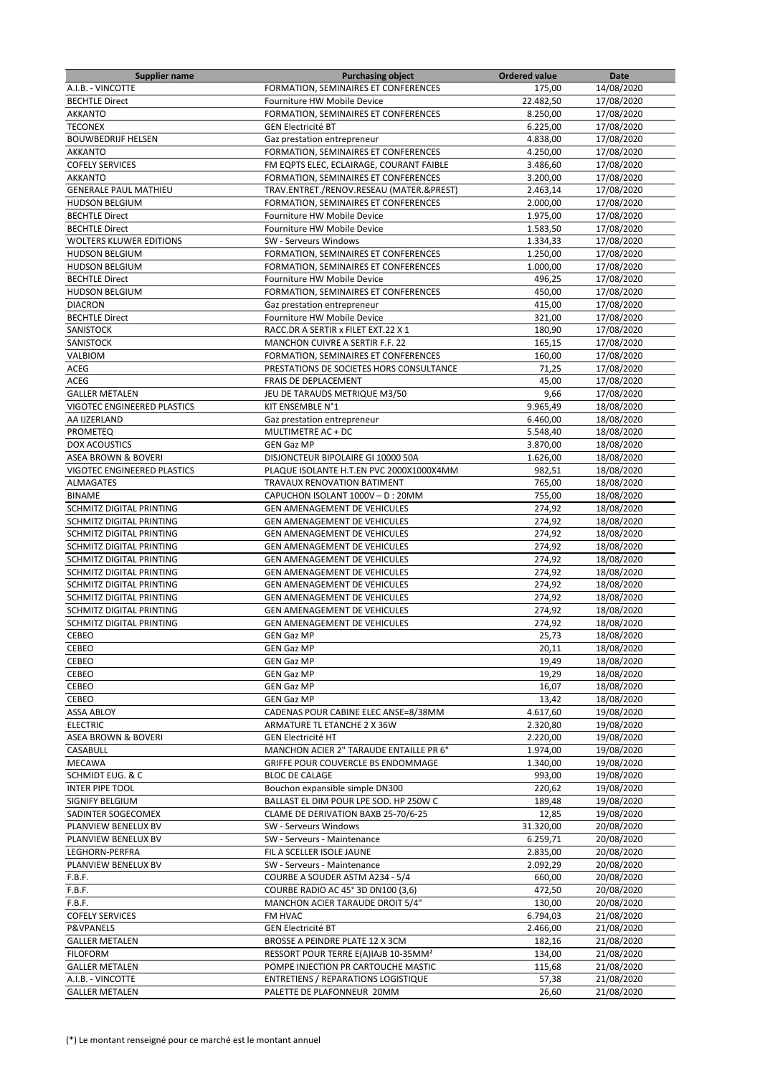| <b>Supplier name</b>               | <b>Purchasing object</b>                                                   | <b>Ordered value</b> | Date                     |
|------------------------------------|----------------------------------------------------------------------------|----------------------|--------------------------|
| A.I.B. - VINCOTTE                  | FORMATION, SEMINAIRES ET CONFERENCES                                       | 175,00               | 14/08/2020               |
| <b>BECHTLE Direct</b>              | Fourniture HW Mobile Device                                                | 22.482,50            | 17/08/2020               |
| <b>AKKANTO</b>                     | FORMATION, SEMINAIRES ET CONFERENCES                                       | 8.250,00             | 17/08/2020               |
| <b>TECONEX</b>                     | <b>GEN Electricité BT</b>                                                  | 6.225,00             | 17/08/2020               |
| <b>BOUWBEDRIJF HELSEN</b>          | Gaz prestation entrepreneur                                                | 4.838,00             | 17/08/2020               |
| <b>AKKANTO</b>                     | FORMATION, SEMINAIRES ET CONFERENCES                                       | 4.250,00             | 17/08/2020               |
| <b>COFELY SERVICES</b>             | FM EQPTS ELEC, ECLAIRAGE, COURANT FAIBLE                                   | 3.486,60             | 17/08/2020               |
| <b>AKKANTO</b>                     | FORMATION, SEMINAIRES ET CONFERENCES                                       | 3.200,00             | 17/08/2020               |
| <b>GENERALE PAUL MATHIEU</b>       | TRAV.ENTRET./RENOV.RESEAU (MATER.&PREST)                                   | 2.463,14             | 17/08/2020               |
| <b>HUDSON BELGIUM</b>              | FORMATION, SEMINAIRES ET CONFERENCES                                       | 2.000,00             | 17/08/2020               |
| <b>BECHTLE Direct</b>              | Fourniture HW Mobile Device                                                | 1.975,00             | 17/08/2020               |
| <b>BECHTLE Direct</b>              | Fourniture HW Mobile Device                                                | 1.583,50             | 17/08/2020               |
| <b>WOLTERS KLUWER EDITIONS</b>     | SW - Serveurs Windows                                                      | 1.334,33             | 17/08/2020               |
| <b>HUDSON BELGIUM</b>              | FORMATION, SEMINAIRES ET CONFERENCES                                       | 1.250,00             | 17/08/2020               |
| <b>HUDSON BELGIUM</b>              | FORMATION, SEMINAIRES ET CONFERENCES                                       | 1.000,00             | 17/08/2020               |
| <b>BECHTLE Direct</b>              | Fourniture HW Mobile Device                                                | 496,25               | 17/08/2020               |
| <b>HUDSON BELGIUM</b>              | FORMATION, SEMINAIRES ET CONFERENCES                                       | 450,00               | 17/08/2020               |
| <b>DIACRON</b>                     | Gaz prestation entrepreneur                                                | 415,00               | 17/08/2020               |
|                                    |                                                                            |                      |                          |
| <b>BECHTLE Direct</b><br>SANISTOCK | Fourniture HW Mobile Device<br>RACC.DR A SERTIR x FILET EXT.22 X 1         | 321,00               | 17/08/2020               |
|                                    |                                                                            | 180,90               | 17/08/2020               |
| SANISTOCK                          | <b>MANCHON CUIVRE A SERTIR F.F. 22</b>                                     | 165,15               | 17/08/2020               |
| VALBIOM                            | FORMATION, SEMINAIRES ET CONFERENCES                                       | 160,00               | 17/08/2020               |
| ACEG                               | PRESTATIONS DE SOCIETES HORS CONSULTANCE                                   | 71,25                | 17/08/2020               |
| ACEG                               | FRAIS DE DEPLACEMENT                                                       | 45,00                | 17/08/2020               |
| <b>GALLER METALEN</b>              | JEU DE TARAUDS METRIQUE M3/50                                              | 9,66                 | 17/08/2020               |
| VIGOTEC ENGINEERED PLASTICS        | KIT ENSEMBLE N°1                                                           | 9.965,49             | 18/08/2020               |
| AA IJZERLAND                       | Gaz prestation entrepreneur                                                | 6.460,00             | 18/08/2020               |
| PROMETEQ                           | MULTIMETRE AC + DC                                                         | 5.548,40             | 18/08/2020               |
| <b>DOX ACOUSTICS</b>               | <b>GEN Gaz MP</b>                                                          | 3.870,00             | 18/08/2020               |
| ASEA BROWN & BOVERI                | DISJONCTEUR BIPOLAIRE GI 10000 50A                                         | 1.626,00             | 18/08/2020               |
| VIGOTEC ENGINEERED PLASTICS        | PLAQUE ISOLANTE H.T.EN PVC 2000X1000X4MM                                   | 982,51               | 18/08/2020               |
| <b>ALMAGATES</b>                   | TRAVAUX RENOVATION BATIMENT                                                | 765,00               | 18/08/2020               |
| <b>BINAME</b>                      | CAPUCHON ISOLANT 1000V - D: 20MM                                           | 755,00               | 18/08/2020               |
| SCHMITZ DIGITAL PRINTING           | GEN AMENAGEMENT DE VEHICULES                                               | 274,92               | 18/08/2020               |
| SCHMITZ DIGITAL PRINTING           | GEN AMENAGEMENT DE VEHICULES                                               | 274,92               | 18/08/2020               |
| SCHMITZ DIGITAL PRINTING           | <b>GEN AMENAGEMENT DE VEHICULES</b>                                        | 274,92               | 18/08/2020               |
| SCHMITZ DIGITAL PRINTING           | <b>GEN AMENAGEMENT DE VEHICULES</b>                                        | 274,92               | 18/08/2020               |
| SCHMITZ DIGITAL PRINTING           | GEN AMENAGEMENT DE VEHICULES                                               | 274,92               | 18/08/2020               |
| SCHMITZ DIGITAL PRINTING           | GEN AMENAGEMENT DE VEHICULES                                               | 274,92               | 18/08/2020               |
| SCHMITZ DIGITAL PRINTING           | GEN AMENAGEMENT DE VEHICULES                                               | 274,92               | 18/08/2020               |
| SCHMITZ DIGITAL PRINTING           | GEN AMENAGEMENT DE VEHICULES                                               | 274,92               | 18/08/2020               |
| SCHMITZ DIGITAL PRINTING           | <b>GEN AMENAGEMENT DE VEHICULES</b>                                        | 274,92               | 18/08/2020               |
| <b>SCHMITZ DIGITAL PRINTING</b>    | GEN AMENAGEMENT DE VEHICULES                                               | 274,92               | 18/08/2020               |
| CEBEO                              | <b>GEN Gaz MP</b>                                                          | 25,73                | 18/08/2020               |
| CEBEO                              | GEN Gaz MP                                                                 | 20,11                | 18/08/2020               |
| CEBEO                              | <b>GEN Gaz MP</b>                                                          | 19,49                | 18/08/2020               |
| CEBEO                              | <b>GEN Gaz MP</b>                                                          | 19,29                | 18/08/2020               |
| CEBEO                              | <b>GEN Gaz MP</b>                                                          | 16,07                | 18/08/2020               |
| CEBEO                              | <b>GEN Gaz MP</b>                                                          | 13,42                | 18/08/2020               |
| <b>ASSA ABLOY</b>                  | CADENAS POUR CABINE ELEC ANSE=8/38MM                                       | 4.617,60             | 19/08/2020               |
| <b>ELECTRIC</b>                    | ARMATURE TL ETANCHE 2 X 36W                                                | 2.320,80             | 19/08/2020               |
| <b>ASEA BROWN &amp; BOVERI</b>     | <b>GEN Electricité HT</b>                                                  | 2.220,00             | 19/08/2020               |
| CASABULL                           | MANCHON ACIER 2" TARAUDE ENTAILLE PR 6"                                    | 1.974,00             | 19/08/2020               |
| <b>MECAWA</b>                      | GRIFFE POUR COUVERCLE BS ENDOMMAGE                                         | 1.340,00             | 19/08/2020               |
| SCHMIDT EUG. & C                   | <b>BLOC DE CALAGE</b>                                                      | 993,00               | 19/08/2020               |
| <b>INTER PIPE TOOL</b>             | Bouchon expansible simple DN300                                            | 220,62               | 19/08/2020               |
| SIGNIFY BELGIUM                    | BALLAST EL DIM POUR LPE SOD. HP 250W C                                     | 189,48               | 19/08/2020               |
| SADINTER SOGECOMEX                 | CLAME DE DERIVATION BAXB 25-70/6-25                                        | 12,85                | 19/08/2020               |
| PLANVIEW BENELUX BV                | SW - Serveurs Windows                                                      | 31.320,00            | 20/08/2020               |
| PLANVIEW BENELUX BV                | SW - Serveurs - Maintenance                                                | 6.259,71             | 20/08/2020               |
| LEGHORN-PERFRA                     | FIL A SCELLER ISOLE JAUNE                                                  | 2.835,00             | 20/08/2020               |
| PLANVIEW BENELUX BV                | SW - Serveurs - Maintenance                                                | 2.092,29             | 20/08/2020               |
| F.B.F.                             | COURBE A SOUDER ASTM A234 - 5/4                                            | 660,00               | 20/08/2020               |
| F.B.F.                             | COURBE RADIO AC 45° 3D DN100 (3,6)                                         | 472,50               | 20/08/2020               |
| F.B.F.                             | MANCHON ACIER TARAUDE DROIT 5/4"                                           | 130,00               | 20/08/2020               |
| <b>COFELY SERVICES</b>             | FM HVAC                                                                    | 6.794,03             | 21/08/2020               |
| P&VPANELS                          | <b>GEN Electricité BT</b>                                                  | 2.466,00             | 21/08/2020               |
| <b>GALLER METALEN</b>              | BROSSE A PEINDRE PLATE 12 X 3CM                                            | 182,16               | 21/08/2020               |
|                                    |                                                                            |                      |                          |
| <b>FILOFORM</b>                    | RESSORT POUR TERRE E(A)IAJB 10-35MM <sup>2</sup>                           | 134,00               | 21/08/2020               |
| <b>GALLER METALEN</b>              | POMPE INJECTION PR CARTOUCHE MASTIC<br>ENTRETIENS / REPARATIONS LOGISTIQUE | 115,68<br>57,38      | 21/08/2020<br>21/08/2020 |
| A.I.B. - VINCOTTE                  |                                                                            |                      |                          |
| <b>GALLER METALEN</b>              | PALETTE DE PLAFONNEUR 20MM                                                 | 26,60                | 21/08/2020               |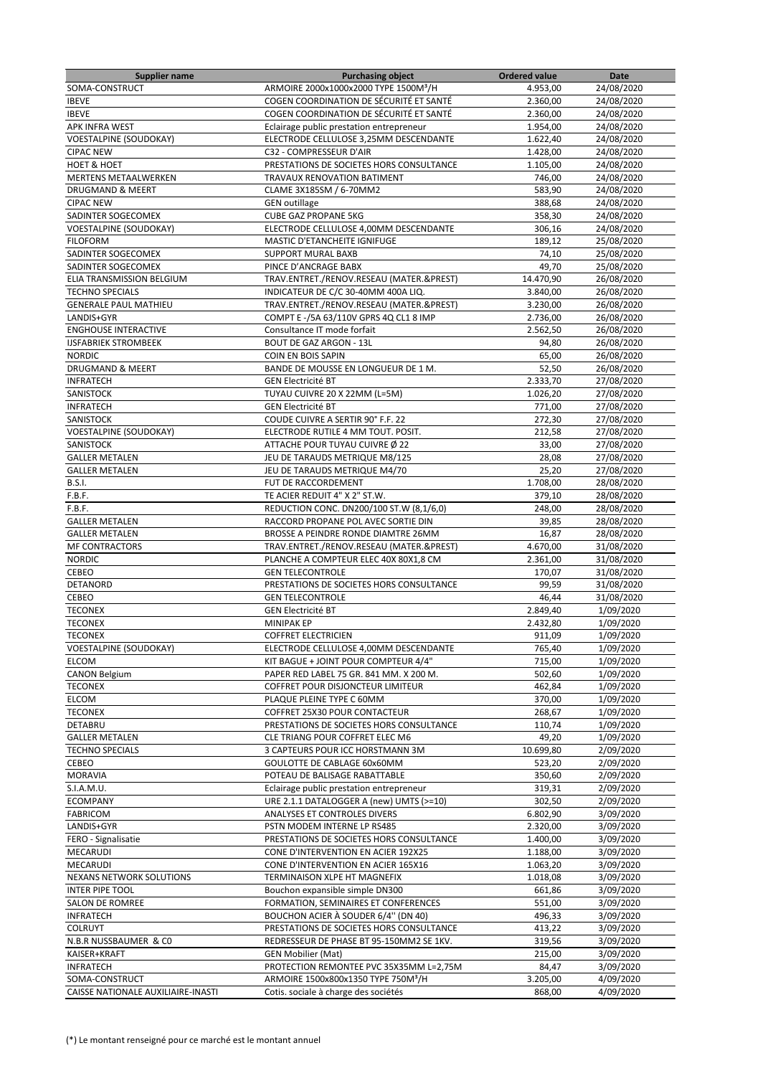| <b>Supplier name</b>               | <b>Purchasing object</b>                          | <b>Ordered value</b> | Date       |
|------------------------------------|---------------------------------------------------|----------------------|------------|
| SOMA-CONSTRUCT                     | ARMOIRE 2000x1000x2000 TYPE 1500M <sup>3</sup> /H | 4.953,00             | 24/08/2020 |
| <b>IBEVE</b>                       | COGEN COORDINATION DE SÉCURITÉ ET SANTÉ           | 2.360,00             | 24/08/2020 |
| <b>IBEVE</b>                       | COGEN COORDINATION DE SÉCURITÉ ET SANTÉ           | 2.360.00             | 24/08/2020 |
| <b>APK INFRA WEST</b>              | Eclairage public prestation entrepreneur          | 1.954,00             | 24/08/2020 |
| <b>VOESTALPINE (SOUDOKAY)</b>      | ELECTRODE CELLULOSE 3,25MM DESCENDANTE            | 1.622,40             | 24/08/2020 |
| <b>CIPAC NEW</b>                   | C32 - COMPRESSEUR D'AIR                           | 1.428,00             | 24/08/2020 |
| <b>HOET &amp; HOET</b>             | PRESTATIONS DE SOCIETES HORS CONSULTANCE          | 1.105,00             | 24/08/2020 |
| <b>MERTENS METAALWERKEN</b>        | TRAVAUX RENOVATION BATIMENT                       | 746,00               | 24/08/2020 |
| <b>DRUGMAND &amp; MEERT</b>        | CLAME 3X185SM / 6-70MM2                           | 583,90               | 24/08/2020 |
|                                    |                                                   |                      |            |
| <b>CIPAC NEW</b>                   | <b>GEN outillage</b>                              | 388,68               | 24/08/2020 |
| SADINTER SOGECOMEX                 | <b>CUBE GAZ PROPANE 5KG</b>                       | 358,30               | 24/08/2020 |
| <b>VOESTALPINE (SOUDOKAY)</b>      | ELECTRODE CELLULOSE 4.00MM DESCENDANTE            | 306,16               | 24/08/2020 |
| <b>FILOFORM</b>                    | MASTIC D'ETANCHEITE IGNIFUGE                      | 189,12               | 25/08/2020 |
| SADINTER SOGECOMEX                 | <b>SUPPORT MURAL BAXB</b>                         | 74,10                | 25/08/2020 |
| SADINTER SOGECOMEX                 | PINCE D'ANCRAGE BABX                              | 49,70                | 25/08/2020 |
| ELIA TRANSMISSION BELGIUM          | TRAV.ENTRET./RENOV.RESEAU (MATER.&PREST)          | 14.470,90            | 26/08/2020 |
| <b>TECHNO SPECIALS</b>             | INDICATEUR DE C/C 30-40MM 400A LIQ.               | 3.840,00             | 26/08/2020 |
| <b>GENERALE PAUL MATHIEU</b>       | TRAV.ENTRET./RENOV.RESEAU (MATER.&PREST)          | 3.230,00             | 26/08/2020 |
| LANDIS+GYR                         | COMPT E -/5A 63/110V GPRS 4Q CL1 8 IMP            | 2.736,00             | 26/08/2020 |
| <b>ENGHOUSE INTERACTIVE</b>        | Consultance IT mode forfait                       | 2.562,50             | 26/08/2020 |
| <b>IJSFABRIEK STROMBEEK</b>        | <b>BOUT DE GAZ ARGON - 13L</b>                    | 94,80                | 26/08/2020 |
| <b>NORDIC</b>                      | COIN EN BOIS SAPIN                                | 65,00                | 26/08/2020 |
| DRUGMAND & MEERT                   | BANDE DE MOUSSE EN LONGUEUR DE 1 M.               | 52,50                | 26/08/2020 |
| <b>INFRATECH</b>                   | <b>GEN Electricité BT</b>                         | 2.333,70             | 27/08/2020 |
| SANISTOCK                          | TUYAU CUIVRE 20 X 22MM (L=5M)                     | 1.026,20             | 27/08/2020 |
| <b>INFRATECH</b>                   | <b>GEN Electricité BT</b>                         | 771,00               | 27/08/2020 |
|                                    | COUDE CUIVRE A SERTIR 90° F.F. 22                 |                      |            |
| SANISTOCK                          |                                                   | 272,30               | 27/08/2020 |
| <b>VOESTALPINE (SOUDOKAY)</b>      | ELECTRODE RUTILE 4 MM TOUT. POSIT.                | 212,58               | 27/08/2020 |
| SANISTOCK                          | ATTACHE POUR TUYAU CUIVRE Ø 22                    | 33,00                | 27/08/2020 |
| <b>GALLER METALEN</b>              | JEU DE TARAUDS METRIQUE M8/125                    | 28,08                | 27/08/2020 |
| <b>GALLER METALEN</b>              | JEU DE TARAUDS METRIQUE M4/70                     | 25,20                | 27/08/2020 |
| <b>B.S.I.</b>                      | FUT DE RACCORDEMENT                               | 1.708,00             | 28/08/2020 |
| F.B.F.                             | TE ACIER REDUIT 4" X 2" ST.W.                     | 379,10               | 28/08/2020 |
| F.B.F.                             | REDUCTION CONC. DN200/100 ST.W (8,1/6,0)          | 248,00               | 28/08/2020 |
| <b>GALLER METALEN</b>              | RACCORD PROPANE POL AVEC SORTIE DIN               | 39,85                | 28/08/2020 |
| <b>GALLER METALEN</b>              | BROSSE A PEINDRE RONDE DIAMTRE 26MM               | 16,87                | 28/08/2020 |
| <b>MF CONTRACTORS</b>              | TRAV.ENTRET./RENOV.RESEAU (MATER.&PREST)          | 4.670,00             | 31/08/2020 |
| <b>NORDIC</b>                      | PLANCHE A COMPTEUR ELEC 40X 80X1,8 CM             | 2.361,00             | 31/08/2020 |
| CEBEO                              | <b>GEN TELECONTROLE</b>                           | 170,07               | 31/08/2020 |
| DETANORD                           | PRESTATIONS DE SOCIETES HORS CONSULTANCE          | 99,59                | 31/08/2020 |
| <b>CEBEO</b>                       | <b>GEN TELECONTROLE</b>                           | 46,44                | 31/08/2020 |
| <b>TECONEX</b>                     | <b>GEN Electricité BT</b>                         | 2.849,40             | 1/09/2020  |
| <b>TECONEX</b>                     | <b>MINIPAK EP</b>                                 | 2.432,80             | 1/09/2020  |
|                                    |                                                   |                      |            |
| <b>TECONEX</b>                     | <b>COFFRET ELECTRICIEN</b>                        | 911,09               | 1/09/2020  |
| <b>VOESTALPINE (SOUDOKAY)</b>      | ELECTRODE CELLULOSE 4,00MM DESCENDANTE            | 765,40               | 1/09/2020  |
| <b>ELCOM</b>                       | KIT BAGUE + JOINT POUR COMPTEUR 4/4"              | 715,00               | 1/09/2020  |
| <b>CANON Belgium</b>               | PAPER RED LABEL 75 GR. 841 MM. X 200 M.           | 502,60               | 1/09/2020  |
| <b>TECONEX</b>                     | COFFRET POUR DISJONCTEUR LIMITEUR                 | 462,84               | 1/09/2020  |
| <b>ELCOM</b>                       | PLAQUE PLEINE TYPE C 60MM                         | 370,00               | 1/09/2020  |
| <b>TECONEX</b>                     | COFFRET 25X30 POUR CONTACTEUR                     | 268,67               | 1/09/2020  |
| DETABRU                            | PRESTATIONS DE SOCIETES HORS CONSULTANCE          | 110,74               | 1/09/2020  |
| <b>GALLER METALEN</b>              | CLE TRIANG POUR COFFRET ELEC M6                   | 49,20                | 1/09/2020  |
| <b>TECHNO SPECIALS</b>             | 3 CAPTEURS POUR ICC HORSTMANN 3M                  | 10.699,80            | 2/09/2020  |
| CEBEO                              | GOULOTTE DE CABLAGE 60x60MM                       | 523,20               | 2/09/2020  |
| <b>MORAVIA</b>                     | POTEAU DE BALISAGE RABATTABLE                     | 350,60               | 2/09/2020  |
| S.I.A.M.U.                         | Eclairage public prestation entrepreneur          | 319,31               | 2/09/2020  |
| <b>ECOMPANY</b>                    | URE 2.1.1 DATALOGGER A (new) UMTS (>=10)          | 302,50               | 2/09/2020  |
| <b>FABRICOM</b>                    | ANALYSES ET CONTROLES DIVERS                      | 6.802,90             | 3/09/2020  |
| LANDIS+GYR                         | PSTN MODEM INTERNE LP RS485                       | 2.320,00             | 3/09/2020  |
| FERO - Signalisatie                | PRESTATIONS DE SOCIETES HORS CONSULTANCE          | 1.400,00             | 3/09/2020  |
| MECARUDI                           | CONE D'INTERVENTION EN ACIER 192X25               | 1.188,00             | 3/09/2020  |
| MECARUDI                           | CONE D'INTERVENTION EN ACIER 165X16               | 1.063,20             | 3/09/2020  |
|                                    |                                                   |                      |            |
| NEXANS NETWORK SOLUTIONS           | TERMINAISON XLPE HT MAGNEFIX                      | 1.018,08             | 3/09/2020  |
| <b>INTER PIPE TOOL</b>             | Bouchon expansible simple DN300                   | 661,86               | 3/09/2020  |
| SALON DE ROMREE                    | FORMATION, SEMINAIRES ET CONFERENCES              | 551,00               | 3/09/2020  |
| <b>INFRATECH</b>                   | BOUCHON ACIER À SOUDER 6/4" (DN 40)               | 496,33               | 3/09/2020  |
| COLRUYT                            | PRESTATIONS DE SOCIETES HORS CONSULTANCE          | 413,22               | 3/09/2020  |
| N.B.R NUSSBAUMER & CO              | REDRESSEUR DE PHASE BT 95-150MM2 SE 1KV.          | 319,56               | 3/09/2020  |
| KAISER+KRAFT                       | <b>GEN Mobilier (Mat)</b>                         | 215,00               | 3/09/2020  |
| <b>INFRATECH</b>                   | PROTECTION REMONTEE PVC 35X35MM L=2,75M           | 84,47                | 3/09/2020  |
| SOMA-CONSTRUCT                     | ARMOIRE 1500x800x1350 TYPE 750M <sup>3</sup> /H   | 3.205,00             | 4/09/2020  |
| CAISSE NATIONALE AUXILIAIRE-INASTI | Cotis. sociale à charge des sociétés              | 868,00               | 4/09/2020  |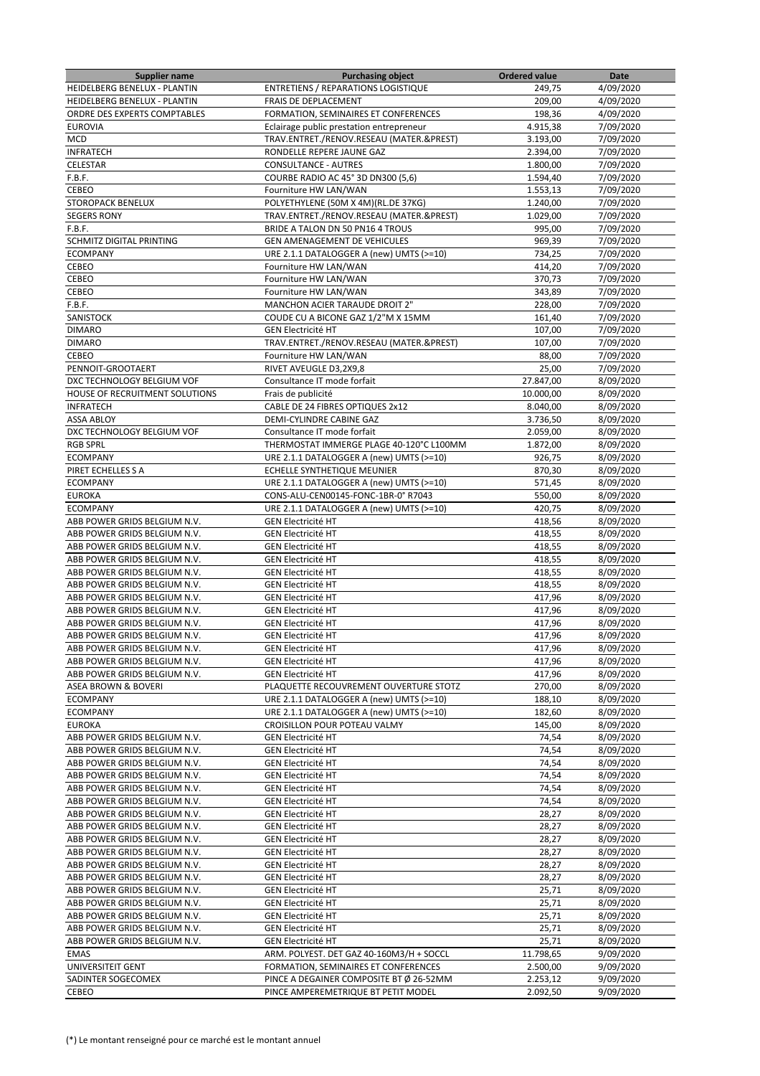| <b>Supplier name</b>           | <b>Purchasing object</b>                   | <b>Ordered value</b> | Date      |
|--------------------------------|--------------------------------------------|----------------------|-----------|
| HEIDELBERG BENELUX - PLANTIN   | <b>ENTRETIENS / REPARATIONS LOGISTIQUE</b> | 249,75               | 4/09/2020 |
| HEIDELBERG BENELUX - PLANTIN   | FRAIS DE DEPLACEMENT                       | 209,00               | 4/09/2020 |
| ORDRE DES EXPERTS COMPTABLES   | FORMATION, SEMINAIRES ET CONFERENCES       | 198,36               | 4/09/2020 |
| <b>EUROVIA</b>                 | Eclairage public prestation entrepreneur   | 4.915,38             | 7/09/2020 |
| <b>MCD</b>                     | TRAV.ENTRET./RENOV.RESEAU (MATER.&PREST)   | 3.193,00             | 7/09/2020 |
| <b>INFRATECH</b>               | RONDELLE REPERE JAUNE GAZ                  | 2.394,00             | 7/09/2020 |
| CELESTAR                       | <b>CONSULTANCE - AUTRES</b>                | 1.800,00             | 7/09/2020 |
| F.B.F.                         | COURBE RADIO AC 45° 3D DN300 (5,6)         | 1.594,40             | 7/09/2020 |
| CEBEO                          | Fourniture HW LAN/WAN                      | 1.553,13             | 7/09/2020 |
| <b>STOROPACK BENELUX</b>       | POLYETHYLENE (50M X 4M)(RL.DE 37KG)        | 1.240,00             | 7/09/2020 |
| <b>SEGERS RONY</b>             | TRAV.ENTRET./RENOV.RESEAU (MATER.&PREST)   | 1.029,00             | 7/09/2020 |
| F.B.F.                         | BRIDE A TALON DN 50 PN16 4 TROUS           | 995.00               | 7/09/2020 |
| SCHMITZ DIGITAL PRINTING       | <b>GEN AMENAGEMENT DE VEHICULES</b>        | 969,39               | 7/09/2020 |
| <b>ECOMPANY</b>                | URE 2.1.1 DATALOGGER A (new) UMTS (>=10)   | 734,25               | 7/09/2020 |
| CEBEO                          | Fourniture HW LAN/WAN                      | 414,20               | 7/09/2020 |
| CEBEO                          | Fourniture HW LAN/WAN                      | 370,73               | 7/09/2020 |
| CEBEO                          | Fourniture HW LAN/WAN                      | 343,89               | 7/09/2020 |
| F.B.F.                         | <b>MANCHON ACIER TARAUDE DROIT 2"</b>      | 228,00               | 7/09/2020 |
| SANISTOCK                      | COUDE CU A BICONE GAZ 1/2"M X 15MM         | 161,40               | 7/09/2020 |
| <b>DIMARO</b>                  | <b>GEN Electricité HT</b>                  | 107,00               | 7/09/2020 |
| <b>DIMARO</b>                  | TRAV.ENTRET./RENOV.RESEAU (MATER.&PREST)   | 107,00               | 7/09/2020 |
| CEBEO                          | Fourniture HW LAN/WAN                      | 88,00                | 7/09/2020 |
| PENNOIT-GROOTAERT              | RIVET AVEUGLE D3,2X9,8                     | 25,00                | 7/09/2020 |
| DXC TECHNOLOGY BELGIUM VOF     | Consultance IT mode forfait                | 27.847,00            | 8/09/2020 |
| HOUSE OF RECRUITMENT SOLUTIONS | Frais de publicité                         | 10.000,00            | 8/09/2020 |
| <b>INFRATECH</b>               | CABLE DE 24 FIBRES OPTIQUES 2x12           | 8.040,00             | 8/09/2020 |
| <b>ASSA ABLOY</b>              | DEMI-CYLINDRE CABINE GAZ                   | 3.736,50             | 8/09/2020 |
| DXC TECHNOLOGY BELGIUM VOF     | Consultance IT mode forfait                | 2.059,00             | 8/09/2020 |
| <b>RGB SPRL</b>                | THERMOSTAT IMMERGE PLAGE 40-120°C L100MM   | 1.872,00             | 8/09/2020 |
| <b>ECOMPANY</b>                | URE 2.1.1 DATALOGGER A (new) UMTS (>=10)   | 926,75               | 8/09/2020 |
| PIRET ECHELLES S A             | ECHELLE SYNTHETIQUE MEUNIER                | 870,30               | 8/09/2020 |
| <b>ECOMPANY</b>                | URE 2.1.1 DATALOGGER A (new) UMTS (>=10)   | 571,45               | 8/09/2020 |
| <b>EUROKA</b>                  | CONS-ALU-CEN00145-FONC-1BR-0° R7043        | 550,00               | 8/09/2020 |
| <b>ECOMPANY</b>                | URE 2.1.1 DATALOGGER A (new) UMTS (>=10)   | 420,75               | 8/09/2020 |
| ABB POWER GRIDS BELGIUM N.V.   | <b>GEN Electricité HT</b>                  | 418,56               | 8/09/2020 |
| ABB POWER GRIDS BELGIUM N.V.   | <b>GEN Electricité HT</b>                  | 418,55               | 8/09/2020 |
| ABB POWER GRIDS BELGIUM N.V.   | <b>GEN Electricité HT</b>                  | 418,55               | 8/09/2020 |
| ABB POWER GRIDS BELGIUM N.V.   | <b>GEN Electricité HT</b>                  | 418,55               | 8/09/2020 |
| ABB POWER GRIDS BELGIUM N.V.   | <b>GEN Electricité HT</b>                  | 418,55               | 8/09/2020 |
| ABB POWER GRIDS BELGIUM N.V.   | <b>GEN Electricité HT</b>                  | 418,55               | 8/09/2020 |
| ABB POWER GRIDS BELGIUM N.V.   | <b>GEN Electricité HT</b>                  | 417,96               | 8/09/2020 |
| ABB POWER GRIDS BELGIUM N.V.   | <b>GEN Electricité HT</b>                  | 417,96               | 8/09/2020 |
| ABB POWER GRIDS BELGIUM N.V.   | <b>GEN Electricité HT</b>                  | 417,96               | 8/09/2020 |
| ABB POWER GRIDS BELGIUM N.V.   | <b>GEN Electricité HT</b>                  | 417,96               | 8/09/2020 |
| ABB POWER GRIDS BELGIUM N.V.   | GEN Electricité HT                         | 417,96               | 8/09/2020 |
| ABB POWER GRIDS BELGIUM N.V.   | <b>GEN Electricité HT</b>                  | 417,96               | 8/09/2020 |
| ABB POWER GRIDS BELGIUM N.V.   | <b>GEN Electricité HT</b>                  | 417,96               | 8/09/2020 |
| ASEA BROWN & BOVERI            | PLAQUETTE RECOUVREMENT OUVERTURE STOTZ     | 270,00               | 8/09/2020 |
| <b>ECOMPANY</b>                | URE 2.1.1 DATALOGGER A (new) UMTS (>=10)   | 188,10               | 8/09/2020 |
| <b>ECOMPANY</b>                | URE 2.1.1 DATALOGGER A (new) UMTS (>=10)   | 182,60               | 8/09/2020 |
| <b>EUROKA</b>                  | CROISILLON POUR POTEAU VALMY               | 145,00               | 8/09/2020 |
| ABB POWER GRIDS BELGIUM N.V.   | <b>GEN Electricité HT</b>                  | 74,54                | 8/09/2020 |
| ABB POWER GRIDS BELGIUM N.V.   | <b>GEN Electricité HT</b>                  | 74,54                | 8/09/2020 |
| ABB POWER GRIDS BELGIUM N.V.   | <b>GEN Electricité HT</b>                  | 74,54                | 8/09/2020 |
| ABB POWER GRIDS BELGIUM N.V.   | <b>GEN Electricité HT</b>                  | 74,54                | 8/09/2020 |
| ABB POWER GRIDS BELGIUM N.V.   | <b>GEN Electricité HT</b>                  | 74,54                | 8/09/2020 |
| ABB POWER GRIDS BELGIUM N.V.   | <b>GEN Electricité HT</b>                  | 74,54                | 8/09/2020 |
| ABB POWER GRIDS BELGIUM N.V.   | <b>GEN Electricité HT</b>                  | 28,27                | 8/09/2020 |
| ABB POWER GRIDS BELGIUM N.V.   | <b>GEN Electricité HT</b>                  | 28,27                | 8/09/2020 |
| ABB POWER GRIDS BELGIUM N.V.   | <b>GEN Electricité HT</b>                  | 28,27                | 8/09/2020 |
| ABB POWER GRIDS BELGIUM N.V.   | <b>GEN Electricité HT</b>                  | 28,27                | 8/09/2020 |
| ABB POWER GRIDS BELGIUM N.V.   | <b>GEN Electricité HT</b>                  | 28,27                | 8/09/2020 |
| ABB POWER GRIDS BELGIUM N.V.   | <b>GEN Electricité HT</b>                  | 28,27                | 8/09/2020 |
| ABB POWER GRIDS BELGIUM N.V.   | <b>GEN Electricité HT</b>                  | 25,71                | 8/09/2020 |
| ABB POWER GRIDS BELGIUM N.V.   | <b>GEN Electricité HT</b>                  | 25,71                | 8/09/2020 |
| ABB POWER GRIDS BELGIUM N.V.   | <b>GEN Electricité HT</b>                  | 25,71                | 8/09/2020 |
| ABB POWER GRIDS BELGIUM N.V.   | <b>GEN Electricité HT</b>                  | 25,71                | 8/09/2020 |
| ABB POWER GRIDS BELGIUM N.V.   | <b>GEN Electricité HT</b>                  | 25,71                | 8/09/2020 |
| <b>EMAS</b>                    | ARM. POLYEST. DET GAZ 40-160M3/H + SOCCL   | 11.798,65            | 9/09/2020 |
| UNIVERSITEIT GENT              | FORMATION, SEMINAIRES ET CONFERENCES       | 2.500,00             | 9/09/2020 |
| SADINTER SOGECOMEX             | PINCE A DEGAINER COMPOSITE BT Ø 26-52MM    | 2.253,12             | 9/09/2020 |
| CEBEO                          | PINCE AMPEREMETRIQUE BT PETIT MODEL        | 2.092,50             | 9/09/2020 |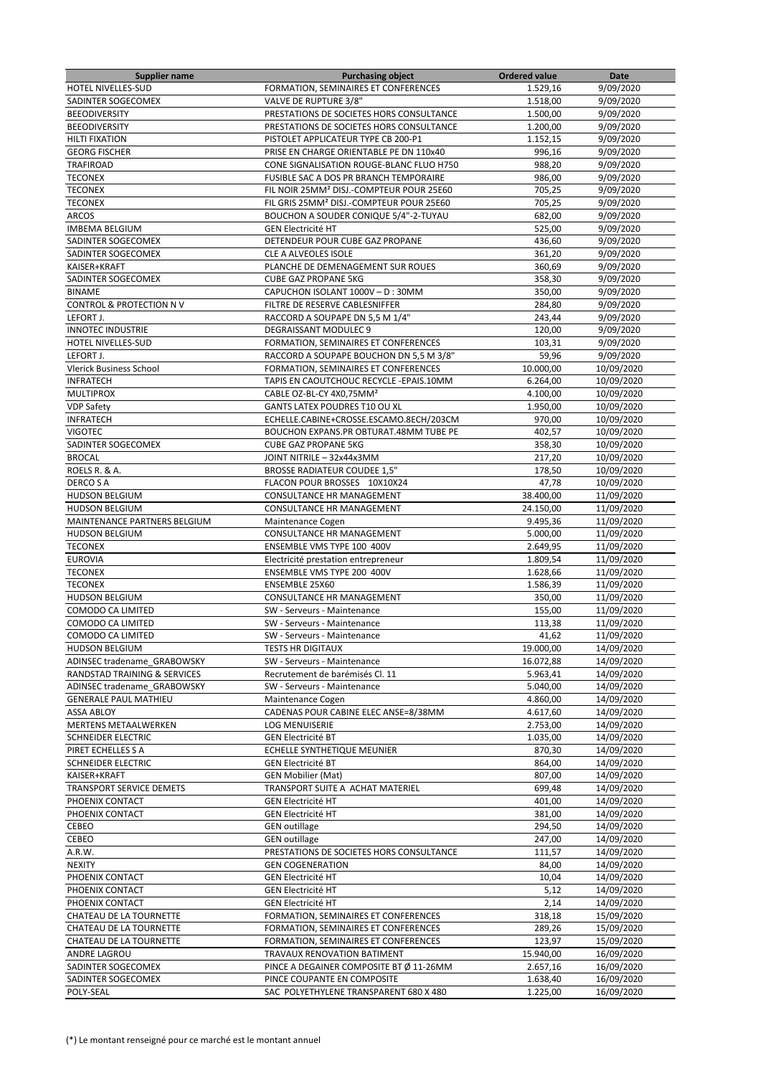| Supplier name                  | <b>Purchasing object</b>                             | <b>Ordered value</b> | Date       |
|--------------------------------|------------------------------------------------------|----------------------|------------|
| HOTEL NIVELLES-SUD             | FORMATION, SEMINAIRES ET CONFERENCES                 | 1.529,16             | 9/09/2020  |
| SADINTER SOGECOMEX             | VALVE DE RUPTURE 3/8"                                | 1.518,00             | 9/09/2020  |
| <b>BEEODIVERSITY</b>           | PRESTATIONS DE SOCIETES HORS CONSULTANCE             | 1.500,00             | 9/09/2020  |
| <b>BEEODIVERSITY</b>           | PRESTATIONS DE SOCIETES HORS CONSULTANCE             | 1.200,00             | 9/09/2020  |
| <b>HILTI FIXATION</b>          | PISTOLET APPLICATEUR TYPE CB 200-P1                  | 1.152,15             | 9/09/2020  |
| <b>GEORG FISCHER</b>           |                                                      |                      |            |
|                                | PRISE EN CHARGE ORIENTABLE PE DN 110x40              | 996,16               | 9/09/2020  |
| <b>TRAFIROAD</b>               | CONE SIGNALISATION ROUGE-BLANC FLUO H750             | 988,20               | 9/09/2020  |
| <b>TECONEX</b>                 | FUSIBLE SAC A DOS PR BRANCH TEMPORAIRE               | 986,00               | 9/09/2020  |
| <b>TECONEX</b>                 | FIL NOIR 25MM <sup>2</sup> DISJ.-COMPTEUR POUR 25E60 | 705,25               | 9/09/2020  |
| <b>TECONEX</b>                 | FIL GRIS 25MM <sup>2</sup> DISJ.-COMPTEUR POUR 25E60 | 705,25               | 9/09/2020  |
| <b>ARCOS</b>                   | BOUCHON A SOUDER CONIQUE 5/4"-2-TUYAU                | 682,00               | 9/09/2020  |
| <b>IMBEMA BELGIUM</b>          | <b>GEN Electricité HT</b>                            | 525,00               | 9/09/2020  |
| SADINTER SOGECOMEX             | DETENDEUR POUR CUBE GAZ PROPANE                      | 436,60               | 9/09/2020  |
| SADINTER SOGECOMEX             | CLE A ALVEOLES ISOLE                                 | 361,20               | 9/09/2020  |
| KAISER+KRAFT                   | PLANCHE DE DEMENAGEMENT SUR ROUES                    | 360,69               | 9/09/2020  |
|                                |                                                      |                      |            |
| SADINTER SOGECOMEX             | <b>CUBE GAZ PROPANE 5KG</b>                          | 358,30               | 9/09/2020  |
| <b>BINAME</b>                  | CAPUCHON ISOLANT 1000V - D: 30MM                     | 350,00               | 9/09/2020  |
| CONTROL & PROTECTION NV        | FILTRE DE RESERVE CABLESNIFFER                       | 284,80               | 9/09/2020  |
| LEFORT J.                      | RACCORD A SOUPAPE DN 5,5 M 1/4"                      | 243,44               | 9/09/2020  |
| <b>INNOTEC INDUSTRIE</b>       | <b>DEGRAISSANT MODULEC 9</b>                         | 120,00               | 9/09/2020  |
| HOTEL NIVELLES-SUD             | FORMATION, SEMINAIRES ET CONFERENCES                 | 103,31               | 9/09/2020  |
| LEFORT J.                      | RACCORD A SOUPAPE BOUCHON DN 5,5 M 3/8"              | 59,96                | 9/09/2020  |
| <b>Vlerick Business School</b> | FORMATION, SEMINAIRES ET CONFERENCES                 | 10.000,00            | 10/09/2020 |
| <b>INFRATECH</b>               | TAPIS EN CAOUTCHOUC RECYCLE - EPAIS.10MM             | 6.264.00             | 10/09/2020 |
|                                |                                                      | 4.100,00             |            |
| <b>MULTIPROX</b>               | CABLE OZ-BL-CY 4X0,75MM <sup>2</sup>                 |                      | 10/09/2020 |
| <b>VDP Safety</b>              | GANTS LATEX POUDRES T10 OU XL                        | 1.950,00             | 10/09/2020 |
| <b>INFRATECH</b>               | ECHELLE.CABINE+CROSSE.ESCAMO.8ECH/203CM              | 970,00               | 10/09/2020 |
| <b>VIGOTEC</b>                 | BOUCHON EXPANS.PR OBTURAT.48MM TUBE PE               | 402,57               | 10/09/2020 |
| SADINTER SOGECOMEX             | <b>CUBE GAZ PROPANE 5KG</b>                          | 358,30               | 10/09/2020 |
| <b>BROCAL</b>                  | JOINT NITRILE - 32x44x3MM                            | 217,20               | 10/09/2020 |
| ROELS R. & A.                  | <b>BROSSE RADIATEUR COUDEE 1,5"</b>                  | 178,50               | 10/09/2020 |
| DERCO S A                      | FLACON POUR BROSSES 10X10X24                         | 47,78                | 10/09/2020 |
| <b>HUDSON BELGIUM</b>          | CONSULTANCE HR MANAGEMENT                            | 38.400,00            | 11/09/2020 |
| <b>HUDSON BELGIUM</b>          | CONSULTANCE HR MANAGEMENT                            | 24.150,00            | 11/09/2020 |
|                                |                                                      |                      |            |
| MAINTENANCE PARTNERS BELGIUM   | Maintenance Cogen                                    | 9.495,36             | 11/09/2020 |
| <b>HUDSON BELGIUM</b>          | CONSULTANCE HR MANAGEMENT                            | 5.000,00             | 11/09/2020 |
| <b>TECONEX</b>                 | ENSEMBLE VMS TYPE 100 400V                           | 2.649,95             | 11/09/2020 |
| <b>EUROVIA</b>                 | Electricité prestation entrepreneur                  | 1.809,54             | 11/09/2020 |
| <b>TECONEX</b>                 | ENSEMBLE VMS TYPE 200 400V                           | 1.628,66             | 11/09/2020 |
| <b>TECONEX</b>                 | ENSEMBLE 25X60                                       | 1.586,39             | 11/09/2020 |
| <b>HUDSON BELGIUM</b>          | <b>CONSULTANCE HR MANAGEMENT</b>                     | 350,00               | 11/09/2020 |
| COMODO CA LIMITED              | SW - Serveurs - Maintenance                          | 155,00               | 11/09/2020 |
| COMODO CA LIMITED              | SW - Serveurs - Maintenance                          | 113,38               | 11/09/2020 |
| <b>COMODO CA LIMITED</b>       | SW - Serveurs - Maintenance                          | 41,62                | 11/09/2020 |
| <b>HUDSON BELGIUM</b>          | <b>TESTS HR DIGITAUX</b>                             | 19.000,00            | 14/09/2020 |
| ADINSEC tradename GRABOWSKY    | SW - Serveurs - Maintenance                          | 16.072,88            | 14/09/2020 |
| RANDSTAD TRAINING & SERVICES   | Recrutement de barémisés Cl. 11                      |                      |            |
|                                |                                                      | 5.963,41             | 14/09/2020 |
| ADINSEC tradename GRABOWSKY    | SW - Serveurs - Maintenance                          | 5.040,00             | 14/09/2020 |
| <b>GENERALE PAUL MATHIEU</b>   | Maintenance Cogen                                    | 4.860,00             | 14/09/2020 |
| <b>ASSA ABLOY</b>              | CADENAS POUR CABINE ELEC ANSE=8/38MM                 | 4.617,60             | 14/09/2020 |
| MERTENS METAALWERKEN           | LOG MENUISERIE                                       | 2.753,00             | 14/09/2020 |
| SCHNEIDER ELECTRIC             | <b>GEN Electricité BT</b>                            | 1.035,00             | 14/09/2020 |
| PIRET ECHELLES S A             | ECHELLE SYNTHETIQUE MEUNIER                          | 870,30               | 14/09/2020 |
| SCHNEIDER ELECTRIC             | <b>GEN Electricité BT</b>                            | 864,00               | 14/09/2020 |
| KAISER+KRAFT                   | <b>GEN Mobilier (Mat)</b>                            | 807,00               | 14/09/2020 |
| TRANSPORT SERVICE DEMETS       | TRANSPORT SUITE A ACHAT MATERIEL                     | 699,48               | 14/09/2020 |
| PHOENIX CONTACT                | <b>GEN Electricité HT</b>                            | 401,00               | 14/09/2020 |
| PHOENIX CONTACT                | <b>GEN Electricité HT</b>                            | 381,00               | 14/09/2020 |
|                                |                                                      |                      |            |
| CEBEO                          | <b>GEN outillage</b>                                 | 294,50               | 14/09/2020 |
| CEBEO                          | <b>GEN outillage</b>                                 | 247,00               | 14/09/2020 |
| A.R.W.                         | PRESTATIONS DE SOCIETES HORS CONSULTANCE             | 111,57               | 14/09/2020 |
| <b>NEXITY</b>                  | <b>GEN COGENERATION</b>                              | 84,00                | 14/09/2020 |
| PHOENIX CONTACT                | <b>GEN Electricité HT</b>                            | 10,04                | 14/09/2020 |
| PHOENIX CONTACT                | <b>GEN Electricité HT</b>                            | 5,12                 | 14/09/2020 |
| PHOENIX CONTACT                | <b>GEN Electricité HT</b>                            | 2,14                 | 14/09/2020 |
| CHATEAU DE LA TOURNETTE        | FORMATION, SEMINAIRES ET CONFERENCES                 | 318,18               | 15/09/2020 |
| CHATEAU DE LA TOURNETTE        | FORMATION, SEMINAIRES ET CONFERENCES                 | 289,26               | 15/09/2020 |
| CHATEAU DE LA TOURNETTE        | FORMATION, SEMINAIRES ET CONFERENCES                 | 123,97               | 15/09/2020 |
| ANDRE LAGROU                   | TRAVAUX RENOVATION BATIMENT                          | 15.940,00            | 16/09/2020 |
|                                |                                                      |                      |            |
| SADINTER SOGECOMEX             | PINCE A DEGAINER COMPOSITE BT Ø 11-26MM              | 2.657,16             | 16/09/2020 |
| SADINTER SOGECOMEX             | PINCE COUPANTE EN COMPOSITE                          | 1.638,40             | 16/09/2020 |
| POLY-SEAL                      | SAC POLYETHYLENE TRANSPARENT 680 X 480               | 1.225,00             | 16/09/2020 |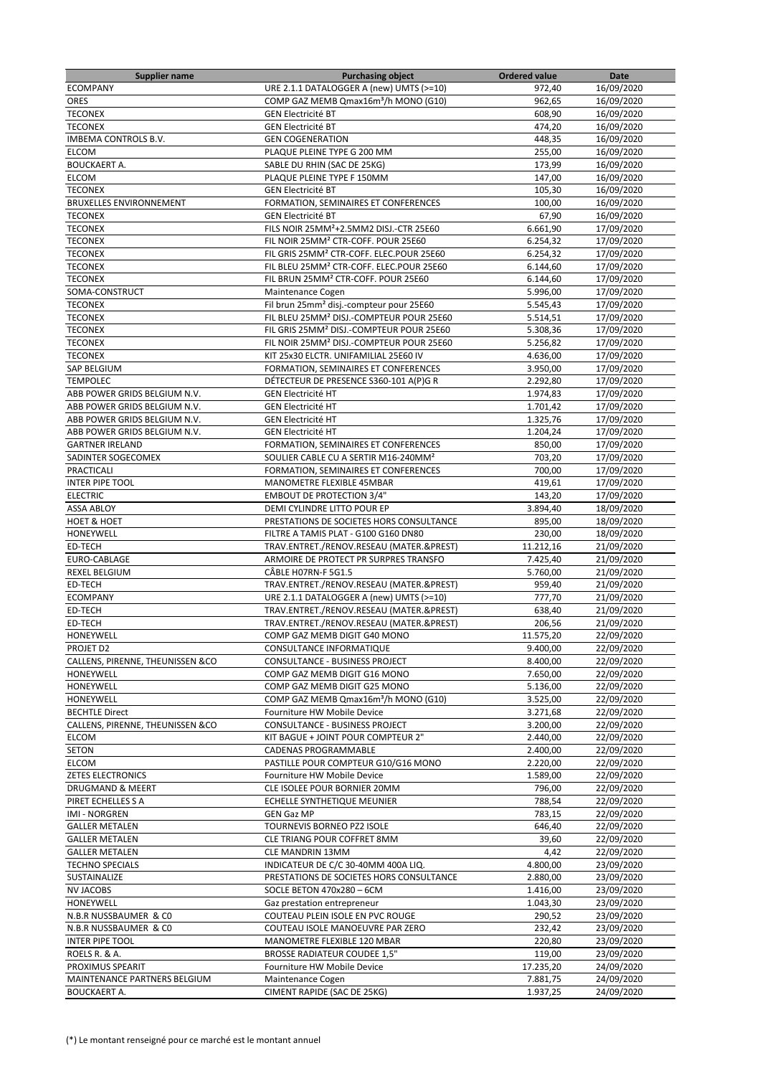| <b>Supplier name</b>             | <b>Purchasing object</b>                             | <b>Ordered value</b> | Date       |
|----------------------------------|------------------------------------------------------|----------------------|------------|
| <b>ECOMPANY</b>                  | URE 2.1.1 DATALOGGER A (new) UMTS (>=10)             | 972,40               | 16/09/2020 |
| <b>ORES</b>                      | COMP GAZ MEMB Qmax16m <sup>3</sup> /h MONO (G10)     | 962,65               | 16/09/2020 |
| <b>TECONEX</b>                   | <b>GEN Electricité BT</b>                            | 608,90               | 16/09/2020 |
| <b>TECONEX</b>                   | <b>GEN Electricité BT</b>                            | 474,20               | 16/09/2020 |
| IMBEMA CONTROLS B.V.             | <b>GEN COGENERATION</b>                              | 448,35               | 16/09/2020 |
| <b>ELCOM</b>                     | PLAQUE PLEINE TYPE G 200 MM                          | 255,00               | 16/09/2020 |
| <b>BOUCKAERT A.</b>              | SABLE DU RHIN (SAC DE 25KG)                          | 173,99               | 16/09/2020 |
| <b>ELCOM</b>                     | PLAQUE PLEINE TYPE F 150MM                           | 147,00               | 16/09/2020 |
| <b>TECONEX</b>                   | <b>GEN Electricité BT</b>                            | 105,30               | 16/09/2020 |
| <b>BRUXELLES ENVIRONNEMENT</b>   | FORMATION, SEMINAIRES ET CONFERENCES                 | 100,00               | 16/09/2020 |
| <b>TECONEX</b>                   | <b>GEN Electricité BT</b>                            | 67,90                | 16/09/2020 |
| <b>TECONEX</b>                   | FILS NOIR 25MM <sup>2</sup> +2.5MM2 DISJ.-CTR 25E60  | 6.661,90             | 17/09/2020 |
| <b>TECONEX</b>                   | FIL NOIR 25MM <sup>2</sup> CTR-COFF. POUR 25E60      | 6.254,32             | 17/09/2020 |
| <b>TECONEX</b>                   | FIL GRIS 25MM <sup>2</sup> CTR-COFF. ELEC.POUR 25E60 | 6.254,32             | 17/09/2020 |
| <b>TECONEX</b>                   | FIL BLEU 25MM <sup>2</sup> CTR-COFF. ELEC.POUR 25E60 | 6.144,60             | 17/09/2020 |
| <b>TECONEX</b>                   | FIL BRUN 25MM <sup>2</sup> CTR-COFF. POUR 25E60      | 6.144,60             | 17/09/2020 |
|                                  |                                                      |                      |            |
| SOMA-CONSTRUCT                   | Maintenance Cogen                                    | 5.996,00             | 17/09/2020 |
| <b>TECONEX</b>                   | Fil brun 25mm <sup>2</sup> disj.-compteur pour 25E60 | 5.545,43             | 17/09/2020 |
| <b>TECONEX</b>                   | FIL BLEU 25MM <sup>2</sup> DISJ.-COMPTEUR POUR 25E60 | 5.514,51             | 17/09/2020 |
| <b>TECONEX</b>                   | FIL GRIS 25MM <sup>2</sup> DISJ.-COMPTEUR POUR 25E60 | 5.308,36             | 17/09/2020 |
| <b>TECONEX</b>                   | FIL NOIR 25MM <sup>2</sup> DISJ.-COMPTEUR POUR 25E60 | 5.256,82             | 17/09/2020 |
| <b>TECONEX</b>                   | KIT 25x30 ELCTR. UNIFAMILIAL 25E60 IV                | 4.636,00             | 17/09/2020 |
| SAP BELGIUM                      | FORMATION, SEMINAIRES ET CONFERENCES                 | 3.950,00             | 17/09/2020 |
| <b>TEMPOLEC</b>                  | DÉTECTEUR DE PRESENCE S360-101 A(P)G R               | 2.292,80             | 17/09/2020 |
| ABB POWER GRIDS BELGIUM N.V.     | <b>GEN Electricité HT</b>                            | 1.974,83             | 17/09/2020 |
| ABB POWER GRIDS BELGIUM N.V.     | <b>GEN Electricité HT</b>                            | 1.701,42             | 17/09/2020 |
| ABB POWER GRIDS BELGIUM N.V.     | <b>GEN Electricité HT</b>                            | 1.325,76             | 17/09/2020 |
| ABB POWER GRIDS BELGIUM N.V.     | <b>GEN Electricité HT</b>                            | 1.204,24             | 17/09/2020 |
| <b>GARTNER IRELAND</b>           | FORMATION, SEMINAIRES ET CONFERENCES                 | 850,00               | 17/09/2020 |
| SADINTER SOGECOMEX               | SOULIER CABLE CU A SERTIR M16-240MM <sup>2</sup>     | 703,20               | 17/09/2020 |
| PRACTICALI                       | FORMATION, SEMINAIRES ET CONFERENCES                 | 700,00               | 17/09/2020 |
| <b>INTER PIPE TOOL</b>           | MANOMETRE FLEXIBLE 45MBAR                            | 419,61               | 17/09/2020 |
| <b>ELECTRIC</b>                  | <b>EMBOUT DE PROTECTION 3/4"</b>                     | 143,20               | 17/09/2020 |
| <b>ASSA ABLOY</b>                | DEMI CYLINDRE LITTO POUR EP                          | 3.894,40             | 18/09/2020 |
| <b>HOET &amp; HOET</b>           | PRESTATIONS DE SOCIETES HORS CONSULTANCE             | 895,00               | 18/09/2020 |
| HONEYWELL                        | FILTRE A TAMIS PLAT - G100 G160 DN80                 | 230,00               | 18/09/2020 |
| ED-TECH                          | TRAV.ENTRET./RENOV.RESEAU (MATER.&PREST)             | 11.212,16            | 21/09/2020 |
| EURO-CABLAGE                     | ARMOIRE DE PROTECT PR SURPRES TRANSFO                | 7.425,40             | 21/09/2020 |
| <b>REXEL BELGIUM</b>             | CÂBLE HO7RN-F 5G1.5                                  | 5.760,00             | 21/09/2020 |
|                                  |                                                      |                      |            |
| ED-TECH                          | TRAV.ENTRET./RENOV.RESEAU (MATER.&PREST)             | 959,40               | 21/09/2020 |
| <b>ECOMPANY</b>                  | URE 2.1.1 DATALOGGER A (new) UMTS (>=10)             | 777,70               | 21/09/2020 |
| ED-TECH                          | TRAV.ENTRET./RENOV.RESEAU (MATER.&PREST)             | 638,40               | 21/09/2020 |
| ED-TECH                          | TRAV.ENTRET./RENOV.RESEAU (MATER.&PREST)             | 206,56               | 21/09/2020 |
| <b>HONEYWELL</b>                 | COMP GAZ MEMB DIGIT G40 MONO                         | 11.575,20            | 22/09/2020 |
| PROJET D2                        | CONSULTANCE INFORMATIQUE                             | 9.400,00             | 22/09/2020 |
| CALLENS, PIRENNE, THEUNISSEN &CO | CONSULTANCE - BUSINESS PROJECT                       | 8.400,00             | 22/09/2020 |
| HONEYWELL                        | COMP GAZ MEMB DIGIT G16 MONO                         | 7.650,00             | 22/09/2020 |
| HONEYWELL                        | COMP GAZ MEMB DIGIT G25 MONO                         | 5.136,00             | 22/09/2020 |
| HONEYWELL                        | COMP GAZ MEMB Qmax16m <sup>3</sup> /h MONO (G10)     | 3.525,00             | 22/09/2020 |
| <b>BECHTLE Direct</b>            | Fourniture HW Mobile Device                          | 3.271,68             | 22/09/2020 |
| CALLENS, PIRENNE, THEUNISSEN &CO | CONSULTANCE - BUSINESS PROJECT                       | 3.200,00             | 22/09/2020 |
| <b>ELCOM</b>                     | KIT BAGUE + JOINT POUR COMPTEUR 2"                   | 2.440,00             | 22/09/2020 |
| SETON                            | CADENAS PROGRAMMABLE                                 | 2.400,00             | 22/09/2020 |
| ELCOM                            | PASTILLE POUR COMPTEUR G10/G16 MONO                  | 2.220,00             | 22/09/2020 |
| <b>ZETES ELECTRONICS</b>         | Fourniture HW Mobile Device                          | 1.589,00             | 22/09/2020 |
| <b>DRUGMAND &amp; MEERT</b>      | CLE ISOLEE POUR BORNIER 20MM                         | 796,00               | 22/09/2020 |
| PIRET ECHELLES S A               | ECHELLE SYNTHETIQUE MEUNIER                          | 788,54               | 22/09/2020 |
| IMI - NORGREN                    | GEN Gaz MP                                           | 783,15               | 22/09/2020 |
| <b>GALLER METALEN</b>            | TOURNEVIS BORNEO PZ2 ISOLE                           | 646,40               | 22/09/2020 |
| <b>GALLER METALEN</b>            | CLE TRIANG POUR COFFRET 8MM                          | 39,60                | 22/09/2020 |
| <b>GALLER METALEN</b>            | CLE MANDRIN 13MM                                     | 4,42                 | 22/09/2020 |
| <b>TECHNO SPECIALS</b>           | INDICATEUR DE C/C 30-40MM 400A LIQ.                  | 4.800,00             | 23/09/2020 |
| SUSTAINALIZE                     | PRESTATIONS DE SOCIETES HORS CONSULTANCE             | 2.880,00             | 23/09/2020 |
| <b>NV JACOBS</b>                 | SOCLE BETON 470x280 - 6CM                            | 1.416,00             | 23/09/2020 |
| HONEYWELL                        |                                                      | 1.043,30             | 23/09/2020 |
|                                  | Gaz prestation entrepreneur                          |                      |            |
| N.B.R NUSSBAUMER & CO            | COUTEAU PLEIN ISOLE EN PVC ROUGE                     | 290,52               | 23/09/2020 |
| N.B.R NUSSBAUMER & CO            | COUTEAU ISOLE MANOEUVRE PAR ZERO                     | 232,42               | 23/09/2020 |
| <b>INTER PIPE TOOL</b>           | MANOMETRE FLEXIBLE 120 MBAR                          | 220,80               | 23/09/2020 |
| ROELS R. & A.                    | <b>BROSSE RADIATEUR COUDEE 1,5"</b>                  | 119,00               | 23/09/2020 |
| PROXIMUS SPEARIT                 | Fourniture HW Mobile Device                          | 17.235,20            | 24/09/2020 |
| MAINTENANCE PARTNERS BELGIUM     | Maintenance Cogen                                    | 7.881,75             | 24/09/2020 |
| <b>BOUCKAERT A.</b>              | <b>CIMENT RAPIDE (SAC DE 25KG)</b>                   | 1.937,25             | 24/09/2020 |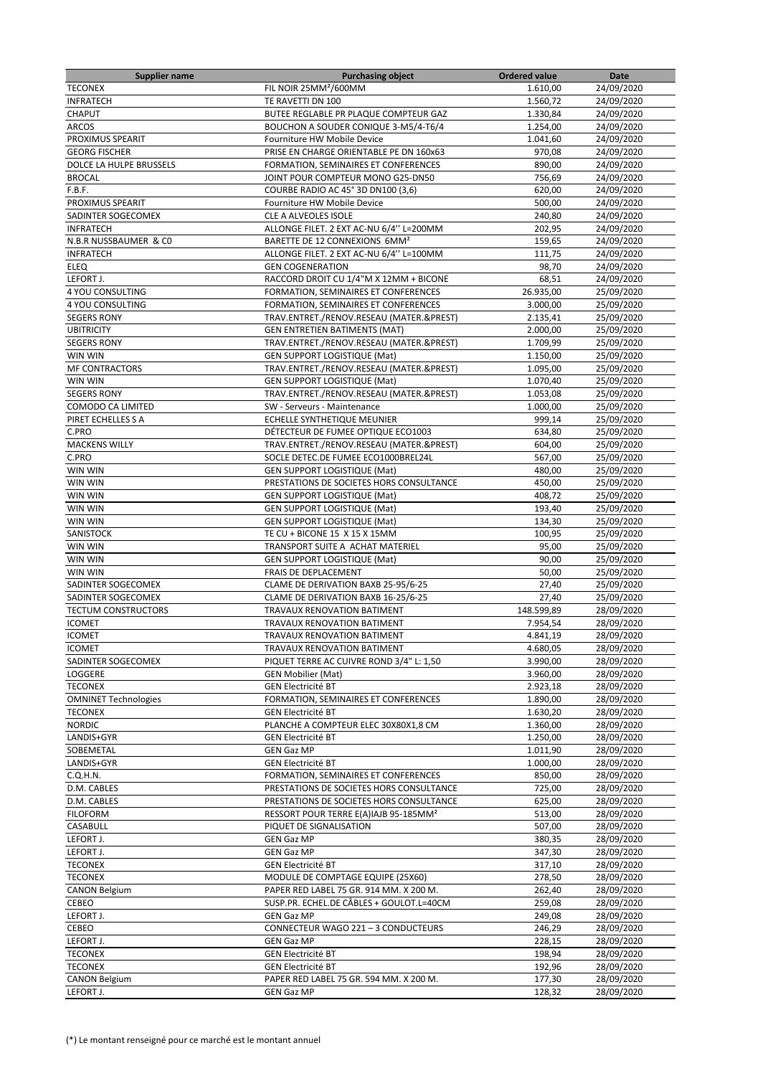| <b>Supplier name</b>            | <b>Purchasing object</b>                                           | <b>Ordered value</b> | Date                     |
|---------------------------------|--------------------------------------------------------------------|----------------------|--------------------------|
| <b>TECONEX</b>                  | FIL NOIR 25MM <sup>2</sup> /600MM                                  | 1.610,00             | 24/09/2020               |
| <b>INFRATECH</b>                | TE RAVETTI DN 100                                                  | 1.560,72             | 24/09/2020               |
| CHAPUT                          | BUTEE REGLABLE PR PLAQUE COMPTEUR GAZ                              | 1.330,84             | 24/09/2020               |
| <b>ARCOS</b>                    | BOUCHON A SOUDER CONIQUE 3-M5/4-T6/4                               | 1.254,00             | 24/09/2020               |
| PROXIMUS SPEARIT                | Fourniture HW Mobile Device                                        | 1.041,60             | 24/09/2020               |
| <b>GEORG FISCHER</b>            | PRISE EN CHARGE ORIENTABLE PE DN 160x63                            | 970,08               | 24/09/2020               |
| DOLCE LA HULPE BRUSSELS         | FORMATION, SEMINAIRES ET CONFERENCES                               | 890,00               | 24/09/2020               |
| <b>BROCAL</b>                   | JOINT POUR COMPTEUR MONO G25-DN50                                  | 756,69               | 24/09/2020               |
| F.B.F.                          | COURBE RADIO AC 45° 3D DN100 (3,6)                                 | 620,00               | 24/09/2020               |
| PROXIMUS SPEARIT                | Fourniture HW Mobile Device                                        | 500,00               | 24/09/2020               |
| SADINTER SOGECOMEX              | CLE A ALVEOLES ISOLE                                               | 240,80               | 24/09/2020               |
| <b>INFRATECH</b>                | ALLONGE FILET. 2 EXT AC-NU 6/4" L=200MM                            | 202,95               | 24/09/2020               |
| N.B.R NUSSBAUMER & CO           | BARETTE DE 12 CONNEXIONS 6MM <sup>2</sup>                          | 159,65               | 24/09/2020               |
| <b>INFRATECH</b><br><b>ELEQ</b> | ALLONGE FILET. 2 EXT AC-NU 6/4" L=100MM<br><b>GEN COGENERATION</b> | 111,75               | 24/09/2020               |
|                                 | RACCORD DROIT CU 1/4"M X 12MM + BICONE                             | 98,70<br>68,51       | 24/09/2020               |
| LEFORT J.<br>4 YOU CONSULTING   | FORMATION, SEMINAIRES ET CONFERENCES                               | 26.935,00            | 24/09/2020<br>25/09/2020 |
| 4 YOU CONSULTING                | FORMATION, SEMINAIRES ET CONFERENCES                               | 3.000,00             | 25/09/2020               |
| <b>SEGERS RONY</b>              | TRAV.ENTRET./RENOV.RESEAU (MATER.&PREST)                           | 2.135,41             | 25/09/2020               |
| <b>UBITRICITY</b>               | <b>GEN ENTRETIEN BATIMENTS (MAT)</b>                               | 2.000,00             | 25/09/2020               |
| <b>SEGERS RONY</b>              | TRAV.ENTRET./RENOV.RESEAU (MATER.&PREST)                           | 1.709,99             | 25/09/2020               |
| WIN WIN                         | <b>GEN SUPPORT LOGISTIQUE (Mat)</b>                                | 1.150,00             | 25/09/2020               |
| <b>MF CONTRACTORS</b>           | TRAV.ENTRET./RENOV.RESEAU (MATER.&PREST)                           | 1.095,00             | 25/09/2020               |
| WIN WIN                         | <b>GEN SUPPORT LOGISTIQUE (Mat)</b>                                | 1.070,40             | 25/09/2020               |
| <b>SEGERS RONY</b>              | TRAV.ENTRET./RENOV.RESEAU (MATER.&PREST)                           | 1.053,08             | 25/09/2020               |
| COMODO CA LIMITED               | SW - Serveurs - Maintenance                                        | 1.000,00             | 25/09/2020               |
| PIRET ECHELLES S A              | ECHELLE SYNTHETIQUE MEUNIER                                        | 999.14               | 25/09/2020               |
| C.PRO                           | DÉTECTEUR DE FUMEE OPTIQUE ECO1003                                 | 634,80               | 25/09/2020               |
| <b>MACKENS WILLY</b>            | TRAV.ENTRET./RENOV.RESEAU (MATER.&PREST)                           | 604,00               | 25/09/2020               |
| C.PRO                           | SOCLE DETEC.DE FUMEE ECO1000BREL24L                                | 567,00               | 25/09/2020               |
| WIN WIN                         | <b>GEN SUPPORT LOGISTIQUE (Mat)</b>                                | 480,00               | 25/09/2020               |
| WIN WIN                         | PRESTATIONS DE SOCIETES HORS CONSULTANCE                           | 450,00               | 25/09/2020               |
| WIN WIN                         | <b>GEN SUPPORT LOGISTIQUE (Mat)</b>                                | 408,72               | 25/09/2020               |
| WIN WIN                         | <b>GEN SUPPORT LOGISTIQUE (Mat)</b>                                | 193,40               | 25/09/2020               |
| WIN WIN                         | <b>GEN SUPPORT LOGISTIQUE (Mat)</b>                                | 134,30               | 25/09/2020               |
| SANISTOCK                       | TE CU + BICONE 15 X 15 X 15MM                                      | 100,95               | 25/09/2020               |
| WIN WIN                         | TRANSPORT SUITE A ACHAT MATERIEL                                   | 95,00                | 25/09/2020               |
| WIN WIN                         | <b>GEN SUPPORT LOGISTIQUE (Mat)</b>                                | 90,00                | 25/09/2020               |
| WIN WIN                         | FRAIS DE DEPLACEMENT                                               | 50,00                | 25/09/2020               |
| SADINTER SOGECOMEX              | CLAME DE DERIVATION BAXB 25-95/6-25                                | 27,40                | 25/09/2020               |
| SADINTER SOGECOMEX              | CLAME DE DERIVATION BAXB 16-25/6-25                                | 27,40                | 25/09/2020               |
| <b>TECTUM CONSTRUCTORS</b>      | TRAVAUX RENOVATION BATIMENT                                        | 148.599,89           | 28/09/2020               |
| <b>ICOMET</b>                   | TRAVAUX RENOVATION BATIMENT                                        | 7.954,54             | 28/09/2020               |
| <b>ICOMET</b>                   | TRAVAUX RENOVATION BATIMENT                                        | 4.841,19             | 28/09/2020               |
| <b>ICOMET</b>                   | TRAVAUX RENOVATION BATIMENT                                        | 4.680,05             | 28/09/2020               |
| SADINTER SOGECOMEX              | PIQUET TERRE AC CUIVRE ROND 3/4" L: 1,50                           | 3.990,00             | 28/09/2020               |
| LOGGERE                         | <b>GEN Mobilier (Mat)</b>                                          | 3.960,00             | 28/09/2020               |
| <b>TECONEX</b>                  | <b>GEN Electricité BT</b>                                          | 2.923,18             | 28/09/2020               |
| <b>OMNINET Technologies</b>     | FORMATION, SEMINAIRES ET CONFERENCES                               | 1.890,00             | 28/09/2020               |
| <b>TECONEX</b>                  | <b>GEN Electricité BT</b>                                          | 1.630,20<br>1.360,00 | 28/09/2020               |
| <b>NORDIC</b>                   | PLANCHE A COMPTEUR ELEC 30X80X1,8 CM                               |                      | 28/09/2020               |
| LANDIS+GYR<br>SOBEMETAL         | <b>GEN Electricité BT</b><br><b>GEN Gaz MP</b>                     | 1.250,00<br>1.011,90 | 28/09/2020<br>28/09/2020 |
| LANDIS+GYR                      | <b>GEN Electricité BT</b>                                          | 1.000,00             | 28/09/2020               |
| C.Q.H.N.                        | FORMATION, SEMINAIRES ET CONFERENCES                               | 850,00               | 28/09/2020               |
| D.M. CABLES                     | PRESTATIONS DE SOCIETES HORS CONSULTANCE                           | 725,00               | 28/09/2020               |
| D.M. CABLES                     | PRESTATIONS DE SOCIETES HORS CONSULTANCE                           | 625,00               | 28/09/2020               |
| <b>FILOFORM</b>                 | RESSORT POUR TERRE E(A)IAJB 95-185MM <sup>2</sup>                  | 513,00               | 28/09/2020               |
| CASABULL                        | PIQUET DE SIGNALISATION                                            | 507,00               | 28/09/2020               |
| LEFORT J.                       | <b>GEN Gaz MP</b>                                                  | 380,35               | 28/09/2020               |
| LEFORT J.                       | <b>GEN Gaz MP</b>                                                  | 347,30               | 28/09/2020               |
| <b>TECONEX</b>                  | <b>GEN Electricité BT</b>                                          | 317,10               | 28/09/2020               |
| <b>TECONEX</b>                  | MODULE DE COMPTAGE EQUIPE (25X60)                                  | 278,50               | 28/09/2020               |
| <b>CANON Belgium</b>            | PAPER RED LABEL 75 GR. 914 MM. X 200 M.                            | 262,40               | 28/09/2020               |
| CEBEO                           | SUSP.PR. ECHEL.DE CÂBLES + GOULOT.L=40CM                           | 259,08               | 28/09/2020               |
| LEFORT J.                       | <b>GEN Gaz MP</b>                                                  | 249,08               | 28/09/2020               |
| CEBEO                           | CONNECTEUR WAGO 221 - 3 CONDUCTEURS                                | 246,29               | 28/09/2020               |
| LEFORT J.                       | <b>GEN Gaz MP</b>                                                  | 228,15               | 28/09/2020               |
| <b>TECONEX</b>                  | <b>GEN Electricité BT</b>                                          | 198,94               | 28/09/2020               |
| <b>TECONEX</b>                  | <b>GEN Electricité BT</b>                                          | 192,96               | 28/09/2020               |
| <b>CANON Belgium</b>            | PAPER RED LABEL 75 GR. 594 MM. X 200 M.                            | 177,30               | 28/09/2020               |
| LEFORT J.                       | <b>GEN Gaz MP</b>                                                  | 128,32               | 28/09/2020               |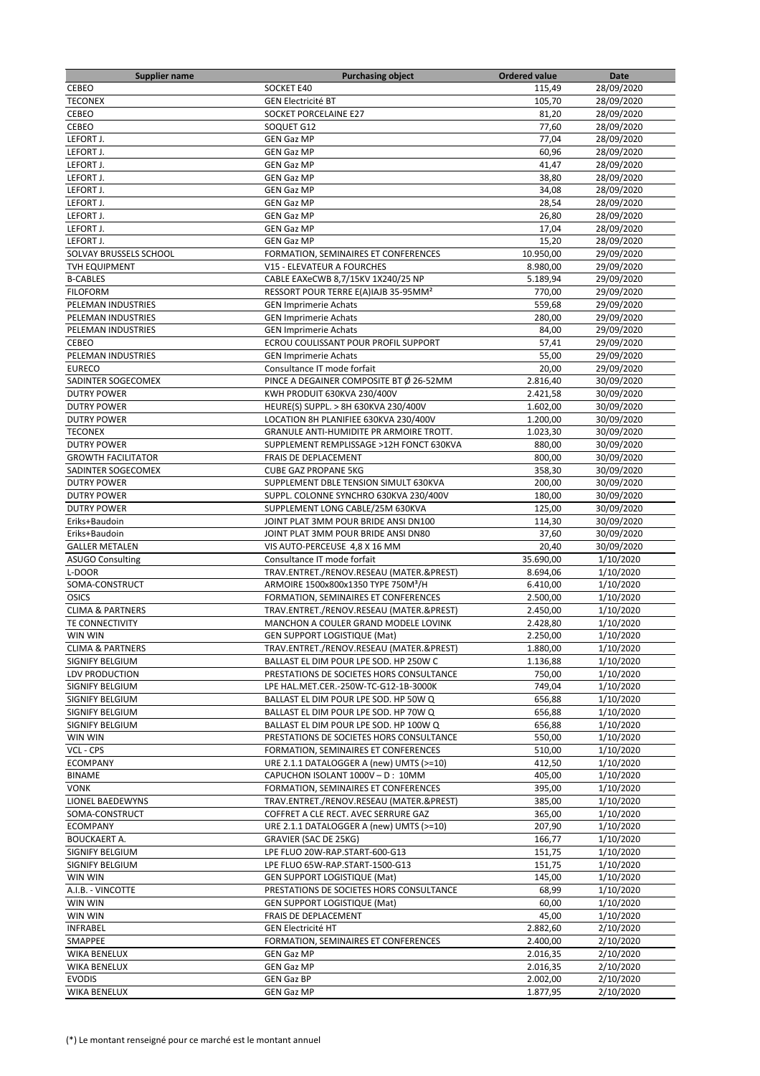| <b>Supplier name</b>        | <b>Purchasing object</b>                                     | <b>Ordered value</b> | Date       |
|-----------------------------|--------------------------------------------------------------|----------------------|------------|
| CEBEO                       | SOCKET E40                                                   | 115,49               | 28/09/2020 |
| <b>TECONEX</b>              | <b>GEN Electricité BT</b>                                    | 105,70               | 28/09/2020 |
| <b>CEBEO</b>                | SOCKET PORCELAINE E27                                        | 81,20                | 28/09/2020 |
| CEBEO                       | SOQUET G12                                                   | 77,60                | 28/09/2020 |
| LEFORT J.                   | <b>GEN Gaz MP</b>                                            | 77,04                | 28/09/2020 |
| LEFORT J.                   | <b>GEN Gaz MP</b>                                            | 60,96                | 28/09/2020 |
| LEFORT J.                   | <b>GEN Gaz MP</b>                                            | 41,47                | 28/09/2020 |
| LEFORT J.                   | <b>GEN Gaz MP</b>                                            | 38,80                | 28/09/2020 |
| LEFORT J.                   | <b>GEN Gaz MP</b>                                            | 34,08                | 28/09/2020 |
| LEFORT J.                   | <b>GEN Gaz MP</b>                                            | 28,54                | 28/09/2020 |
| LEFORT J.                   | <b>GEN Gaz MP</b>                                            | 26,80                | 28/09/2020 |
| LEFORT J.                   | <b>GEN Gaz MP</b>                                            | 17,04                | 28/09/2020 |
| LEFORT J.                   | <b>GEN Gaz MP</b>                                            | 15,20                | 28/09/2020 |
| SOLVAY BRUSSELS SCHOOL      |                                                              |                      | 29/09/2020 |
|                             | FORMATION, SEMINAIRES ET CONFERENCES                         | 10.950,00            |            |
| <b>TVH EQUIPMENT</b>        | V15 - ELEVATEUR A FOURCHES                                   | 8.980,00             | 29/09/2020 |
| <b>B-CABLES</b>             | CABLE EAXeCWB 8,7/15KV 1X240/25 NP                           | 5.189,94             | 29/09/2020 |
| <b>FILOFORM</b>             | RESSORT POUR TERRE E(A)IAJB 35-95MM <sup>2</sup>             | 770,00               | 29/09/2020 |
| PELEMAN INDUSTRIES          | <b>GEN Imprimerie Achats</b>                                 | 559,68               | 29/09/2020 |
| PELEMAN INDUSTRIES          | <b>GEN Imprimerie Achats</b>                                 | 280,00               | 29/09/2020 |
| PELEMAN INDUSTRIES          | <b>GEN Imprimerie Achats</b>                                 | 84,00                | 29/09/2020 |
| CEBEO                       | ECROU COULISSANT POUR PROFIL SUPPORT                         | 57,41                | 29/09/2020 |
| PELEMAN INDUSTRIES          | <b>GEN Imprimerie Achats</b>                                 | 55,00                | 29/09/2020 |
| <b>EURECO</b>               | Consultance IT mode forfait                                  | 20,00                | 29/09/2020 |
| SADINTER SOGECOMEX          | PINCE A DEGAINER COMPOSITE BT Ø 26-52MM                      | 2.816,40             | 30/09/2020 |
| <b>DUTRY POWER</b>          | KWH PRODUIT 630KVA 230/400V                                  | 2.421,58             | 30/09/2020 |
| <b>DUTRY POWER</b>          | HEURE(S) SUPPL. > 8H 630KVA 230/400V                         | 1.602,00             | 30/09/2020 |
| <b>DUTRY POWER</b>          | LOCATION 8H PLANIFIEE 630KVA 230/400V                        | 1.200,00             | 30/09/2020 |
| <b>TECONEX</b>              | GRANULE ANTI-HUMIDITE PR ARMOIRE TROTT.                      | 1.023,30             | 30/09/2020 |
| <b>DUTRY POWER</b>          | SUPPLEMENT REMPLISSAGE >12H FONCT 630KVA                     | 880,00               | 30/09/2020 |
| <b>GROWTH FACILITATOR</b>   | FRAIS DE DEPLACEMENT                                         | 800,00               | 30/09/2020 |
| SADINTER SOGECOMEX          | <b>CUBE GAZ PROPANE 5KG</b>                                  | 358,30               | 30/09/2020 |
| <b>DUTRY POWER</b>          | SUPPLEMENT DBLE TENSION SIMULT 630KVA                        | 200,00               | 30/09/2020 |
| <b>DUTRY POWER</b>          | SUPPL. COLONNE SYNCHRO 630KVA 230/400V                       | 180,00               | 30/09/2020 |
| <b>DUTRY POWER</b>          | SUPPLEMENT LONG CABLE/25M 630KVA                             | 125,00               | 30/09/2020 |
| Eriks+Baudoin               | JOINT PLAT 3MM POUR BRIDE ANSI DN100                         | 114,30               | 30/09/2020 |
| Eriks+Baudoin               | JOINT PLAT 3MM POUR BRIDE ANSI DN80                          | 37,60                | 30/09/2020 |
|                             |                                                              |                      |            |
| <b>GALLER METALEN</b>       | VIS AUTO-PERCEUSE 4,8 X 16 MM<br>Consultance IT mode forfait | 20,40                | 30/09/2020 |
| <b>ASUGO Consulting</b>     |                                                              | 35.690,00            | 1/10/2020  |
| L-DOOR                      | TRAV.ENTRET./RENOV.RESEAU (MATER.&PREST)                     | 8.694,06             | 1/10/2020  |
| SOMA-CONSTRUCT              | ARMOIRE 1500x800x1350 TYPE 750M <sup>3</sup> /H              | 6.410,00             | 1/10/2020  |
| <b>OSICS</b>                | FORMATION, SEMINAIRES ET CONFERENCES                         | 2.500,00             | 1/10/2020  |
| <b>CLIMA &amp; PARTNERS</b> | TRAV.ENTRET./RENOV.RESEAU (MATER.&PREST)                     | 2.450,00             | 1/10/2020  |
| TE CONNECTIVITY             | MANCHON A COULER GRAND MODELE LOVINK                         | 2.428,80             | 1/10/2020  |
| WIN WIN                     | <b>GEN SUPPORT LOGISTIQUE (Mat)</b>                          | 2.250,00             | 1/10/2020  |
| <b>CLIMA &amp; PARTNERS</b> | TRAV.ENTRET./RENOV.RESEAU (MATER.&PREST)                     | 1.880,00             | 1/10/2020  |
| SIGNIFY BELGIUM             | BALLAST EL DIM POUR LPE SOD. HP 250W C                       | 1.136,88             | 1/10/2020  |
| LDV PRODUCTION              | PRESTATIONS DE SOCIETES HORS CONSULTANCE                     | 750,00               | 1/10/2020  |
| SIGNIFY BELGIUM             | LPE HAL.MET.CER.-250W-TC-G12-1B-3000K                        | 749,04               | 1/10/2020  |
| SIGNIFY BELGIUM             | BALLAST EL DIM POUR LPE SOD. HP 50W Q                        | 656,88               | 1/10/2020  |
| SIGNIFY BELGIUM             | BALLAST EL DIM POUR LPE SOD. HP 70W Q                        | 656,88               | 1/10/2020  |
| SIGNIFY BELGIUM             | BALLAST EL DIM POUR LPE SOD. HP 100W Q                       | 656,88               | 1/10/2020  |
| WIN WIN                     | PRESTATIONS DE SOCIETES HORS CONSULTANCE                     | 550,00               | 1/10/2020  |
| VCL - CPS                   | FORMATION, SEMINAIRES ET CONFERENCES                         | 510,00               | 1/10/2020  |
| <b>ECOMPANY</b>             | URE 2.1.1 DATALOGGER A (new) UMTS (>=10)                     | 412,50               | 1/10/2020  |
| <b>BINAME</b>               | CAPUCHON ISOLANT 1000V - D: 10MM                             | 405,00               | 1/10/2020  |
| <b>VONK</b>                 | FORMATION, SEMINAIRES ET CONFERENCES                         | 395,00               | 1/10/2020  |
| LIONEL BAEDEWYNS            | TRAV.ENTRET./RENOV.RESEAU (MATER.&PREST)                     | 385,00               | 1/10/2020  |
| SOMA-CONSTRUCT              | COFFRET A CLE RECT. AVEC SERRURE GAZ                         | 365,00               | 1/10/2020  |
| <b>ECOMPANY</b>             | URE 2.1.1 DATALOGGER A (new) UMTS (>=10)                     | 207,90               | 1/10/2020  |
| <b>BOUCKAERT A.</b>         | GRAVIER (SAC DE 25KG)                                        | 166,77               | 1/10/2020  |
| SIGNIFY BELGIUM             | LPE FLUO 20W-RAP.START-600-G13                               | 151,75               | 1/10/2020  |
| SIGNIFY BELGIUM             | LPE FLUO 65W-RAP.START-1500-G13                              | 151,75               | 1/10/2020  |
| WIN WIN                     | <b>GEN SUPPORT LOGISTIQUE (Mat)</b>                          | 145,00               | 1/10/2020  |
|                             |                                                              |                      |            |
| A.I.B. - VINCOTTE           | PRESTATIONS DE SOCIETES HORS CONSULTANCE                     | 68,99                | 1/10/2020  |
| WIN WIN                     | <b>GEN SUPPORT LOGISTIQUE (Mat)</b>                          | 60,00                | 1/10/2020  |
| WIN WIN                     | FRAIS DE DEPLACEMENT                                         | 45,00                | 1/10/2020  |
| <b>INFRABEL</b>             | <b>GEN Electricité HT</b>                                    | 2.882,60             | 2/10/2020  |
| SMAPPEE                     | FORMATION, SEMINAIRES ET CONFERENCES                         | 2.400,00             | 2/10/2020  |
| WIKA BENELUX                | <b>GEN Gaz MP</b>                                            | 2.016,35             | 2/10/2020  |
| WIKA BENELUX                | <b>GEN Gaz MP</b>                                            | 2.016,35             | 2/10/2020  |
| <b>EVODIS</b>               | <b>GEN Gaz BP</b>                                            | 2.002,00             | 2/10/2020  |
| WIKA BENELUX                | <b>GEN Gaz MP</b>                                            | 1.877,95             | 2/10/2020  |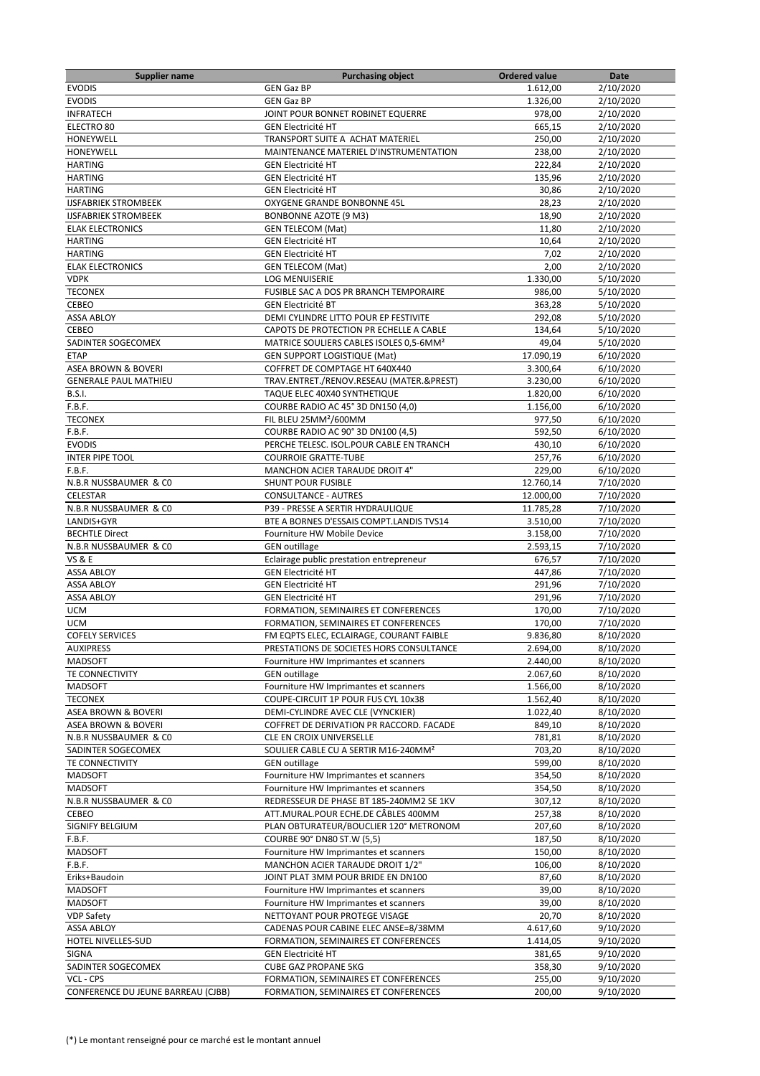| <b>Supplier name</b>                                           | <b>Purchasing object</b>                                              | <b>Ordered value</b> | Date      |
|----------------------------------------------------------------|-----------------------------------------------------------------------|----------------------|-----------|
| <b>EVODIS</b>                                                  | <b>GEN Gaz BP</b>                                                     | 1.612,00             | 2/10/2020 |
| <b>EVODIS</b>                                                  | <b>GEN Gaz BP</b>                                                     | 1.326,00             | 2/10/2020 |
| <b>INFRATECH</b>                                               | JOINT POUR BONNET ROBINET EQUERRE                                     | 978.00               | 2/10/2020 |
| ELECTRO 80                                                     | <b>GEN Electricité HT</b>                                             | 665,15               | 2/10/2020 |
| HONEYWELL                                                      | TRANSPORT SUITE A ACHAT MATERIEL                                      | 250,00               | 2/10/2020 |
| HONEYWELL                                                      | MAINTENANCE MATERIEL D'INSTRUMENTATION                                | 238,00               | 2/10/2020 |
| <b>HARTING</b>                                                 | <b>GEN Electricité HT</b>                                             | 222,84               | 2/10/2020 |
| <b>HARTING</b>                                                 | <b>GEN Electricité HT</b>                                             | 135,96               | 2/10/2020 |
| <b>HARTING</b>                                                 | <b>GEN Electricité HT</b>                                             | 30,86                | 2/10/2020 |
| <b>IJSFABRIEK STROMBEEK</b>                                    | OXYGENE GRANDE BONBONNE 45L                                           | 28,23                | 2/10/2020 |
| <b>IJSFABRIEK STROMBEEK</b>                                    | <b>BONBONNE AZOTE (9 M3)</b>                                          | 18,90                | 2/10/2020 |
| <b>ELAK ELECTRONICS</b>                                        | <b>GEN TELECOM (Mat)</b>                                              | 11,80                | 2/10/2020 |
| <b>HARTING</b>                                                 | <b>GEN Electricité HT</b>                                             | 10,64                | 2/10/2020 |
| <b>HARTING</b>                                                 | <b>GEN Electricité HT</b>                                             | 7,02                 | 2/10/2020 |
| <b>ELAK ELECTRONICS</b>                                        | <b>GEN TELECOM (Mat)</b>                                              | 2,00                 | 2/10/2020 |
| <b>VDPK</b>                                                    | <b>LOG MENUISERIE</b>                                                 | 1.330,00             | 5/10/2020 |
| <b>TECONEX</b>                                                 | FUSIBLE SAC A DOS PR BRANCH TEMPORAIRE                                | 986,00               | 5/10/2020 |
| <b>CEBEO</b>                                                   | <b>GEN Electricité BT</b>                                             | 363,28               | 5/10/2020 |
| <b>ASSA ABLOY</b>                                              | DEMI CYLINDRE LITTO POUR EP FESTIVITE                                 | 292,08               | 5/10/2020 |
| CEBEO                                                          | CAPOTS DE PROTECTION PR ECHELLE A CABLE                               | 134,64               | 5/10/2020 |
| SADINTER SOGECOMEX                                             | MATRICE SOULIERS CABLES ISOLES 0,5-6MM <sup>2</sup>                   | 49,04                | 5/10/2020 |
| <b>ETAP</b>                                                    |                                                                       |                      |           |
|                                                                | <b>GEN SUPPORT LOGISTIQUE (Mat)</b><br>COFFRET DE COMPTAGE HT 640X440 | 17.090,19            | 6/10/2020 |
| <b>ASEA BROWN &amp; BOVERI</b><br><b>GENERALE PAUL MATHIEU</b> | TRAV.ENTRET./RENOV.RESEAU (MATER.&PREST)                              | 3.300,64             | 6/10/2020 |
|                                                                |                                                                       | 3.230,00             | 6/10/2020 |
| <b>B.S.I.</b>                                                  | TAQUE ELEC 40X40 SYNTHETIQUE                                          | 1.820,00             | 6/10/2020 |
| F.B.F.                                                         | COURBE RADIO AC 45° 3D DN150 (4,0)                                    | 1.156,00             | 6/10/2020 |
| <b>TECONEX</b>                                                 | FIL BLEU 25MM <sup>2</sup> /600MM                                     | 977,50               | 6/10/2020 |
| F.B.F.                                                         | COURBE RADIO AC 90° 3D DN100 (4,5)                                    | 592,50               | 6/10/2020 |
| <b>EVODIS</b>                                                  | PERCHE TELESC. ISOL.POUR CABLE EN TRANCH                              | 430,10               | 6/10/2020 |
| <b>INTER PIPE TOOL</b>                                         | <b>COURROIE GRATTE-TUBE</b>                                           | 257,76               | 6/10/2020 |
| F.B.F.                                                         | MANCHON ACIER TARAUDE DROIT 4"                                        | 229,00               | 6/10/2020 |
| N.B.R NUSSBAUMER & CO                                          | <b>SHUNT POUR FUSIBLE</b>                                             | 12.760,14            | 7/10/2020 |
| CELESTAR                                                       | <b>CONSULTANCE - AUTRES</b>                                           | 12.000,00            | 7/10/2020 |
| N.B.R NUSSBAUMER & CO                                          | P39 - PRESSE A SERTIR HYDRAULIQUE                                     | 11.785,28            | 7/10/2020 |
| LANDIS+GYR                                                     | BTE A BORNES D'ESSAIS COMPT.LANDIS TVS14                              | 3.510,00             | 7/10/2020 |
| <b>BECHTLE Direct</b>                                          | Fourniture HW Mobile Device                                           | 3.158,00             | 7/10/2020 |
| N.B.R NUSSBAUMER & CO                                          | <b>GEN</b> outillage                                                  | 2.593,15             | 7/10/2020 |
| <b>VS &amp; E</b>                                              | Eclairage public prestation entrepreneur                              | 676,57               | 7/10/2020 |
| <b>ASSA ABLOY</b>                                              | <b>GEN Electricité HT</b>                                             | 447,86               | 7/10/2020 |
| <b>ASSA ABLOY</b>                                              | <b>GEN Electricité HT</b>                                             | 291,96               | 7/10/2020 |
| <b>ASSA ABLOY</b>                                              | <b>GEN Electricité HT</b>                                             | 291,96               | 7/10/2020 |
| <b>UCM</b>                                                     | FORMATION, SEMINAIRES ET CONFERENCES                                  | 170,00               | 7/10/2020 |
| <b>UCM</b>                                                     | FORMATION, SEMINAIRES ET CONFERENCES                                  | 170,00               | 7/10/2020 |
| <b>COFELY SERVICES</b>                                         | FM EQPTS ELEC, ECLAIRAGE, COURANT FAIBLE                              | 9.836,80             | 8/10/2020 |
| <b>AUXIPRESS</b>                                               | PRESTATIONS DE SOCIETES HORS CONSULTANCE                              | 2.694,00             | 8/10/2020 |
| <b>MADSOFT</b>                                                 | Fourniture HW Imprimantes et scanners                                 | 2.440,00             | 8/10/2020 |
| TE CONNECTIVITY                                                | <b>GEN</b> outillage                                                  | 2.067,60             | 8/10/2020 |
| <b>MADSOFT</b>                                                 | Fourniture HW Imprimantes et scanners                                 | 1.566,00             | 8/10/2020 |
| <b>TECONEX</b>                                                 | COUPE-CIRCUIT 1P POUR FUS CYL 10x38                                   | 1.562,40             | 8/10/2020 |
| ASEA BROWN & BOVERI                                            | DEMI-CYLINDRE AVEC CLE (VYNCKIER)                                     | 1.022,40             | 8/10/2020 |
| <b>ASEA BROWN &amp; BOVERI</b>                                 | COFFRET DE DERIVATION PR RACCORD. FACADE                              | 849,10               | 8/10/2020 |
| N.B.R NUSSBAUMER & CO                                          | CLE EN CROIX UNIVERSELLE                                              | 781,81               | 8/10/2020 |
| SADINTER SOGECOMEX                                             | SOULIER CABLE CU A SERTIR M16-240MM <sup>2</sup>                      | 703,20               | 8/10/2020 |
| TE CONNECTIVITY                                                | <b>GEN outillage</b>                                                  | 599,00               | 8/10/2020 |
| <b>MADSOFT</b>                                                 | Fourniture HW Imprimantes et scanners                                 | 354,50               | 8/10/2020 |
| <b>MADSOFT</b>                                                 | Fourniture HW Imprimantes et scanners                                 | 354,50               | 8/10/2020 |
| N.B.R NUSSBAUMER & CO                                          | REDRESSEUR DE PHASE BT 185-240MM2 SE 1KV                              | 307,12               | 8/10/2020 |
| CEBEO                                                          | ATT.MURAL.POUR ECHE.DE CÂBLES 400MM                                   | 257,38               | 8/10/2020 |
| SIGNIFY BELGIUM                                                | PLAN OBTURATEUR/BOUCLIER 120° METRONOM                                | 207,60               | 8/10/2020 |
| F.B.F.                                                         | COURBE 90° DN80 ST.W (5,5)                                            | 187,50               | 8/10/2020 |
| <b>MADSOFT</b>                                                 | Fourniture HW Imprimantes et scanners                                 | 150,00               | 8/10/2020 |
| F.B.F.                                                         | MANCHON ACIER TARAUDE DROIT 1/2"                                      | 106,00               | 8/10/2020 |
| Eriks+Baudoin                                                  | JOINT PLAT 3MM POUR BRIDE EN DN100                                    | 87,60                | 8/10/2020 |
| <b>MADSOFT</b>                                                 |                                                                       | 39,00                |           |
|                                                                | Fourniture HW Imprimantes et scanners                                 |                      | 8/10/2020 |
| <b>MADSOFT</b>                                                 | Fourniture HW Imprimantes et scanners                                 | 39,00                | 8/10/2020 |
| <b>VDP Safety</b>                                              | NETTOYANT POUR PROTEGE VISAGE                                         | 20,70                | 8/10/2020 |
| <b>ASSA ABLOY</b>                                              | CADENAS POUR CABINE ELEC ANSE=8/38MM                                  | 4.617,60             | 9/10/2020 |
| HOTEL NIVELLES-SUD                                             | FORMATION, SEMINAIRES ET CONFERENCES                                  | 1.414,05             | 9/10/2020 |
| SIGNA                                                          | <b>GEN Electricité HT</b>                                             | 381,65               | 9/10/2020 |
| SADINTER SOGECOMEX                                             | <b>CUBE GAZ PROPANE 5KG</b>                                           | 358,30               | 9/10/2020 |
| VCL - CPS                                                      | FORMATION, SEMINAIRES ET CONFERENCES                                  | 255,00               | 9/10/2020 |
| CONFERENCE DU JEUNE BARREAU (CJBB)                             | FORMATION, SEMINAIRES ET CONFERENCES                                  | 200,00               | 9/10/2020 |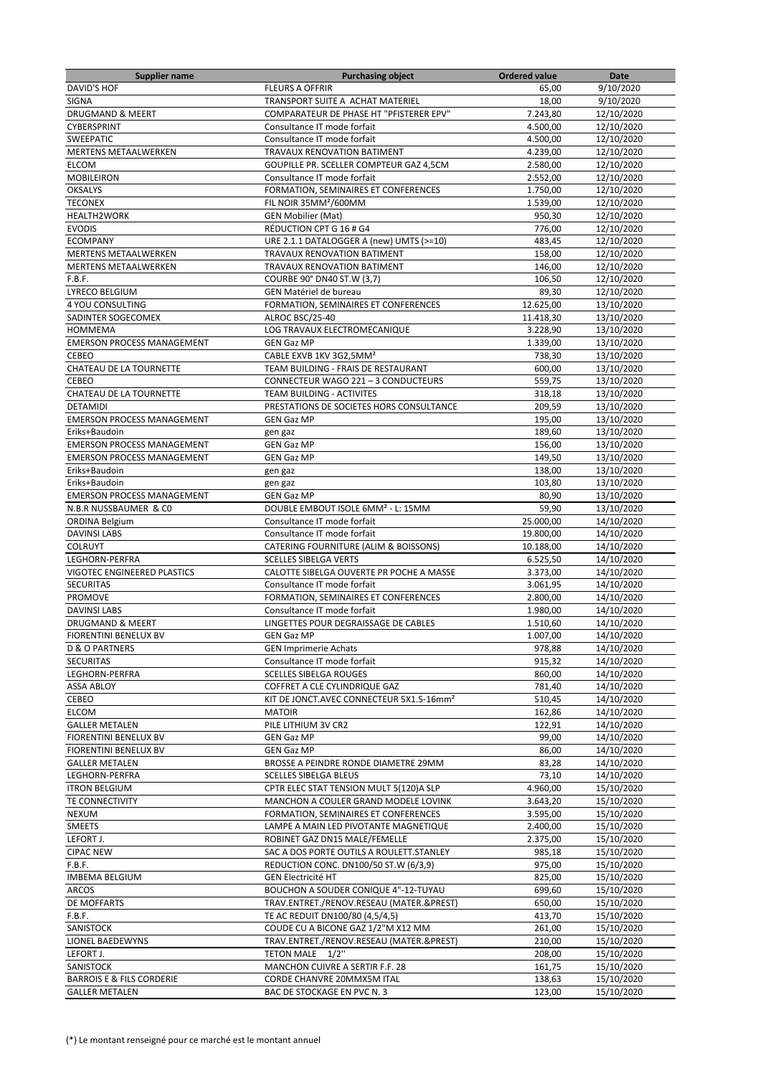| <b>Supplier name</b>                 | <b>Purchasing object</b>                             | Ordered value | Date       |
|--------------------------------------|------------------------------------------------------|---------------|------------|
| DAVID'S HOF                          | <b>FLEURS A OFFRIR</b>                               | 65,00         | 9/10/2020  |
| <b>SIGNA</b>                         | TRANSPORT SUITE A ACHAT MATERIEL                     | 18,00         | 9/10/2020  |
| DRUGMAND & MEERT                     | COMPARATEUR DE PHASE HT "PFISTERER EPV"              | 7.243.80      | 12/10/2020 |
| CYBERSPRINT                          | Consultance IT mode forfait                          | 4.500,00      | 12/10/2020 |
| <b>SWEEPATIC</b>                     | Consultance IT mode forfait                          | 4.500,00      | 12/10/2020 |
| <b>MERTENS METAALWERKEN</b>          | <b>TRAVAUX RENOVATION BATIMENT</b>                   | 4.239,00      | 12/10/2020 |
| ELCOM                                | GOUPILLE PR. SCELLER COMPTEUR GAZ 4,5CM              | 2.580,00      | 12/10/2020 |
| <b>MOBILEIRON</b>                    | Consultance IT mode forfait                          | 2.552,00      | 12/10/2020 |
| <b>OKSALYS</b>                       | FORMATION, SEMINAIRES ET CONFERENCES                 | 1.750,00      | 12/10/2020 |
| <b>TECONEX</b>                       | FIL NOIR 35MM <sup>2</sup> /600MM                    | 1.539,00      | 12/10/2020 |
| <b>HEALTH2WORK</b>                   | <b>GEN Mobilier (Mat)</b>                            | 950,30        | 12/10/2020 |
| <b>EVODIS</b>                        | RÉDUCTION CPT G 16 # G4                              | 776,00        | 12/10/2020 |
| <b>ECOMPANY</b>                      | URE 2.1.1 DATALOGGER A (new) UMTS (>=10)             | 483,45        | 12/10/2020 |
| MERTENS METAALWERKEN                 | TRAVAUX RENOVATION BATIMENT                          | 158,00        | 12/10/2020 |
| <b>MERTENS METAALWERKEN</b>          | TRAVAUX RENOVATION BATIMENT                          | 146,00        | 12/10/2020 |
| F.B.F.                               | COURBE 90° DN40 ST.W (3,7)                           | 106,50        | 12/10/2020 |
| LYRECO BELGIUM                       | GEN Matériel de bureau                               | 89,30         | 12/10/2020 |
| 4 YOU CONSULTING                     | FORMATION, SEMINAIRES ET CONFERENCES                 | 12.625,00     | 13/10/2020 |
| SADINTER SOGECOMEX                   | ALROC BSC/25-40                                      | 11.418,30     | 13/10/2020 |
| <b>HOMMEMA</b>                       | <b>LOG TRAVAUX ELECTROMECANIQUE</b>                  | 3.228,90      | 13/10/2020 |
| <b>EMERSON PROCESS MANAGEMENT</b>    | <b>GEN Gaz MP</b>                                    | 1.339,00      | 13/10/2020 |
| CEBEO                                | CABLE EXVB 1KV 3G2,5MM <sup>2</sup>                  | 738,30        | 13/10/2020 |
| CHATEAU DE LA TOURNETTE              | TEAM BUILDING - FRAIS DE RESTAURANT                  | 600,00        | 13/10/2020 |
| CEBEO                                | CONNECTEUR WAGO 221 - 3 CONDUCTEURS                  | 559,75        | 13/10/2020 |
| CHATEAU DE LA TOURNETTE              | TEAM BUILDING - ACTIVITES                            | 318,18        | 13/10/2020 |
| <b>DETAMIDI</b>                      | PRESTATIONS DE SOCIETES HORS CONSULTANCE             | 209,59        | 13/10/2020 |
| <b>EMERSON PROCESS MANAGEMENT</b>    | <b>GEN Gaz MP</b>                                    | 195,00        | 13/10/2020 |
| Eriks+Baudoin                        | gen gaz                                              | 189,60        | 13/10/2020 |
| <b>EMERSON PROCESS MANAGEMENT</b>    | <b>GEN Gaz MP</b>                                    | 156,00        | 13/10/2020 |
| <b>EMERSON PROCESS MANAGEMENT</b>    | <b>GEN Gaz MP</b>                                    | 149,50        | 13/10/2020 |
| Eriks+Baudoin                        | gen gaz                                              | 138,00        | 13/10/2020 |
| Eriks+Baudoin                        | gen gaz                                              | 103,80        | 13/10/2020 |
| <b>EMERSON PROCESS MANAGEMENT</b>    | <b>GEN Gaz MP</b>                                    | 80,90         | 13/10/2020 |
| N.B.R NUSSBAUMER & CO                | DOUBLE EMBOUT ISOLE 6MM <sup>2</sup> - L: 15MM       | 59,90         | 13/10/2020 |
| <b>ORDINA Belgium</b>                | Consultance IT mode forfait                          | 25.000,00     | 14/10/2020 |
| <b>DAVINSI LABS</b>                  | Consultance IT mode forfait                          | 19.800,00     | 14/10/2020 |
| <b>COLRUYT</b>                       | CATERING FOURNITURE (ALIM & BOISSONS)                | 10.188,00     | 14/10/2020 |
| LEGHORN-PERFRA                       | <b>SCELLES SIBELGA VERTS</b>                         | 6.525,50      | 14/10/2020 |
| VIGOTEC ENGINEERED PLASTICS          | CALOTTE SIBELGA OUVERTE PR POCHE A MASSE             | 3.373,00      | 14/10/2020 |
| <b>SECURITAS</b>                     | Consultance IT mode forfait                          | 3.061,95      | 14/10/2020 |
| <b>PROMOVE</b>                       | FORMATION, SEMINAIRES ET CONFERENCES                 | 2.800,00      | 14/10/2020 |
| <b>DAVINSI LABS</b>                  | Consultance IT mode forfait                          | 1.980,00      | 14/10/2020 |
| <b>DRUGMAND &amp; MEERT</b>          | LINGETTES POUR DEGRAISSAGE DE CABLES                 | 1.510,60      | 14/10/2020 |
| <b>FIORENTINI BENELUX BV</b>         | <b>GEN Gaz MP</b>                                    | 1.007,00      | 14/10/2020 |
| D & O PARTNERS                       | <b>GEN Imprimerie Achats</b>                         | 978,88        | 14/10/2020 |
| <b>SECURITAS</b>                     | Consultance IT mode forfait                          | 915,32        | 14/10/2020 |
| LEGHORN-PERFRA                       | <b>SCELLES SIBELGA ROUGES</b>                        | 860,00        | 14/10/2020 |
| <b>ASSA ABLOY</b>                    | COFFRET A CLE CYLINDRIQUE GAZ                        | 781,40        | 14/10/2020 |
| CEBEO                                | KIT DE JONCT.AVEC CONNECTEUR 5X1.5-16mm <sup>2</sup> | 510,45        | 14/10/2020 |
| <b>ELCOM</b>                         | <b>MATOIR</b>                                        | 162,86        | 14/10/2020 |
| <b>GALLER METALEN</b>                | PILE LITHIUM 3V CR2                                  | 122,91        | 14/10/2020 |
| FIORENTINI BENELUX BV                | <b>GEN Gaz MP</b>                                    | 99,00         | 14/10/2020 |
| FIORENTINI BENELUX BV                | <b>GEN Gaz MP</b>                                    | 86,00         | 14/10/2020 |
| <b>GALLER METALEN</b>                | BROSSE A PEINDRE RONDE DIAMETRE 29MM                 | 83,28         | 14/10/2020 |
| LEGHORN-PERFRA                       | <b>SCELLES SIBELGA BLEUS</b>                         | 73,10         | 14/10/2020 |
| <b>ITRON BELGIUM</b>                 | CPTR ELEC STAT TENSION MULT 5(120)A SLP              | 4.960,00      | 15/10/2020 |
| TE CONNECTIVITY                      | MANCHON A COULER GRAND MODELE LOVINK                 | 3.643,20      | 15/10/2020 |
| <b>NEXUM</b>                         | FORMATION, SEMINAIRES ET CONFERENCES                 | 3.595,00      | 15/10/2020 |
| <b>SMEETS</b>                        | LAMPE A MAIN LED PIVOTANTE MAGNETIQUE                | 2.400,00      | 15/10/2020 |
| LEFORT J.                            | ROBINET GAZ DN15 MALE/FEMELLE                        | 2.375,00      | 15/10/2020 |
| <b>CIPAC NEW</b>                     | SAC A DOS PORTE OUTILS A ROULETT. STANLEY            | 985,18        | 15/10/2020 |
| F.B.F.                               | REDUCTION CONC. DN100/50 ST.W (6/3,9)                | 975,00        | 15/10/2020 |
| <b>IMBEMA BELGIUM</b>                | <b>GEN Electricité HT</b>                            | 825,00        | 15/10/2020 |
| <b>ARCOS</b>                         | BOUCHON A SOUDER CONIQUE 4"-12-TUYAU                 | 699,60        | 15/10/2020 |
| DE MOFFARTS                          | TRAV.ENTRET./RENOV.RESEAU (MATER.&PREST)             | 650,00        | 15/10/2020 |
| F.B.F.                               | TE AC REDUIT DN100/80 (4,5/4,5)                      | 413,70        | 15/10/2020 |
| SANISTOCK                            | COUDE CU A BICONE GAZ 1/2"M X12 MM                   | 261,00        | 15/10/2020 |
| LIONEL BAEDEWYNS                     | TRAV.ENTRET./RENOV.RESEAU (MATER.&PREST)             | 210,00        | 15/10/2020 |
| LEFORT J.                            | TETON MALE 1/2"                                      | 208,00        | 15/10/2020 |
| SANISTOCK                            | MANCHON CUIVRE A SERTIR F.F. 28                      | 161,75        | 15/10/2020 |
| <b>BARROIS E &amp; FILS CORDERIE</b> | CORDE CHANVRE 20MMX5M ITAL                           | 138,63        | 15/10/2020 |
| <b>GALLER METALEN</b>                | BAC DE STOCKAGE EN PVC N. 3                          | 123,00        | 15/10/2020 |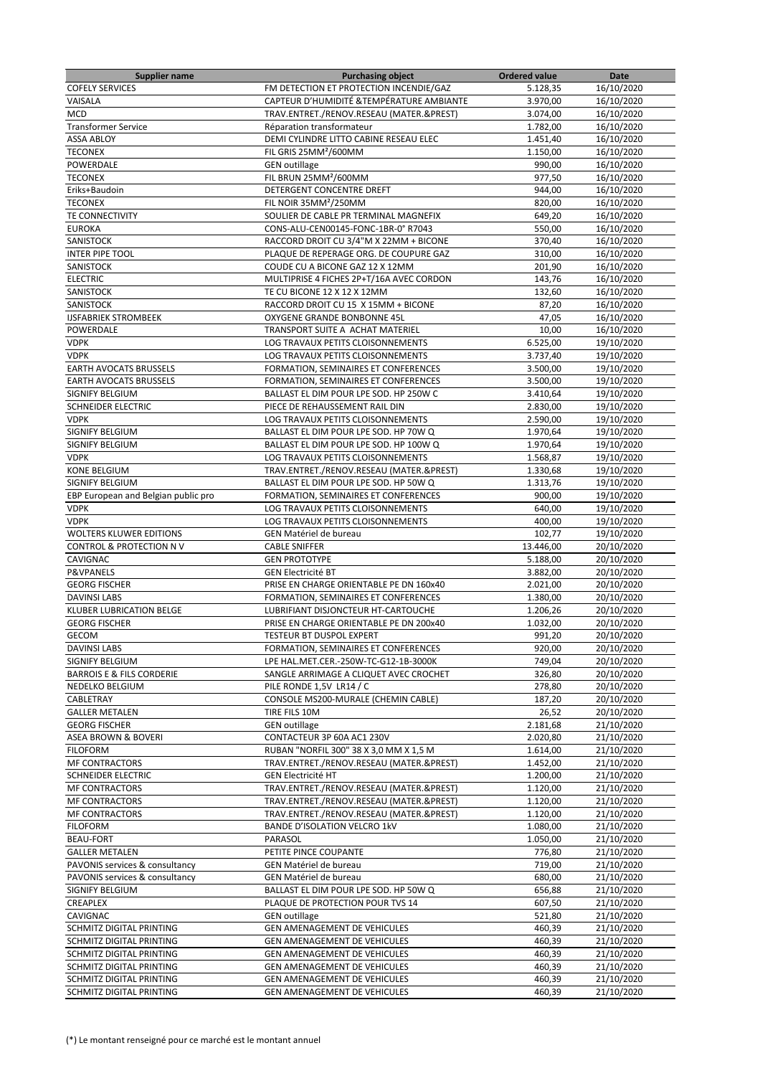| <b>Supplier name</b>                 | <b>Purchasing object</b>                                               | <b>Ordered value</b> | Date       |
|--------------------------------------|------------------------------------------------------------------------|----------------------|------------|
| <b>COFELY SERVICES</b>               | FM DETECTION ET PROTECTION INCENDIE/GAZ                                | 5.128,35             | 16/10/2020 |
| VAISALA                              | CAPTEUR D'HUMIDITÉ & TEMPÉRATURE AMBIANTE                              | 3.970,00             | 16/10/2020 |
| <b>MCD</b>                           | TRAV.ENTRET./RENOV.RESEAU (MATER.&PREST)                               | 3.074,00             | 16/10/2020 |
| <b>Transformer Service</b>           | Réparation transformateur                                              | 1.782,00             | 16/10/2020 |
| <b>ASSA ABLOY</b>                    | DEMI CYLINDRE LITTO CABINE RESEAU ELEC                                 | 1.451,40             | 16/10/2020 |
| <b>TECONEX</b>                       | FIL GRIS 25MM <sup>2</sup> /600MM                                      | 1.150,00             | 16/10/2020 |
| POWERDALE                            | <b>GEN</b> outillage                                                   | 990,00               | 16/10/2020 |
| <b>TECONEX</b>                       | FIL BRUN 25MM <sup>2</sup> /600MM                                      | 977,50               | 16/10/2020 |
| Eriks+Baudoin                        | DETERGENT CONCENTRE DREFT                                              | 944,00               | 16/10/2020 |
| <b>TECONEX</b>                       | FIL NOIR 35MM <sup>2</sup> /250MM                                      | 820,00               | 16/10/2020 |
| TE CONNECTIVITY                      | SOULIER DE CABLE PR TERMINAL MAGNEFIX                                  | 649,20               | 16/10/2020 |
| <b>EUROKA</b>                        | CONS-ALU-CEN00145-FONC-1BR-0° R7043                                    | 550,00               | 16/10/2020 |
| SANISTOCK                            | RACCORD DROIT CU 3/4"M X 22MM + BICONE                                 | 370,40               | 16/10/2020 |
| <b>INTER PIPE TOOL</b>               | PLAQUE DE REPERAGE ORG. DE COUPURE GAZ                                 | 310,00               | 16/10/2020 |
| SANISTOCK                            | COUDE CU A BICONE GAZ 12 X 12MM                                        | 201,90               | 16/10/2020 |
| <b>ELECTRIC</b>                      | MULTIPRISE 4 FICHES 2P+T/16A AVEC CORDON                               | 143,76               | 16/10/2020 |
| SANISTOCK                            | TE CU BICONE 12 X 12 X 12MM                                            | 132,60               | 16/10/2020 |
| SANISTOCK                            | RACCORD DROIT CU 15 X 15MM + BICONE                                    | 87,20                | 16/10/2020 |
| <b>IJSFABRIEK STROMBEEK</b>          | OXYGENE GRANDE BONBONNE 45L                                            | 47,05                | 16/10/2020 |
| POWERDALE                            | TRANSPORT SUITE A ACHAT MATERIEL                                       | 10,00                | 16/10/2020 |
|                                      |                                                                        |                      |            |
| <b>VDPK</b><br><b>VDPK</b>           | LOG TRAVAUX PETITS CLOISONNEMENTS<br>LOG TRAVAUX PETITS CLOISONNEMENTS | 6.525,00             | 19/10/2020 |
|                                      |                                                                        | 3.737,40             | 19/10/2020 |
| <b>EARTH AVOCATS BRUSSELS</b>        | FORMATION, SEMINAIRES ET CONFERENCES                                   | 3.500,00             | 19/10/2020 |
| <b>EARTH AVOCATS BRUSSELS</b>        | FORMATION, SEMINAIRES ET CONFERENCES                                   | 3.500,00             | 19/10/2020 |
| SIGNIFY BELGIUM                      | BALLAST EL DIM POUR LPE SOD. HP 250W C                                 | 3.410,64             | 19/10/2020 |
| SCHNEIDER ELECTRIC                   | PIECE DE REHAUSSEMENT RAIL DIN                                         | 2.830,00             | 19/10/2020 |
| <b>VDPK</b>                          | LOG TRAVAUX PETITS CLOISONNEMENTS                                      | 2.590,00             | 19/10/2020 |
| SIGNIFY BELGIUM                      | BALLAST EL DIM POUR LPE SOD. HP 70W Q                                  | 1.970,64             | 19/10/2020 |
| <b>SIGNIFY BELGIUM</b>               | BALLAST EL DIM POUR LPE SOD. HP 100W Q                                 | 1.970,64             | 19/10/2020 |
| <b>VDPK</b>                          | LOG TRAVAUX PETITS CLOISONNEMENTS                                      | 1.568,87             | 19/10/2020 |
| KONE BELGIUM                         | TRAV.ENTRET./RENOV.RESEAU (MATER.&PREST)                               | 1.330,68             | 19/10/2020 |
| <b>SIGNIFY BELGIUM</b>               | BALLAST EL DIM POUR LPE SOD. HP 50W Q                                  | 1.313,76             | 19/10/2020 |
| EBP European and Belgian public pro  | FORMATION, SEMINAIRES ET CONFERENCES                                   | 900,00               | 19/10/2020 |
| <b>VDPK</b>                          | LOG TRAVAUX PETITS CLOISONNEMENTS                                      | 640,00               | 19/10/2020 |
| <b>VDPK</b>                          | LOG TRAVAUX PETITS CLOISONNEMENTS                                      | 400,00               | 19/10/2020 |
| <b>WOLTERS KLUWER EDITIONS</b>       | GEN Matériel de bureau                                                 | 102,77               | 19/10/2020 |
| CONTROL & PROTECTION NV              | <b>CABLE SNIFFER</b>                                                   | 13.446,00            | 20/10/2020 |
| CAVIGNAC                             | <b>GEN PROTOTYPE</b>                                                   | 5.188,00             | 20/10/2020 |
| <b>P&amp;VPANELS</b>                 | <b>GEN Electricité BT</b>                                              | 3.882,00             | 20/10/2020 |
| <b>GEORG FISCHER</b>                 | PRISE EN CHARGE ORIENTABLE PE DN 160x40                                | 2.021,00             | 20/10/2020 |
| <b>DAVINSI LABS</b>                  | FORMATION, SEMINAIRES ET CONFERENCES                                   | 1.380,00             | 20/10/2020 |
| <b>KLUBER LUBRICATION BELGE</b>      | LUBRIFIANT DISJONCTEUR HT-CARTOUCHE                                    | 1.206,26             | 20/10/2020 |
| <b>GEORG FISCHER</b>                 | PRISE EN CHARGE ORIENTABLE PE DN 200x40                                | 1.032,00             | 20/10/2020 |
| GECOM                                | <b>TESTEUR BT DUSPOL EXPERT</b>                                        | 991,20               | 20/10/2020 |
| <b>DAVINSI LABS</b>                  | FORMATION, SEMINAIRES ET CONFERENCES                                   | 920,00               | 20/10/2020 |
| SIGNIFY BELGIUM                      | LPE HAL.MET.CER.-250W-TC-G12-1B-3000K                                  | 749,04               | 20/10/2020 |
| <b>BARROIS E &amp; FILS CORDERIE</b> | SANGLE ARRIMAGE A CLIQUET AVEC CROCHET                                 | 326,80               | 20/10/2020 |
| NEDELKO BELGIUM                      | PILE RONDE 1,5V LR14 / C                                               | 278,80               | 20/10/2020 |
| CABLETRAY                            | CONSOLE MS200-MURALE (CHEMIN CABLE)                                    | 187,20               | 20/10/2020 |
| <b>GALLER METALEN</b>                | TIRE FILS 10M                                                          | 26,52                | 20/10/2020 |
| <b>GEORG FISCHER</b>                 | <b>GEN</b> outillage                                                   | 2.181,68             | 21/10/2020 |
| ASEA BROWN & BOVERI                  | CONTACTEUR 3P 60A AC1 230V                                             | 2.020,80             | 21/10/2020 |
| <b>FILOFORM</b>                      | RUBAN "NORFIL 300" 38 X 3,0 MM X 1,5 M                                 | 1.614,00             | 21/10/2020 |
| <b>MF CONTRACTORS</b>                | TRAV.ENTRET./RENOV.RESEAU (MATER.&PREST)                               | 1.452,00             | 21/10/2020 |
| <b>SCHNEIDER ELECTRIC</b>            | <b>GEN Electricité HT</b>                                              | 1.200,00             | 21/10/2020 |
| <b>MF CONTRACTORS</b>                | TRAV.ENTRET./RENOV.RESEAU (MATER.&PREST)                               | 1.120,00             | 21/10/2020 |
| <b>MF CONTRACTORS</b>                | TRAV.ENTRET./RENOV.RESEAU (MATER.&PREST)                               | 1.120,00             | 21/10/2020 |
|                                      |                                                                        |                      |            |
| <b>MF CONTRACTORS</b>                | TRAV.ENTRET./RENOV.RESEAU (MATER.&PREST)                               | 1.120,00             | 21/10/2020 |
| <b>FILOFORM</b>                      | <b>BANDE D'ISOLATION VELCRO 1kV</b>                                    | 1.080,00             | 21/10/2020 |
| <b>BEAU-FORT</b>                     | PARASOL                                                                | 1.050,00             | 21/10/2020 |
| <b>GALLER METALEN</b>                | PETITE PINCE COUPANTE                                                  | 776,80               | 21/10/2020 |
| PAVONIS services & consultancy       | GEN Matériel de bureau                                                 | 719,00               | 21/10/2020 |
| PAVONIS services & consultancy       | GEN Matériel de bureau                                                 | 680,00               | 21/10/2020 |
| SIGNIFY BELGIUM                      | BALLAST EL DIM POUR LPE SOD. HP 50W Q                                  | 656,88               | 21/10/2020 |
| CREAPLEX                             | PLAQUE DE PROTECTION POUR TVS 14                                       | 607,50               | 21/10/2020 |
| CAVIGNAC                             | <b>GEN</b> outillage                                                   | 521,80               | 21/10/2020 |
| SCHMITZ DIGITAL PRINTING             | GEN AMENAGEMENT DE VEHICULES                                           | 460,39               | 21/10/2020 |
| SCHMITZ DIGITAL PRINTING             | GEN AMENAGEMENT DE VEHICULES                                           | 460,39               | 21/10/2020 |
| SCHMITZ DIGITAL PRINTING             | GEN AMENAGEMENT DE VEHICULES                                           | 460,39               | 21/10/2020 |
| SCHMITZ DIGITAL PRINTING             | GEN AMENAGEMENT DE VEHICULES                                           | 460,39               | 21/10/2020 |
| SCHMITZ DIGITAL PRINTING             | GEN AMENAGEMENT DE VEHICULES                                           | 460,39               | 21/10/2020 |
| SCHMITZ DIGITAL PRINTING             | GEN AMENAGEMENT DE VEHICULES                                           | 460,39               | 21/10/2020 |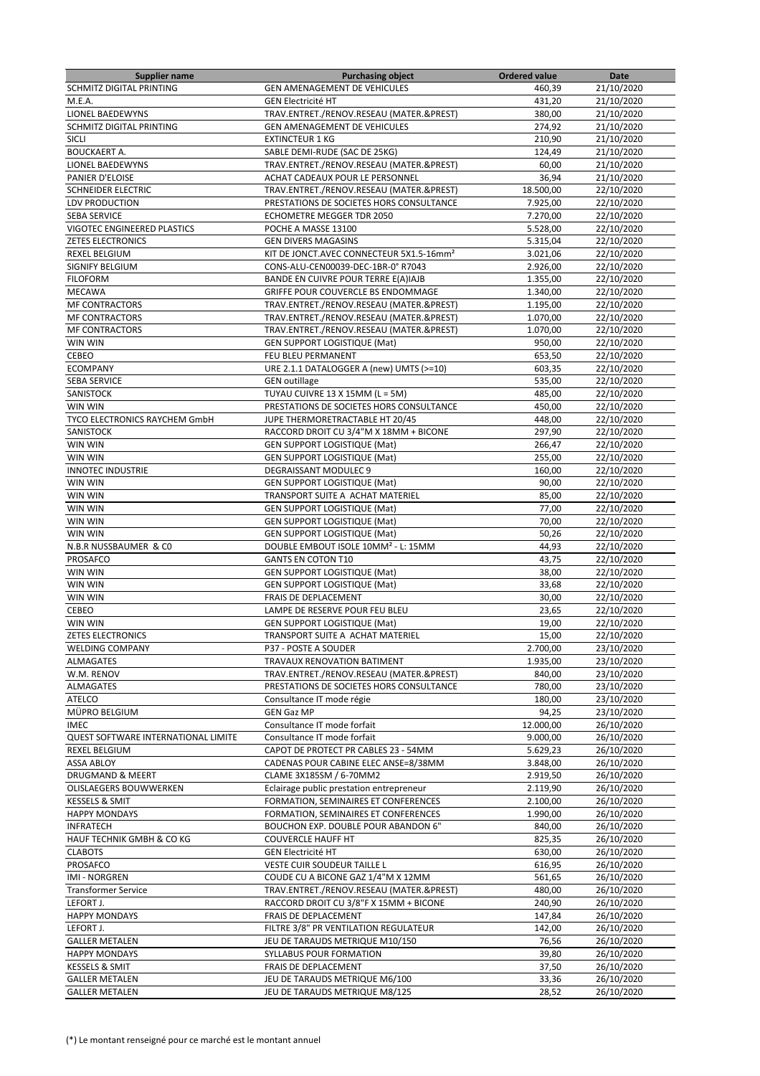| Supplier name                        | <b>Purchasing object</b>                             | <b>Ordered value</b> | Date       |
|--------------------------------------|------------------------------------------------------|----------------------|------------|
| SCHMITZ DIGITAL PRINTING             | GEN AMENAGEMENT DE VEHICULES                         | 460,39               | 21/10/2020 |
| M.E.A.                               | <b>GEN Electricité HT</b>                            | 431,20               | 21/10/2020 |
| LIONEL BAEDEWYNS                     | TRAV.ENTRET./RENOV.RESEAU (MATER.&PREST)             | 380,00               | 21/10/2020 |
| SCHMITZ DIGITAL PRINTING             | GEN AMENAGEMENT DE VEHICULES                         | 274,92               | 21/10/2020 |
| SICLI                                | <b>EXTINCTEUR 1 KG</b>                               | 210,90               | 21/10/2020 |
| <b>BOUCKAERT A.</b>                  | SABLE DEMI-RUDE (SAC DE 25KG)                        | 124,49               | 21/10/2020 |
| <b>LIONEL BAEDEWYNS</b>              |                                                      |                      |            |
|                                      | TRAV.ENTRET./RENOV.RESEAU (MATER.&PREST)             | 60,00                | 21/10/2020 |
| PANIER D'ELOISE                      | ACHAT CADEAUX POUR LE PERSONNEL                      | 36,94                | 21/10/2020 |
| <b>SCHNEIDER ELECTRIC</b>            | TRAV.ENTRET./RENOV.RESEAU (MATER.&PREST)             | 18.500,00            | 22/10/2020 |
| LDV PRODUCTION                       | PRESTATIONS DE SOCIETES HORS CONSULTANCE             | 7.925,00             | 22/10/2020 |
| <b>SEBA SERVICE</b>                  | <b>ECHOMETRE MEGGER TDR 2050</b>                     | 7.270,00             | 22/10/2020 |
| <b>VIGOTEC ENGINEERED PLASTICS</b>   | POCHE A MASSE 13100                                  | 5.528,00             | 22/10/2020 |
| <b>ZETES ELECTRONICS</b>             | <b>GEN DIVERS MAGASINS</b>                           | 5.315,04             | 22/10/2020 |
| <b>REXEL BELGIUM</b>                 | KIT DE JONCT.AVEC CONNECTEUR 5X1.5-16mm <sup>2</sup> | 3.021,06             | 22/10/2020 |
| SIGNIFY BELGIUM                      | CONS-ALU-CEN00039-DEC-1BR-0° R7043                   | 2.926,00             | 22/10/2020 |
| <b>FILOFORM</b>                      | BANDE EN CUIVRE POUR TERRE E(A)IAJB                  | 1.355,00             | 22/10/2020 |
|                                      |                                                      |                      |            |
| <b>MECAWA</b>                        | GRIFFE POUR COUVERCLE BS ENDOMMAGE                   | 1.340,00             | 22/10/2020 |
| <b>MF CONTRACTORS</b>                | TRAV.ENTRET./RENOV.RESEAU (MATER.&PREST)             | 1.195,00             | 22/10/2020 |
| <b>MF CONTRACTORS</b>                | TRAV.ENTRET./RENOV.RESEAU (MATER.&PREST)             | 1.070,00             | 22/10/2020 |
| MF CONTRACTORS                       | TRAV.ENTRET./RENOV.RESEAU (MATER.&PREST)             | 1.070,00             | 22/10/2020 |
| WIN WIN                              | <b>GEN SUPPORT LOGISTIQUE (Mat)</b>                  | 950,00               | 22/10/2020 |
| CEBEO                                | FEU BLEU PERMANENT                                   | 653,50               | 22/10/2020 |
| <b>ECOMPANY</b>                      | URE 2.1.1 DATALOGGER A (new) UMTS (>=10)             | 603,35               | 22/10/2020 |
| <b>SEBA SERVICE</b>                  | <b>GEN</b> outillage                                 | 535,00               | 22/10/2020 |
| SANISTOCK                            | TUYAU CUIVRE 13 X 15MM (L = 5M)                      | 485,00               | 22/10/2020 |
| WIN WIN                              |                                                      |                      |            |
|                                      | PRESTATIONS DE SOCIETES HORS CONSULTANCE             | 450,00               | 22/10/2020 |
| <b>TYCO ELECTRONICS RAYCHEM GmbH</b> | JUPE THERMORETRACTABLE HT 20/45                      | 448,00               | 22/10/2020 |
| SANISTOCK                            | RACCORD DROIT CU 3/4"M X 18MM + BICONE               | 297,90               | 22/10/2020 |
| WIN WIN                              | <b>GEN SUPPORT LOGISTIQUE (Mat)</b>                  | 266,47               | 22/10/2020 |
| WIN WIN                              | <b>GEN SUPPORT LOGISTIQUE (Mat)</b>                  | 255,00               | 22/10/2020 |
| <b>INNOTEC INDUSTRIE</b>             | DEGRAISSANT MODULEC 9                                | 160,00               | 22/10/2020 |
| WIN WIN                              | <b>GEN SUPPORT LOGISTIQUE (Mat)</b>                  | 90,00                | 22/10/2020 |
| WIN WIN                              | TRANSPORT SUITE A ACHAT MATERIEL                     | 85,00                | 22/10/2020 |
| WIN WIN                              | GEN SUPPORT LOGISTIQUE (Mat)                         | 77,00                | 22/10/2020 |
| WIN WIN                              |                                                      | 70,00                |            |
|                                      | <b>GEN SUPPORT LOGISTIQUE (Mat)</b>                  |                      | 22/10/2020 |
| WIN WIN                              | <b>GEN SUPPORT LOGISTIQUE (Mat)</b>                  | 50,26                | 22/10/2020 |
| N.B.R NUSSBAUMER & CO                | DOUBLE EMBOUT ISOLE 10MM <sup>2</sup> - L: 15MM      | 44,93                | 22/10/2020 |
| PROSAFCO                             | <b>GANTS EN COTON T10</b>                            | 43,75                | 22/10/2020 |
| WIN WIN                              | <b>GEN SUPPORT LOGISTIQUE (Mat)</b>                  | 38,00                | 22/10/2020 |
| WIN WIN                              | <b>GEN SUPPORT LOGISTIQUE (Mat)</b>                  | 33,68                | 22/10/2020 |
| WIN WIN                              | FRAIS DE DEPLACEMENT                                 | 30,00                | 22/10/2020 |
| CEBEO                                | LAMPE DE RESERVE POUR FEU BLEU                       | 23,65                | 22/10/2020 |
| WIN WIN                              | <b>GEN SUPPORT LOGISTIQUE (Mat)</b>                  | 19,00                | 22/10/2020 |
| <b>ZETES ELECTRONICS</b>             | TRANSPORT SUITE A ACHAT MATERIEL                     | 15,00                | 22/10/2020 |
| <b>WELDING COMPANY</b>               | P37 - POSTE A SOUDER                                 | 2.700,00             | 23/10/2020 |
|                                      |                                                      |                      |            |
| ALMAGATES                            | TRAVAUX RENOVATION BATIMENT                          | 1.935,00             | 23/10/2020 |
| W.M. RENOV                           | TRAV.ENTRET./RENOV.RESEAU (MATER.&PREST)             | 840,00               | 23/10/2020 |
| ALMAGATES                            | PRESTATIONS DE SOCIETES HORS CONSULTANCE             | 780,00               | 23/10/2020 |
| ATELCO                               | Consultance IT mode régie                            | 180,00               | 23/10/2020 |
| MÜPRO BELGIUM                        | GEN Gaz MP                                           | 94,25                | 23/10/2020 |
| <b>IMEC</b>                          | Consultance IT mode forfait                          | 12.000,00            | 26/10/2020 |
| QUEST SOFTWARE INTERNATIONAL LIMITE  | Consultance IT mode forfait                          | 9.000,00             | 26/10/2020 |
| <b>REXEL BELGIUM</b>                 | CAPOT DE PROTECT PR CABLES 23 - 54MM                 | 5.629,23             | 26/10/2020 |
| ASSA ABLOY                           | CADENAS POUR CABINE ELEC ANSE=8/38MM                 | 3.848,00             | 26/10/2020 |
| DRUGMAND & MEERT                     | CLAME 3X185SM / 6-70MM2                              | 2.919,50             | 26/10/2020 |
| OLISLAEGERS BOUWWERKEN               | Eclairage public prestation entrepreneur             | 2.119,90             | 26/10/2020 |
| <b>KESSELS &amp; SMIT</b>            | FORMATION, SEMINAIRES ET CONFERENCES                 | 2.100,00             | 26/10/2020 |
|                                      |                                                      |                      |            |
| <b>HAPPY MONDAYS</b>                 | FORMATION, SEMINAIRES ET CONFERENCES                 | 1.990,00             | 26/10/2020 |
| <b>INFRATECH</b>                     | BOUCHON EXP. DOUBLE POUR ABANDON 6"                  | 840,00               | 26/10/2020 |
| HAUF TECHNIK GMBH & CO KG            | <b>COUVERCLE HAUFF HT</b>                            | 825,35               | 26/10/2020 |
| <b>CLABOTS</b>                       | <b>GEN Electricité HT</b>                            | 630,00               | 26/10/2020 |
| PROSAFCO                             | VESTE CUIR SOUDEUR TAILLE L                          | 616,95               | 26/10/2020 |
| <b>IMI - NORGREN</b>                 | COUDE CU A BICONE GAZ 1/4"M X 12MM                   | 561,65               | 26/10/2020 |
| <b>Transformer Service</b>           | TRAV.ENTRET./RENOV.RESEAU (MATER.&PREST)             | 480,00               | 26/10/2020 |
| LEFORT J.                            | RACCORD DROIT CU 3/8"F X 15MM + BICONE               | 240,90               | 26/10/2020 |
| <b>HAPPY MONDAYS</b>                 | FRAIS DE DEPLACEMENT                                 | 147,84               | 26/10/2020 |
| LEFORT J.                            | FILTRE 3/8" PR VENTILATION REGULATEUR                | 142,00               | 26/10/2020 |
|                                      |                                                      |                      |            |
| <b>GALLER METALEN</b>                | JEU DE TARAUDS METRIQUE M10/150                      | 76,56                | 26/10/2020 |
| <b>HAPPY MONDAYS</b>                 | SYLLABUS POUR FORMATION                              | 39,80                | 26/10/2020 |
| <b>KESSELS &amp; SMIT</b>            | FRAIS DE DEPLACEMENT                                 | 37,50                | 26/10/2020 |
| <b>GALLER METALEN</b>                | JEU DE TARAUDS METRIQUE M6/100                       | 33,36                | 26/10/2020 |
| <b>GALLER METALEN</b>                | JEU DE TARAUDS METRIQUE M8/125                       | 28,52                | 26/10/2020 |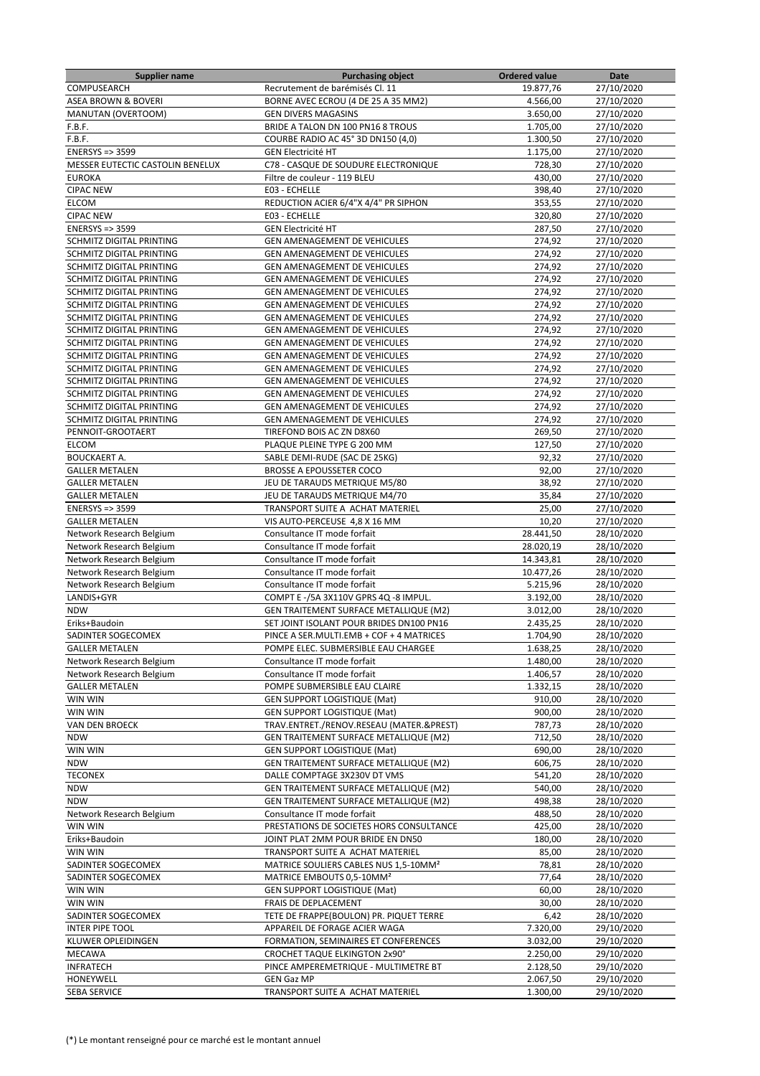| <b>Supplier name</b>             | <b>Purchasing object</b>                          | <b>Ordered value</b> | Date       |
|----------------------------------|---------------------------------------------------|----------------------|------------|
| COMPUSEARCH                      | Recrutement de barémisés Cl. 11                   | 19.877,76            | 27/10/2020 |
| <b>ASEA BROWN &amp; BOVERI</b>   | BORNE AVEC ECROU (4 DE 25 A 35 MM2)               | 4.566,00             | 27/10/2020 |
| <b>MANUTAN (OVERTOOM)</b>        | <b>GEN DIVERS MAGASINS</b>                        | 3.650,00             | 27/10/2020 |
| F.B.F.                           | BRIDE A TALON DN 100 PN16 8 TROUS                 | 1.705,00             | 27/10/2020 |
| F.B.F.                           | COURBE RADIO AC 45° 3D DN150 (4,0)                | 1.300,50             | 27/10/2020 |
| <b>ENERSYS =&gt; 3599</b>        | <b>GEN Electricité HT</b>                         | 1.175,00             | 27/10/2020 |
| MESSER EUTECTIC CASTOLIN BENELUX | C78 - CASQUE DE SOUDURE ELECTRONIQUE              | 728,30               | 27/10/2020 |
| <b>EUROKA</b>                    | Filtre de couleur - 119 BLEU                      | 430,00               | 27/10/2020 |
| <b>CIPAC NEW</b>                 | E03 - ECHELLE                                     | 398,40               | 27/10/2020 |
| <b>ELCOM</b>                     | REDUCTION ACIER 6/4"X 4/4" PR SIPHON              | 353,55               | 27/10/2020 |
| <b>CIPAC NEW</b>                 | E03 - ECHELLE                                     | 320,80               | 27/10/2020 |
| <b>ENERSYS =&gt; 3599</b>        | <b>GEN Electricité HT</b>                         | 287,50               | 27/10/2020 |
| SCHMITZ DIGITAL PRINTING         | GEN AMENAGEMENT DE VEHICULES                      | 274,92               | 27/10/2020 |
| SCHMITZ DIGITAL PRINTING         | GEN AMENAGEMENT DE VEHICULES                      | 274,92               | 27/10/2020 |
| SCHMITZ DIGITAL PRINTING         | GEN AMENAGEMENT DE VEHICULES                      | 274,92               | 27/10/2020 |
| SCHMITZ DIGITAL PRINTING         | <b>GEN AMENAGEMENT DE VEHICULES</b>               | 274,92               | 27/10/2020 |
| SCHMITZ DIGITAL PRINTING         | <b>GEN AMENAGEMENT DE VEHICULES</b>               | 274,92               | 27/10/2020 |
| SCHMITZ DIGITAL PRINTING         | <b>GEN AMENAGEMENT DE VEHICULES</b>               | 274,92               | 27/10/2020 |
| SCHMITZ DIGITAL PRINTING         | GEN AMENAGEMENT DE VEHICULES                      | 274,92               | 27/10/2020 |
| SCHMITZ DIGITAL PRINTING         | GEN AMENAGEMENT DE VEHICULES                      | 274,92               | 27/10/2020 |
| SCHMITZ DIGITAL PRINTING         | <b>GEN AMENAGEMENT DE VEHICULES</b>               | 274,92               | 27/10/2020 |
| SCHMITZ DIGITAL PRINTING         | GEN AMENAGEMENT DE VEHICULES                      | 274,92               | 27/10/2020 |
| SCHMITZ DIGITAL PRINTING         | GEN AMENAGEMENT DE VEHICULES                      | 274,92               | 27/10/2020 |
| SCHMITZ DIGITAL PRINTING         | GEN AMENAGEMENT DE VEHICULES                      | 274,92               | 27/10/2020 |
| SCHMITZ DIGITAL PRINTING         | <b>GEN AMENAGEMENT DE VEHICULES</b>               | 274,92               | 27/10/2020 |
|                                  |                                                   |                      |            |
| SCHMITZ DIGITAL PRINTING         | GEN AMENAGEMENT DE VEHICULES                      | 274,92               | 27/10/2020 |
| SCHMITZ DIGITAL PRINTING         | GEN AMENAGEMENT DE VEHICULES                      | 274,92               | 27/10/2020 |
| PENNOIT-GROOTAERT                | TIREFOND BOIS AC ZN D8X60                         | 269,50               | 27/10/2020 |
| <b>ELCOM</b>                     | PLAQUE PLEINE TYPE G 200 MM                       | 127,50               | 27/10/2020 |
| <b>BOUCKAERT A.</b>              | SABLE DEMI-RUDE (SAC DE 25KG)                     | 92,32                | 27/10/2020 |
| <b>GALLER METALEN</b>            | <b>BROSSE A EPOUSSETER COCO</b>                   | 92,00                | 27/10/2020 |
| <b>GALLER METALEN</b>            | JEU DE TARAUDS METRIQUE M5/80                     | 38,92                | 27/10/2020 |
| <b>GALLER METALEN</b>            | JEU DE TARAUDS METRIQUE M4/70                     | 35,84                | 27/10/2020 |
| <b>ENERSYS =&gt; 3599</b>        | TRANSPORT SUITE A ACHAT MATERIEL                  | 25,00                | 27/10/2020 |
| <b>GALLER METALEN</b>            | VIS AUTO-PERCEUSE 4,8 X 16 MM                     | 10,20                | 27/10/2020 |
| Network Research Belgium         | Consultance IT mode forfait                       | 28.441,50            | 28/10/2020 |
| Network Research Belgium         | Consultance IT mode forfait                       | 28.020,19            | 28/10/2020 |
| Network Research Belgium         | Consultance IT mode forfait                       | 14.343,81            | 28/10/2020 |
| Network Research Belgium         | Consultance IT mode forfait                       | 10.477,26            | 28/10/2020 |
| Network Research Belgium         | Consultance IT mode forfait                       | 5.215,96             | 28/10/2020 |
| LANDIS+GYR                       | COMPT E -/5A 3X110V GPRS 4Q -8 IMPUL.             | 3.192,00             | 28/10/2020 |
| <b>NDW</b>                       | <b>GEN TRAITEMENT SURFACE METALLIQUE (M2)</b>     | 3.012,00             | 28/10/2020 |
| Eriks+Baudoin                    | SET JOINT ISOLANT POUR BRIDES DN100 PN16          | 2.435,25             | 28/10/2020 |
| SADINTER SOGECOMEX               | PINCE A SER. MULTI.EMB + COF + 4 MATRICES         | 1.704,90             | 28/10/2020 |
| <b>GALLER METALEN</b>            | POMPE ELEC. SUBMERSIBLE EAU CHARGEE               | 1.638,25             | 28/10/2020 |
| Network Research Belgium         | Consultance IT mode forfait                       | 1.480,00             | 28/10/2020 |
| Network Research Belgium         | Consultance IT mode forfait                       | 1.406,57             | 28/10/2020 |
| <b>GALLER METALEN</b>            | POMPE SUBMERSIBLE EAU CLAIRE                      | 1.332,15             | 28/10/2020 |
| WIN WIN                          | <b>GEN SUPPORT LOGISTIQUE (Mat)</b>               | 910,00               | 28/10/2020 |
| WIN WIN                          | <b>GEN SUPPORT LOGISTIQUE (Mat)</b>               | 900,00               | 28/10/2020 |
| VAN DEN BROECK                   | TRAV.ENTRET./RENOV.RESEAU (MATER.&PREST)          | 787,73               | 28/10/2020 |
| <b>NDW</b>                       | GEN TRAITEMENT SURFACE METALLIQUE (M2)            | 712,50               | 28/10/2020 |
| WIN WIN                          | <b>GEN SUPPORT LOGISTIQUE (Mat)</b>               | 690,00               | 28/10/2020 |
| <b>NDW</b>                       | GEN TRAITEMENT SURFACE METALLIQUE (M2)            | 606,75               | 28/10/2020 |
| <b>TECONEX</b>                   | DALLE COMPTAGE 3X230V DT VMS                      | 541,20               | 28/10/2020 |
| <b>NDW</b>                       | GEN TRAITEMENT SURFACE METALLIQUE (M2)            | 540,00               | 28/10/2020 |
| <b>NDW</b>                       | GEN TRAITEMENT SURFACE METALLIQUE (M2)            | 498,38               | 28/10/2020 |
| Network Research Belgium         | Consultance IT mode forfait                       | 488,50               | 28/10/2020 |
| WIN WIN                          | PRESTATIONS DE SOCIETES HORS CONSULTANCE          | 425,00               | 28/10/2020 |
| Eriks+Baudoin                    | JOINT PLAT 2MM POUR BRIDE EN DN50                 | 180,00               | 28/10/2020 |
| WIN WIN                          | TRANSPORT SUITE A ACHAT MATERIEL                  | 85,00                | 28/10/2020 |
| SADINTER SOGECOMEX               | MATRICE SOULIERS CABLES NUS 1,5-10MM <sup>2</sup> | 78,81                | 28/10/2020 |
| SADINTER SOGECOMEX               | MATRICE EMBOUTS 0,5-10MM <sup>2</sup>             | 77,64                | 28/10/2020 |
| WIN WIN                          | <b>GEN SUPPORT LOGISTIQUE (Mat)</b>               | 60,00                | 28/10/2020 |
| WIN WIN                          | FRAIS DE DEPLACEMENT                              | 30,00                | 28/10/2020 |
| SADINTER SOGECOMEX               | TETE DE FRAPPE(BOULON) PR. PIQUET TERRE           | 6,42                 | 28/10/2020 |
| <b>INTER PIPE TOOL</b>           | APPAREIL DE FORAGE ACIER WAGA                     | 7.320,00             | 29/10/2020 |
| KLUWER OPLEIDINGEN               | FORMATION, SEMINAIRES ET CONFERENCES              | 3.032,00             | 29/10/2020 |
| MECAWA                           | <b>CROCHET TAQUE ELKINGTON 2x90°</b>              | 2.250,00             | 29/10/2020 |
| <b>INFRATECH</b>                 | PINCE AMPEREMETRIQUE - MULTIMETRE BT              | 2.128,50             | 29/10/2020 |
| HONEYWELL                        | <b>GEN Gaz MP</b>                                 | 2.067,50             | 29/10/2020 |
| SEBA SERVICE                     | TRANSPORT SUITE A ACHAT MATERIEL                  | 1.300,00             | 29/10/2020 |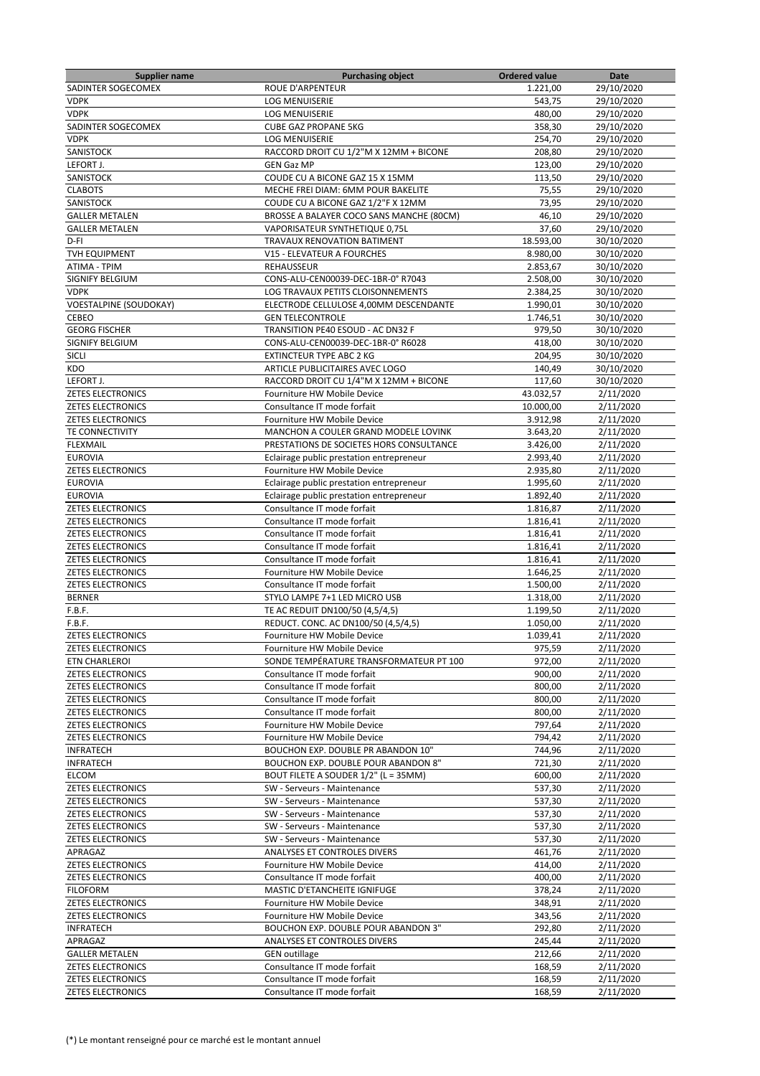| <b>Supplier name</b>          | <b>Purchasing object</b>                 | <b>Ordered value</b> | Date       |
|-------------------------------|------------------------------------------|----------------------|------------|
| SADINTER SOGECOMEX            | <b>ROUE D'ARPENTEUR</b>                  | 1.221,00             | 29/10/2020 |
| <b>VDPK</b>                   | <b>LOG MENUISERIE</b>                    | 543,75               | 29/10/2020 |
| <b>VDPK</b>                   | <b>LOG MENUISERIE</b>                    | 480,00               | 29/10/2020 |
| SADINTER SOGECOMEX            | <b>CUBE GAZ PROPANE 5KG</b>              | 358,30               | 29/10/2020 |
| <b>VDPK</b>                   | <b>LOG MENUISERIE</b>                    | 254,70               | 29/10/2020 |
| SANISTOCK                     | RACCORD DROIT CU 1/2"M X 12MM + BICONE   | 208,80               | 29/10/2020 |
| LEFORT J.                     | <b>GEN Gaz MP</b>                        | 123,00               | 29/10/2020 |
| SANISTOCK                     | COUDE CU A BICONE GAZ 15 X 15MM          | 113,50               | 29/10/2020 |
|                               |                                          |                      |            |
| <b>CLABOTS</b>                | MECHE FREI DIAM: 6MM POUR BAKELITE       | 75,55                | 29/10/2020 |
| SANISTOCK                     | COUDE CU A BICONE GAZ 1/2"F X 12MM       | 73,95                | 29/10/2020 |
| <b>GALLER METALEN</b>         | BROSSE A BALAYER COCO SANS MANCHE (80CM) | 46,10                | 29/10/2020 |
| <b>GALLER METALEN</b>         | VAPORISATEUR SYNTHETIQUE 0,75L           | 37,60                | 29/10/2020 |
| D-FI                          | TRAVAUX RENOVATION BATIMENT              | 18.593,00            | 30/10/2020 |
| TVH EQUIPMENT                 | V15 - ELEVATEUR A FOURCHES               | 8.980,00             | 30/10/2020 |
| <b>ATIMA - TPIM</b>           | <b>REHAUSSEUR</b>                        | 2.853,67             | 30/10/2020 |
| SIGNIFY BELGIUM               | CONS-ALU-CEN00039-DEC-1BR-0° R7043       | 2.508,00             | 30/10/2020 |
| <b>VDPK</b>                   | LOG TRAVAUX PETITS CLOISONNEMENTS        | 2.384,25             | 30/10/2020 |
| <b>VOESTALPINE (SOUDOKAY)</b> | ELECTRODE CELLULOSE 4,00MM DESCENDANTE   | 1.990,01             | 30/10/2020 |
| CEBEO                         | <b>GEN TELECONTROLE</b>                  | 1.746,51             | 30/10/2020 |
| <b>GEORG FISCHER</b>          | TRANSITION PE40 ESOUD - AC DN32 F        | 979,50               | 30/10/2020 |
| SIGNIFY BELGIUM               | CONS-ALU-CEN00039-DEC-1BR-0° R6028       | 418,00               | 30/10/2020 |
| SICLI                         | <b>EXTINCTEUR TYPE ABC 2 KG</b>          | 204,95               | 30/10/2020 |
|                               |                                          |                      |            |
| KDO                           | ARTICLE PUBLICITAIRES AVEC LOGO          | 140,49               | 30/10/2020 |
| LEFORT J.                     | RACCORD DROIT CU 1/4"M X 12MM + BICONE   | 117,60               | 30/10/2020 |
| <b>ZETES ELECTRONICS</b>      | Fourniture HW Mobile Device              | 43.032,57            | 2/11/2020  |
| <b>ZETES ELECTRONICS</b>      | Consultance IT mode forfait              | 10.000,00            | 2/11/2020  |
| <b>ZETES ELECTRONICS</b>      | Fourniture HW Mobile Device              | 3.912,98             | 2/11/2020  |
| TE CONNECTIVITY               | MANCHON A COULER GRAND MODELE LOVINK     | 3.643,20             | 2/11/2020  |
| <b>FLEXMAIL</b>               | PRESTATIONS DE SOCIETES HORS CONSULTANCE | 3.426,00             | 2/11/2020  |
| <b>EUROVIA</b>                | Eclairage public prestation entrepreneur | 2.993,40             | 2/11/2020  |
| <b>ZETES ELECTRONICS</b>      | Fourniture HW Mobile Device              | 2.935,80             | 2/11/2020  |
| <b>EUROVIA</b>                | Eclairage public prestation entrepreneur | 1.995,60             | 2/11/2020  |
| <b>EUROVIA</b>                | Eclairage public prestation entrepreneur | 1.892,40             | 2/11/2020  |
| <b>ZETES ELECTRONICS</b>      | Consultance IT mode forfait              | 1.816,87             | 2/11/2020  |
|                               |                                          |                      |            |
| <b>ZETES ELECTRONICS</b>      | Consultance IT mode forfait              | 1.816,41             | 2/11/2020  |
| <b>ZETES ELECTRONICS</b>      | Consultance IT mode forfait              | 1.816,41             | 2/11/2020  |
| <b>ZETES ELECTRONICS</b>      | Consultance IT mode forfait              | 1.816,41             | 2/11/2020  |
| <b>ZETES ELECTRONICS</b>      | Consultance IT mode forfait              | 1.816,41             | 2/11/2020  |
| <b>ZETES ELECTRONICS</b>      | Fourniture HW Mobile Device              | 1.646,25             | 2/11/2020  |
| <b>ZETES ELECTRONICS</b>      | Consultance IT mode forfait              | 1.500,00             | 2/11/2020  |
| <b>BERNER</b>                 | STYLO LAMPE 7+1 LED MICRO USB            | 1.318,00             | 2/11/2020  |
| F.B.F.                        | TE AC REDUIT DN100/50 (4,5/4,5)          | 1.199,50             | 2/11/2020  |
| F.B.F.                        | REDUCT. CONC. AC DN100/50 (4,5/4,5)      | 1.050,00             | 2/11/2020  |
| <b>ZETES ELECTRONICS</b>      | Fourniture HW Mobile Device              | 1.039,41             | 2/11/2020  |
| ZETES ELECTRONICS             | Fourniture HW Mobile Device              | 975,59               | 2/11/2020  |
| ETN CHARLEROI                 | SONDE TEMPÉRATURE TRANSFORMATEUR PT 100  | 972,00               | 2/11/2020  |
| <b>ZETES ELECTRONICS</b>      | Consultance IT mode forfait              | 900,00               | 2/11/2020  |
|                               | Consultance IT mode forfait              | 800,00               |            |
| <b>ZETES ELECTRONICS</b>      |                                          |                      | 2/11/2020  |
| <b>ZETES ELECTRONICS</b>      | Consultance IT mode forfait              | 800,00               | 2/11/2020  |
| <b>ZETES ELECTRONICS</b>      | Consultance IT mode forfait              | 800,00               | 2/11/2020  |
| <b>ZETES ELECTRONICS</b>      | Fourniture HW Mobile Device              | 797,64               | 2/11/2020  |
| <b>ZETES ELECTRONICS</b>      | Fourniture HW Mobile Device              | 794,42               | 2/11/2020  |
| <b>INFRATECH</b>              | BOUCHON EXP. DOUBLE PR ABANDON 10"       | 744,96               | 2/11/2020  |
| <b>INFRATECH</b>              | BOUCHON EXP. DOUBLE POUR ABANDON 8"      | 721,30               | 2/11/2020  |
| ELCOM                         | BOUT FILETE A SOUDER 1/2" (L = 35MM)     | 600,00               | 2/11/2020  |
| <b>ZETES ELECTRONICS</b>      | SW - Serveurs - Maintenance              | 537,30               | 2/11/2020  |
| <b>ZETES ELECTRONICS</b>      | SW - Serveurs - Maintenance              | 537,30               | 2/11/2020  |
| <b>ZETES ELECTRONICS</b>      | SW - Serveurs - Maintenance              | 537,30               | 2/11/2020  |
| <b>ZETES ELECTRONICS</b>      | SW - Serveurs - Maintenance              | 537,30               | 2/11/2020  |
| <b>ZETES ELECTRONICS</b>      | SW - Serveurs - Maintenance              | 537,30               | 2/11/2020  |
| APRAGAZ                       |                                          | 461,76               |            |
|                               | ANALYSES ET CONTROLES DIVERS             |                      | 2/11/2020  |
| <b>ZETES ELECTRONICS</b>      | Fourniture HW Mobile Device              | 414,00               | 2/11/2020  |
| <b>ZETES ELECTRONICS</b>      | Consultance IT mode forfait              | 400,00               | 2/11/2020  |
| <b>FILOFORM</b>               | MASTIC D'ETANCHEITE IGNIFUGE             | 378,24               | 2/11/2020  |
| <b>ZETES ELECTRONICS</b>      | Fourniture HW Mobile Device              | 348,91               | 2/11/2020  |
| <b>ZETES ELECTRONICS</b>      | Fourniture HW Mobile Device              | 343,56               | 2/11/2020  |
| <b>INFRATECH</b>              | BOUCHON EXP. DOUBLE POUR ABANDON 3"      | 292,80               | 2/11/2020  |
| APRAGAZ                       | ANALYSES ET CONTROLES DIVERS             | 245,44               | 2/11/2020  |
| <b>GALLER METALEN</b>         | <b>GEN outillage</b>                     | 212,66               | 2/11/2020  |
| <b>ZETES ELECTRONICS</b>      | Consultance IT mode forfait              | 168,59               | 2/11/2020  |
| <b>ZETES ELECTRONICS</b>      | Consultance IT mode forfait              | 168,59               | 2/11/2020  |
|                               |                                          |                      |            |
| <b>ZETES ELECTRONICS</b>      | Consultance IT mode forfait              | 168,59               | 2/11/2020  |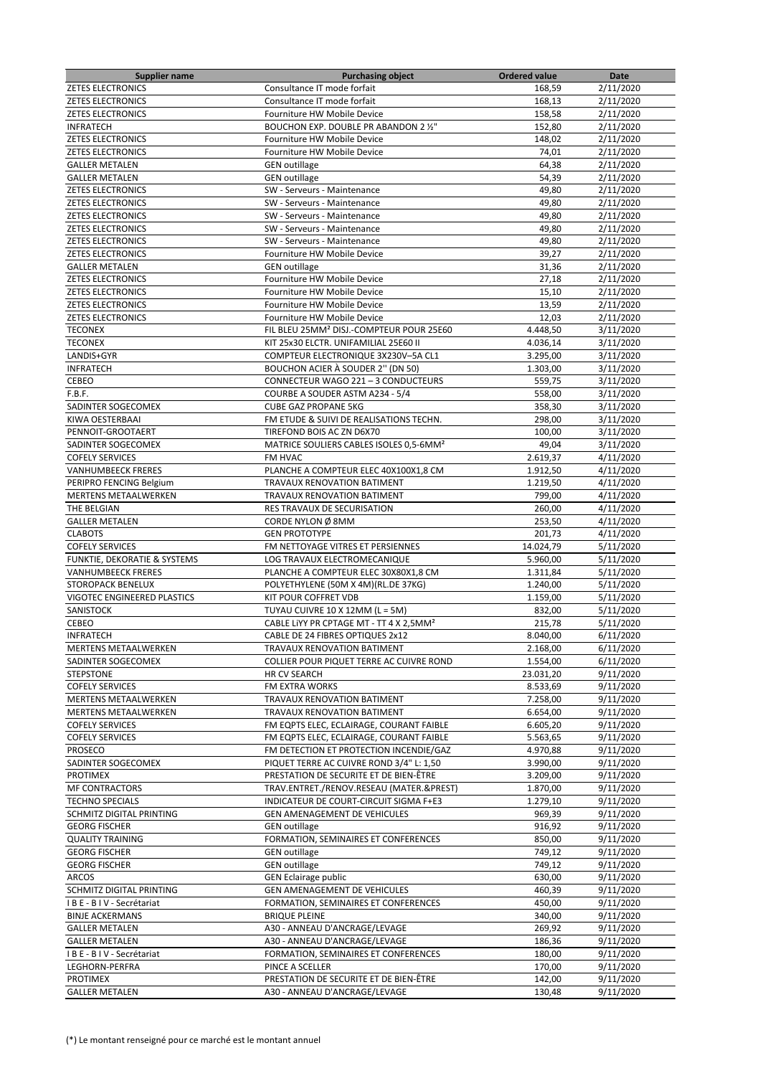| Supplier name                      | <b>Purchasing object</b>                             | <b>Ordered value</b> | Date      |
|------------------------------------|------------------------------------------------------|----------------------|-----------|
| <b>ZETES ELECTRONICS</b>           | Consultance IT mode forfait                          | 168,59               | 2/11/2020 |
| <b>ZETES ELECTRONICS</b>           | Consultance IT mode forfait                          | 168,13               | 2/11/2020 |
| <b>ZETES ELECTRONICS</b>           | Fourniture HW Mobile Device                          | 158,58               | 2/11/2020 |
| <b>INFRATECH</b>                   | BOUCHON EXP. DOUBLE PR ABANDON 2 1/2"                | 152,80               | 2/11/2020 |
| <b>ZETES ELECTRONICS</b>           | Fourniture HW Mobile Device                          | 148,02               | 2/11/2020 |
| <b>ZETES ELECTRONICS</b>           | Fourniture HW Mobile Device                          | 74,01                | 2/11/2020 |
| <b>GALLER METALEN</b>              | <b>GEN</b> outillage                                 | 64,38                | 2/11/2020 |
| <b>GALLER METALEN</b>              | <b>GEN outillage</b>                                 | 54,39                | 2/11/2020 |
| <b>ZETES ELECTRONICS</b>           | SW - Serveurs - Maintenance                          | 49,80                | 2/11/2020 |
| <b>ZETES ELECTRONICS</b>           | SW - Serveurs - Maintenance                          | 49,80                | 2/11/2020 |
|                                    |                                                      | 49,80                |           |
| <b>ZETES ELECTRONICS</b>           | SW - Serveurs - Maintenance                          |                      | 2/11/2020 |
| <b>ZETES ELECTRONICS</b>           | SW - Serveurs - Maintenance                          | 49,80                | 2/11/2020 |
| <b>ZETES ELECTRONICS</b>           | SW - Serveurs - Maintenance                          | 49,80                | 2/11/2020 |
| <b>ZETES ELECTRONICS</b>           | Fourniture HW Mobile Device                          | 39,27                | 2/11/2020 |
| <b>GALLER METALEN</b>              | <b>GEN</b> outillage                                 | 31,36                | 2/11/2020 |
| <b>ZETES ELECTRONICS</b>           | Fourniture HW Mobile Device                          | 27,18                | 2/11/2020 |
| <b>ZETES ELECTRONICS</b>           | Fourniture HW Mobile Device                          | 15,10                | 2/11/2020 |
| <b>ZETES ELECTRONICS</b>           | Fourniture HW Mobile Device                          | 13,59                | 2/11/2020 |
| <b>ZETES ELECTRONICS</b>           | Fourniture HW Mobile Device                          | 12,03                | 2/11/2020 |
| TECONEX                            | FIL BLEU 25MM <sup>2</sup> DISJ.-COMPTEUR POUR 25E60 | 4.448,50             | 3/11/2020 |
| <b>TECONEX</b>                     | KIT 25x30 ELCTR. UNIFAMILIAL 25E60 II                | 4.036,14             | 3/11/2020 |
| LANDIS+GYR                         | COMPTEUR ELECTRONIQUE 3X230V-5A CL1                  | 3.295,00             | 3/11/2020 |
| <b>INFRATECH</b>                   | BOUCHON ACIER À SOUDER 2" (DN 50)                    | 1.303,00             | 3/11/2020 |
| CEBEO                              | CONNECTEUR WAGO 221 - 3 CONDUCTEURS                  | 559,75               | 3/11/2020 |
| F.B.F.                             | COURBE A SOUDER ASTM A234 - 5/4                      | 558,00               | 3/11/2020 |
| SADINTER SOGECOMEX                 | <b>CUBE GAZ PROPANE 5KG</b>                          | 358,30               | 3/11/2020 |
| KIWA OESTERBAAI                    | FM ETUDE & SUIVI DE REALISATIONS TECHN.              | 298.00               | 3/11/2020 |
| PENNOIT-GROOTAERT                  | TIREFOND BOIS AC ZN D6X70                            | 100,00               |           |
| SADINTER SOGECOMEX                 |                                                      |                      | 3/11/2020 |
|                                    | MATRICE SOULIERS CABLES ISOLES 0,5-6MM <sup>2</sup>  | 49,04                | 3/11/2020 |
| <b>COFELY SERVICES</b>             | FM HVAC                                              | 2.619,37             | 4/11/2020 |
| <b>VANHUMBEECK FRERES</b>          | PLANCHE A COMPTEUR ELEC 40X100X1,8 CM                | 1.912,50             | 4/11/2020 |
| PERIPRO FENCING Belgium            | TRAVAUX RENOVATION BATIMENT                          | 1.219,50             | 4/11/2020 |
| <b>MERTENS METAALWERKEN</b>        | TRAVAUX RENOVATION BATIMENT                          | 799,00               | 4/11/2020 |
| THE BELGIAN                        | RES TRAVAUX DE SECURISATION                          | 260,00               | 4/11/2020 |
| <b>GALLER METALEN</b>              | CORDE NYLON Ø 8MM                                    | 253,50               | 4/11/2020 |
| <b>CLABOTS</b>                     | <b>GEN PROTOTYPE</b>                                 | 201,73               | 4/11/2020 |
| <b>COFELY SERVICES</b>             | FM NETTOYAGE VITRES ET PERSIENNES                    | 14.024,79            | 5/11/2020 |
| FUNKTIE, DEKORATIE & SYSTEMS       | LOG TRAVAUX ELECTROMECANIQUE                         | 5.960,00             | 5/11/2020 |
| <b>VANHUMBEECK FRERES</b>          | PLANCHE A COMPTEUR ELEC 30X80X1,8 CM                 | 1.311,84             | 5/11/2020 |
| STOROPACK BENELUX                  | POLYETHYLENE (50M X 4M)(RL.DE 37KG)                  | 1.240,00             | 5/11/2020 |
| <b>VIGOTEC ENGINEERED PLASTICS</b> | KIT POUR COFFRET VDB                                 | 1.159,00             | 5/11/2020 |
| SANISTOCK                          | TUYAU CUIVRE 10 X 12MM (L = 5M)                      | 832,00               | 5/11/2020 |
| CEBEO                              | CABLE LIYY PR CPTAGE MT - TT 4 X 2,5MM <sup>2</sup>  | 215,78               | 5/11/2020 |
| <b>INFRATECH</b>                   | CABLE DE 24 FIBRES OPTIQUES 2x12                     | 8.040,00             | 6/11/2020 |
| MERTENS METAALWERKEN               | TRAVAUX RENOVATION BATIMENT                          | 2.168,00             | 6/11/2020 |
| SADINTER SOGECOMEX                 | COLLIER POUR PIQUET TERRE AC CUIVRE ROND             | 1.554,00             | 6/11/2020 |
| <b>STEPSTONE</b>                   | HR CV SEARCH                                         | 23.031,20            | 9/11/2020 |
| <b>COFELY SERVICES</b>             | FM EXTRA WORKS                                       | 8.533,69             | 9/11/2020 |
| MERTENS METAALWERKEN               |                                                      |                      | 9/11/2020 |
|                                    | TRAVAUX RENOVATION BATIMENT                          | 7.258,00<br>6.654,00 |           |
| MERTENS METAALWERKEN               | TRAVAUX RENOVATION BATIMENT                          |                      | 9/11/2020 |
| <b>COFELY SERVICES</b>             | FM EQPTS ELEC, ECLAIRAGE, COURANT FAIBLE             | 6.605,20             | 9/11/2020 |
| <b>COFELY SERVICES</b>             | FM EQPTS ELEC, ECLAIRAGE, COURANT FAIBLE             | 5.563,65             | 9/11/2020 |
| PROSECO                            | FM DETECTION ET PROTECTION INCENDIE/GAZ              | 4.970,88             | 9/11/2020 |
| SADINTER SOGECOMEX                 | PIQUET TERRE AC CUIVRE ROND 3/4" L: 1,50             | 3.990,00             | 9/11/2020 |
| PROTIMEX                           | PRESTATION DE SECURITE ET DE BIEN-ÊTRE               | 3.209,00             | 9/11/2020 |
| <b>MF CONTRACTORS</b>              | TRAV.ENTRET./RENOV.RESEAU (MATER.&PREST)             | 1.870,00             | 9/11/2020 |
| <b>TECHNO SPECIALS</b>             | INDICATEUR DE COURT-CIRCUIT SIGMA F+E3               | 1.279,10             | 9/11/2020 |
| SCHMITZ DIGITAL PRINTING           | GEN AMENAGEMENT DE VEHICULES                         | 969,39               | 9/11/2020 |
| <b>GEORG FISCHER</b>               | <b>GEN</b> outillage                                 | 916,92               | 9/11/2020 |
| <b>QUALITY TRAINING</b>            | FORMATION, SEMINAIRES ET CONFERENCES                 | 850,00               | 9/11/2020 |
| <b>GEORG FISCHER</b>               | <b>GEN</b> outillage                                 | 749,12               | 9/11/2020 |
| <b>GEORG FISCHER</b>               | <b>GEN outillage</b>                                 | 749,12               | 9/11/2020 |
| <b>ARCOS</b>                       | <b>GEN Eclairage public</b>                          | 630,00               | 9/11/2020 |
| SCHMITZ DIGITAL PRINTING           | GEN AMENAGEMENT DE VEHICULES                         | 460,39               | 9/11/2020 |
| IBE-BIV-Secrétariat                | FORMATION, SEMINAIRES ET CONFERENCES                 | 450,00               | 9/11/2020 |
| <b>BINJE ACKERMANS</b>             | <b>BRIQUE PLEINE</b>                                 | 340,00               | 9/11/2020 |
| <b>GALLER METALEN</b>              | A30 - ANNEAU D'ANCRAGE/LEVAGE                        | 269,92               | 9/11/2020 |
| <b>GALLER METALEN</b>              | A30 - ANNEAU D'ANCRAGE/LEVAGE                        | 186,36               | 9/11/2020 |
| IBE-BIV-Secrétariat                | FORMATION, SEMINAIRES ET CONFERENCES                 | 180,00               | 9/11/2020 |
|                                    |                                                      |                      |           |
| LEGHORN-PERFRA                     | PINCE A SCELLER                                      | 170,00               | 9/11/2020 |
| <b>PROTIMEX</b>                    | PRESTATION DE SECURITE ET DE BIEN-ÊTRE               | 142,00               | 9/11/2020 |
| <b>GALLER METALEN</b>              | A30 - ANNEAU D'ANCRAGE/LEVAGE                        | 130,48               | 9/11/2020 |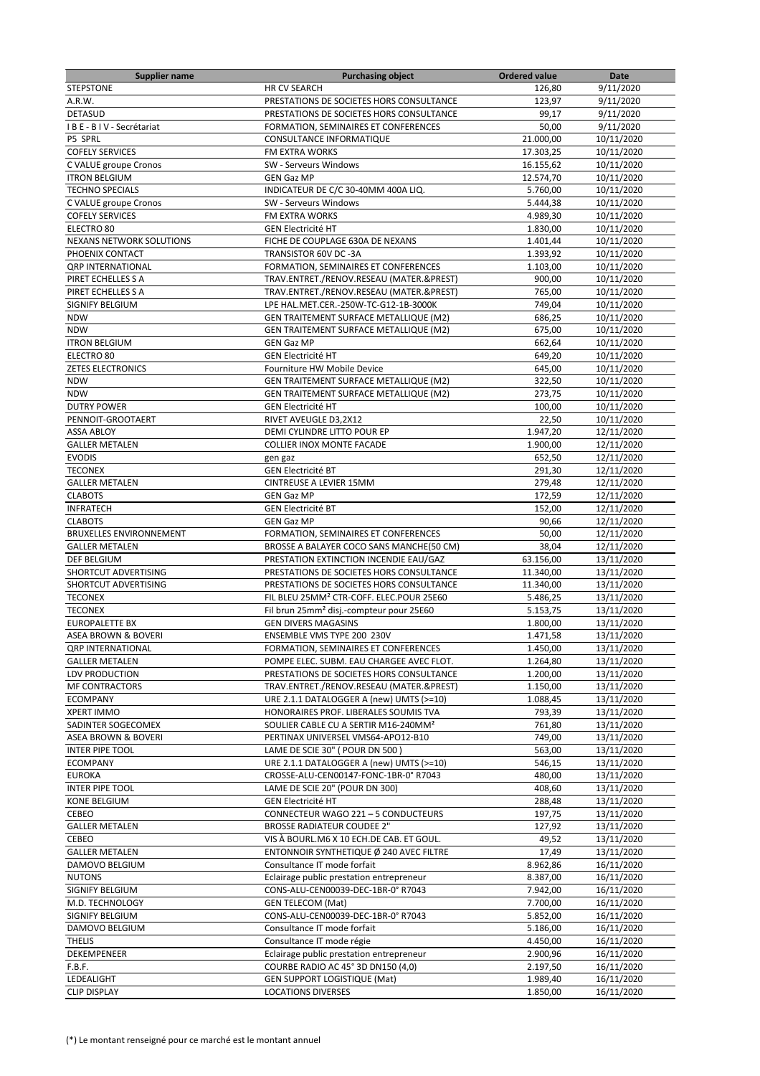| <b>Supplier name</b>            | <b>Purchasing object</b>                             | <b>Ordered value</b> | Date       |
|---------------------------------|------------------------------------------------------|----------------------|------------|
| <b>STEPSTONE</b>                | <b>HR CV SEARCH</b>                                  | 126,80               | 9/11/2020  |
| A.R.W.                          | PRESTATIONS DE SOCIETES HORS CONSULTANCE             | 123,97               | 9/11/2020  |
| <b>DETASUD</b>                  | PRESTATIONS DE SOCIETES HORS CONSULTANCE             | 99,17                | 9/11/2020  |
| IBE-BIV-Secrétariat             | FORMATION, SEMINAIRES ET CONFERENCES                 | 50,00                | 9/11/2020  |
| P5 SPRL                         | CONSULTANCE INFORMATIQUE                             | 21.000,00            | 10/11/2020 |
| <b>COFELY SERVICES</b>          | FM EXTRA WORKS                                       | 17.303,25            | 10/11/2020 |
| C VALUE groupe Cronos           | SW - Serveurs Windows                                | 16.155,62            | 10/11/2020 |
| <b>ITRON BELGIUM</b>            | <b>GEN Gaz MP</b>                                    | 12.574,70            | 10/11/2020 |
| <b>TECHNO SPECIALS</b>          | INDICATEUR DE C/C 30-40MM 400A LIQ.                  | 5.760,00             | 10/11/2020 |
| C VALUE groupe Cronos           | SW - Serveurs Windows                                | 5.444,38             | 10/11/2020 |
| <b>COFELY SERVICES</b>          | FM EXTRA WORKS                                       | 4.989,30             | 10/11/2020 |
| ELECTRO <sub>80</sub>           | <b>GEN Electricité HT</b>                            | 1.830,00             | 10/11/2020 |
| <b>NEXANS NETWORK SOLUTIONS</b> | FICHE DE COUPLAGE 630A DE NEXANS                     | 1.401,44             | 10/11/2020 |
| PHOENIX CONTACT                 | TRANSISTOR 60V DC -3A                                | 1.393,92             | 10/11/2020 |
| <b>QRP INTERNATIONAL</b>        | FORMATION, SEMINAIRES ET CONFERENCES                 | 1.103,00             | 10/11/2020 |
| PIRET ECHELLES S A              | TRAV.ENTRET./RENOV.RESEAU (MATER.&PREST)             | 900,00               | 10/11/2020 |
| PIRET ECHELLES S A              | TRAV.ENTRET./RENOV.RESEAU (MATER.&PREST)             | 765,00               | 10/11/2020 |
| SIGNIFY BELGIUM                 | LPE HAL.MET.CER.-250W-TC-G12-1B-3000K                | 749,04               | 10/11/2020 |
| <b>NDW</b>                      | GEN TRAITEMENT SURFACE METALLIQUE (M2)               | 686,25               | 10/11/2020 |
| <b>NDW</b>                      | <b>GEN TRAITEMENT SURFACE METALLIQUE (M2)</b>        | 675,00               | 10/11/2020 |
| <b>ITRON BELGIUM</b>            | <b>GEN Gaz MP</b>                                    | 662,64               | 10/11/2020 |
| ELECTRO 80                      | <b>GEN Electricité HT</b>                            | 649,20               | 10/11/2020 |
| <b>ZETES ELECTRONICS</b>        | Fourniture HW Mobile Device                          | 645,00               | 10/11/2020 |
| <b>NDW</b>                      | GEN TRAITEMENT SURFACE METALLIQUE (M2)               | 322,50               | 10/11/2020 |
| <b>NDW</b>                      | GEN TRAITEMENT SURFACE METALLIQUE (M2)               | 273,75               | 10/11/2020 |
| <b>DUTRY POWER</b>              | <b>GEN Electricité HT</b>                            | 100,00               | 10/11/2020 |
| PENNOIT-GROOTAERT               | RIVET AVEUGLE D3,2X12                                | 22,50                | 10/11/2020 |
| <b>ASSA ABLOY</b>               | DEMI CYLINDRE LITTO POUR EP                          | 1.947,20             | 12/11/2020 |
| <b>GALLER METALEN</b>           | <b>COLLIER INOX MONTE FACADE</b>                     | 1.900,00             | 12/11/2020 |
| <b>EVODIS</b>                   | gen gaz                                              | 652,50               | 12/11/2020 |
| <b>TECONEX</b>                  | <b>GEN Electricité BT</b>                            | 291,30               | 12/11/2020 |
| <b>GALLER METALEN</b>           | CINTREUSE A LEVIER 15MM                              | 279,48               | 12/11/2020 |
| <b>CLABOTS</b>                  | <b>GEN Gaz MP</b>                                    | 172,59               | 12/11/2020 |
| <b>INFRATECH</b>                | <b>GEN Electricité BT</b>                            | 152,00               | 12/11/2020 |
| <b>CLABOTS</b>                  | <b>GEN Gaz MP</b>                                    | 90,66                | 12/11/2020 |
| <b>BRUXELLES ENVIRONNEMENT</b>  | FORMATION, SEMINAIRES ET CONFERENCES                 | 50,00                | 12/11/2020 |
| <b>GALLER METALEN</b>           | BROSSE A BALAYER COCO SANS MANCHE(50 CM)             | 38,04                | 12/11/2020 |
| DEF BELGIUM                     | PRESTATION EXTINCTION INCENDIE EAU/GAZ               | 63.156,00            | 13/11/2020 |
| SHORTCUT ADVERTISING            | PRESTATIONS DE SOCIETES HORS CONSULTANCE             | 11.340,00            | 13/11/2020 |
| SHORTCUT ADVERTISING            | PRESTATIONS DE SOCIETES HORS CONSULTANCE             | 11.340,00            | 13/11/2020 |
| <b>TECONEX</b>                  | FIL BLEU 25MM <sup>2</sup> CTR-COFF, ELEC.POUR 25E60 | 5.486,25             | 13/11/2020 |
| <b>TECONEX</b>                  | Fil brun 25mm <sup>2</sup> disj.-compteur pour 25E60 | 5.153,75             | 13/11/2020 |
| <b>EUROPALETTE BX</b>           | <b>GEN DIVERS MAGASINS</b>                           | 1.800,00             | 13/11/2020 |
| <b>ASEA BROWN &amp; BOVERI</b>  | ENSEMBLE VMS TYPE 200 230V                           | 1.471,58             | 13/11/2020 |
| <b>QRP INTERNATIONAL</b>        | FORMATION, SEMINAIRES ET CONFERENCES                 | 1.450,00             | 13/11/2020 |
| <b>GALLER METALEN</b>           | POMPE ELEC. SUBM. EAU CHARGEE AVEC FLOT.             | 1.264,80             | 13/11/2020 |
| LDV PRODUCTION                  | PRESTATIONS DE SOCIETES HORS CONSULTANCE             | 1.200,00             | 13/11/2020 |
| <b>MF CONTRACTORS</b>           | TRAV.ENTRET./RENOV.RESEAU (MATER.&PREST)             | 1.150,00             | 13/11/2020 |
| <b>ECOMPANY</b>                 | URE 2.1.1 DATALOGGER A (new) UMTS (>=10)             | 1.088,45             | 13/11/2020 |
| <b>XPERT IMMO</b>               | HONORAIRES PROF. LIBERALES SOUMIS TVA                | 793,39               | 13/11/2020 |
| SADINTER SOGECOMEX              | SOULIER CABLE CU A SERTIR M16-240MM <sup>2</sup>     | 761,80               | 13/11/2020 |
| <b>ASEA BROWN &amp; BOVERI</b>  | PERTINAX UNIVERSEL VMS64-APO12-B10                   | 749,00               | 13/11/2020 |
| <b>INTER PIPE TOOL</b>          | LAME DE SCIE 30" (POUR DN 500)                       | 563,00               | 13/11/2020 |
| <b>ECOMPANY</b>                 | URE 2.1.1 DATALOGGER A (new) UMTS (>=10)             | 546,15               | 13/11/2020 |
| <b>EUROKA</b>                   | CROSSE-ALU-CEN00147-FONC-1BR-0° R7043                | 480,00               | 13/11/2020 |
| <b>INTER PIPE TOOL</b>          | LAME DE SCIE 20" (POUR DN 300)                       | 408,60               | 13/11/2020 |
| <b>KONE BELGIUM</b>             | <b>GEN Electricité HT</b>                            | 288,48               | 13/11/2020 |
| CEBEO                           | CONNECTEUR WAGO 221 - 5 CONDUCTEURS                  | 197,75               | 13/11/2020 |
| <b>GALLER METALEN</b>           | <b>BROSSE RADIATEUR COUDEE 2"</b>                    | 127,92               | 13/11/2020 |
| CEBEO                           | VIS À BOURL.M6 X 10 ECH.DE CAB. ET GOUL.             | 49,52                | 13/11/2020 |
| <b>GALLER METALEN</b>           | ENTONNOIR SYNTHETIQUE Ø 240 AVEC FILTRE              | 17,49                | 13/11/2020 |
| DAMOVO BELGIUM                  | Consultance IT mode forfait                          | 8.962,86             | 16/11/2020 |
| <b>NUTONS</b>                   | Eclairage public prestation entrepreneur             | 8.387,00             | 16/11/2020 |
| SIGNIFY BELGIUM                 | CONS-ALU-CEN00039-DEC-1BR-0° R7043                   | 7.942,00             | 16/11/2020 |
| M.D. TECHNOLOGY                 | <b>GEN TELECOM (Mat)</b>                             | 7.700,00             | 16/11/2020 |
| SIGNIFY BELGIUM                 | CONS-ALU-CEN00039-DEC-1BR-0° R7043                   | 5.852,00             | 16/11/2020 |
| DAMOVO BELGIUM                  | Consultance IT mode forfait                          | 5.186,00             | 16/11/2020 |
| <b>THELIS</b>                   | Consultance IT mode régie                            | 4.450,00             | 16/11/2020 |
| DEKEMPENEER                     | Eclairage public prestation entrepreneur             | 2.900,96             | 16/11/2020 |
| F.B.F.                          | COURBE RADIO AC 45° 3D DN150 (4,0)                   | 2.197,50             | 16/11/2020 |
| LEDEALIGHT                      | GEN SUPPORT LOGISTIQUE (Mat)                         | 1.989,40             | 16/11/2020 |
| <b>CLIP DISPLAY</b>             | <b>LOCATIONS DIVERSES</b>                            | 1.850,00             | 16/11/2020 |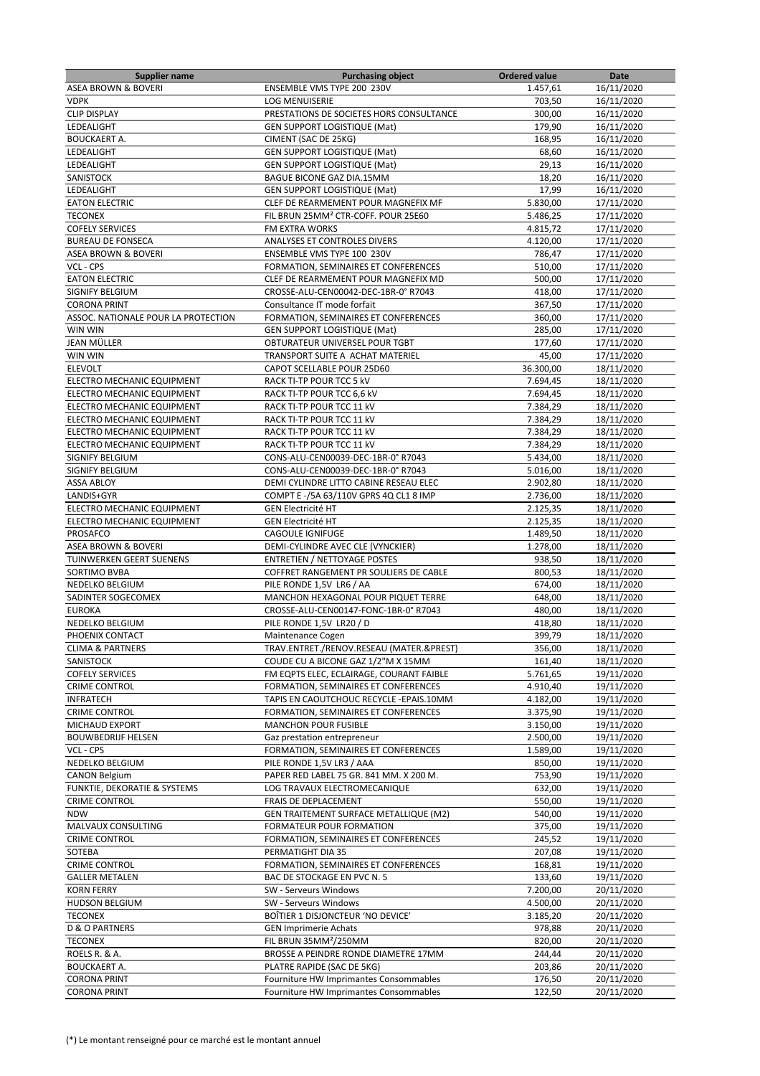| <b>Supplier name</b>                | <b>Purchasing object</b>                        | <b>Ordered value</b> | Date       |
|-------------------------------------|-------------------------------------------------|----------------------|------------|
| <b>ASEA BROWN &amp; BOVERI</b>      | ENSEMBLE VMS TYPE 200 230V                      | 1.457,61             | 16/11/2020 |
| <b>VDPK</b>                         | <b>LOG MENUISERIE</b>                           | 703,50               | 16/11/2020 |
| <b>CLIP DISPLAY</b>                 | PRESTATIONS DE SOCIETES HORS CONSULTANCE        | 300,00               | 16/11/2020 |
|                                     |                                                 |                      |            |
| LEDEALIGHT                          | <b>GEN SUPPORT LOGISTIQUE (Mat)</b>             | 179,90               | 16/11/2020 |
| <b>BOUCKAERT A.</b>                 | CIMENT (SAC DE 25KG)                            | 168,95               | 16/11/2020 |
| LEDEALIGHT                          | <b>GEN SUPPORT LOGISTIQUE (Mat)</b>             | 68,60                | 16/11/2020 |
| LEDEALIGHT                          | <b>GEN SUPPORT LOGISTIQUE (Mat)</b>             | 29,13                | 16/11/2020 |
| SANISTOCK                           | BAGUE BICONE GAZ DIA.15MM                       | 18,20                | 16/11/2020 |
| LEDEALIGHT                          | <b>GEN SUPPORT LOGISTIQUE (Mat)</b>             | 17,99                | 16/11/2020 |
|                                     |                                                 |                      |            |
| <b>EATON ELECTRIC</b>               | CLEF DE REARMEMENT POUR MAGNEFIX MF             | 5.830,00             | 17/11/2020 |
| <b>TECONEX</b>                      | FIL BRUN 25MM <sup>2</sup> CTR-COFF. POUR 25E60 | 5.486,25             | 17/11/2020 |
| <b>COFELY SERVICES</b>              | <b>FM EXTRA WORKS</b>                           | 4.815,72             | 17/11/2020 |
| <b>BUREAU DE FONSECA</b>            | ANALYSES ET CONTROLES DIVERS                    | 4.120,00             | 17/11/2020 |
| ASEA BROWN & BOVERI                 | ENSEMBLE VMS TYPE 100 230V                      | 786,47               | 17/11/2020 |
| VCL - CPS                           | FORMATION, SEMINAIRES ET CONFERENCES            | 510,00               | 17/11/2020 |
|                                     |                                                 |                      |            |
| <b>EATON ELECTRIC</b>               | CLEF DE REARMEMENT POUR MAGNEFIX MD             | 500,00               | 17/11/2020 |
| SIGNIFY BELGIUM                     | CROSSE-ALU-CEN00042-DEC-1BR-0° R7043            | 418,00               | 17/11/2020 |
| <b>CORONA PRINT</b>                 | Consultance IT mode forfait                     | 367,50               | 17/11/2020 |
| ASSOC. NATIONALE POUR LA PROTECTION | FORMATION, SEMINAIRES ET CONFERENCES            | 360,00               | 17/11/2020 |
| WIN WIN                             | <b>GEN SUPPORT LOGISTIQUE (Mat)</b>             | 285,00               | 17/11/2020 |
|                                     |                                                 |                      |            |
| JEAN MÜLLER                         | OBTURATEUR UNIVERSEL POUR TGBT                  | 177,60               | 17/11/2020 |
| WIN WIN                             | TRANSPORT SUITE A ACHAT MATERIEL                | 45,00                | 17/11/2020 |
| <b>ELEVOLT</b>                      | CAPOT SCELLABLE POUR 25D60                      | 36.300,00            | 18/11/2020 |
| ELECTRO MECHANIC EQUIPMENT          | RACK TI-TP POUR TCC 5 kV                        | 7.694,45             | 18/11/2020 |
| ELECTRO MECHANIC EQUIPMENT          | RACK TI-TP POUR TCC 6,6 kV                      | 7.694,45             | 18/11/2020 |
| ELECTRO MECHANIC EQUIPMENT          | RACK TI-TP POUR TCC 11 kV                       | 7.384,29             | 18/11/2020 |
| ELECTRO MECHANIC EQUIPMENT          |                                                 |                      |            |
|                                     | RACK TI-TP POUR TCC 11 kV                       | 7.384,29             | 18/11/2020 |
| ELECTRO MECHANIC EQUIPMENT          | RACK TI-TP POUR TCC 11 kV                       | 7.384,29             | 18/11/2020 |
| ELECTRO MECHANIC EQUIPMENT          | RACK TI-TP POUR TCC 11 kV                       | 7.384,29             | 18/11/2020 |
| SIGNIFY BELGIUM                     | CONS-ALU-CEN00039-DEC-1BR-0° R7043              | 5.434,00             | 18/11/2020 |
| SIGNIFY BELGIUM                     | CONS-ALU-CEN00039-DEC-1BR-0° R7043              | 5.016,00             | 18/11/2020 |
| <b>ASSA ABLOY</b>                   | DEMI CYLINDRE LITTO CABINE RESEAU ELEC          | 2.902,80             | 18/11/2020 |
|                                     |                                                 |                      |            |
| LANDIS+GYR                          | COMPT E -/5A 63/110V GPRS 4Q CL1 8 IMP          | 2.736,00             | 18/11/2020 |
| ELECTRO MECHANIC EQUIPMENT          | <b>GEN Electricité HT</b>                       | 2.125,35             | 18/11/2020 |
| ELECTRO MECHANIC EQUIPMENT          | <b>GEN Electricité HT</b>                       | 2.125,35             | 18/11/2020 |
| PROSAFCO                            | <b>CAGOULE IGNIFUGE</b>                         | 1.489,50             | 18/11/2020 |
| <b>ASEA BROWN &amp; BOVERI</b>      | DEMI-CYLINDRE AVEC CLE (VYNCKIER)               | 1.278,00             | 18/11/2020 |
| TUINWERKEN GEERT SUENENS            | <b>ENTRETIEN / NETTOYAGE POSTES</b>             | 938,50               | 18/11/2020 |
|                                     |                                                 |                      |            |
| SORTIMO BVBA                        | COFFRET RANGEMENT PR SOULIERS DE CABLE          | 800,53               | 18/11/2020 |
| NEDELKO BELGIUM                     | PILE RONDE 1,5V LR6 / AA                        | 674,00               | 18/11/2020 |
| SADINTER SOGECOMEX                  | MANCHON HEXAGONAL POUR PIQUET TERRE             | 648,00               | 18/11/2020 |
| <b>EUROKA</b>                       | CROSSE-ALU-CEN00147-FONC-1BR-0° R7043           | 480,00               | 18/11/2020 |
| NEDELKO BELGIUM                     | PILE RONDE 1,5V LR20 / D                        | 418,80               | 18/11/2020 |
| PHOENIX CONTACT                     |                                                 | 399,79               | 18/11/2020 |
|                                     | Maintenance Cogen                               |                      |            |
| <b>CLIMA &amp; PARTNERS</b>         | TRAV.ENTRET./RENOV.RESEAU (MATER.&PREST)        | 356,00               | 18/11/2020 |
| SANISTOCK                           | COUDE CU A BICONE GAZ 1/2"M X 15MM              | 161,40               | 18/11/2020 |
| <b>COFELY SERVICES</b>              | FM EQPTS ELEC, ECLAIRAGE, COURANT FAIBLE        | 5.761,65             | 19/11/2020 |
| <b>CRIME CONTROL</b>                | FORMATION, SEMINAIRES ET CONFERENCES            | 4.910,40             | 19/11/2020 |
| <b>INFRATECH</b>                    | TAPIS EN CAOUTCHOUC RECYCLE - EPAIS.10MM        | 4.182,00             | 19/11/2020 |
| <b>CRIME CONTROL</b>                | FORMATION, SEMINAIRES ET CONFERENCES            | 3.375,90             | 19/11/2020 |
|                                     |                                                 |                      |            |
| MICHAUD EXPORT                      | <b>MANCHON POUR FUSIBLE</b>                     | 3.150,00             | 19/11/2020 |
| <b>BOUWBEDRIJF HELSEN</b>           | Gaz prestation entrepreneur                     | 2.500,00             | 19/11/2020 |
| VCL - CPS                           | FORMATION, SEMINAIRES ET CONFERENCES            | 1.589,00             | 19/11/2020 |
| NEDELKO BELGIUM                     | PILE RONDE 1,5V LR3 / AAA                       | 850,00               | 19/11/2020 |
| <b>CANON Belgium</b>                | PAPER RED LABEL 75 GR. 841 MM. X 200 M.         | 753,90               | 19/11/2020 |
| FUNKTIE, DEKORATIE & SYSTEMS        | LOG TRAVAUX ELECTROMECANIQUE                    | 632,00               | 19/11/2020 |
|                                     |                                                 |                      |            |
| <b>CRIME CONTROL</b>                | FRAIS DE DEPLACEMENT                            | 550,00               | 19/11/2020 |
| <b>NDW</b>                          | GEN TRAITEMENT SURFACE METALLIQUE (M2)          | 540,00               | 19/11/2020 |
| MALVAUX CONSULTING                  | FORMATEUR POUR FORMATION                        | 375,00               | 19/11/2020 |
| <b>CRIME CONTROL</b>                | FORMATION, SEMINAIRES ET CONFERENCES            | 245,52               | 19/11/2020 |
| SOTEBA                              | PERMATIGHT DIA 35                               | 207,08               | 19/11/2020 |
| <b>CRIME CONTROL</b>                | FORMATION, SEMINAIRES ET CONFERENCES            | 168,81               | 19/11/2020 |
|                                     |                                                 |                      |            |
| <b>GALLER METALEN</b>               | BAC DE STOCKAGE EN PVC N. 5                     | 133,60               | 19/11/2020 |
| <b>KORN FERRY</b>                   | SW - Serveurs Windows                           | 7.200,00             | 20/11/2020 |
| <b>HUDSON BELGIUM</b>               | SW - Serveurs Windows                           | 4.500,00             | 20/11/2020 |
| <b>TECONEX</b>                      | BOÎTIER 1 DISJONCTEUR 'NO DEVICE'               | 3.185,20             | 20/11/2020 |
| <b>D &amp; O PARTNERS</b>           | <b>GEN Imprimerie Achats</b>                    | 978,88               | 20/11/2020 |
|                                     |                                                 |                      |            |
| <b>TECONEX</b>                      | FIL BRUN 35MM <sup>2</sup> /250MM               | 820,00               | 20/11/2020 |
| ROELS R. & A.                       | BROSSE A PEINDRE RONDE DIAMETRE 17MM            | 244,44               | 20/11/2020 |
| <b>BOUCKAERT A.</b>                 | PLATRE RAPIDE (SAC DE 5KG)                      | 203,86               | 20/11/2020 |
| <b>CORONA PRINT</b>                 | Fourniture HW Imprimantes Consommables          | 176,50               | 20/11/2020 |
| <b>CORONA PRINT</b>                 | Fourniture HW Imprimantes Consommables          | 122,50               | 20/11/2020 |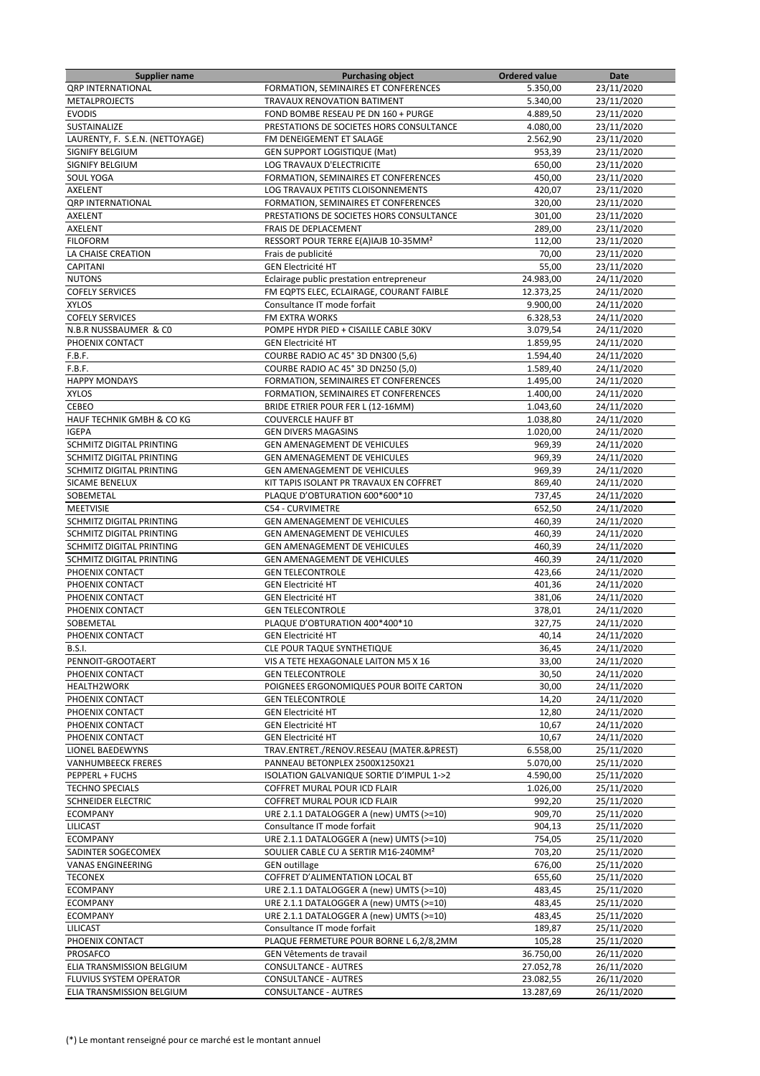| <b>Supplier name</b>            | <b>Purchasing object</b>                         | <b>Ordered value</b> | Date       |
|---------------------------------|--------------------------------------------------|----------------------|------------|
| <b>QRP INTERNATIONAL</b>        | FORMATION, SEMINAIRES ET CONFERENCES             | 5.350,00             | 23/11/2020 |
| <b>METALPROJECTS</b>            | TRAVAUX RENOVATION BATIMENT                      | 5.340,00             | 23/11/2020 |
| <b>EVODIS</b>                   | FOND BOMBE RESEAU PE DN 160 + PURGE              | 4.889,50             | 23/11/2020 |
| SUSTAINALIZE                    | PRESTATIONS DE SOCIETES HORS CONSULTANCE         | 4.080,00             | 23/11/2020 |
| LAURENTY, F. S.E.N. (NETTOYAGE) | FM DENEIGEMENT ET SALAGE                         | 2.562,90             | 23/11/2020 |
| SIGNIFY BELGIUM                 | <b>GEN SUPPORT LOGISTIQUE (Mat)</b>              | 953.39               | 23/11/2020 |
| SIGNIFY BELGIUM                 | LOG TRAVAUX D'ELECTRICITE                        | 650,00               | 23/11/2020 |
| SOUL YOGA                       | FORMATION, SEMINAIRES ET CONFERENCES             | 450,00               | 23/11/2020 |
| AXELENT                         | LOG TRAVAUX PETITS CLOISONNEMENTS                | 420,07               |            |
|                                 |                                                  |                      | 23/11/2020 |
| <b>QRP INTERNATIONAL</b>        | FORMATION, SEMINAIRES ET CONFERENCES             | 320,00               | 23/11/2020 |
| AXELENT                         | PRESTATIONS DE SOCIETES HORS CONSULTANCE         | 301,00               | 23/11/2020 |
| AXELENT                         | <b>FRAIS DE DEPLACEMENT</b>                      | 289,00               | 23/11/2020 |
| <b>FILOFORM</b>                 | RESSORT POUR TERRE E(A)IAJB 10-35MM <sup>2</sup> | 112,00               | 23/11/2020 |
| LA CHAISE CREATION              | Frais de publicité                               | 70,00                | 23/11/2020 |
| <b>CAPITANI</b>                 | <b>GEN Electricité HT</b>                        | 55,00                | 23/11/2020 |
| <b>NUTONS</b>                   | Eclairage public prestation entrepreneur         | 24.983,00            | 24/11/2020 |
| <b>COFELY SERVICES</b>          | FM EQPTS ELEC, ECLAIRAGE, COURANT FAIBLE         | 12.373,25            | 24/11/2020 |
| <b>XYLOS</b>                    | Consultance IT mode forfait                      | 9.900,00             | 24/11/2020 |
| <b>COFELY SERVICES</b>          | FM EXTRA WORKS                                   | 6.328,53             | 24/11/2020 |
| N.B.R NUSSBAUMER & CO           | POMPE HYDR PIED + CISAILLE CABLE 30KV            | 3.079,54             | 24/11/2020 |
| PHOENIX CONTACT                 | <b>GEN Electricité HT</b>                        | 1.859,95             | 24/11/2020 |
| F.B.F.                          | COURBE RADIO AC 45° 3D DN300 (5,6)               | 1.594,40             | 24/11/2020 |
|                                 |                                                  |                      |            |
| F.B.F.                          | COURBE RADIO AC 45° 3D DN250 (5,0)               | 1.589,40             | 24/11/2020 |
| <b>HAPPY MONDAYS</b>            | FORMATION, SEMINAIRES ET CONFERENCES             | 1.495,00             | 24/11/2020 |
| <b>XYLOS</b>                    | FORMATION, SEMINAIRES ET CONFERENCES             | 1.400,00             | 24/11/2020 |
| CEBEO                           | BRIDE ETRIER POUR FER L (12-16MM)                | 1.043,60             | 24/11/2020 |
| HAUF TECHNIK GMBH & CO KG       | <b>COUVERCLE HAUFF BT</b>                        | 1.038,80             | 24/11/2020 |
| <b>IGEPA</b>                    | <b>GEN DIVERS MAGASINS</b>                       | 1.020,00             | 24/11/2020 |
| SCHMITZ DIGITAL PRINTING        | GEN AMENAGEMENT DE VEHICULES                     | 969,39               | 24/11/2020 |
| SCHMITZ DIGITAL PRINTING        | GEN AMENAGEMENT DE VEHICULES                     | 969,39               | 24/11/2020 |
| SCHMITZ DIGITAL PRINTING        | GEN AMENAGEMENT DE VEHICULES                     | 969,39               | 24/11/2020 |
| <b>SICAME BENELUX</b>           | KIT TAPIS ISOLANT PR TRAVAUX EN COFFRET          | 869,40               | 24/11/2020 |
| SOBEMETAL                       | PLAQUE D'OBTURATION 600*600*10                   | 737,45               | 24/11/2020 |
| <b>MEETVISIE</b>                | <b>C54 - CURVIMETRE</b>                          | 652,50               | 24/11/2020 |
|                                 |                                                  |                      |            |
| SCHMITZ DIGITAL PRINTING        | GEN AMENAGEMENT DE VEHICULES                     | 460,39               | 24/11/2020 |
| SCHMITZ DIGITAL PRINTING        | GEN AMENAGEMENT DE VEHICULES                     | 460,39               | 24/11/2020 |
| SCHMITZ DIGITAL PRINTING        | <b>GEN AMENAGEMENT DE VEHICULES</b>              | 460,39               | 24/11/2020 |
| SCHMITZ DIGITAL PRINTING        | GEN AMENAGEMENT DE VEHICULES                     | 460,39               | 24/11/2020 |
| PHOENIX CONTACT                 | <b>GEN TELECONTROLE</b>                          | 423,66               | 24/11/2020 |
| PHOENIX CONTACT                 | <b>GEN Electricité HT</b>                        | 401,36               | 24/11/2020 |
| PHOENIX CONTACT                 | <b>GEN Electricité HT</b>                        | 381,06               | 24/11/2020 |
| PHOENIX CONTACT                 | <b>GEN TELECONTROLE</b>                          | 378,01               | 24/11/2020 |
| SOBEMETAL                       | PLAQUE D'OBTURATION 400*400*10                   | 327,75               | 24/11/2020 |
| PHOENIX CONTACT                 | <b>GEN Electricité HT</b>                        | 40,14                | 24/11/2020 |
| B.S.I.                          | CLE POUR TAQUE SYNTHETIQUE                       | 36,45                | 24/11/2020 |
| PENNOIT-GROOTAERT               | VIS A TETE HEXAGONALE LAITON M5 X 16             | 33,00                | 24/11/2020 |
| PHOENIX CONTACT                 | <b>GEN TELECONTROLE</b>                          | 30,50                | 24/11/2020 |
| <b>HEALTH2WORK</b>              | POIGNEES ERGONOMIQUES POUR BOITE CARTON          | 30,00                | 24/11/2020 |
|                                 |                                                  | 14,20                |            |
| PHOENIX CONTACT                 | <b>GEN TELECONTROLE</b>                          |                      | 24/11/2020 |
| PHOENIX CONTACT                 | <b>GEN Electricité HT</b>                        | 12,80                | 24/11/2020 |
| PHOENIX CONTACT                 | <b>GEN Electricité HT</b>                        | 10,67                | 24/11/2020 |
| PHOENIX CONTACT                 | <b>GEN Electricité HT</b>                        | 10,67                | 24/11/2020 |
| LIONEL BAEDEWYNS                | TRAV.ENTRET./RENOV.RESEAU (MATER.&PREST)         | 6.558,00             | 25/11/2020 |
| <b>VANHUMBEECK FRERES</b>       | PANNEAU BETONPLEX 2500X1250X21                   | 5.070,00             | 25/11/2020 |
| PEPPERL + FUCHS                 | ISOLATION GALVANIQUE SORTIE D'IMPUL 1->2         | 4.590,00             | 25/11/2020 |
| <b>TECHNO SPECIALS</b>          | COFFRET MURAL POUR ICD FLAIR                     | 1.026,00             | 25/11/2020 |
| SCHNEIDER ELECTRIC              | COFFRET MURAL POUR ICD FLAIR                     | 992,20               | 25/11/2020 |
| <b>ECOMPANY</b>                 | URE 2.1.1 DATALOGGER A (new) UMTS (>=10)         | 909,70               | 25/11/2020 |
| <b>LILICAST</b>                 | Consultance IT mode forfait                      | 904,13               | 25/11/2020 |
| <b>ECOMPANY</b>                 | URE 2.1.1 DATALOGGER A (new) UMTS (>=10)         | 754,05               | 25/11/2020 |
| SADINTER SOGECOMEX              | SOULIER CABLE CU A SERTIR M16-240MM <sup>2</sup> | 703,20               | 25/11/2020 |
| <b>VANAS ENGINEERING</b>        | <b>GEN</b> outillage                             | 676,00               | 25/11/2020 |
|                                 |                                                  |                      | 25/11/2020 |
| <b>TECONEX</b>                  | COFFRET D'ALIMENTATION LOCAL BT                  | 655,60               |            |
| <b>ECOMPANY</b>                 | URE 2.1.1 DATALOGGER A (new) UMTS (>=10)         | 483,45               | 25/11/2020 |
| <b>ECOMPANY</b>                 | URE 2.1.1 DATALOGGER A (new) UMTS (>=10)         | 483,45               | 25/11/2020 |
| <b>ECOMPANY</b>                 | URE 2.1.1 DATALOGGER A (new) UMTS (>=10)         | 483,45               | 25/11/2020 |
| <b>LILICAST</b>                 | Consultance IT mode forfait                      | 189,87               | 25/11/2020 |
| PHOENIX CONTACT                 | PLAQUE FERMETURE POUR BORNE L 6,2/8,2MM          | 105,28               | 25/11/2020 |
| PROSAFCO                        | GEN Vêtements de travail                         | 36.750,00            | 26/11/2020 |
| ELIA TRANSMISSION BELGIUM       | <b>CONSULTANCE - AUTRES</b>                      | 27.052,78            | 26/11/2020 |
| FLUVIUS SYSTEM OPERATOR         | CONSULTANCE - AUTRES                             | 23.082,55            | 26/11/2020 |
| ELIA TRANSMISSION BELGIUM       | CONSULTANCE - AUTRES                             | 13.287,69            | 26/11/2020 |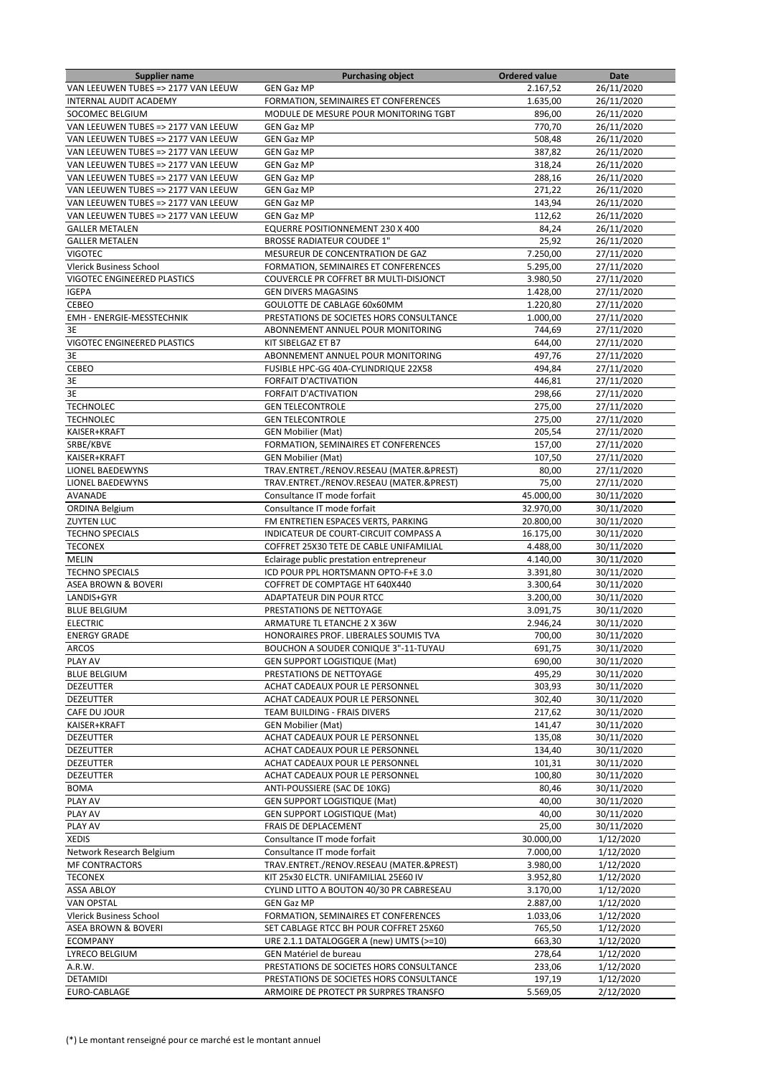| Supplier name                       | <b>Purchasing object</b>                 | Ordered value | Date       |
|-------------------------------------|------------------------------------------|---------------|------------|
| VAN LEEUWEN TUBES => 2177 VAN LEEUW | <b>GEN Gaz MP</b>                        | 2.167,52      | 26/11/2020 |
| INTERNAL AUDIT ACADEMY              | FORMATION, SEMINAIRES ET CONFERENCES     | 1.635,00      | 26/11/2020 |
| SOCOMEC BELGIUM                     | MODULE DE MESURE POUR MONITORING TGBT    | 896,00        | 26/11/2020 |
| VAN LEEUWEN TUBES => 2177 VAN LEEUW | <b>GEN Gaz MP</b>                        | 770,70        | 26/11/2020 |
| VAN LEEUWEN TUBES => 2177 VAN LEEUW | <b>GEN Gaz MP</b>                        | 508,48        | 26/11/2020 |
|                                     |                                          |               |            |
| VAN LEEUWEN TUBES => 2177 VAN LEEUW | <b>GEN Gaz MP</b>                        | 387,82        | 26/11/2020 |
| VAN LEEUWEN TUBES => 2177 VAN LEEUW | <b>GEN Gaz MP</b>                        | 318,24        | 26/11/2020 |
| VAN LEEUWEN TUBES => 2177 VAN LEEUW | <b>GEN Gaz MP</b>                        | 288,16        | 26/11/2020 |
| VAN LEEUWEN TUBES => 2177 VAN LEEUW | <b>GEN Gaz MP</b>                        | 271,22        | 26/11/2020 |
| VAN LEEUWEN TUBES => 2177 VAN LEEUW | <b>GEN Gaz MP</b>                        | 143,94        | 26/11/2020 |
| VAN LEEUWEN TUBES => 2177 VAN LEEUW | <b>GEN Gaz MP</b>                        | 112,62        | 26/11/2020 |
| <b>GALLER METALEN</b>               | EQUERRE POSITIONNEMENT 230 X 400         | 84,24         | 26/11/2020 |
| <b>GALLER METALEN</b>               | <b>BROSSE RADIATEUR COUDEE 1"</b>        | 25,92         | 26/11/2020 |
|                                     |                                          |               |            |
| <b>VIGOTEC</b>                      | MESUREUR DE CONCENTRATION DE GAZ         | 7.250,00      | 27/11/2020 |
| <b>Vlerick Business School</b>      | FORMATION, SEMINAIRES ET CONFERENCES     | 5.295,00      | 27/11/2020 |
| VIGOTEC ENGINEERED PLASTICS         | COUVERCLE PR COFFRET BR MULTI-DISJONCT   | 3.980,50      | 27/11/2020 |
| <b>IGEPA</b>                        | <b>GEN DIVERS MAGASINS</b>               | 1.428,00      | 27/11/2020 |
| <b>CEBEO</b>                        | GOULOTTE DE CABLAGE 60x60MM              | 1.220,80      | 27/11/2020 |
| EMH - ENERGIE-MESSTECHNIK           | PRESTATIONS DE SOCIETES HORS CONSULTANCE | 1.000,00      | 27/11/2020 |
| 3E                                  | ABONNEMENT ANNUEL POUR MONITORING        | 744,69        | 27/11/2020 |
| VIGOTEC ENGINEERED PLASTICS         | KIT SIBELGAZ ET B7                       | 644,00        | 27/11/2020 |
|                                     |                                          |               |            |
| 3E                                  | ABONNEMENT ANNUEL POUR MONITORING        | 497,76        | 27/11/2020 |
| CEBEO                               | FUSIBLE HPC-GG 40A-CYLINDRIQUE 22X58     | 494,84        | 27/11/2020 |
| 3E                                  | <b>FORFAIT D'ACTIVATION</b>              | 446,81        | 27/11/2020 |
| 3E                                  | <b>FORFAIT D'ACTIVATION</b>              | 298,66        | 27/11/2020 |
| <b>TECHNOLEC</b>                    | <b>GEN TELECONTROLE</b>                  | 275,00        | 27/11/2020 |
| <b>TECHNOLEC</b>                    | <b>GEN TELECONTROLE</b>                  | 275,00        | 27/11/2020 |
| KAISER+KRAFT                        | <b>GEN Mobilier (Mat)</b>                | 205,54        | 27/11/2020 |
| SRBE/KBVE                           | FORMATION, SEMINAIRES ET CONFERENCES     | 157,00        | 27/11/2020 |
| KAISER+KRAFT                        | <b>GEN Mobilier (Mat)</b>                | 107,50        | 27/11/2020 |
|                                     |                                          |               |            |
| LIONEL BAEDEWYNS                    | TRAV.ENTRET./RENOV.RESEAU (MATER.&PREST) | 80,00         | 27/11/2020 |
| <b>LIONEL BAEDEWYNS</b>             | TRAV.ENTRET./RENOV.RESEAU (MATER.&PREST) | 75,00         | 27/11/2020 |
| AVANADE                             | Consultance IT mode forfait              | 45.000,00     | 30/11/2020 |
| <b>ORDINA Belgium</b>               | Consultance IT mode forfait              | 32.970,00     | 30/11/2020 |
| <b>ZUYTEN LUC</b>                   | FM ENTRETIEN ESPACES VERTS, PARKING      | 20.800,00     | 30/11/2020 |
| <b>TECHNO SPECIALS</b>              | INDICATEUR DE COURT-CIRCUIT COMPASS A    | 16.175,00     | 30/11/2020 |
| <b>TECONEX</b>                      | COFFRET 25X30 TETE DE CABLE UNIFAMILIAL  | 4.488,00      | 30/11/2020 |
| <b>MELIN</b>                        | Eclairage public prestation entrepreneur | 4.140,00      | 30/11/2020 |
| <b>TECHNO SPECIALS</b>              | ICD POUR PPL HORTSMANN OPTO-F+E 3.0      | 3.391,80      | 30/11/2020 |
|                                     |                                          |               |            |
| ASEA BROWN & BOVERI                 | COFFRET DE COMPTAGE HT 640X440           | 3.300,64      | 30/11/2020 |
| LANDIS+GYR                          | <b>ADAPTATEUR DIN POUR RTCC</b>          | 3.200,00      | 30/11/2020 |
| <b>BLUE BELGIUM</b>                 | PRESTATIONS DE NETTOYAGE                 | 3.091,75      | 30/11/2020 |
| <b>ELECTRIC</b>                     | ARMATURE TL ETANCHE 2 X 36W              | 2.946,24      | 30/11/2020 |
| <b>ENERGY GRADE</b>                 | HONORAIRES PROF. LIBERALES SOUMIS TVA    | 700,00        | 30/11/2020 |
| <b>ARCOS</b>                        | BOUCHON A SOUDER CONIQUE 3"-11-TUYAU     | 691,75        | 30/11/2020 |
| PLAY AV                             | <b>GEN SUPPORT LOGISTIQUE (Mat)</b>      | 690,00        | 30/11/2020 |
| <b>BLUE BELGIUM</b>                 | PRESTATIONS DE NETTOYAGE                 | 495,29        | 30/11/2020 |
| <b>DEZEUTTER</b>                    |                                          |               | 30/11/2020 |
|                                     | ACHAT CADEAUX POUR LE PERSONNEL          | 303,93        |            |
| DEZEUTTER                           | ACHAT CADEAUX POUR LE PERSONNEL          | 302,40        | 30/11/2020 |
| CAFE DU JOUR                        | TEAM BUILDING - FRAIS DIVERS             | 217,62        | 30/11/2020 |
| KAISER+KRAFT                        | <b>GEN Mobilier (Mat)</b>                | 141,47        | 30/11/2020 |
| DEZEUTTER                           | ACHAT CADEAUX POUR LE PERSONNEL          | 135,08        | 30/11/2020 |
| <b>DEZEUTTER</b>                    | ACHAT CADEAUX POUR LE PERSONNEL          | 134,40        | 30/11/2020 |
| <b>DEZEUTTER</b>                    | ACHAT CADEAUX POUR LE PERSONNEL          | 101,31        | 30/11/2020 |
| DEZEUTTER                           | ACHAT CADEAUX POUR LE PERSONNEL          | 100,80        | 30/11/2020 |
| <b>BOMA</b>                         | ANTI-POUSSIERE (SAC DE 10KG)             | 80,46         | 30/11/2020 |
| PLAY AV                             | <b>GEN SUPPORT LOGISTIQUE (Mat)</b>      | 40,00         | 30/11/2020 |
|                                     |                                          |               |            |
| PLAY AV                             | <b>GEN SUPPORT LOGISTIQUE (Mat)</b>      | 40,00         | 30/11/2020 |
| PLAY AV                             | FRAIS DE DEPLACEMENT                     | 25,00         | 30/11/2020 |
| <b>XEDIS</b>                        | Consultance IT mode forfait              | 30.000,00     | 1/12/2020  |
| Network Research Belgium            | Consultance IT mode forfait              | 7.000,00      | 1/12/2020  |
| <b>MF CONTRACTORS</b>               | TRAV.ENTRET./RENOV.RESEAU (MATER.&PREST) | 3.980,00      | 1/12/2020  |
| <b>TECONEX</b>                      | KIT 25x30 ELCTR. UNIFAMILIAL 25E60 IV    | 3.952,80      | 1/12/2020  |
| <b>ASSA ABLOY</b>                   | CYLIND LITTO A BOUTON 40/30 PR CABRESEAU | 3.170,00      | 1/12/2020  |
| <b>VAN OPSTAL</b>                   | <b>GEN Gaz MP</b>                        | 2.887,00      | 1/12/2020  |
|                                     |                                          |               |            |
| Vlerick Business School             | FORMATION, SEMINAIRES ET CONFERENCES     | 1.033,06      | 1/12/2020  |
| ASEA BROWN & BOVERI                 | SET CABLAGE RTCC BH POUR COFFRET 25X60   | 765,50        | 1/12/2020  |
| <b>ECOMPANY</b>                     | URE 2.1.1 DATALOGGER A (new) UMTS (>=10) | 663,30        | 1/12/2020  |
| LYRECO BELGIUM                      | GEN Matériel de bureau                   | 278,64        | 1/12/2020  |
| A.R.W.                              | PRESTATIONS DE SOCIETES HORS CONSULTANCE | 233,06        | 1/12/2020  |
| DETAMIDI                            | PRESTATIONS DE SOCIETES HORS CONSULTANCE | 197,19        | 1/12/2020  |
| EURO-CABLAGE                        | ARMOIRE DE PROTECT PR SURPRES TRANSFO    | 5.569,05      | 2/12/2020  |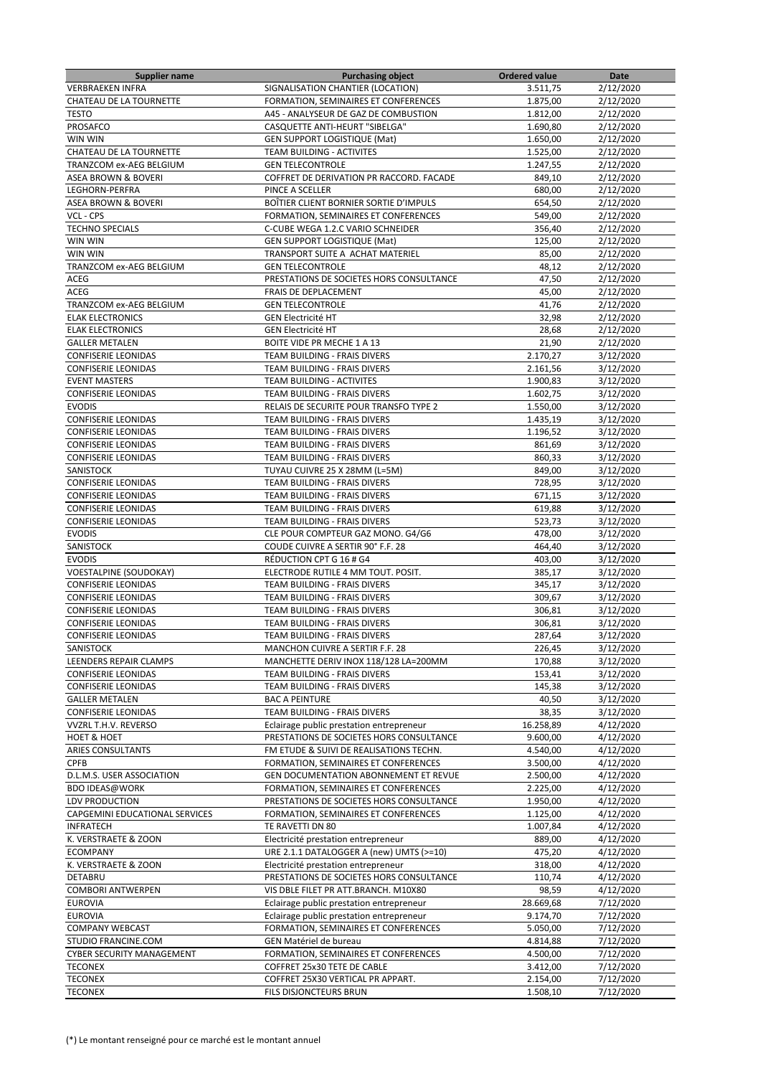| Supplier name                  | <b>Purchasing object</b>                                                         | <b>Ordered value</b> | Date      |
|--------------------------------|----------------------------------------------------------------------------------|----------------------|-----------|
| <b>VERBRAEKEN INFRA</b>        | SIGNALISATION CHANTIER (LOCATION)                                                | 3.511,75             | 2/12/2020 |
| CHATEAU DE LA TOURNETTE        | FORMATION, SEMINAIRES ET CONFERENCES                                             | 1.875,00             | 2/12/2020 |
| <b>TESTO</b>                   | A45 - ANALYSEUR DE GAZ DE COMBUSTION                                             | 1.812,00             | 2/12/2020 |
| PROSAFCO                       | CASQUETTE ANTI-HEURT "SIBELGA"                                                   | 1.690,80             | 2/12/2020 |
| WIN WIN                        | <b>GEN SUPPORT LOGISTIQUE (Mat)</b>                                              | 1.650,00             | 2/12/2020 |
| CHATEAU DE LA TOURNETTE        | TEAM BUILDING - ACTIVITES                                                        | 1.525,00             | 2/12/2020 |
| TRANZCOM ex-AEG BELGIUM        | <b>GEN TELECONTROLE</b>                                                          | 1.247,55             | 2/12/2020 |
| <b>ASEA BROWN &amp; BOVERI</b> | COFFRET DE DERIVATION PR RACCORD. FACADE                                         | 849,10               | 2/12/2020 |
| LEGHORN-PERFRA                 | PINCE A SCELLER                                                                  | 680,00               | 2/12/2020 |
| ASEA BROWN & BOVERI            | BOÎTIER CLIENT BORNIER SORTIE D'IMPULS                                           | 654,50               | 2/12/2020 |
| VCL - CPS                      | <b>FORMATION. SEMINAIRES ET CONFERENCES</b>                                      | 549,00               | 2/12/2020 |
| <b>TECHNO SPECIALS</b>         | C-CUBE WEGA 1.2.C VARIO SCHNEIDER                                                | 356,40               | 2/12/2020 |
| WIN WIN                        | <b>GEN SUPPORT LOGISTIQUE (Mat)</b>                                              | 125,00               | 2/12/2020 |
| WIN WIN                        | TRANSPORT SUITE A ACHAT MATERIEL                                                 | 85,00                | 2/12/2020 |
| TRANZCOM ex-AEG BELGIUM        | <b>GEN TELECONTROLE</b>                                                          | 48,12                | 2/12/2020 |
| ACEG                           | PRESTATIONS DE SOCIETES HORS CONSULTANCE                                         | 47,50                | 2/12/2020 |
| ACEG                           | FRAIS DE DEPLACEMENT                                                             | 45,00                | 2/12/2020 |
| TRANZCOM ex-AEG BELGIUM        | <b>GEN TELECONTROLE</b>                                                          | 41,76                | 2/12/2020 |
| <b>ELAK ELECTRONICS</b>        | <b>GEN Electricité HT</b>                                                        | 32,98                | 2/12/2020 |
| <b>ELAK ELECTRONICS</b>        | <b>GEN Electricité HT</b>                                                        | 28,68                | 2/12/2020 |
|                                | BOITE VIDE PR MECHE 1 A 13                                                       |                      |           |
| <b>GALLER METALEN</b>          |                                                                                  | 21,90                | 2/12/2020 |
| <b>CONFISERIE LEONIDAS</b>     | TEAM BUILDING - FRAIS DIVERS                                                     | 2.170,27             | 3/12/2020 |
| <b>CONFISERIE LEONIDAS</b>     | TEAM BUILDING - FRAIS DIVERS                                                     | 2.161,56             | 3/12/2020 |
| <b>EVENT MASTERS</b>           | <b>TEAM BUILDING - ACTIVITES</b>                                                 | 1.900,83             | 3/12/2020 |
| <b>CONFISERIE LEONIDAS</b>     | TEAM BUILDING - FRAIS DIVERS                                                     | 1.602,75             | 3/12/2020 |
| <b>EVODIS</b>                  | RELAIS DE SECURITE POUR TRANSFO TYPE 2                                           | 1.550,00             | 3/12/2020 |
| <b>CONFISERIE LEONIDAS</b>     | <b>TEAM BUILDING - FRAIS DIVERS</b>                                              | 1.435,19             | 3/12/2020 |
| <b>CONFISERIE LEONIDAS</b>     | TEAM BUILDING - FRAIS DIVERS                                                     | 1.196,52             | 3/12/2020 |
| <b>CONFISERIE LEONIDAS</b>     | TEAM BUILDING - FRAIS DIVERS                                                     | 861,69               | 3/12/2020 |
| <b>CONFISERIE LEONIDAS</b>     | TEAM BUILDING - FRAIS DIVERS                                                     | 860,33               | 3/12/2020 |
| SANISTOCK                      | TUYAU CUIVRE 25 X 28MM (L=5M)                                                    | 849,00               | 3/12/2020 |
| <b>CONFISERIE LEONIDAS</b>     | TEAM BUILDING - FRAIS DIVERS                                                     | 728,95               | 3/12/2020 |
| <b>CONFISERIE LEONIDAS</b>     | TEAM BUILDING - FRAIS DIVERS                                                     | 671,15               | 3/12/2020 |
| <b>CONFISERIE LEONIDAS</b>     | TEAM BUILDING - FRAIS DIVERS                                                     | 619,88               | 3/12/2020 |
| <b>CONFISERIE LEONIDAS</b>     | TEAM BUILDING - FRAIS DIVERS                                                     | 523,73               | 3/12/2020 |
| <b>EVODIS</b>                  | CLE POUR COMPTEUR GAZ MONO. G4/G6                                                | 478,00               | 3/12/2020 |
| SANISTOCK                      | COUDE CUIVRE A SERTIR 90° F.F. 28                                                | 464,40               | 3/12/2020 |
| <b>EVODIS</b>                  | RÉDUCTION CPT G 16 # G4                                                          | 403,00               | 3/12/2020 |
| <b>VOESTALPINE (SOUDOKAY)</b>  | ELECTRODE RUTILE 4 MM TOUT. POSIT.                                               | 385,17               | 3/12/2020 |
| <b>CONFISERIE LEONIDAS</b>     | TEAM BUILDING - FRAIS DIVERS                                                     | 345,17               | 3/12/2020 |
| <b>CONFISERIE LEONIDAS</b>     | TEAM BUILDING - FRAIS DIVERS                                                     | 309,67               | 3/12/2020 |
| <b>CONFISERIE LEONIDAS</b>     | TEAM BUILDING - FRAIS DIVERS                                                     | 306,81               | 3/12/2020 |
| <b>CONFISERIE LEONIDAS</b>     | TEAM BUILDING - FRAIS DIVERS                                                     | 306,81               | 3/12/2020 |
| <b>CONFISERIE LEONIDAS</b>     | <b>TEAM BUILDING - FRAIS DIVERS</b>                                              | 287,64               | 3/12/2020 |
| SANISTOCK                      | MANCHON CUIVRE A SERTIR F.F. 28                                                  | 226,45               | 3/12/2020 |
| LEENDERS REPAIR CLAMPS         | MANCHETTE DERIV INOX 118/128 LA=200MM                                            | 170,88               | 3/12/2020 |
| <b>CONFISERIE LEONIDAS</b>     | TEAM BUILDING - FRAIS DIVERS                                                     | 153,41               | 3/12/2020 |
| <b>CONFISERIE LEONIDAS</b>     | TEAM BUILDING - FRAIS DIVERS                                                     | 145,38               | 3/12/2020 |
| <b>GALLER METALEN</b>          | <b>BAC A PEINTURE</b>                                                            | 40,50                | 3/12/2020 |
| <b>CONFISERIE LEONIDAS</b>     | TEAM BUILDING - FRAIS DIVERS                                                     | 38,35                | 3/12/2020 |
| VVZRL T.H.V. REVERSO           | Eclairage public prestation entrepreneur                                         | 16.258,89            | 4/12/2020 |
| HOET & HOET                    | PRESTATIONS DE SOCIETES HORS CONSULTANCE                                         | 9.600,00             | 4/12/2020 |
| ARIES CONSULTANTS              | FM ETUDE & SUIVI DE REALISATIONS TECHN.                                          | 4.540,00             | 4/12/2020 |
| <b>CPFB</b>                    | FORMATION, SEMINAIRES ET CONFERENCES                                             | 3.500,00             | 4/12/2020 |
| D.L.M.S. USER ASSOCIATION      | GEN DOCUMENTATION ABONNEMENT ET REVUE                                            | 2.500,00             | 4/12/2020 |
|                                |                                                                                  |                      |           |
| <b>BDO IDEAS@WORK</b>          | FORMATION, SEMINAIRES ET CONFERENCES<br>PRESTATIONS DE SOCIETES HORS CONSULTANCE | 2.225,00             | 4/12/2020 |
| LDV PRODUCTION                 |                                                                                  | 1.950,00             | 4/12/2020 |
| CAPGEMINI EDUCATIONAL SERVICES | FORMATION, SEMINAIRES ET CONFERENCES                                             | 1.125,00             | 4/12/2020 |
| <b>INFRATECH</b>               | TE RAVETTI DN 80                                                                 | 1.007,84             | 4/12/2020 |
| K. VERSTRAETE & ZOON           | Electricité prestation entrepreneur                                              | 889,00               | 4/12/2020 |
| <b>ECOMPANY</b>                | URE 2.1.1 DATALOGGER A (new) UMTS (>=10)                                         | 475,20               | 4/12/2020 |
| K. VERSTRAETE & ZOON           | Electricité prestation entrepreneur                                              | 318,00               | 4/12/2020 |
| DETABRU                        | PRESTATIONS DE SOCIETES HORS CONSULTANCE                                         | 110,74               | 4/12/2020 |
| <b>COMBORI ANTWERPEN</b>       | VIS DBLE FILET PR ATT.BRANCH. M10X80                                             | 98,59                | 4/12/2020 |
| <b>EUROVIA</b>                 | Eclairage public prestation entrepreneur                                         | 28.669,68            | 7/12/2020 |
| <b>EUROVIA</b>                 | Eclairage public prestation entrepreneur                                         | 9.174,70             | 7/12/2020 |
| <b>COMPANY WEBCAST</b>         | FORMATION, SEMINAIRES ET CONFERENCES                                             | 5.050,00             | 7/12/2020 |
| STUDIO FRANCINE.COM            | GEN Matériel de bureau                                                           | 4.814,88             | 7/12/2020 |
| CYBER SECURITY MANAGEMENT      | FORMATION, SEMINAIRES ET CONFERENCES                                             | 4.500,00             | 7/12/2020 |
| <b>TECONEX</b>                 | COFFRET 25x30 TETE DE CABLE                                                      | 3.412,00             | 7/12/2020 |
| <b>TECONEX</b>                 | COFFRET 25X30 VERTICAL PR APPART.                                                | 2.154,00             | 7/12/2020 |
| <b>TECONEX</b>                 | FILS DISJONCTEURS BRUN                                                           | 1.508,10             | 7/12/2020 |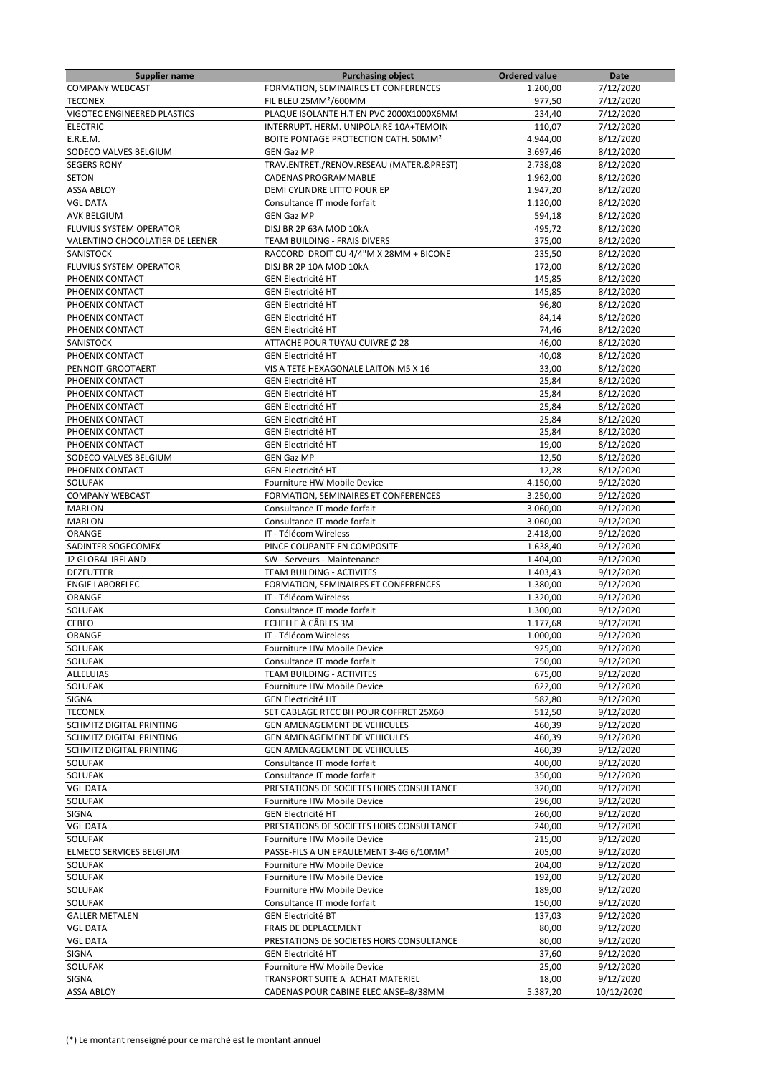| <b>Supplier name</b>            | <b>Purchasing object</b>                            | <b>Ordered value</b> | Date                   |
|---------------------------------|-----------------------------------------------------|----------------------|------------------------|
| <b>COMPANY WEBCAST</b>          | FORMATION, SEMINAIRES ET CONFERENCES                | 1.200,00             | 7/12/2020              |
| <b>TECONEX</b>                  | FIL BLEU 25MM <sup>2</sup> /600MM                   | 977,50               | 7/12/2020              |
| VIGOTEC ENGINEERED PLASTICS     | PLAQUE ISOLANTE H.T EN PVC 2000X1000X6MM            | 234,40               | 7/12/2020              |
| <b>ELECTRIC</b>                 | INTERRUPT. HERM. UNIPOLAIRE 10A+TEMOIN              | 110,07               | 7/12/2020              |
| E.R.E.M.                        | BOITE PONTAGE PROTECTION CATH. 50MM <sup>2</sup>    | 4.944,00             | 8/12/2020              |
| SODECO VALVES BELGIUM           | <b>GEN Gaz MP</b>                                   | 3.697,46             | 8/12/2020              |
| <b>SEGERS RONY</b>              | TRAV.ENTRET./RENOV.RESEAU (MATER.&PREST)            | 2.738,08             | 8/12/2020              |
| <b>SETON</b>                    | CADENAS PROGRAMMABLE                                | 1.962,00             | 8/12/2020              |
| <b>ASSA ABLOY</b>               | DEMI CYLINDRE LITTO POUR EP                         | 1.947,20             | 8/12/2020              |
| <b>VGL DATA</b>                 | Consultance IT mode forfait                         | 1.120,00             | 8/12/2020              |
| <b>AVK BELGIUM</b>              | <b>GEN Gaz MP</b>                                   | 594,18               | 8/12/2020              |
| <b>FLUVIUS SYSTEM OPERATOR</b>  | DISJ BR 2P 63A MOD 10kA                             | 495,72               | 8/12/2020              |
| VALENTINO CHOCOLATIER DE LEENER | <b>TEAM BUILDING - FRAIS DIVERS</b>                 | 375,00               | 8/12/2020              |
| SANISTOCK                       | RACCORD DROIT CU 4/4"M X 28MM + BICONE              | 235,50               | 8/12/2020              |
| FLUVIUS SYSTEM OPERATOR         | DISJ BR 2P 10A MOD 10kA                             | 172,00               | 8/12/2020              |
| PHOENIX CONTACT                 | <b>GEN Electricité HT</b>                           | 145,85               | 8/12/2020              |
| PHOENIX CONTACT                 | <b>GEN Electricité HT</b>                           | 145,85               | 8/12/2020              |
| PHOENIX CONTACT                 | <b>GEN Electricité HT</b>                           | 96,80                | 8/12/2020              |
| PHOENIX CONTACT                 | <b>GEN Electricité HT</b>                           | 84,14                | 8/12/2020              |
| PHOENIX CONTACT                 | <b>GEN Electricité HT</b>                           | 74,46                | 8/12/2020              |
| <b>SANISTOCK</b>                | ATTACHE POUR TUYAU CUIVRE Ø 28                      | 46,00                | 8/12/2020              |
| PHOENIX CONTACT                 | <b>GEN Electricité HT</b>                           | 40,08                | 8/12/2020              |
| PENNOIT-GROOTAERT               | VIS A TETE HEXAGONALE LAITON M5 X 16                | 33,00                | 8/12/2020              |
| PHOENIX CONTACT                 | <b>GEN Electricité HT</b>                           |                      |                        |
|                                 |                                                     | 25,84                | 8/12/2020              |
| PHOENIX CONTACT                 | <b>GEN Electricité HT</b>                           | 25,84                | 8/12/2020              |
| PHOENIX CONTACT                 | <b>GEN Electricité HT</b>                           | 25,84                | 8/12/2020              |
| PHOENIX CONTACT                 | <b>GEN Electricité HT</b>                           | 25,84                | 8/12/2020              |
| PHOENIX CONTACT                 | <b>GEN Electricité HT</b>                           | 25,84                | 8/12/2020              |
| PHOENIX CONTACT                 | <b>GEN Electricité HT</b>                           | 19,00                | 8/12/2020              |
| SODECO VALVES BELGIUM           | <b>GEN Gaz MP</b>                                   | 12,50                | 8/12/2020              |
| PHOENIX CONTACT                 | <b>GEN Electricité HT</b>                           | 12,28                | 8/12/2020              |
| SOLUFAK                         | Fourniture HW Mobile Device                         | 4.150,00             | 9/12/2020              |
| <b>COMPANY WEBCAST</b>          | FORMATION, SEMINAIRES ET CONFERENCES                | 3.250,00             | 9/12/2020              |
| <b>MARLON</b>                   | Consultance IT mode forfait                         | 3.060,00             | 9/12/2020              |
| <b>MARLON</b>                   | Consultance IT mode forfait                         | 3.060,00             | 9/12/2020              |
| ORANGE                          | IT - Télécom Wireless                               | 2.418,00             | 9/12/2020              |
| SADINTER SOGECOMEX              | PINCE COUPANTE EN COMPOSITE                         | 1.638,40             | 9/12/2020              |
| J2 GLOBAL IRELAND               | SW - Serveurs - Maintenance                         | 1.404,00             | 9/12/2020              |
| <b>DEZEUTTER</b>                | TEAM BUILDING - ACTIVITES                           | 1.403,43             | 9/12/2020              |
| <b>ENGIE LABORELEC</b>          | FORMATION, SEMINAIRES ET CONFERENCES                | 1.380,00             | 9/12/2020              |
| <b>ORANGE</b>                   | IT - Télécom Wireless                               | 1.320,00             | 9/12/2020              |
| SOLUFAK                         | Consultance IT mode forfait                         | 1.300,00             | 9/12/2020              |
| CEBEO                           | ECHELLE À CÂBLES 3M                                 | 1.177,68             | 9/12/2020              |
| <b>ORANGE</b>                   | IT - Télécom Wireless                               | 1.000,00             | 9/12/2020              |
| SOLUFAK                         | Fourniture HW Mobile Device                         | 925,00               | 9/12/2020              |
| <b>SOLUFAK</b>                  | Consultance IT mode forfait                         | 750,00               | 9/12/2020              |
| <b>ALLELUIAS</b>                | TEAM BUILDING - ACTIVITES                           | 675,00               | 9/12/2020              |
| SOLUFAK                         | Fourniture HW Mobile Device                         | 622,00               | 9/12/2020              |
| SIGNA                           | <b>GEN Electricité HT</b>                           | 582,80               | 9/12/2020              |
| <b>TECONEX</b>                  | SET CABLAGE RTCC BH POUR COFFRET 25X60              | 512.50               | 9/12/2020              |
| SCHMITZ DIGITAL PRINTING        | <b>GEN AMENAGEMENT DE VEHICULES</b>                 | 460,39               | 9/12/2020              |
| SCHMITZ DIGITAL PRINTING        | GEN AMENAGEMENT DE VEHICULES                        | 460,39               | 9/12/2020              |
| SCHMITZ DIGITAL PRINTING        | <b>GEN AMENAGEMENT DE VEHICULES</b>                 | 460,39               | 9/12/2020              |
| <b>SOLUFAK</b>                  | Consultance IT mode forfait                         | 400.00               | 9/12/2020              |
| SOLUFAK                         | Consultance IT mode forfait                         | 350,00               | 9/12/2020              |
| <b>VGL DATA</b>                 | PRESTATIONS DE SOCIETES HORS CONSULTANCE            | 320,00               | 9/12/2020              |
| <b>SOLUFAK</b>                  | Fourniture HW Mobile Device                         | 296,00               | 9/12/2020              |
| <b>SIGNA</b>                    | <b>GEN Electricité HT</b>                           | 260,00               | 9/12/2020              |
| <b>VGL DATA</b>                 | PRESTATIONS DE SOCIETES HORS CONSULTANCE            | 240,00               | 9/12/2020              |
| SOLUFAK                         | Fourniture HW Mobile Device                         | 215,00               | 9/12/2020              |
| ELMECO SERVICES BELGIUM         | PASSE-FILS A UN EPAULEMENT 3-4G 6/10MM <sup>2</sup> | 205,00               | 9/12/2020              |
| <b>SOLUFAK</b>                  | Fourniture HW Mobile Device                         | 204,00               | 9/12/2020              |
| SOLUFAK                         | Fourniture HW Mobile Device                         | 192,00               | 9/12/2020              |
| SOLUFAK                         | Fourniture HW Mobile Device                         | 189,00               | $\frac{1}{9}$ /12/2020 |
| SOLUFAK                         | Consultance IT mode forfait                         | 150,00               | 9/12/2020              |
| <b>GALLER METALEN</b>           | <b>GEN Electricité BT</b>                           | 137,03               | 9/12/2020              |
| <b>VGL DATA</b>                 | FRAIS DE DEPLACEMENT                                | 80,00                | 9/12/2020              |
| <b>VGL DATA</b>                 | PRESTATIONS DE SOCIETES HORS CONSULTANCE            | 80,00                | 9/12/2020              |
| <b>SIGNA</b>                    | <b>GEN Electricité HT</b>                           | 37,60                | 9/12/2020              |
| SOLUFAK                         | Fourniture HW Mobile Device                         | 25,00                | 9/12/2020              |
| SIGNA                           | TRANSPORT SUITE A ACHAT MATERIEL                    | 18,00                | 9/12/2020              |
| <b>ASSA ABLOY</b>               | CADENAS POUR CABINE ELEC ANSE=8/38MM                | 5.387,20             | 10/12/2020             |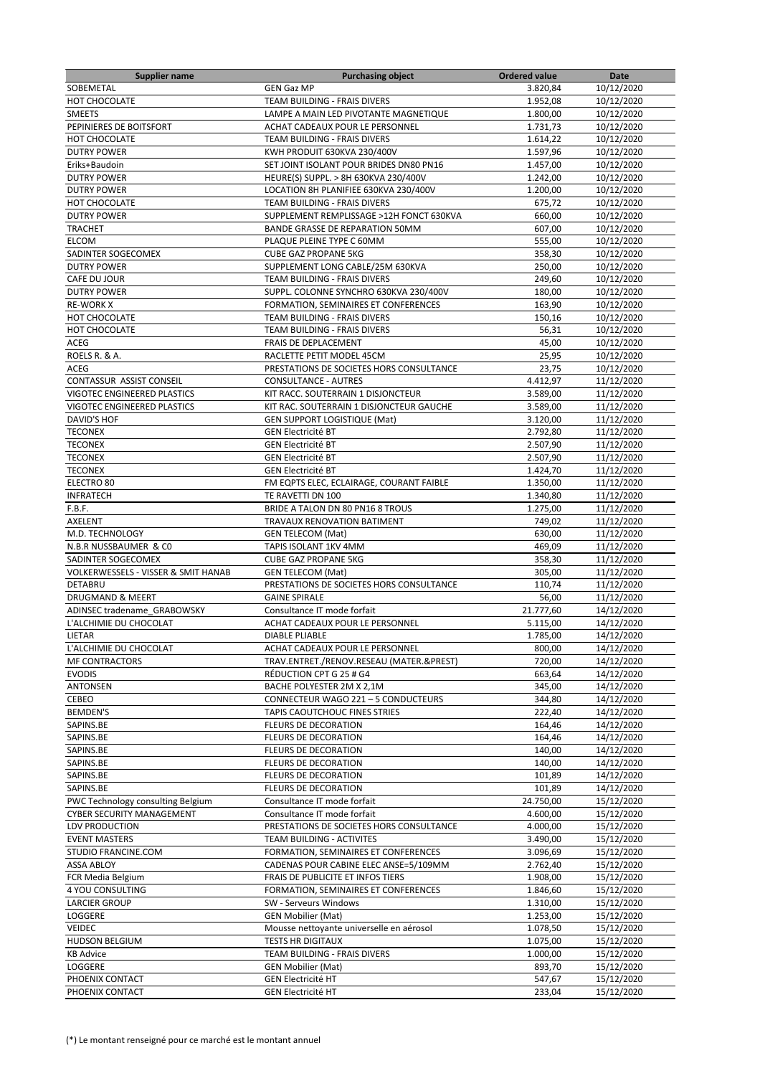| <b>Supplier name</b>                                  | <b>Purchasing object</b>                                                    | <b>Ordered value</b> | Date                     |
|-------------------------------------------------------|-----------------------------------------------------------------------------|----------------------|--------------------------|
| SOBEMETAL                                             | <b>GEN Gaz MP</b>                                                           | 3.820,84             | 10/12/2020               |
| HOT CHOCOLATE                                         | TEAM BUILDING - FRAIS DIVERS                                                | 1.952,08             | 10/12/2020               |
| <b>SMEETS</b>                                         | LAMPE A MAIN LED PIVOTANTE MAGNETIQUE                                       | 1.800,00             | 10/12/2020               |
| PEPINIERES DE BOITSFORT                               | ACHAT CADEAUX POUR LE PERSONNEL                                             | 1.731,73             | 10/12/2020               |
| HOT CHOCOLATE                                         | TEAM BUILDING - FRAIS DIVERS                                                | 1.614,22             | 10/12/2020               |
| <b>DUTRY POWER</b>                                    | KWH PRODUIT 630KVA 230/400V                                                 | 1.597,96             | 10/12/2020               |
| Eriks+Baudoin                                         | SET JOINT ISOLANT POUR BRIDES DN80 PN16                                     | 1.457,00             | 10/12/2020               |
| <b>DUTRY POWER</b>                                    | HEURE(S) SUPPL. > 8H 630KVA 230/400V                                        | 1.242,00             | 10/12/2020               |
| <b>DUTRY POWER</b>                                    | LOCATION 8H PLANIFIEE 630KVA 230/400V                                       | 1.200,00             | 10/12/2020               |
| HOT CHOCOLATE                                         | TEAM BUILDING - FRAIS DIVERS                                                | 675,72               | 10/12/2020               |
| <b>DUTRY POWER</b>                                    | SUPPLEMENT REMPLISSAGE >12H FONCT 630KVA                                    | 660,00               | 10/12/2020               |
| <b>TRACHET</b>                                        | BANDE GRASSE DE REPARATION 50MM                                             | 607,00               | 10/12/2020               |
| ELCOM                                                 | PLAQUE PLEINE TYPE C 60MM                                                   | 555,00               | 10/12/2020               |
| SADINTER SOGECOMEX                                    | <b>CUBE GAZ PROPANE 5KG</b>                                                 | 358,30               | 10/12/2020               |
| <b>DUTRY POWER</b>                                    | SUPPLEMENT LONG CABLE/25M 630KVA                                            | 250,00               | 10/12/2020               |
| CAFE DU JOUR                                          | TEAM BUILDING - FRAIS DIVERS                                                | 249,60               | 10/12/2020               |
| <b>DUTRY POWER</b>                                    | SUPPL. COLONNE SYNCHRO 630KVA 230/400V                                      | 180,00               | 10/12/2020               |
| <b>RE-WORK X</b>                                      | FORMATION, SEMINAIRES ET CONFERENCES                                        | 163,90               | 10/12/2020               |
| HOT CHOCOLATE                                         | TEAM BUILDING - FRAIS DIVERS                                                | 150,16               | 10/12/2020               |
| HOT CHOCOLATE                                         | TEAM BUILDING - FRAIS DIVERS                                                | 56,31                | 10/12/2020               |
| <b>ACEG</b>                                           | FRAIS DE DEPLACEMENT                                                        | 45,00                | 10/12/2020               |
| ROELS R. & A.                                         | RACLETTE PETIT MODEL 45CM                                                   | 25,95                | 10/12/2020               |
| ACEG                                                  | PRESTATIONS DE SOCIETES HORS CONSULTANCE                                    | 23,75                | 10/12/2020               |
| CONTASSUR ASSIST CONSEIL                              | <b>CONSULTANCE - AUTRES</b>                                                 | 4.412,97             | 11/12/2020               |
| VIGOTEC ENGINEERED PLASTICS                           | KIT RACC. SOUTERRAIN 1 DISJONCTEUR                                          | 3.589,00             | 11/12/2020               |
| VIGOTEC ENGINEERED PLASTICS                           | KIT RAC. SOUTERRAIN 1 DISJONCTEUR GAUCHE                                    | 3.589,00             | 11/12/2020               |
| <b>DAVID'S HOF</b>                                    | <b>GEN SUPPORT LOGISTIQUE (Mat)</b>                                         | 3.120,00             | 11/12/2020               |
| <b>TECONEX</b>                                        | <b>GEN Electricité BT</b>                                                   | 2.792,80             | 11/12/2020               |
| <b>TECONEX</b>                                        | <b>GEN Electricité BT</b>                                                   | 2.507,90             | 11/12/2020               |
| <b>TECONEX</b>                                        | <b>GEN Electricité BT</b>                                                   | 2.507,90             | 11/12/2020               |
| <b>TECONEX</b>                                        | <b>GEN Electricité BT</b>                                                   | 1.424,70             | 11/12/2020               |
| ELECTRO 80                                            |                                                                             | 1.350,00             | 11/12/2020               |
| <b>INFRATECH</b>                                      | FM EQPTS ELEC, ECLAIRAGE, COURANT FAIBLE<br>TE RAVETTI DN 100               | 1.340,80             |                          |
|                                                       | BRIDE A TALON DN 80 PN16 8 TROUS                                            |                      | 11/12/2020               |
| F.B.F.                                                |                                                                             | 1.275,00             | 11/12/2020               |
| AXELENT                                               | TRAVAUX RENOVATION BATIMENT                                                 | 749,02               | 11/12/2020<br>11/12/2020 |
| M.D. TECHNOLOGY                                       | <b>GEN TELECOM (Mat)</b><br>TAPIS ISOLANT 1KV 4MM                           | 630,00               |                          |
| N.B.R NUSSBAUMER & CO<br>SADINTER SOGECOMEX           | <b>CUBE GAZ PROPANE 5KG</b>                                                 | 469,09<br>358,30     | 11/12/2020<br>11/12/2020 |
| <b>VOLKERWESSELS - VISSER &amp; SMIT HANAB</b>        | <b>GEN TELECOM (Mat)</b>                                                    | 305,00               | 11/12/2020               |
| <b>DETABRU</b>                                        | PRESTATIONS DE SOCIETES HORS CONSULTANCE                                    |                      | 11/12/2020               |
| <b>DRUGMAND &amp; MEERT</b>                           | <b>GAINE SPIRALE</b>                                                        | 110,74<br>56,00      | 11/12/2020               |
|                                                       | Consultance IT mode forfait                                                 | 21.777,60            | 14/12/2020               |
| ADINSEC tradename GRABOWSKY<br>L'ALCHIMIE DU CHOCOLAT | ACHAT CADEAUX POUR LE PERSONNEL                                             |                      |                          |
| LIETAR                                                | <b>DIABLE PLIABLE</b>                                                       | 5.115,00             | 14/12/2020<br>14/12/2020 |
| L'ALCHIMIE DU CHOCOLAT                                |                                                                             | 1.785,00<br>800,00   |                          |
| MF CONTRACTORS                                        | ACHAT CADEAUX POUR LE PERSONNEL<br>TRAV.ENTRET./RENOV.RESEAU (MATER.&PREST) | 720,00               | 14/12/2020               |
| <b>EVODIS</b>                                         |                                                                             |                      | 14/12/2020<br>14/12/2020 |
| <b>ANTONSEN</b>                                       | RÉDUCTION CPT G 25 # G4                                                     | 663,64<br>345,00     | 14/12/2020               |
|                                                       | BACHE POLYESTER 2M X 2,1M                                                   |                      |                          |
| CEBEO                                                 | CONNECTEUR WAGO 221 - 5 CONDUCTEURS<br>TAPIS CAOUTCHOUC FINES STRIES        | 344,80               | 14/12/2020               |
| <b>BEMDEN'S</b>                                       |                                                                             | 222,40               | 14/12/2020               |
| SAPINS.BE                                             | <b>FLEURS DE DECORATION</b>                                                 | 164,46               | 14/12/2020               |
| SAPINS.BE                                             | FLEURS DE DECORATION                                                        | 164,46               | 14/12/2020               |
| SAPINS.BE                                             | <b>FLEURS DE DECORATION</b>                                                 | 140,00               | 14/12/2020               |
| SAPINS.BE<br>SAPINS.BE                                | <b>FLEURS DE DECORATION</b>                                                 | 140,00<br>101,89     | 14/12/2020               |
|                                                       | <b>FLEURS DE DECORATION</b>                                                 |                      | 14/12/2020               |
| SAPINS.BE                                             | <b>FLEURS DE DECORATION</b>                                                 | 101,89               | 14/12/2020               |
| PWC Technology consulting Belgium                     | Consultance IT mode forfait                                                 | 24.750,00            | 15/12/2020               |
| CYBER SECURITY MANAGEMENT                             | Consultance IT mode forfait                                                 | 4.600,00             | 15/12/2020               |
| LDV PRODUCTION                                        | PRESTATIONS DE SOCIETES HORS CONSULTANCE                                    | 4.000,00             | 15/12/2020               |
| <b>EVENT MASTERS</b>                                  | TEAM BUILDING - ACTIVITES                                                   | 3.490,00             | 15/12/2020               |
| STUDIO FRANCINE.COM                                   | FORMATION, SEMINAIRES ET CONFERENCES                                        | 3.096,69             | 15/12/2020               |
| <b>ASSA ABLOY</b>                                     | CADENAS POUR CABINE ELEC ANSE=5/109MM                                       | 2.762,40             | 15/12/2020               |
| FCR Media Belgium                                     | FRAIS DE PUBLICITE ET INFOS TIERS                                           | 1.908,00             | 15/12/2020               |
| 4 YOU CONSULTING                                      | FORMATION, SEMINAIRES ET CONFERENCES                                        | 1.846,60             | 15/12/2020               |
| <b>LARCIER GROUP</b>                                  | SW - Serveurs Windows                                                       | 1.310,00             | 15/12/2020               |
| LOGGERE                                               | <b>GEN Mobilier (Mat)</b>                                                   | 1.253,00             | 15/12/2020               |
| <b>VEIDEC</b>                                         | Mousse nettoyante universelle en aérosol                                    | 1.078,50             | 15/12/2020               |
| <b>HUDSON BELGIUM</b>                                 | <b>TESTS HR DIGITAUX</b>                                                    | 1.075,00             | 15/12/2020               |
| <b>KB Advice</b>                                      | TEAM BUILDING - FRAIS DIVERS                                                | 1.000,00             | 15/12/2020               |
| LOGGERE                                               | <b>GEN Mobilier (Mat)</b>                                                   | 893,70               | 15/12/2020               |
| PHOENIX CONTACT                                       | <b>GEN Electricité HT</b>                                                   | 547,67               | 15/12/2020               |
| PHOENIX CONTACT                                       | <b>GEN Electricité HT</b>                                                   | 233,04               | 15/12/2020               |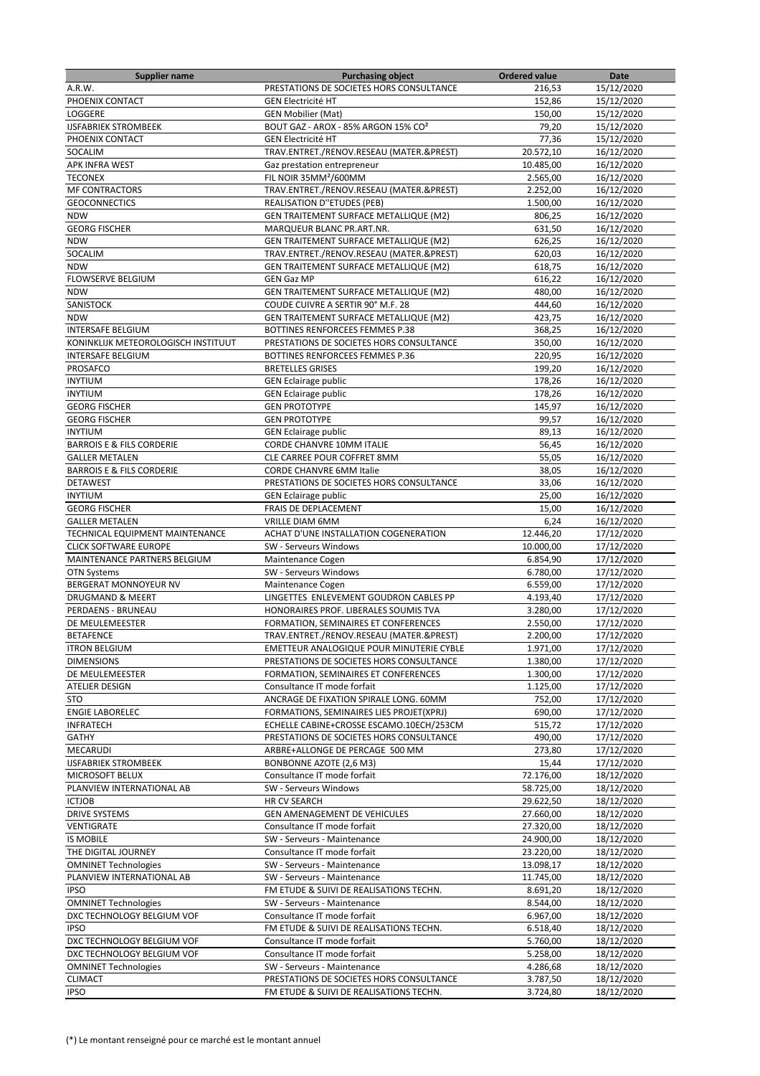| <b>Supplier name</b>                 | <b>Purchasing object</b>                        | <b>Ordered value</b> | Date       |
|--------------------------------------|-------------------------------------------------|----------------------|------------|
| A.R.W.                               | PRESTATIONS DE SOCIETES HORS CONSULTANCE        | 216,53               | 15/12/2020 |
| PHOENIX CONTACT                      | <b>GEN Electricité HT</b>                       | 152,86               | 15/12/2020 |
| LOGGERE                              | <b>GEN Mobilier (Mat)</b>                       | 150,00               | 15/12/2020 |
| <b>IJSFABRIEK STROMBEEK</b>          | BOUT GAZ - AROX - 85% ARGON 15% CO <sup>2</sup> | 79,20                | 15/12/2020 |
| PHOENIX CONTACT                      | <b>GEN Electricité HT</b>                       | 77,36                | 15/12/2020 |
| SOCALIM                              | TRAV.ENTRET./RENOV.RESEAU (MATER.&PREST)        | 20.572,10            | 16/12/2020 |
|                                      |                                                 |                      |            |
| <b>APK INFRA WEST</b>                | Gaz prestation entrepreneur                     | 10.485,00            | 16/12/2020 |
| <b>TECONEX</b>                       | FIL NOIR 35MM <sup>2</sup> /600MM               | 2.565,00             | 16/12/2020 |
| <b>MF CONTRACTORS</b>                | TRAV.ENTRET./RENOV.RESEAU (MATER.&PREST)        | 2.252,00             | 16/12/2020 |
| <b>GEOCONNECTICS</b>                 | REALISATION D"ETUDES (PEB)                      | 1.500,00             | 16/12/2020 |
| <b>NDW</b>                           | GEN TRAITEMENT SURFACE METALLIQUE (M2)          | 806,25               | 16/12/2020 |
| <b>GEORG FISCHER</b>                 | MARQUEUR BLANC PR.ART.NR.                       | 631,50               | 16/12/2020 |
| <b>NDW</b>                           | GEN TRAITEMENT SURFACE METALLIQUE (M2)          | 626,25               | 16/12/2020 |
| SOCALIM                              | TRAV.ENTRET./RENOV.RESEAU (MATER.&PREST)        | 620,03               | 16/12/2020 |
| <b>NDW</b>                           | GEN TRAITEMENT SURFACE METALLIQUE (M2)          | 618,75               | 16/12/2020 |
| FLOWSERVE BELGIUM                    | <b>GEN Gaz MP</b>                               | 616,22               | 16/12/2020 |
| <b>NDW</b>                           | GEN TRAITEMENT SURFACE METALLIQUE (M2)          | 480,00               | 16/12/2020 |
|                                      |                                                 |                      |            |
| SANISTOCK                            | COUDE CUIVRE A SERTIR 90° M.F. 28               | 444,60               | 16/12/2020 |
| <b>NDW</b>                           | GEN TRAITEMENT SURFACE METALLIQUE (M2)          | 423,75               | 16/12/2020 |
| INTERSAFE BELGIUM                    | BOTTINES RENFORCEES FEMMES P.38                 | 368,25               | 16/12/2020 |
| KONINKLIJK METEOROLOGISCH INSTITUUT  | PRESTATIONS DE SOCIETES HORS CONSULTANCE        | 350,00               | 16/12/2020 |
| <b>INTERSAFE BELGIUM</b>             | BOTTINES RENFORCEES FEMMES P.36                 | 220,95               | 16/12/2020 |
| PROSAFCO                             | <b>BRETELLES GRISES</b>                         | 199,20               | 16/12/2020 |
| <b>INYTIUM</b>                       | <b>GEN Eclairage public</b>                     | 178,26               | 16/12/2020 |
| <b>INYTIUM</b>                       | <b>GEN Eclairage public</b>                     | 178,26               | 16/12/2020 |
| <b>GEORG FISCHER</b>                 | <b>GEN PROTOTYPE</b>                            | 145,97               | 16/12/2020 |
| <b>GEORG FISCHER</b>                 | <b>GEN PROTOTYPE</b>                            | 99,57                | 16/12/2020 |
| <b>INYTIUM</b>                       | <b>GEN Eclairage public</b>                     | 89,13                | 16/12/2020 |
| <b>BARROIS E &amp; FILS CORDERIE</b> | CORDE CHANVRE 10MM ITALIE                       | 56,45                | 16/12/2020 |
|                                      |                                                 |                      |            |
| <b>GALLER METALEN</b>                | CLE CARREE POUR COFFRET 8MM                     | 55,05                | 16/12/2020 |
| <b>BARROIS E &amp; FILS CORDERIE</b> | CORDE CHANVRE 6MM Italie                        | 38,05                | 16/12/2020 |
| <b>DETAWEST</b>                      | PRESTATIONS DE SOCIETES HORS CONSULTANCE        | 33,06                | 16/12/2020 |
| <b>INYTIUM</b>                       | <b>GEN Eclairage public</b>                     | 25,00                | 16/12/2020 |
| <b>GEORG FISCHER</b>                 | FRAIS DE DEPLACEMENT                            | 15,00                | 16/12/2020 |
| <b>GALLER METALEN</b>                | <b>VRILLE DIAM 6MM</b>                          | 6,24                 | 16/12/2020 |
| TECHNICAL EQUIPMENT MAINTENANCE      | ACHAT D'UNE INSTALLATION COGENERATION           | 12.446,20            | 17/12/2020 |
| <b>CLICK SOFTWARE EUROPE</b>         | SW - Serveurs Windows                           | 10.000,00            | 17/12/2020 |
| MAINTENANCE PARTNERS BELGIUM         | Maintenance Cogen                               | 6.854,90             | 17/12/2020 |
| <b>OTN Systems</b>                   | SW - Serveurs Windows                           | 6.780,00             | 17/12/2020 |
| BERGERAT MONNOYEUR NV                | Maintenance Cogen                               | 6.559,00             | 17/12/2020 |
| <b>DRUGMAND &amp; MEERT</b>          | LINGETTES ENLEVEMENT GOUDRON CABLES PP          | 4.193,40             | 17/12/2020 |
| PERDAENS - BRUNEAU                   | HONORAIRES PROF. LIBERALES SOUMIS TVA           | 3.280,00             | 17/12/2020 |
| DE MEULEMEESTER                      | FORMATION, SEMINAIRES ET CONFERENCES            | 2.550,00             | 17/12/2020 |
| <b>BETAFENCE</b>                     | TRAV.ENTRET./RENOV.RESEAU (MATER.&PREST)        | 2.200,00             | 17/12/2020 |
| <b>ITRON BELGIUM</b>                 | EMETTEUR ANALOGIQUE POUR MINUTERIE CYBLE        | 1.971,00             | 17/12/2020 |
| <b>DIMENSIONS</b>                    | PRESTATIONS DE SOCIETES HORS CONSULTANCE        | 1.380,00             | 17/12/2020 |
| DE MEULEMEESTER                      | FORMATION, SEMINAIRES ET CONFERENCES            | 1.300,00             | 17/12/2020 |
| ATELIER DESIGN                       | Consultance IT mode forfait                     | 1.125,00             | 17/12/2020 |
| STO                                  | ANCRAGE DE FIXATION SPIRALE LONG. 60MM          | 752,00               | 17/12/2020 |
| <b>ENGIE LABORELEC</b>               | FORMATIONS, SEMINAIRES LIES PROJET(XPRJ)        | 690,00               | 17/12/2020 |
| <b>INFRATECH</b>                     | ECHELLE CABINE+CROSSE ESCAMO.10ECH/253CM        | 515,72               | 17/12/2020 |
| GATHY                                | PRESTATIONS DE SOCIETES HORS CONSULTANCE        | 490,00               | 17/12/2020 |
| MECARUDI                             | ARBRE+ALLONGE DE PERCAGE 500 MM                 | 273,80               | 17/12/2020 |
|                                      |                                                 |                      |            |
| <b>IJSFABRIEK STROMBEEK</b>          | BONBONNE AZOTE (2,6 M3)                         | 15,44                | 17/12/2020 |
| MICROSOFT BELUX                      | Consultance IT mode forfait                     | 72.176,00            | 18/12/2020 |
| PLANVIEW INTERNATIONAL AB            | SW - Serveurs Windows                           | 58.725,00            | 18/12/2020 |
| <b>ICTJOB</b>                        | HR CV SEARCH                                    | 29.622,50            | 18/12/2020 |
| <b>DRIVE SYSTEMS</b>                 | GEN AMENAGEMENT DE VEHICULES                    | 27.660,00            | 18/12/2020 |
| VENTIGRATE                           | Consultance IT mode forfait                     | 27.320,00            | 18/12/2020 |
| <b>IS MOBILE</b>                     | SW - Serveurs - Maintenance                     | 24.900,00            | 18/12/2020 |
| THE DIGITAL JOURNEY                  | Consultance IT mode forfait                     | 23.220,00            | 18/12/2020 |
| <b>OMNINET Technologies</b>          | SW - Serveurs - Maintenance                     | 13.098,17            | 18/12/2020 |
| PLANVIEW INTERNATIONAL AB            | SW - Serveurs - Maintenance                     | 11.745,00            | 18/12/2020 |
| <b>IPSO</b>                          | FM ETUDE & SUIVI DE REALISATIONS TECHN.         | 8.691,20             | 18/12/2020 |
| <b>OMNINET Technologies</b>          | SW - Serveurs - Maintenance                     | 8.544,00             | 18/12/2020 |
| DXC TECHNOLOGY BELGIUM VOF           | Consultance IT mode forfait                     | 6.967,00             | 18/12/2020 |
| <b>IPSO</b>                          | FM ETUDE & SUIVI DE REALISATIONS TECHN.         | 6.518,40             | 18/12/2020 |
| DXC TECHNOLOGY BELGIUM VOF           | Consultance IT mode forfait                     | 5.760,00             | 18/12/2020 |
| DXC TECHNOLOGY BELGIUM VOF           | Consultance IT mode forfait                     | 5.258,00             | 18/12/2020 |
| <b>OMNINET Technologies</b>          | SW - Serveurs - Maintenance                     | 4.286,68             | 18/12/2020 |
| <b>CLIMACT</b>                       | PRESTATIONS DE SOCIETES HORS CONSULTANCE        | 3.787,50             | 18/12/2020 |
| <b>IPSO</b>                          | FM ETUDE & SUIVI DE REALISATIONS TECHN.         | 3.724,80             | 18/12/2020 |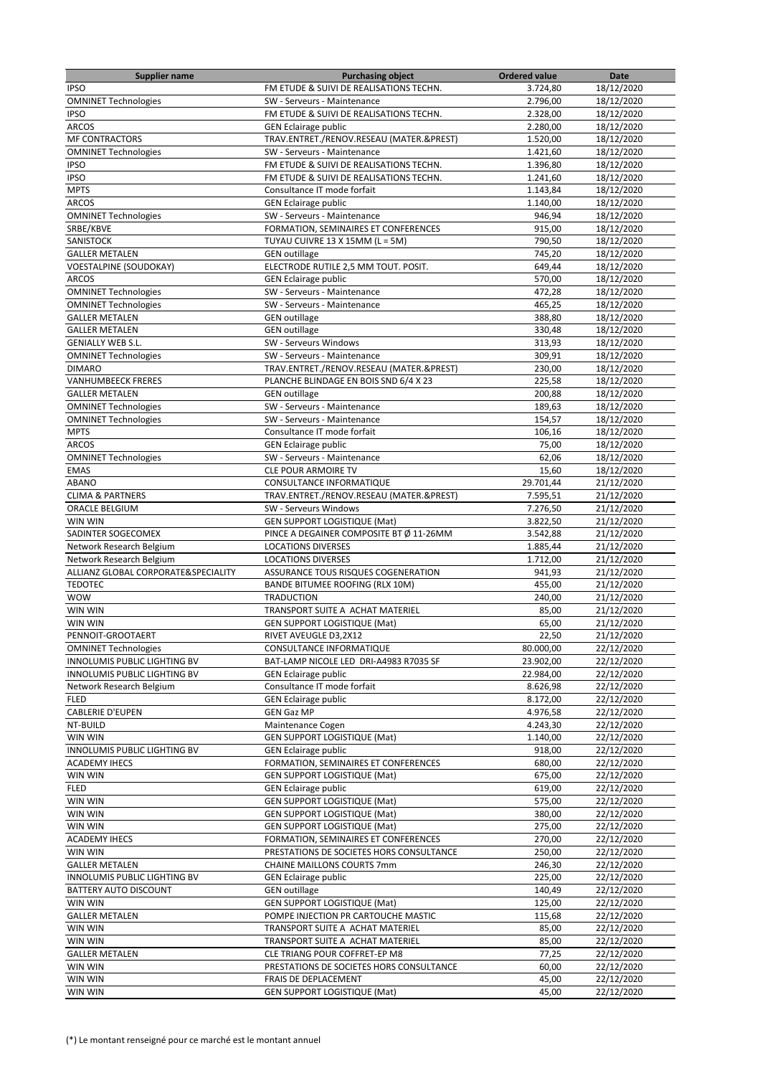| <b>Supplier name</b>                                 | <b>Purchasing object</b>                 | <b>Ordered value</b> | Date       |
|------------------------------------------------------|------------------------------------------|----------------------|------------|
| <b>IPSO</b>                                          | FM ETUDE & SUIVI DE REALISATIONS TECHN.  | 3.724,80             | 18/12/2020 |
| <b>OMNINET Technologies</b>                          | SW - Serveurs - Maintenance              | 2.796,00             | 18/12/2020 |
| <b>IPSO</b>                                          | FM ETUDE & SUIVI DE REALISATIONS TECHN.  | 2.328,00             | 18/12/2020 |
| <b>ARCOS</b>                                         | <b>GEN Eclairage public</b>              | 2.280,00             | 18/12/2020 |
| <b>MF CONTRACTORS</b>                                | TRAV.ENTRET./RENOV.RESEAU (MATER.&PREST) | 1.520,00             | 18/12/2020 |
| <b>OMNINET Technologies</b>                          | SW - Serveurs - Maintenance              | 1.421,60             | 18/12/2020 |
| <b>IPSO</b>                                          | FM ETUDE & SUIVI DE REALISATIONS TECHN.  | 1.396,80             | 18/12/2020 |
| <b>IPSO</b>                                          | FM ETUDE & SUIVI DE REALISATIONS TECHN.  | 1.241,60             | 18/12/2020 |
| <b>MPTS</b>                                          | Consultance IT mode forfait              | 1.143,84             | 18/12/2020 |
| <b>ARCOS</b>                                         | <b>GEN Eclairage public</b>              | 1.140,00             | 18/12/2020 |
| <b>OMNINET Technologies</b>                          | SW - Serveurs - Maintenance              | 946,94               | 18/12/2020 |
| SRBE/KBVE                                            | FORMATION, SEMINAIRES ET CONFERENCES     | 915,00               | 18/12/2020 |
| SANISTOCK                                            | TUYAU CUIVRE 13 X 15MM (L = 5M)          | 790,50               | 18/12/2020 |
| <b>GALLER METALEN</b>                                |                                          | 745,20               |            |
|                                                      | <b>GEN outillage</b>                     |                      | 18/12/2020 |
| <b>VOESTALPINE (SOUDOKAY)</b>                        | ELECTRODE RUTILE 2,5 MM TOUT. POSIT.     | 649,44               | 18/12/2020 |
| <b>ARCOS</b>                                         | <b>GEN Eclairage public</b>              | 570,00               | 18/12/2020 |
| <b>OMNINET Technologies</b>                          | SW - Serveurs - Maintenance              | 472,28               | 18/12/2020 |
| <b>OMNINET Technologies</b>                          | SW - Serveurs - Maintenance              | 465,25               | 18/12/2020 |
| <b>GALLER METALEN</b>                                | <b>GEN outillage</b>                     | 388,80               | 18/12/2020 |
| <b>GALLER METALEN</b>                                | <b>GEN</b> outillage                     | 330,48               | 18/12/2020 |
| <b>GENIALLY WEB S.L.</b>                             | SW - Serveurs Windows                    | 313,93               | 18/12/2020 |
| <b>OMNINET Technologies</b>                          | SW - Serveurs - Maintenance              | 309,91               | 18/12/2020 |
| <b>DIMARO</b>                                        | TRAV.ENTRET./RENOV.RESEAU (MATER.&PREST) | 230,00               | 18/12/2020 |
| <b>VANHUMBEECK FRERES</b>                            | PLANCHE BLINDAGE EN BOIS SND 6/4 X 23    | 225,58               | 18/12/2020 |
| <b>GALLER METALEN</b>                                | <b>GEN</b> outillage                     | 200,88               | 18/12/2020 |
| <b>OMNINET Technologies</b>                          | SW - Serveurs - Maintenance              | 189,63               | 18/12/2020 |
| <b>OMNINET Technologies</b>                          | SW - Serveurs - Maintenance              | 154,57               | 18/12/2020 |
| <b>MPTS</b>                                          | Consultance IT mode forfait              | 106,16               | 18/12/2020 |
| <b>ARCOS</b>                                         | <b>GEN Eclairage public</b>              | 75,00                | 18/12/2020 |
| <b>OMNINET Technologies</b>                          | SW - Serveurs - Maintenance              | 62,06                | 18/12/2020 |
| <b>EMAS</b>                                          | <b>CLE POUR ARMOIRE TV</b>               | 15,60                | 18/12/2020 |
| <b>ABANO</b>                                         | CONSULTANCE INFORMATIQUE                 | 29.701,44            | 21/12/2020 |
| <b>CLIMA &amp; PARTNERS</b>                          | TRAV.ENTRET./RENOV.RESEAU (MATER.&PREST) | 7.595,51             | 21/12/2020 |
| ORACLE BELGIUM                                       | SW - Serveurs Windows                    | 7.276,50             | 21/12/2020 |
| WIN WIN                                              | <b>GEN SUPPORT LOGISTIQUE (Mat)</b>      | 3.822,50             | 21/12/2020 |
| SADINTER SOGECOMEX                                   | PINCE A DEGAINER COMPOSITE BT Ø 11-26MM  | 3.542,88             | 21/12/2020 |
|                                                      | <b>LOCATIONS DIVERSES</b>                |                      | 21/12/2020 |
| Network Research Belgium<br>Network Research Belgium | <b>LOCATIONS DIVERSES</b>                | 1.885,44<br>1.712,00 | 21/12/2020 |
|                                                      |                                          |                      |            |
| ALLIANZ GLOBAL CORPORATE& SPECIALITY                 | ASSURANCE TOUS RISQUES COGENERATION      | 941,93               | 21/12/2020 |
| <b>TEDOTEC</b>                                       | <b>BANDE BITUMEE ROOFING (RLX 10M)</b>   | 455,00               | 21/12/2020 |
| <b>WOW</b>                                           | <b>TRADUCTION</b>                        | 240,00               | 21/12/2020 |
| WIN WIN                                              | TRANSPORT SUITE A ACHAT MATERIEL         | 85,00                | 21/12/2020 |
| WIN WIN                                              | <b>GEN SUPPORT LOGISTIQUE (Mat)</b>      | 65,00                | 21/12/2020 |
| PENNOIT-GROOTAERT                                    | RIVET AVEUGLE D3,2X12                    | 22,50                | 21/12/2020 |
| <b>OMNINET Technologies</b>                          | CONSULTANCE INFORMATIQUE                 | 80.000,00            | 22/12/2020 |
| INNOLUMIS PUBLIC LIGHTING BV                         | BAT-LAMP NICOLE LED DRI-A4983 R7035 SF   | 23.902,00            | 22/12/2020 |
| INNOLUMIS PUBLIC LIGHTING BV                         | <b>GEN Eclairage public</b>              | 22.984,00            | 22/12/2020 |
| Network Research Belgium                             | Consultance IT mode forfait              | 8.626,98             | 22/12/2020 |
| <b>FLED</b>                                          | <b>GEN Eclairage public</b>              | 8.172,00             | 22/12/2020 |
| <b>CABLERIE D'EUPEN</b>                              | <b>GEN Gaz MP</b>                        | 4.976,58             | 22/12/2020 |
| NT-BUILD                                             | Maintenance Cogen                        | 4.243,30             | 22/12/2020 |
| WIN WIN                                              | <b>GEN SUPPORT LOGISTIQUE (Mat)</b>      | 1.140,00             | 22/12/2020 |
| INNOLUMIS PUBLIC LIGHTING BV                         | <b>GEN Eclairage public</b>              | 918,00               | 22/12/2020 |
| <b>ACADEMY IHECS</b>                                 | FORMATION, SEMINAIRES ET CONFERENCES     | 680,00               | 22/12/2020 |
| WIN WIN                                              | <b>GEN SUPPORT LOGISTIQUE (Mat)</b>      | 675,00               | 22/12/2020 |
| <b>FLED</b>                                          | <b>GEN Eclairage public</b>              | 619,00               | 22/12/2020 |
| WIN WIN                                              | <b>GEN SUPPORT LOGISTIQUE (Mat)</b>      | 575,00               | 22/12/2020 |
| WIN WIN                                              | <b>GEN SUPPORT LOGISTIQUE (Mat)</b>      | 380,00               | 22/12/2020 |
| WIN WIN                                              | <b>GEN SUPPORT LOGISTIQUE (Mat)</b>      | 275,00               | 22/12/2020 |
| <b>ACADEMY IHECS</b>                                 | FORMATION, SEMINAIRES ET CONFERENCES     | 270,00               | 22/12/2020 |
| WIN WIN                                              | PRESTATIONS DE SOCIETES HORS CONSULTANCE | 250,00               | 22/12/2020 |
| <b>GALLER METALEN</b>                                | <b>CHAINE MAILLONS COURTS 7mm</b>        | 246,30               | 22/12/2020 |
| INNOLUMIS PUBLIC LIGHTING BV                         | <b>GEN Eclairage public</b>              | 225,00               | 22/12/2020 |
|                                                      |                                          |                      |            |
| BATTERY AUTO DISCOUNT                                | <b>GEN outillage</b>                     | 140,49               | 22/12/2020 |
| WIN WIN                                              | <b>GEN SUPPORT LOGISTIQUE (Mat)</b>      | 125,00               | 22/12/2020 |
| <b>GALLER METALEN</b>                                | POMPE INJECTION PR CARTOUCHE MASTIC      | 115,68               | 22/12/2020 |
| WIN WIN                                              | TRANSPORT SUITE A ACHAT MATERIEL         | 85,00                | 22/12/2020 |
| WIN WIN                                              | TRANSPORT SUITE A ACHAT MATERIEL         | 85,00                | 22/12/2020 |
| <b>GALLER METALEN</b>                                | CLE TRIANG POUR COFFRET-EP M8            | 77,25                | 22/12/2020 |
| WIN WIN                                              | PRESTATIONS DE SOCIETES HORS CONSULTANCE | 60,00                | 22/12/2020 |
| WIN WIN                                              | FRAIS DE DEPLACEMENT                     | 45,00                | 22/12/2020 |
| WIN WIN                                              | <b>GEN SUPPORT LOGISTIQUE (Mat)</b>      | 45,00                | 22/12/2020 |